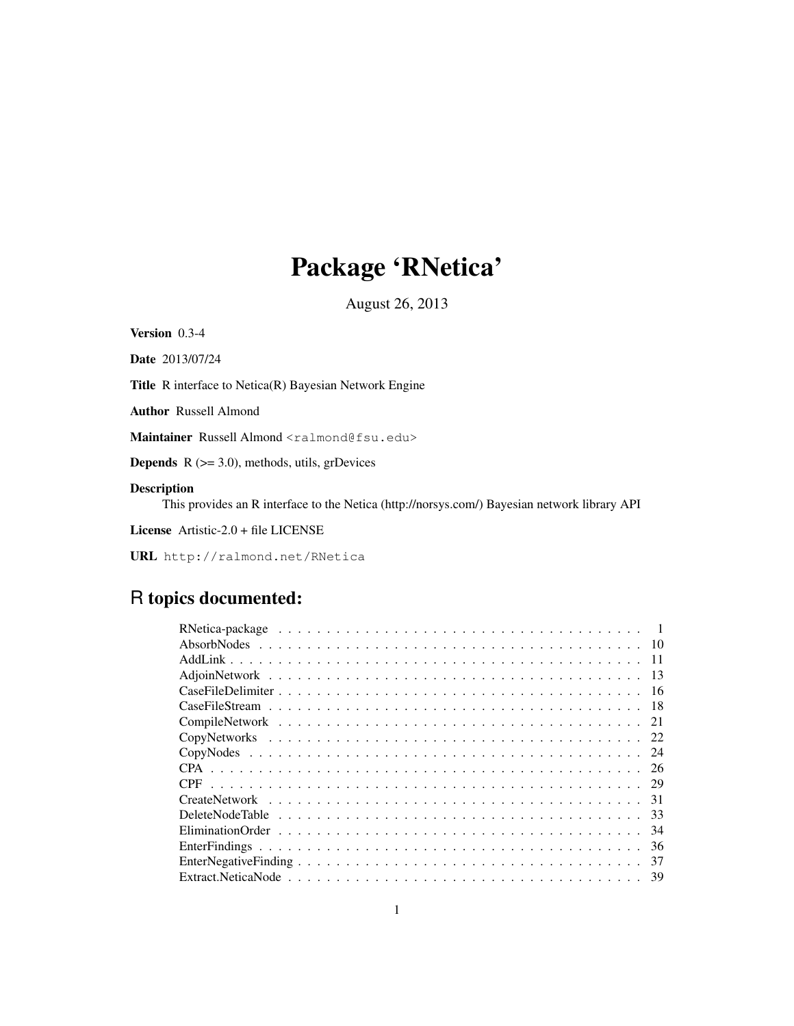# Package 'RNetica'

August 26, 2013

Version 0.3-4

Date 2013/07/24

Title R interface to Netica(R) Bayesian Network Engine

Author Russell Almond

Maintainer Russell Almond <ralmond@fsu.edu>

**Depends**  $R$  ( $>= 3.0$ ), methods, utils, grDevices

### Description

This provides an R interface to the Netica (http://norsys.com/) Bayesian network library API

License Artistic-2.0 + file LICENSE

URL http://ralmond.net/RNetica

## R topics documented:

| -11 |  |
|-----|--|
|     |  |
|     |  |
|     |  |
|     |  |
|     |  |
|     |  |
| 26  |  |
|     |  |
|     |  |
|     |  |
| -34 |  |
| 36  |  |
| 37  |  |
|     |  |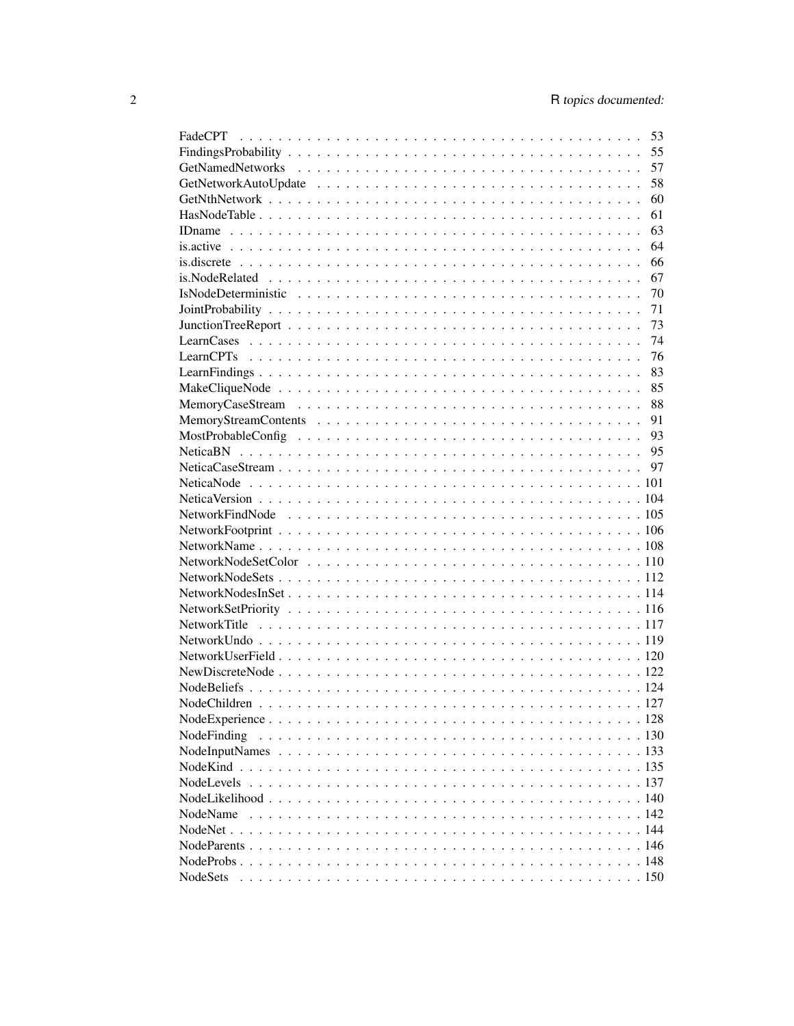|                 | 53 |
|-----------------|----|
|                 | 55 |
|                 | 57 |
|                 | 58 |
|                 | 60 |
|                 | 61 |
|                 | 63 |
|                 | 64 |
|                 | 66 |
|                 | 67 |
|                 | 70 |
|                 | 71 |
|                 | 73 |
|                 | 74 |
|                 | 76 |
|                 | 83 |
|                 | 85 |
|                 | 88 |
|                 | 91 |
|                 | 93 |
|                 |    |
|                 |    |
|                 |    |
|                 |    |
|                 |    |
|                 |    |
|                 |    |
|                 |    |
|                 |    |
|                 |    |
|                 |    |
|                 |    |
|                 |    |
|                 |    |
|                 |    |
|                 |    |
|                 |    |
|                 |    |
|                 |    |
| NodeFinding     |    |
|                 |    |
|                 |    |
|                 |    |
|                 |    |
| NodeName        |    |
|                 |    |
|                 |    |
|                 |    |
| <b>NodeSets</b> |    |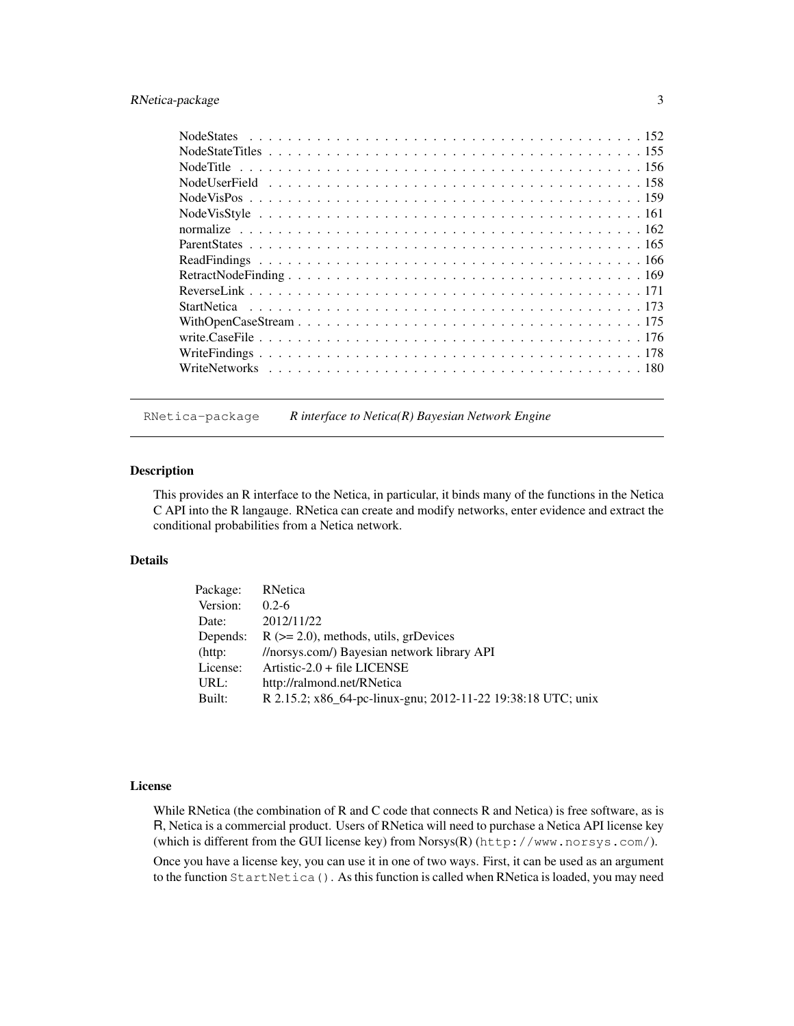### RNetica-package 3

RNetica-package *R interface to Netica(R) Bayesian Network Engine*

### Description

This provides an R interface to the Netica, in particular, it binds many of the functions in the Netica C API into the R langauge. RNetica can create and modify networks, enter evidence and extract the conditional probabilities from a Netica network.

### Details

| Package:   | RNetica                                                      |
|------------|--------------------------------------------------------------|
| Version:   | $0.2 - 6$                                                    |
| Date:      | 2012/11/22                                                   |
| Depends:   | $R$ ( $>= 2.0$ ), methods, utils, grDevices                  |
| $(http)$ : | //norsys.com/) Bayesian network library API                  |
| License:   | Artistic-2.0 + file LICENSE                                  |
| URL:       | http://ralmond.net/RNetica                                   |
| Built:     | R 2.15.2; x86_64-pc-linux-gnu; 2012-11-22 19:38:18 UTC; unix |

#### License

While RNetica (the combination of R and C code that connects R and Netica) is free software, as is R, Netica is a commercial product. Users of RNetica will need to purchase a Netica API license key (which is different from the GUI license key) from Norsys(R) (http://www.norsys.com/).

Once you have a license key, you can use it in one of two ways. First, it can be used as an argument to the function StartNetica(). As this function is called when RNetica is loaded, you may need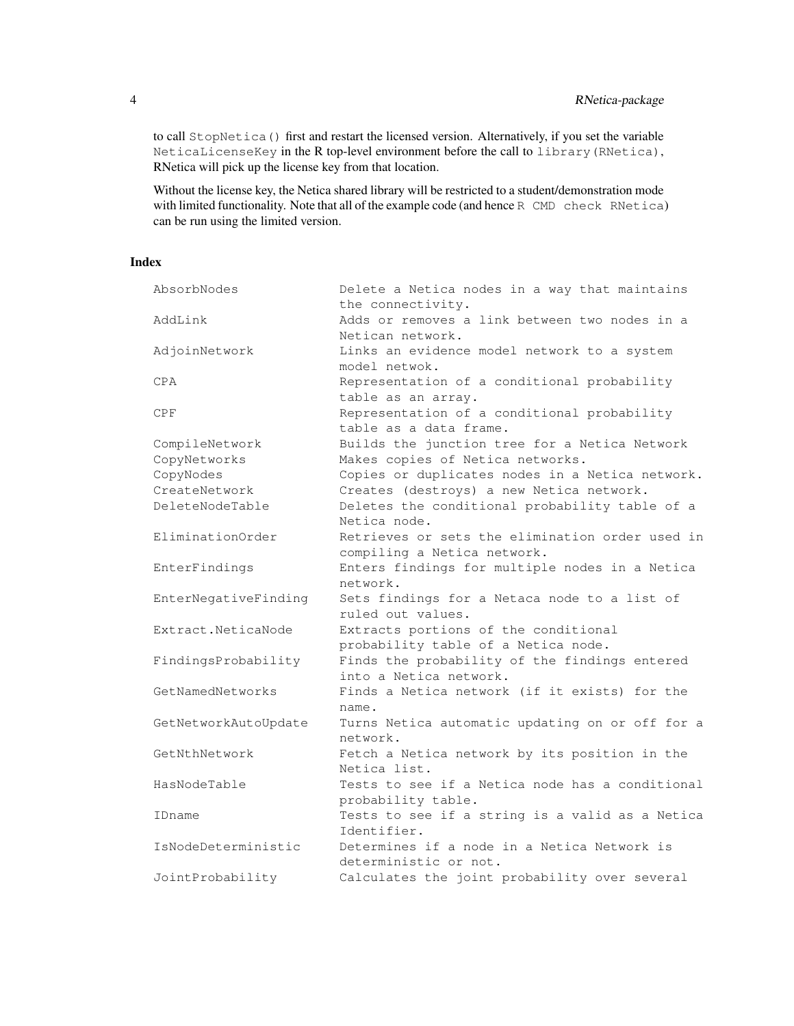to call StopNetica() first and restart the licensed version. Alternatively, if you set the variable NeticaLicenseKey in the R top-level environment before the call to library(RNetica), RNetica will pick up the license key from that location.

Without the license key, the Netica shared library will be restricted to a student/demonstration mode with limited functionality. Note that all of the example code (and hence R CMD check RNetica) can be run using the limited version.

### Index

| AbsorbNodes          | Delete a Netica nodes in a way that maintains<br>the connectivity. |
|----------------------|--------------------------------------------------------------------|
| AddLink              | Adds or removes a link between two nodes in a                      |
|                      | Netican network.                                                   |
| AdjoinNetwork        | Links an evidence model network to a system                        |
|                      | model netwok.                                                      |
| CPA                  | Representation of a conditional probability                        |
|                      | table as an array.                                                 |
| <b>CPF</b>           | Representation of a conditional probability                        |
|                      | table as a data frame.                                             |
| CompileNetwork       | Builds the junction tree for a Netica Network                      |
| CopyNetworks         | Makes copies of Netica networks.                                   |
| CopyNodes            | Copies or duplicates nodes in a Netica network.                    |
| CreateNetwork        | Creates (destroys) a new Netica network.                           |
| DeleteNodeTable      | Deletes the conditional probability table of a                     |
|                      | Netica node.                                                       |
| EliminationOrder     | Retrieves or sets the elimination order used in                    |
|                      | compiling a Netica network.                                        |
| EnterFindings        | Enters findings for multiple nodes in a Netica                     |
|                      | network.                                                           |
| EnterNegativeFinding | Sets findings for a Netaca node to a list of                       |
|                      | ruled out values.                                                  |
| Extract.NeticaNode   | Extracts portions of the conditional                               |
|                      | probability table of a Netica node.                                |
| FindingsProbability  | Finds the probability of the findings entered                      |
|                      | into a Netica network.                                             |
| GetNamedNetworks     | Finds a Netica network (if it exists) for the                      |
|                      | name.                                                              |
| GetNetworkAutoUpdate | Turns Netica automatic updating on or off for a                    |
|                      | network.                                                           |
| GetNthNetwork        | Fetch a Netica network by its position in the                      |
|                      | Netica list.                                                       |
| HasNodeTable         | Tests to see if a Netica node has a conditional                    |
|                      | probability table.                                                 |
| IDname               | Tests to see if a string is a valid as a Netica                    |
|                      | Identifier.                                                        |
| IsNodeDeterministic  | Determines if a node in a Netica Network is                        |
|                      | deterministic or not.                                              |
| JointProbability     | Calculates the joint probability over several                      |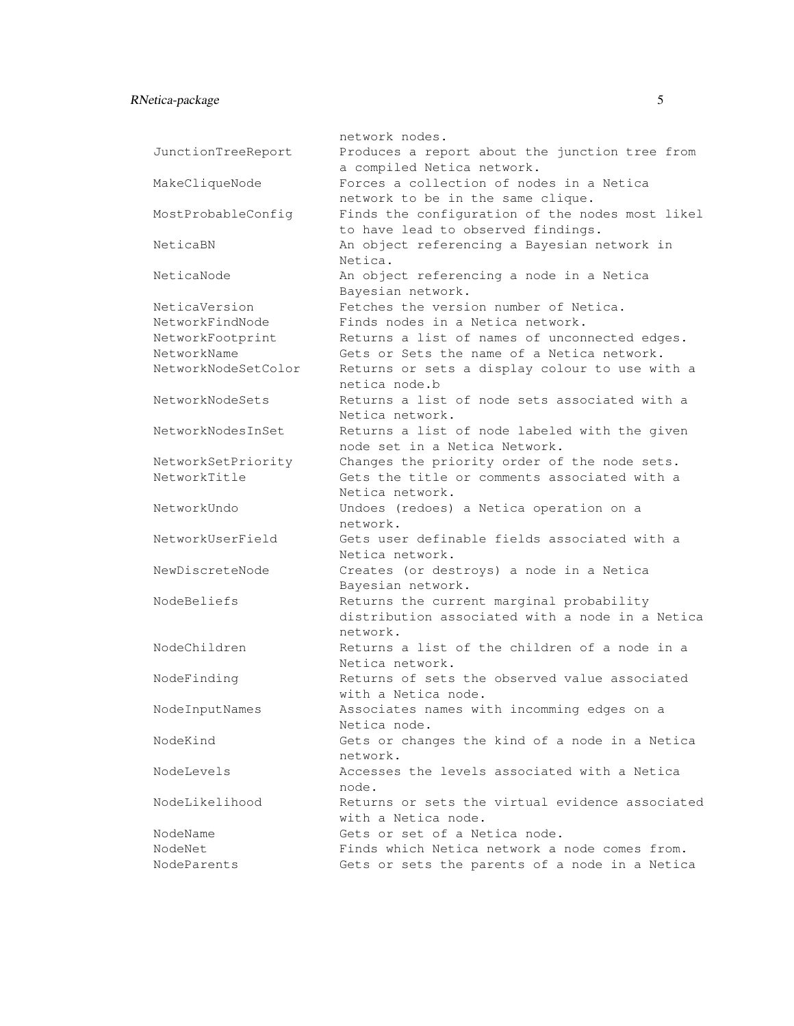### RNetica-package 5

|                     | network nodes.                                                               |
|---------------------|------------------------------------------------------------------------------|
| JunctionTreeReport  | Produces a report about the junction tree from<br>a compiled Netica network. |
| MakeCliqueNode      | Forces a collection of nodes in a Netica                                     |
|                     | network to be in the same clique.                                            |
| MostProbableConfig  | Finds the configuration of the nodes most likel                              |
|                     | to have lead to observed findings.                                           |
| NeticaBN            | An object referencing a Bayesian network in                                  |
|                     | Netica.                                                                      |
| NeticaNode          | An object referencing a node in a Netica                                     |
|                     | Bayesian network.                                                            |
| NeticaVersion       | Fetches the version number of Netica.                                        |
| NetworkFindNode     | Finds nodes in a Netica network.                                             |
| NetworkFootprint    | Returns a list of names of unconnected edges.                                |
| NetworkName         | Gets or Sets the name of a Netica network.                                   |
| NetworkNodeSetColor | Returns or sets a display colour to use with a                               |
|                     | netica node.b                                                                |
| NetworkNodeSets     | Returns a list of node sets associated with a                                |
|                     | Netica network.                                                              |
| NetworkNodesInSet   | Returns a list of node labeled with the given                                |
|                     | node set in a Netica Network.                                                |
| NetworkSetPriority  | Changes the priority order of the node sets.                                 |
| NetworkTitle        | Gets the title or comments associated with a                                 |
|                     | Netica network.                                                              |
| NetworkUndo         | Undoes (redoes) a Netica operation on a                                      |
|                     | network.                                                                     |
| NetworkUserField    | Gets user definable fields associated with a                                 |
|                     | Netica network.                                                              |
| NewDiscreteNode     | Creates (or destroys) a node in a Netica                                     |
|                     | Bayesian network.                                                            |
| NodeBeliefs         | Returns the current marginal probability                                     |
|                     | distribution associated with a node in a Netica                              |
|                     | network.                                                                     |
| NodeChildren        | Returns a list of the children of a node in a                                |
|                     | Netica network.                                                              |
| NodeFinding         | Returns of sets the observed value associated                                |
|                     | with a Netica node.                                                          |
| NodeInputNames      | Associates names with incomming edges on a                                   |
|                     | Netica node.                                                                 |
| NodeKind            | Gets or changes the kind of a node in a Netica                               |
|                     | network.                                                                     |
|                     |                                                                              |

network. NodeLevels Accesses the levels associated with a Netica node. NodeLikelihood Returns or sets the virtual evidence associated with a Netica node. NodeName Gets or set of a Netica node. NodeNet Finds which Netica network a node comes from.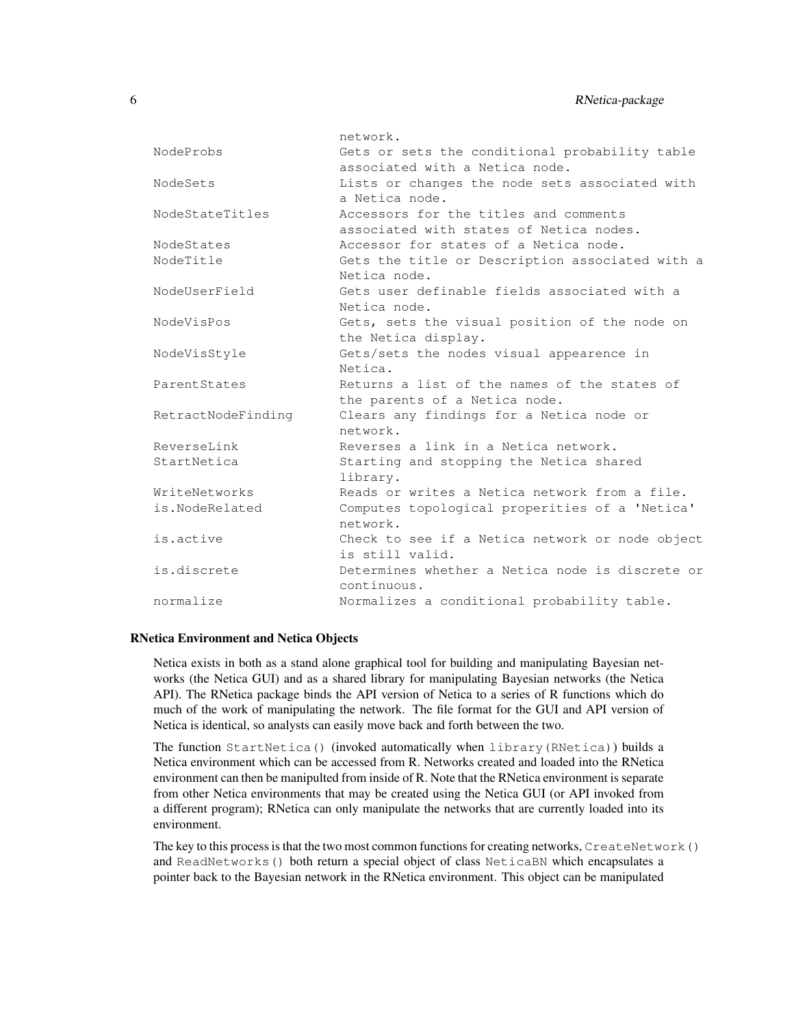|                    | network.                                        |
|--------------------|-------------------------------------------------|
| NodeProbs          | Gets or sets the conditional probability table  |
|                    | associated with a Netica node.                  |
| NodeSets           | Lists or changes the node sets associated with  |
|                    | a Netica node.                                  |
| NodeStateTitles    | Accessors for the titles and comments           |
|                    | associated with states of Netica nodes,         |
| NodeStates         | Accessor for states of a Netica node.           |
| NodeTitle          | Gets the title or Description associated with a |
|                    | Netica node.                                    |
| NodeUserField      | Gets user definable fields associated with a    |
|                    | Netica node.                                    |
| NodeVisPos         | Gets, sets the visual position of the node on   |
|                    | the Netica display.                             |
| NodeVisStyle       | Gets/sets the nodes visual appearence in        |
|                    | Netica.                                         |
| ParentStates       | Returns a list of the names of the states of    |
|                    | the parents of a Netica node.                   |
| RetractNodeFinding | Clears any findings for a Netica node or        |
|                    | network.                                        |
| ReverseLink        | Reverses a link in a Netica network.            |
| StartNetica        | Starting and stopping the Netica shared         |
|                    | library.                                        |
| WriteNetworks      | Reads or writes a Netica network from a file.   |
| is.NodeRelated     | Computes topological properities of a 'Netica'  |
|                    | network.                                        |
| is.active          | Check to see if a Netica network or node object |
|                    | is still valid.                                 |
| is.discrete        | Determines whether a Netica node is discrete or |
|                    | continuous.                                     |
| normalize          | Normalizes a conditional probability table.     |

#### RNetica Environment and Netica Objects

Netica exists in both as a stand alone graphical tool for building and manipulating Bayesian networks (the Netica GUI) and as a shared library for manipulating Bayesian networks (the Netica API). The RNetica package binds the API version of Netica to a series of R functions which do much of the work of manipulating the network. The file format for the GUI and API version of Netica is identical, so analysts can easily move back and forth between the two.

The function StartNetica() (invoked automatically when library(RNetica)) builds a Netica environment which can be accessed from R. Networks created and loaded into the RNetica environment can then be manipulted from inside of R. Note that the RNetica environment is separate from other Netica environments that may be created using the Netica GUI (or API invoked from a different program); RNetica can only manipulate the networks that are currently loaded into its environment.

The key to this process is that the two most common functions for creating networks, CreateNetwork() and ReadNetworks() both return a special object of class NeticaBN which encapsulates a pointer back to the Bayesian network in the RNetica environment. This object can be manipulated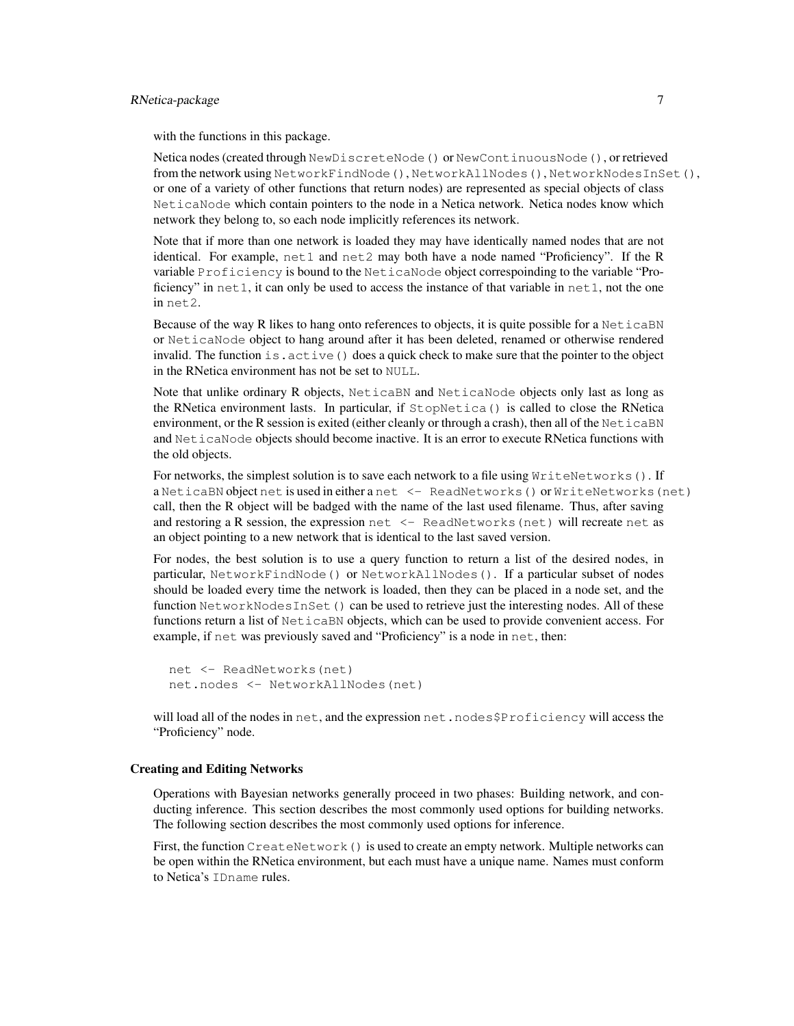### RNetica-package 7

with the functions in this package.

Netica nodes (created through NewDiscreteNode() or NewContinuousNode(), or retrieved from the network using NetworkFindNode(), NetworkAllNodes(), NetworkNodesInSet(), or one of a variety of other functions that return nodes) are represented as special objects of class NeticaNode which contain pointers to the node in a Netica network. Netica nodes know which network they belong to, so each node implicitly references its network.

Note that if more than one network is loaded they may have identically named nodes that are not identical. For example, net1 and net2 may both have a node named "Proficiency". If the R variable Proficiency is bound to the NeticaNode object correspoinding to the variable "Proficiency" in  $net1$ , it can only be used to access the instance of that variable in  $net1$ , not the one in net2.

Because of the way R likes to hang onto references to objects, it is quite possible for a NeticaBN or NeticaNode object to hang around after it has been deleted, renamed or otherwise rendered invalid. The function  $is$  active () does a quick check to make sure that the pointer to the object in the RNetica environment has not be set to NULL.

Note that unlike ordinary R objects, NeticaBN and NeticaNode objects only last as long as the RNetica environment lasts. In particular, if StopNetica() is called to close the RNetica environment, or the R session is exited (either cleanly or through a crash), then all of the NeticaBN and NeticaNode objects should become inactive. It is an error to execute RNetica functions with the old objects.

For networks, the simplest solution is to save each network to a file using  $WriteNetworks()$ . If a NeticaBN object net is used in either a net <- ReadNetworks() or WriteNetworks(net) call, then the R object will be badged with the name of the last used filename. Thus, after saving and restoring a R session, the expression net  $\leq$  ReadNetworks (net) will recreate net as an object pointing to a new network that is identical to the last saved version.

For nodes, the best solution is to use a query function to return a list of the desired nodes, in particular, NetworkFindNode() or NetworkAllNodes(). If a particular subset of nodes should be loaded every time the network is loaded, then they can be placed in a node set, and the function NetworkNodesInSet() can be used to retrieve just the interesting nodes. All of these functions return a list of NeticaBN objects, which can be used to provide convenient access. For example, if net was previously saved and "Proficiency" is a node in net, then:

```
net <- ReadNetworks(net)
net.nodes <- NetworkAllNodes(net)
```
will load all of the nodes in net, and the expression net.nodes\$Proficiency will access the "Proficiency" node.

### Creating and Editing Networks

Operations with Bayesian networks generally proceed in two phases: Building network, and conducting inference. This section describes the most commonly used options for building networks. The following section describes the most commonly used options for inference.

First, the function CreateNetwork() is used to create an empty network. Multiple networks can be open within the RNetica environment, but each must have a unique name. Names must conform to Netica's IDname rules.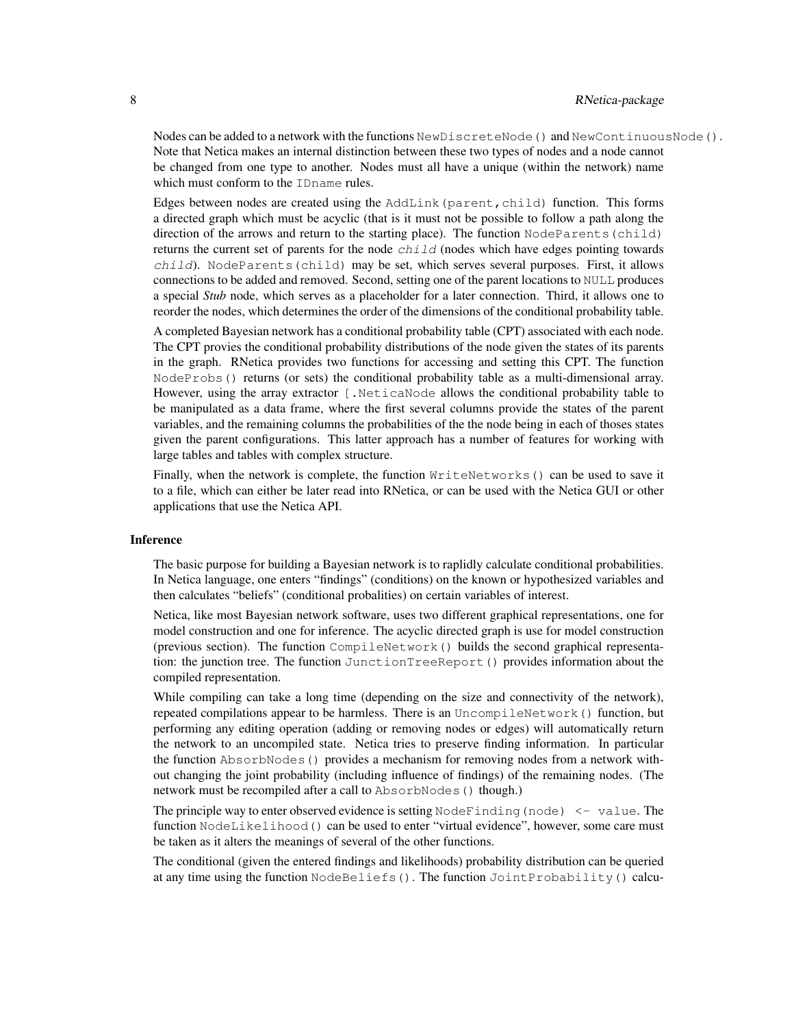Nodes can be added to a network with the functions NewDiscreteNode() and NewContinuousNode(). Note that Netica makes an internal distinction between these two types of nodes and a node cannot be changed from one type to another. Nodes must all have a unique (within the network) name which must conform to the IDname rules.

Edges between nodes are created using the AddLink (parent, child) function. This forms a directed graph which must be acyclic (that is it must not be possible to follow a path along the direction of the arrows and return to the starting place). The function NodeParents (child) returns the current set of parents for the node  $child$  (nodes which have edges pointing towards  $child$ ). NodeParents (child) may be set, which serves several purposes. First, it allows connections to be added and removed. Second, setting one of the parent locations to NULL produces a special *Stub* node, which serves as a placeholder for a later connection. Third, it allows one to reorder the nodes, which determines the order of the dimensions of the conditional probability table.

A completed Bayesian network has a conditional probability table (CPT) associated with each node. The CPT provies the conditional probability distributions of the node given the states of its parents in the graph. RNetica provides two functions for accessing and setting this CPT. The function NodeProbs() returns (or sets) the conditional probability table as a multi-dimensional array. However, using the array extractor [.NeticaNode allows the conditional probability table to be manipulated as a data frame, where the first several columns provide the states of the parent variables, and the remaining columns the probabilities of the the node being in each of thoses states given the parent configurations. This latter approach has a number of features for working with large tables and tables with complex structure.

Finally, when the network is complete, the function WriteNetworks() can be used to save it to a file, which can either be later read into RNetica, or can be used with the Netica GUI or other applications that use the Netica API.

### Inference

The basic purpose for building a Bayesian network is to raplidly calculate conditional probabilities. In Netica language, one enters "findings" (conditions) on the known or hypothesized variables and then calculates "beliefs" (conditional probalities) on certain variables of interest.

Netica, like most Bayesian network software, uses two different graphical representations, one for model construction and one for inference. The acyclic directed graph is use for model construction (previous section). The function CompileNetwork() builds the second graphical representation: the junction tree. The function JunctionTreeReport() provides information about the compiled representation.

While compiling can take a long time (depending on the size and connectivity of the network), repeated compilations appear to be harmless. There is an UncompileNetwork() function, but performing any editing operation (adding or removing nodes or edges) will automatically return the network to an uncompiled state. Netica tries to preserve finding information. In particular the function AbsorbNodes() provides a mechanism for removing nodes from a network without changing the joint probability (including influence of findings) of the remaining nodes. (The network must be recompiled after a call to AbsorbNodes() though.)

The principle way to enter observed evidence is setting  $N$ ode $F$ inding (node)  $\leq$  value. The function NodeLikelihood() can be used to enter "virtual evidence", however, some care must be taken as it alters the meanings of several of the other functions.

The conditional (given the entered findings and likelihoods) probability distribution can be queried at any time using the function NodeBeliefs(). The function JointProbability() calcu-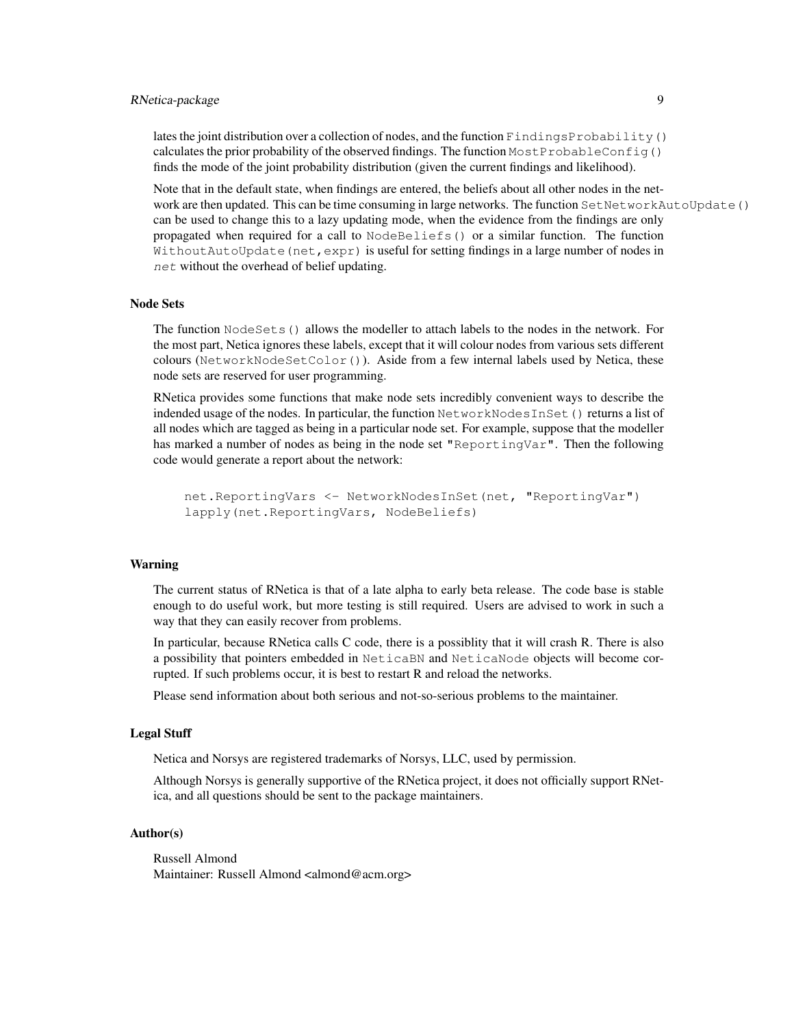### RNetica-package 9

lates the joint distribution over a collection of nodes, and the function FindingsProbability() calculates the prior probability of the observed findings. The function  $MostProblem ( )$ finds the mode of the joint probability distribution (given the current findings and likelihood).

Note that in the default state, when findings are entered, the beliefs about all other nodes in the network are then updated. This can be time consuming in large networks. The function SetNetworkAutoUpdate() can be used to change this to a lazy updating mode, when the evidence from the findings are only propagated when required for a call to NodeBeliefs() or a similar function. The function WithoutAutoUpdate(net,expr) is useful for setting findings in a large number of nodes in net without the overhead of belief updating.

#### Node Sets

The function NodeSets() allows the modeller to attach labels to the nodes in the network. For the most part, Netica ignores these labels, except that it will colour nodes from various sets different colours (NetworkNodeSetColor()). Aside from a few internal labels used by Netica, these node sets are reserved for user programming.

RNetica provides some functions that make node sets incredibly convenient ways to describe the indended usage of the nodes. In particular, the function NetworkNodesInSet() returns a list of all nodes which are tagged as being in a particular node set. For example, suppose that the modeller has marked a number of nodes as being in the node set "ReportingVar". Then the following code would generate a report about the network:

```
net.ReportingVars <- NetworkNodesInSet(net, "ReportingVar")
lapply(net.ReportingVars, NodeBeliefs)
```
### Warning

The current status of RNetica is that of a late alpha to early beta release. The code base is stable enough to do useful work, but more testing is still required. Users are advised to work in such a way that they can easily recover from problems.

In particular, because RNetica calls C code, there is a possiblity that it will crash R. There is also a possibility that pointers embedded in NeticaBN and NeticaNode objects will become corrupted. If such problems occur, it is best to restart R and reload the networks.

Please send information about both serious and not-so-serious problems to the maintainer.

### Legal Stuff

Netica and Norsys are registered trademarks of Norsys, LLC, used by permission.

Although Norsys is generally supportive of the RNetica project, it does not officially support RNetica, and all questions should be sent to the package maintainers.

### Author(s)

Russell Almond Maintainer: Russell Almond <almond@acm.org>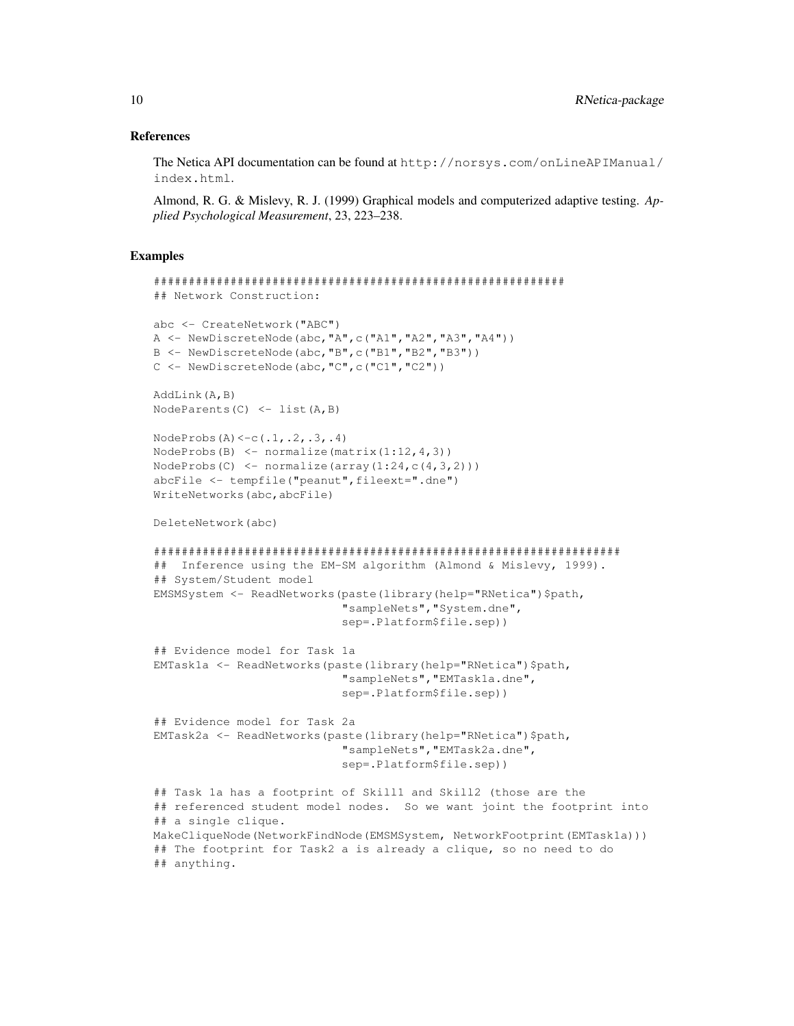#### References

The Netica API documentation can be found at http://norsys.com/onLineAPIManual/ index.html.

Almond, R. G. & Mislevy, R. J. (1999) Graphical models and computerized adaptive testing. *Applied Psychological Measurement*, 23, 223–238.

```
###########################################################
## Network Construction:
abc <- CreateNetwork("ABC")
A \leftarrow \text{NewDiscreteNode}(\text{abc}, "A", c("A1", "A2", "A3", "A4"))B <- NewDiscreteNode(abc,"B",c("B1","B2","B3"))
C <- NewDiscreteNode(abc,"C",c("C1","C2"))
AddLink(A,B)
NodeParents(C) \leftarrow list(A,B)
NodeProbs(A) < -c(.1,.2,.3,.4)NodeProbs(B) \leq normalize(matrix(1:12,4,3))
NodeProbs(C) \leq normalize(array(1:24,c(4,3,2)))
abcFile <- tempfile("peanut",fileext=".dne")
WriteNetworks(abc,abcFile)
DeleteNetwork(abc)
###################################################################
## Inference using the EM-SM algorithm (Almond & Mislevy, 1999).
## System/Student model
EMSMSystem <- ReadNetworks(paste(library(help="RNetica")$path,
                            "sampleNets","System.dne",
                            sep=.Platform$file.sep))
## Evidence model for Task 1a
EMTask1a <- ReadNetworks(paste(library(help="RNetica")$path,
                            "sampleNets","EMTask1a.dne",
                            sep=.Platform$file.sep))
## Evidence model for Task 2a
EMTask2a <- ReadNetworks(paste(library(help="RNetica")$path,
                            "sampleNets","EMTask2a.dne",
                            sep=.Platform$file.sep))
## Task 1a has a footprint of Skill1 and Skill2 (those are the
## referenced student model nodes. So we want joint the footprint into
## a single clique.
MakeCliqueNode(NetworkFindNode(EMSMSystem, NetworkFootprint(EMTask1a)))
## The footprint for Task2 a is already a clique, so no need to do
## anything.
```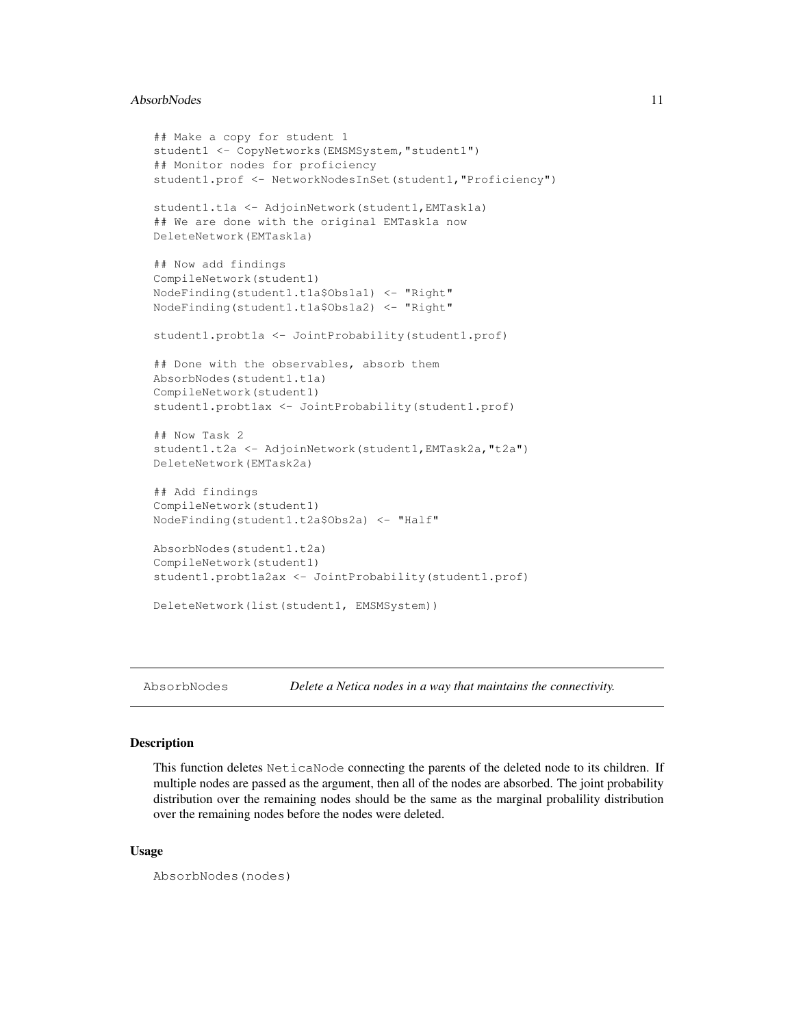### AbsorbNodes 11

```
## Make a copy for student 1
student1 <- CopyNetworks (EMSMSystem, "student1")
## Monitor nodes for proficiency
student1.prof <- NetworkNodesInSet(student1,"Proficiency")
student1.t1a <- AdjoinNetwork(student1,EMTask1a)
## We are done with the original EMTask1a now
DeleteNetwork(EMTask1a)
## Now add findings
CompileNetwork(student1)
NodeFinding(student1.t1a$Obs1a1) <- "Right"
NodeFinding(student1.t1a$Obs1a2) <- "Right"
student1.probt1a <- JointProbability(student1.prof)
## Done with the observables, absorb them
AbsorbNodes(student1.t1a)
CompileNetwork(student1)
student1.probt1ax <- JointProbability(student1.prof)
## Now Task 2
student1.t2a <- AdjoinNetwork(student1, EMTask2a, "t2a")
DeleteNetwork(EMTask2a)
## Add findings
CompileNetwork(student1)
NodeFinding(student1.t2a$Obs2a) <- "Half"
AbsorbNodes(student1.t2a)
CompileNetwork(student1)
student1.probt1a2ax <- JointProbability(student1.prof)
DeleteNetwork(list(student1, EMSMSystem))
```
AbsorbNodes *Delete a Netica nodes in a way that maintains the connectivity.*

#### **Description**

This function deletes NeticaNode connecting the parents of the deleted node to its children. If multiple nodes are passed as the argument, then all of the nodes are absorbed. The joint probability distribution over the remaining nodes should be the same as the marginal probalility distribution over the remaining nodes before the nodes were deleted.

### Usage

```
AbsorbNodes(nodes)
```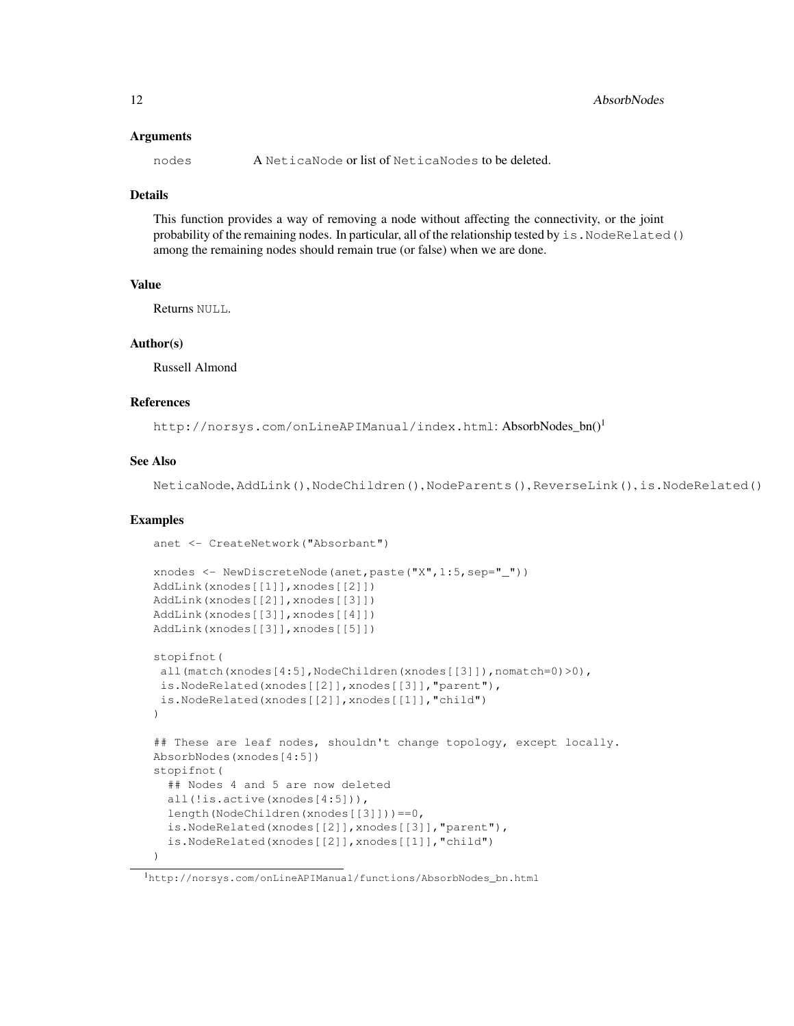### Arguments

nodes A NeticaNode or list of NeticaNodes to be deleted.

### Details

This function provides a way of removing a node without affecting the connectivity, or the joint probability of the remaining nodes. In particular, all of the relationship tested by is. NodeRelated() among the remaining nodes should remain true (or false) when we are done.

### Value

Returns NULL.

### Author(s)

Russell Almond

#### References

http://norsys.com/onLineAPIManual/index.html: AbsorbNodes\_bn()<sup>1</sup>

### See Also

NeticaNode, AddLink(), NodeChildren(), NodeParents(), ReverseLink(), is.NodeRelated()

```
anet <- CreateNetwork("Absorbant")
xnodes <- NewDiscreteNode(anet,paste("X",1:5,sep="_"))
AddLink(xnodes[[1]],xnodes[[2]])
AddLink(xnodes[[2]],xnodes[[3]])
AddLink(xnodes[[3]],xnodes[[4]])
AddLink(xnodes[[3]],xnodes[[5]])
stopifnot(
all(match(xnodes[4:5],NodeChildren(xnodes[[3]]),nomatch=0)>0),
is.NodeRelated(xnodes[[2]],xnodes[[3]],"parent"),
is.NodeRelated(xnodes[[2]],xnodes[[1]],"child")
\lambda## These are leaf nodes, shouldn't change topology, except locally.
AbsorbNodes(xnodes[4:5])
stopifnot(
  ## Nodes 4 and 5 are now deleted
  all(!is.active(xnodes[4:5])),
  length(NodeChildren(xnodes[[3]]))==0,
  is.NodeRelated(xnodes[[2]],xnodes[[3]],"parent"),
  is.NodeRelated(xnodes[[2]],xnodes[[1]],"child")
)
```
<sup>1</sup>http://norsys.com/onLineAPIManual/functions/AbsorbNodes\_bn.html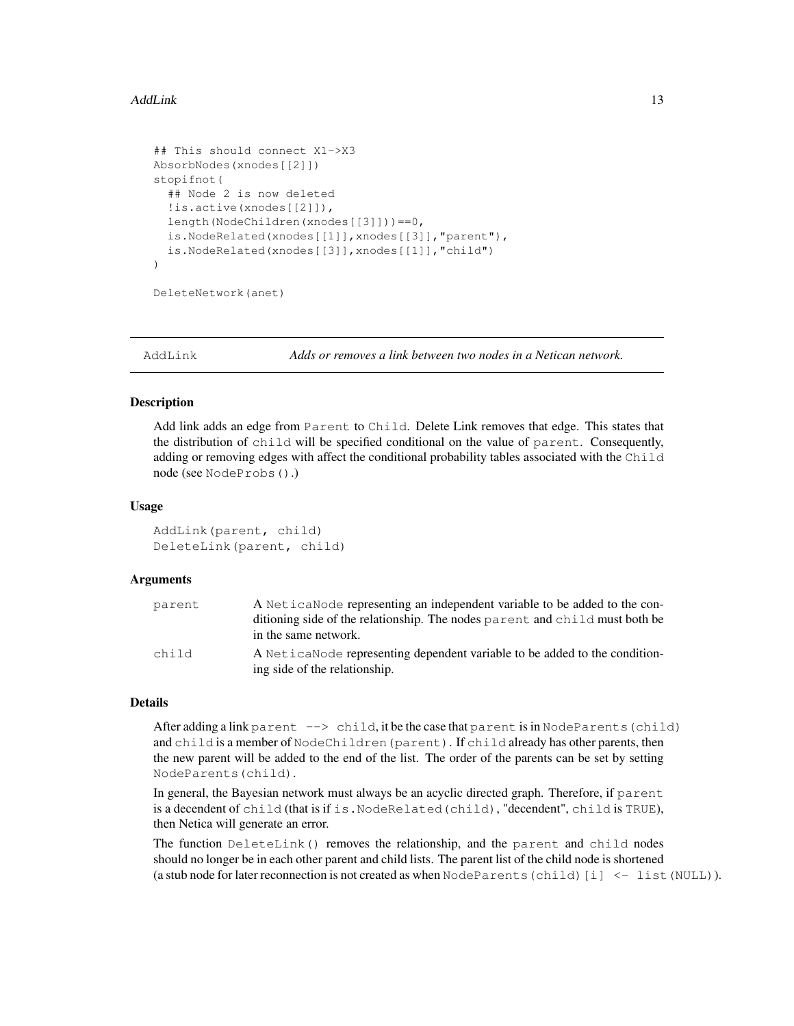#### AddLink 13

```
## This should connect X1->X3
AbsorbNodes(xnodes[[2]])
stopifnot(
  ## Node 2 is now deleted
  !is.active(xnodes[[2]]),
  length(NodeChildren(xnodes[[3]]))==0,
  is.NodeRelated(xnodes[[1]],xnodes[[3]],"parent"),
  is.NodeRelated(xnodes[[3]],xnodes[[1]],"child")
\lambda
```
DeleteNetwork(anet)

AddLink *Adds or removes a link between two nodes in a Netican network.*

#### **Description**

Add link adds an edge from Parent to Child. Delete Link removes that edge. This states that the distribution of child will be specified conditional on the value of parent. Consequently, adding or removing edges with affect the conditional probability tables associated with the Child node (see NodeProbs().)

#### Usage

```
AddLink(parent, child)
DeleteLink(parent, child)
```
#### Arguments

| parent | A NeticaNode representing an independent variable to be added to the con-   |
|--------|-----------------------------------------------------------------------------|
|        | ditioning side of the relationship. The nodes parent and child must both be |
|        | in the same network.                                                        |
| child  | A Netica Node representing dependent variable to be added to the condition- |
|        | ing side of the relationship.                                               |

### Details

After adding a link parent --> child, it be the case that parent is in NodeParents (child) and child is a member of NodeChildren(parent). If child already has other parents, then the new parent will be added to the end of the list. The order of the parents can be set by setting NodeParents(child).

In general, the Bayesian network must always be an acyclic directed graph. Therefore, if parent is a decendent of child (that is if is.NodeRelated(child), "decendent", child is TRUE), then Netica will generate an error.

The function DeleteLink() removes the relationship, and the parent and child nodes should no longer be in each other parent and child lists. The parent list of the child node is shortened (a stub node for later reconnection is not created as when  $\text{NodeParents}(\text{child})[i] < - \text{list}(\text{NULL})$ ).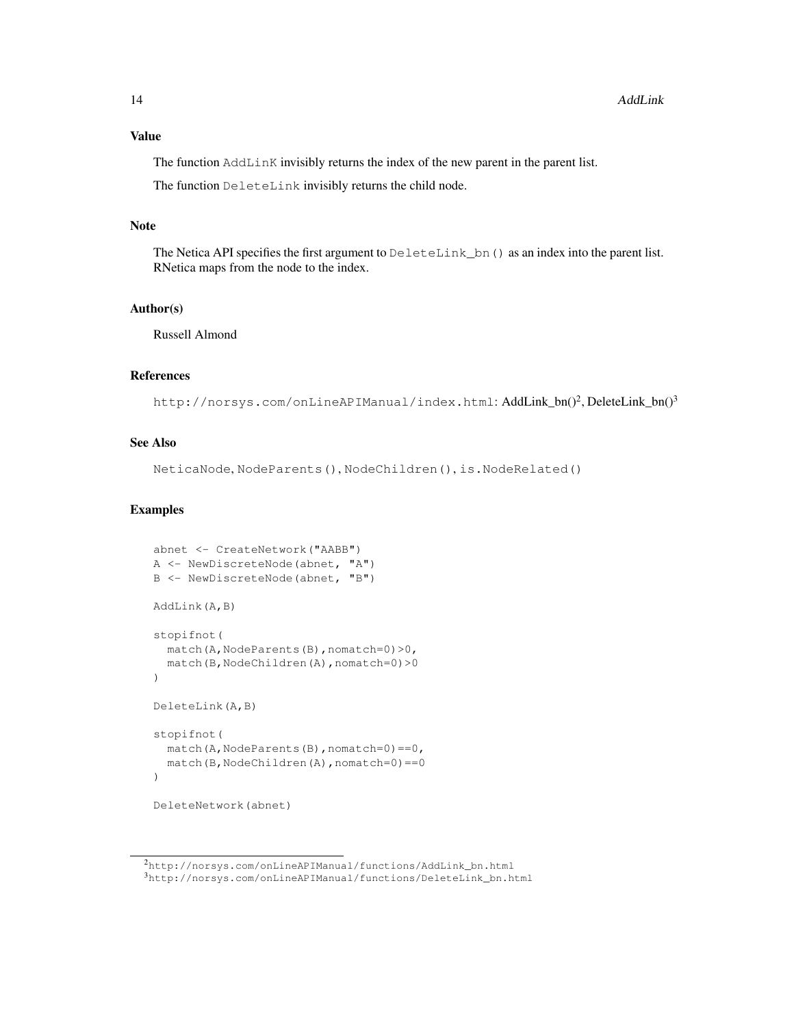The function AddLinK invisibly returns the index of the new parent in the parent list.

The function DeleteLink invisibly returns the child node.

#### Note

The Netica API specifies the first argument to  $Deletelink\_bn$  () as an index into the parent list. RNetica maps from the node to the index.

### Author(s)

Russell Almond

### References

http://norsys.com/onLineAPIManual/index.html: AddLink\_bn()<sup>2</sup>,DeleteLink\_bn()<sup>3</sup>

### See Also

NeticaNode, NodeParents(), NodeChildren(), is.NodeRelated()

```
abnet <- CreateNetwork("AABB")
A <- NewDiscreteNode(abnet, "A")
B <- NewDiscreteNode(abnet, "B")
AddLink(A,B)
stopifnot(
  match(A,NodeParents(B),nomatch=0)>0,
  match(B,NodeChildren(A),nomatch=0)>0
)
DeleteLink(A,B)
stopifnot(
  match(A,NodeParents(B),nomatch=0) == 0,
  match(B,NodeChildren(A),nomatch=0) == 0
)
DeleteNetwork(abnet)
```
<sup>2</sup>http://norsys.com/onLineAPIManual/functions/AddLink\_bn.html  $3$ http://norsys.com/onLineAPIManual/functions/DeleteLink\_bn.html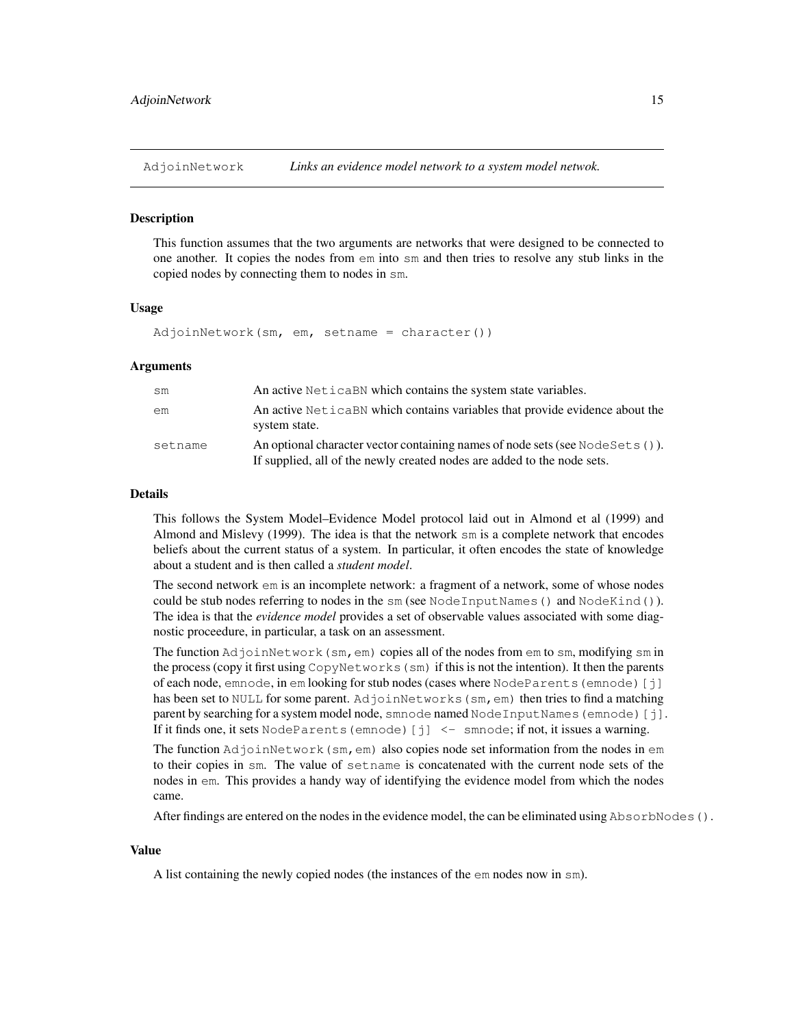#### **Description**

This function assumes that the two arguments are networks that were designed to be connected to one another. It copies the nodes from em into sm and then tries to resolve any stub links in the copied nodes by connecting them to nodes in sm.

### Usage

AdjoinNetwork(sm, em, setname = character())

### Arguments

| sm      | An active Netical BN which contains the system state variables.                                                                                           |
|---------|-----------------------------------------------------------------------------------------------------------------------------------------------------------|
| em      | An active NeticaBN which contains variables that provide evidence about the<br>system state.                                                              |
| setname | An optional character vector containing names of node sets (see Node Sets ()).<br>If supplied, all of the newly created nodes are added to the node sets. |

#### Details

This follows the System Model–Evidence Model protocol laid out in Almond et al (1999) and Almond and Mislevy (1999). The idea is that the network sm is a complete network that encodes beliefs about the current status of a system. In particular, it often encodes the state of knowledge about a student and is then called a *student model*.

The second network em is an incomplete network: a fragment of a network, some of whose nodes could be stub nodes referring to nodes in the sm (see NodeInputNames() and NodeKind()). The idea is that the *evidence model* provides a set of observable values associated with some diagnostic proceedure, in particular, a task on an assessment.

The function  $AdjoinNetwork(sm,em)$  copies all of the nodes from em to sm, modifying sm in the process (copy it first using CopyNetworks(sm) if this is not the intention). It then the parents of each node, emnode, in em looking for stub nodes (cases where NodeParents(emnode)[j] has been set to NULL for some parent. AdjoinNetworks (sm, em) then tries to find a matching parent by searching for a system model node, smnode named  $\text{NodeInputNames}$  (emnode) [j]. If it finds one, it sets NodeParents (emnode) [j]  $\leq$  smnode; if not, it issues a warning.

The function  $AdjoinNetwork(sm,em)$  also copies node set information from the nodes in  $em$ to their copies in sm. The value of setname is concatenated with the current node sets of the nodes in em. This provides a handy way of identifying the evidence model from which the nodes came.

After findings are entered on the nodes in the evidence model, the can be eliminated using AbsorbNodes ().

### Value

A list containing the newly copied nodes (the instances of the em nodes now in sm).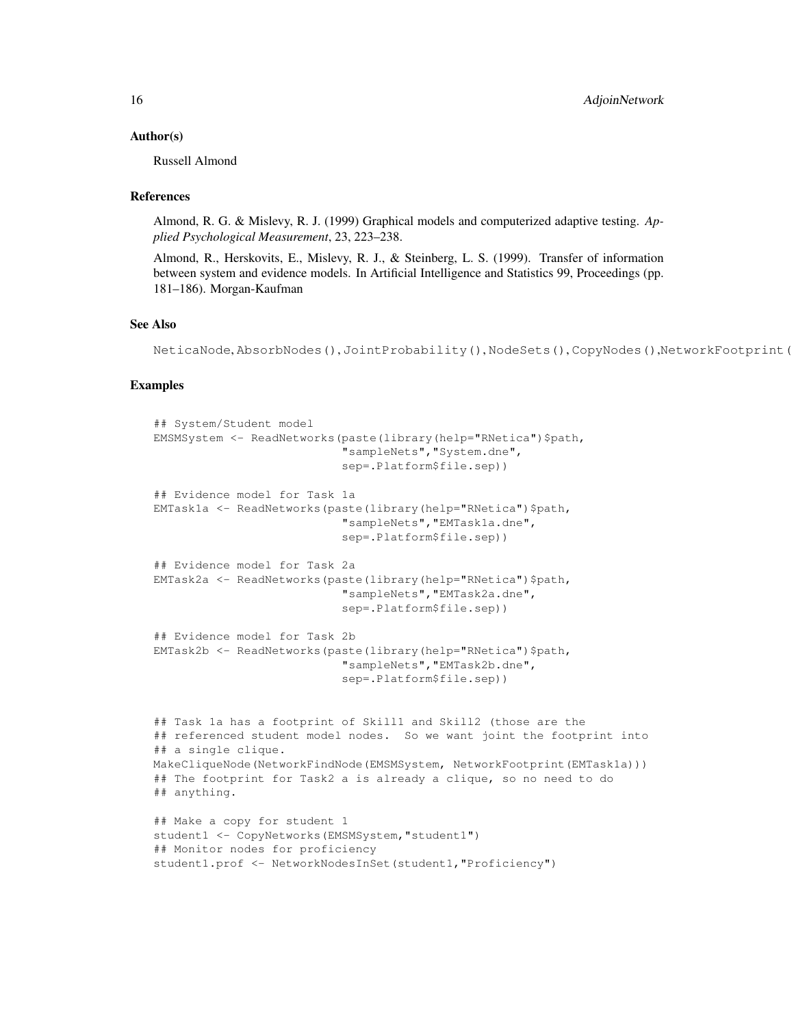### Author(s)

Russell Almond

### **References**

Almond, R. G. & Mislevy, R. J. (1999) Graphical models and computerized adaptive testing. *Applied Psychological Measurement*, 23, 223–238.

Almond, R., Herskovits, E., Mislevy, R. J., & Steinberg, L. S. (1999). Transfer of information between system and evidence models. In Artificial Intelligence and Statistics 99, Proceedings (pp. 181–186). Morgan-Kaufman

### See Also

NeticaNode, AbsorbNodes(), JointProbability(), NodeSets(), CopyNodes(),NetworkFootprint(

```
## System/Student model
EMSMSystem <- ReadNetworks(paste(library(help="RNetica")$path,
                           "sampleNets","System.dne",
                           sep=.Platform$file.sep))
## Evidence model for Task 1a
EMTask1a <- ReadNetworks(paste(library(help="RNetica")$path,
                           "sampleNets","EMTask1a.dne",
                           sep=.Platform$file.sep))
## Evidence model for Task 2a
EMTask2a <- ReadNetworks(paste(library(help="RNetica")$path,
                           "sampleNets","EMTask2a.dne",
                           sep=.Platform$file.sep))
## Evidence model for Task 2b
EMTask2b <- ReadNetworks(paste(library(help="RNetica")$path,
                           "sampleNets","EMTask2b.dne",
                           sep=.Platform$file.sep))
## Task 1a has a footprint of Skill1 and Skill2 (those are the
## referenced student model nodes. So we want joint the footprint into
## a single clique.
MakeCliqueNode(NetworkFindNode(EMSMSystem, NetworkFootprint(EMTask1a)))
## The footprint for Task2 a is already a clique, so no need to do
## anything.
## Make a copy for student 1
student1 <- CopyNetworks (EMSMSystem, "student1")
## Monitor nodes for proficiency
student1.prof <- NetworkNodesInSet(student1,"Proficiency")
```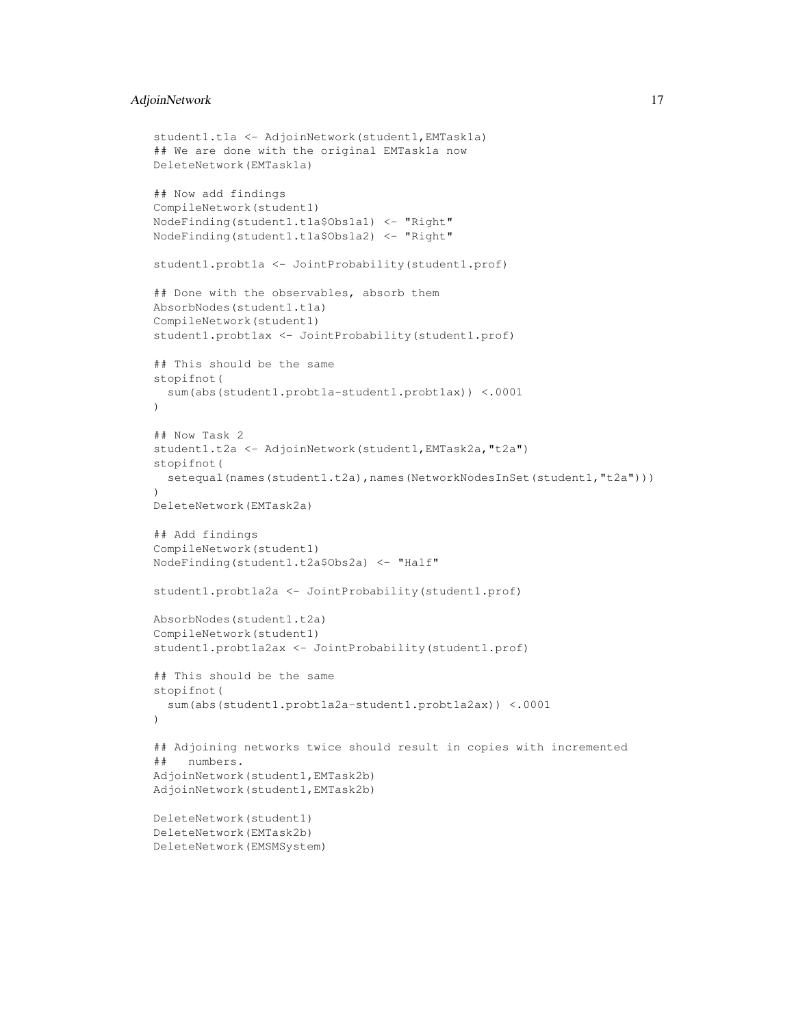### AdjoinNetwork 17

```
student1.t1a <- AdjoinNetwork(student1,EMTask1a)
## We are done with the original EMTask1a now
DeleteNetwork(EMTask1a)
## Now add findings
CompileNetwork(student1)
NodeFinding(student1.t1a$Obs1a1) <- "Right"
NodeFinding(student1.t1a$Obs1a2) <- "Right"
student1.probt1a <- JointProbability(student1.prof)
## Done with the observables, absorb them
AbsorbNodes(student1.t1a)
CompileNetwork(student1)
student1.probt1ax <- JointProbability(student1.prof)
## This should be the same
stopifnot(
  sum(abs(student1.probt1a-student1.probt1ax)) <.0001
)
## Now Task 2
student1.t2a <- AdjoinNetwork(student1, EMTask2a, "t2a")
stopifnot(
  setequal(names(student1.t2a),names(NetworkNodesInSet(student1,"t2a")))
)
DeleteNetwork(EMTask2a)
## Add findings
CompileNetwork(student1)
NodeFinding(student1.t2a$Obs2a) <- "Half"
student1.probt1a2a <- JointProbability(student1.prof)
AbsorbNodes(student1.t2a)
CompileNetwork(student1)
student1.probt1a2ax <- JointProbability(student1.prof)
## This should be the same
stopifnot(
  sum(abs(student1.probt1a2a-student1.probt1a2ax)) <.0001
\lambda## Adjoining networks twice should result in copies with incremented
## numbers.
AdjoinNetwork(student1,EMTask2b)
AdjoinNetwork(student1,EMTask2b)
DeleteNetwork(student1)
DeleteNetwork(EMTask2b)
DeleteNetwork(EMSMSystem)
```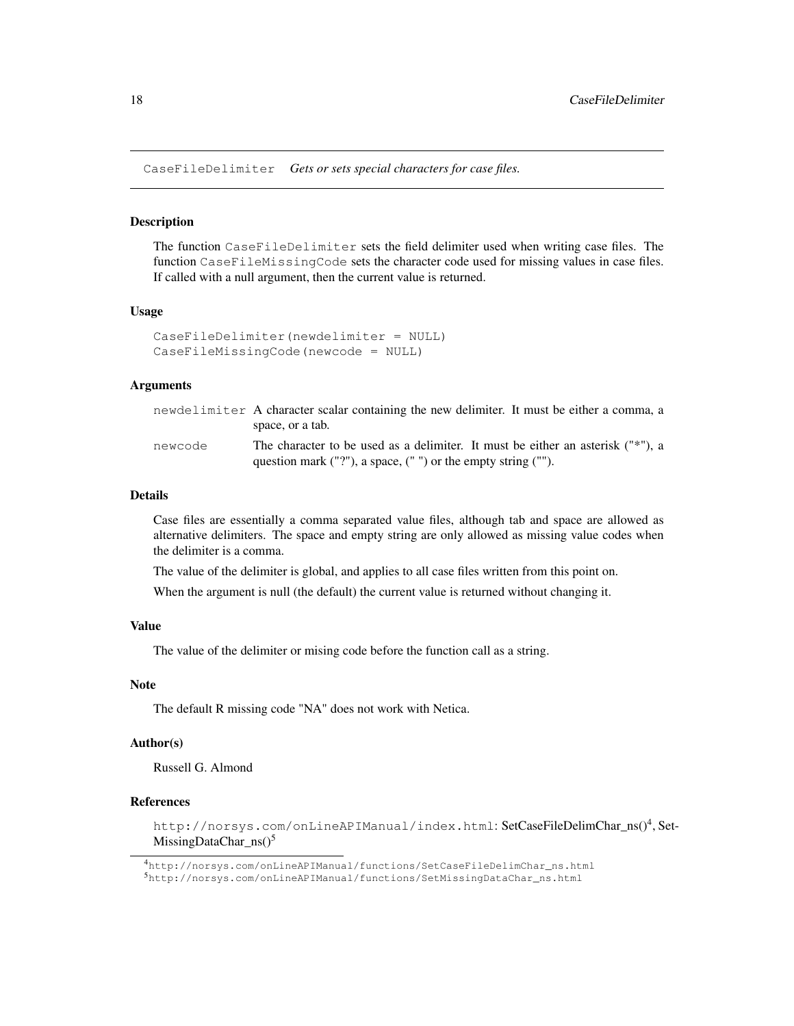CaseFileDelimiter *Gets or sets special characters for case files.*

#### **Description**

The function CaseFileDelimiter sets the field delimiter used when writing case files. The function CaseFileMissingCode sets the character code used for missing values in case files. If called with a null argument, then the current value is returned.

#### Usage

```
CaseFileDelimiter(newdelimiter = NULL)
CaseFileMissingCode(newcode = NULL)
```
#### Arguments

|         | newdelimiter A character scalar containing the new delimiter. It must be either a comma, a |
|---------|--------------------------------------------------------------------------------------------|
|         | space, or a tab.                                                                           |
| newcode | The character to be used as a delimiter. It must be either an asterisk ("*"), a            |
|         | question mark $("?")$ , a space, $("")$ or the empty string $("")$ .                       |

#### Details

Case files are essentially a comma separated value files, although tab and space are allowed as alternative delimiters. The space and empty string are only allowed as missing value codes when the delimiter is a comma.

The value of the delimiter is global, and applies to all case files written from this point on.

When the argument is null (the default) the current value is returned without changing it.

### Value

The value of the delimiter or mising code before the function call as a string.

### Note

The default R missing code "NA" does not work with Netica.

### Author(s)

Russell G. Almond

### References

http://norsys.com/onLineAPIManual/index.html:SetCaseFileDelimChar\_ns()<sup>4</sup>,Set-MissingDataChar\_ns $()^5$ 

<sup>4</sup>http://norsys.com/onLineAPIManual/functions/SetCaseFileDelimChar\_ns.html

<sup>5</sup>http://norsys.com/onLineAPIManual/functions/SetMissingDataChar\_ns.html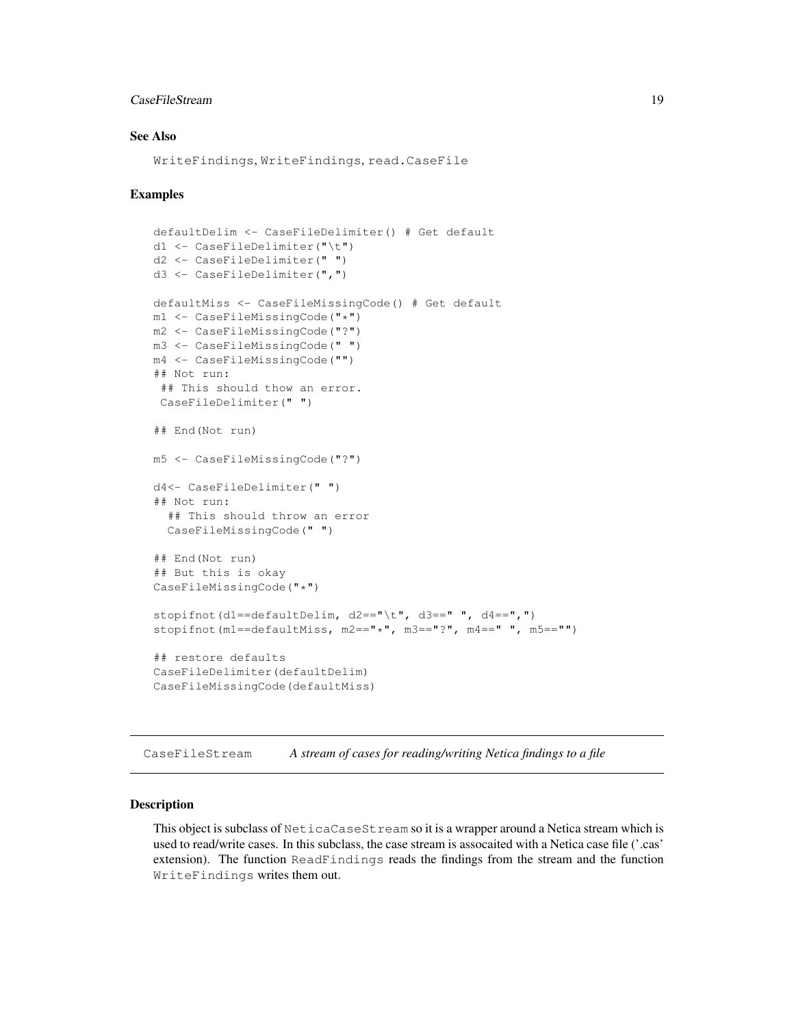### CaseFileStream 19

### See Also

WriteFindings, WriteFindings, read.CaseFile

### Examples

```
defaultDelim <- CaseFileDelimiter() # Get default
d1 <- CaseFileDelimiter("\t")
d2 <- CaseFileDelimiter(" ")
d3 <- CaseFileDelimiter(",")
defaultMiss <- CaseFileMissingCode() # Get default
m1 <- CaseFileMissingCode("*")
m2 <- CaseFileMissingCode("?")
m3 <- CaseFileMissingCode(" ")
m4 <- CaseFileMissingCode("")
## Not run:
## This should thow an error.
CaseFileDelimiter(" ")
## End(Not run)
m5 <- CaseFileMissingCode("?")
d4<- CaseFileDelimiter(" ")
## Not run:
  ## This should throw an error
  CaseFileMissingCode(" ")
## End(Not run)
## But this is okay
CaseFileMissingCode("*")
stopifnot(d1==defaultDelim, d2=="\t", d3==" ", d4==",")
stopifnot(m1==defaultMiss, m2=="*", m3=="?", m4==" ", m5=="")
## restore defaults
CaseFileDelimiter(defaultDelim)
CaseFileMissingCode(defaultMiss)
```
CaseFileStream *A stream of cases for reading/writing Netica findings to a file*

### Description

This object is subclass of NeticaCaseStream so it is a wrapper around a Netica stream which is used to read/write cases. In this subclass, the case stream is assocaited with a Netica case file ('.cas' extension). The function ReadFindings reads the findings from the stream and the function WriteFindings writes them out.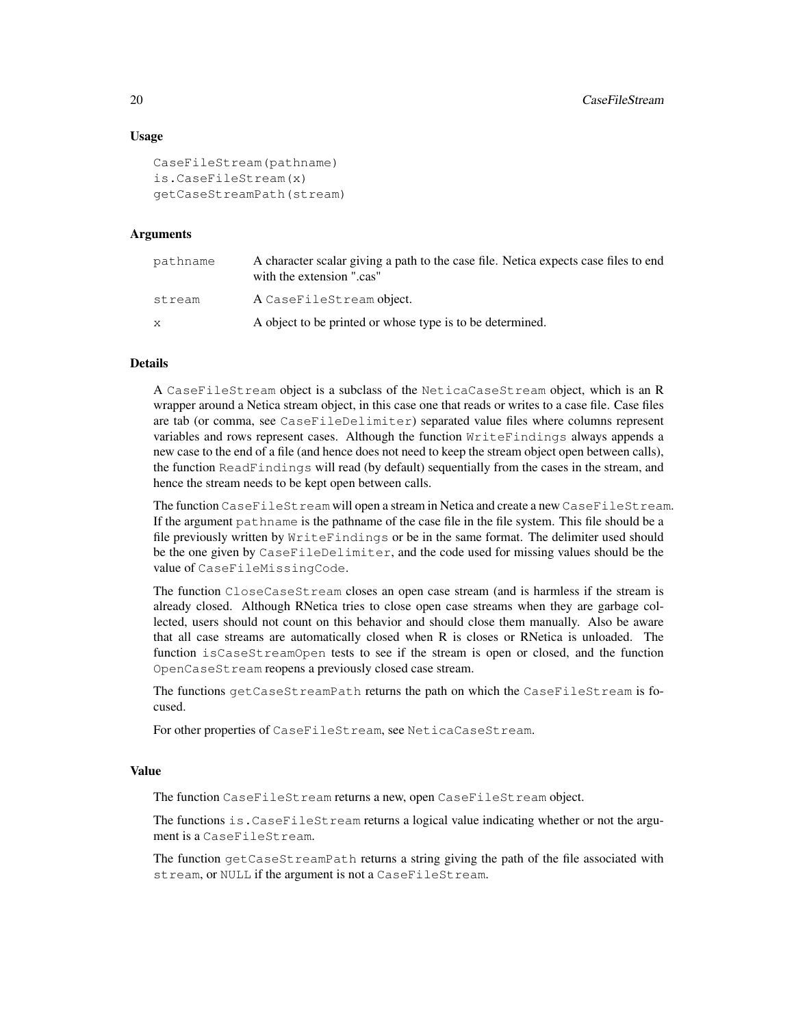### Usage

```
CaseFileStream(pathname)
is.CaseFileStream(x)
getCaseStreamPath(stream)
```
### Arguments

| pathname | A character scalar giving a path to the case file. Netica expects case files to end<br>with the extension ".cas" |
|----------|------------------------------------------------------------------------------------------------------------------|
| stream   | A CaseFileStream object.                                                                                         |
| X        | A object to be printed or whose type is to be determined.                                                        |

### Details

A CaseFileStream object is a subclass of the NeticaCaseStream object, which is an R wrapper around a Netica stream object, in this case one that reads or writes to a case file. Case files are tab (or comma, see CaseFileDelimiter) separated value files where columns represent variables and rows represent cases. Although the function WriteFindings always appends a new case to the end of a file (and hence does not need to keep the stream object open between calls), the function ReadFindings will read (by default) sequentially from the cases in the stream, and hence the stream needs to be kept open between calls.

The function CaseFileStream will open a stream in Netica and create a new CaseFileStream. If the argument pathname is the pathname of the case file in the file system. This file should be a file previously written by WriteFindings or be in the same format. The delimiter used should be the one given by CaseFileDelimiter, and the code used for missing values should be the value of CaseFileMissingCode.

The function CloseCaseStream closes an open case stream (and is harmless if the stream is already closed. Although RNetica tries to close open case streams when they are garbage collected, users should not count on this behavior and should close them manually. Also be aware that all case streams are automatically closed when R is closes or RNetica is unloaded. The function isCaseStreamOpen tests to see if the stream is open or closed, and the function OpenCaseStream reopens a previously closed case stream.

The functions getCaseStreamPath returns the path on which the CaseFileStream is focused.

For other properties of CaseFileStream, see NeticaCaseStream.

### Value

The function CaseFileStream returns a new, open CaseFileStream object.

The functions is.CaseFileStream returns a logical value indicating whether or not the argument is a CaseFileStream.

The function getCaseStreamPath returns a string giving the path of the file associated with stream, or NULL if the argument is not a CaseFileStream.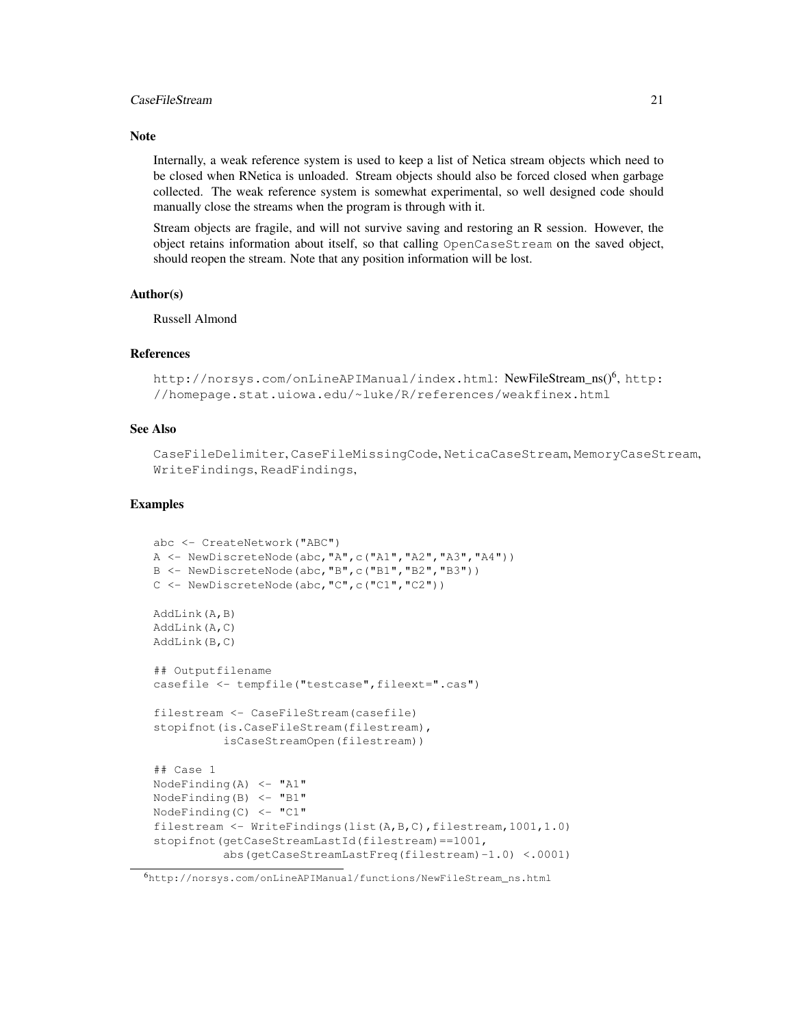### CaseFileStream 21

### **Note**

Internally, a weak reference system is used to keep a list of Netica stream objects which need to be closed when RNetica is unloaded. Stream objects should also be forced closed when garbage collected. The weak reference system is somewhat experimental, so well designed code should manually close the streams when the program is through with it.

Stream objects are fragile, and will not survive saving and restoring an R session. However, the object retains information about itself, so that calling OpenCaseStream on the saved object, should reopen the stream. Note that any position information will be lost.

### Author(s)

Russell Almond

#### References

```
http://norsys.com/onLineAPIManual/index.html: NewFileStream_ns()<sup>6</sup>, http:
//homepage.stat.uiowa.edu/~luke/R/references/weakfinex.html
```
### See Also

CaseFileDelimiter, CaseFileMissingCode, NeticaCaseStream, MemoryCaseStream, WriteFindings, ReadFindings,

```
abc <- CreateNetwork("ABC")
A <- NewDiscreteNode(abc,"A",c("A1","A2","A3","A4"))
B <- NewDiscreteNode(abc,"B",c("B1","B2","B3"))
C <- NewDiscreteNode(abc,"C",c("C1","C2"))
AddLink(A,B)
AddLink(A,C)
AddLink(B,C)
## Outputfilename
casefile <- tempfile("testcase", fileext=".cas")
filestream <- CaseFileStream(casefile)
stopifnot(is.CaseFileStream(filestream),
          isCaseStreamOpen(filestream))
## Case 1
NodeFinding(A) \leq "A1"
NodeFinding(B) \leq - "B1"
NodeFinding(C) \leftarrow "C1"
filestream <- WriteFindings(list(A,B,C),filestream,1001,1.0)
stopifnot(getCaseStreamLastId(filestream)==1001,
          abs(getCaseStreamLastFreq(filestream)-1.0) <.0001)
```
<sup>6</sup>http://norsys.com/onLineAPIManual/functions/NewFileStream\_ns.html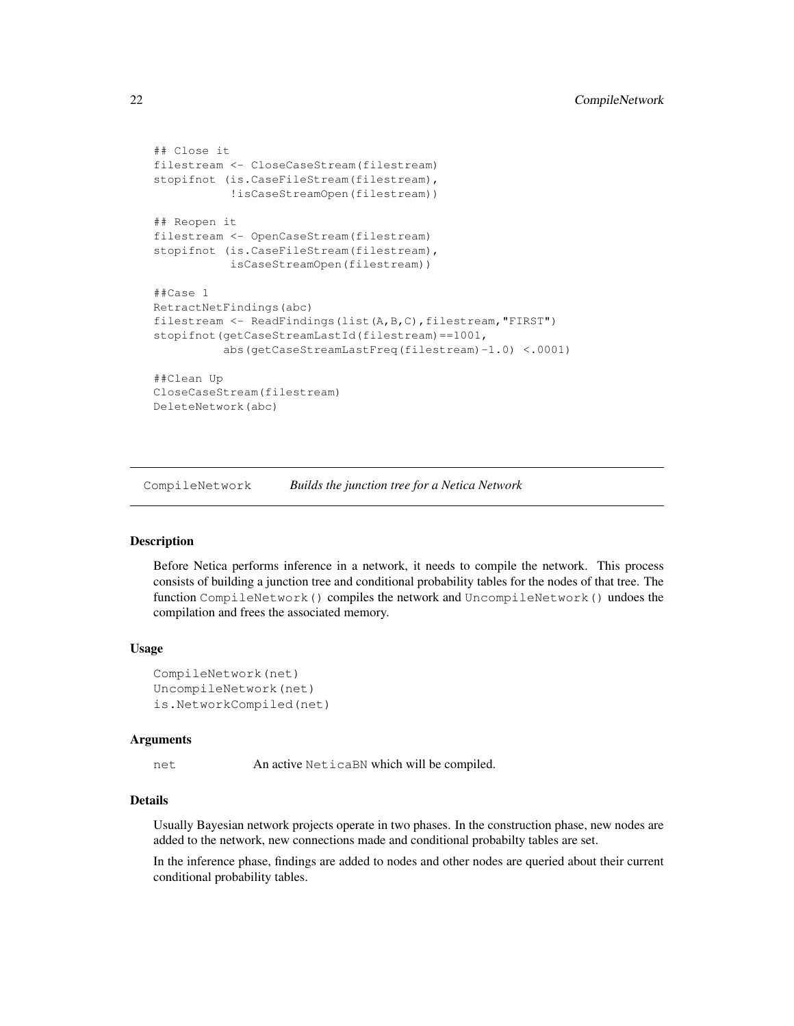```
## Close it
filestream <- CloseCaseStream(filestream)
stopifnot (is.CaseFileStream(filestream),
           !isCaseStreamOpen(filestream))
## Reopen it
filestream <- OpenCaseStream(filestream)
stopifnot (is.CaseFileStream(filestream),
           isCaseStreamOpen(filestream))
##Case 1
RetractNetFindings(abc)
filestream <- ReadFindings(list(A,B,C),filestream, "FIRST")
stopifnot(getCaseStreamLastId(filestream)==1001,
          abs(getCaseStreamLastFreq(filestream)-1.0) <.0001)
##Clean Up
CloseCaseStream(filestream)
DeleteNetwork(abc)
```
CompileNetwork *Builds the junction tree for a Netica Network*

### Description

Before Netica performs inference in a network, it needs to compile the network. This process consists of building a junction tree and conditional probability tables for the nodes of that tree. The function CompileNetwork() compiles the network and UncompileNetwork() undoes the compilation and frees the associated memory.

### Usage

```
CompileNetwork(net)
UncompileNetwork(net)
is.NetworkCompiled(net)
```
#### Arguments

net An active NeticaBN which will be compiled.

### Details

Usually Bayesian network projects operate in two phases. In the construction phase, new nodes are added to the network, new connections made and conditional probabilty tables are set.

In the inference phase, findings are added to nodes and other nodes are queried about their current conditional probability tables.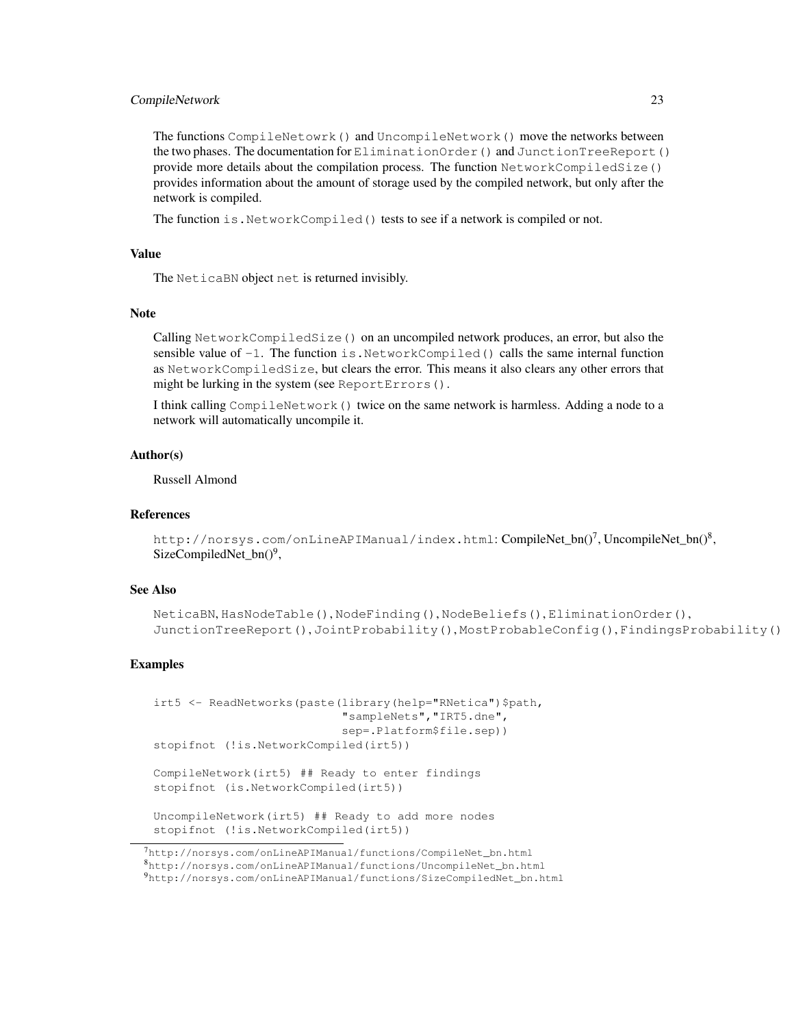### CompileNetwork 23

The functions CompileNetowrk() and UncompileNetwork() move the networks between the two phases. The documentation for EliminationOrder() and JunctionTreeReport() provide more details about the compilation process. The function NetworkCompiledSize() provides information about the amount of storage used by the compiled network, but only after the network is compiled.

The function is. NetworkCompiled() tests to see if a network is compiled or not.

### Value

The NeticaBN object net is returned invisibly.

### Note

Calling NetworkCompiledSize() on an uncompiled network produces, an error, but also the sensible value of  $-1$ . The function is. NetworkCompiled() calls the same internal function as NetworkCompiledSize, but clears the error. This means it also clears any other errors that might be lurking in the system (see ReportErrors().

I think calling CompileNetwork() twice on the same network is harmless. Adding a node to a network will automatically uncompile it.

### Author(s)

Russell Almond

### References

```
http://norsys.com/onLineAPIManual/index.html: CompileNet_bn()<sup>7</sup>, UncompileNet_bn()<sup>8</sup>,
SizeCompiledNet_bn()<sup>9</sup>,
```
### See Also

```
NeticaBN, HasNodeTable(), NodeFinding(), NodeBeliefs(), EliminationOrder(),
JunctionTreeReport(), JointProbability(), MostProbableConfig(), FindingsProbability()
```

```
irt5 <- ReadNetworks(paste(library(help="RNetica")$path,
                           "sampleNets","IRT5.dne",
                           sep=.Platform$file.sep))
stopifnot (!is.NetworkCompiled(irt5))
CompileNetwork(irt5) ## Ready to enter findings
stopifnot (is.NetworkCompiled(irt5))
UncompileNetwork(irt5) ## Ready to add more nodes
stopifnot (!is.NetworkCompiled(irt5))
```
<sup>7</sup>http://norsys.com/onLineAPIManual/functions/CompileNet\_bn.html <sup>8</sup>http://norsys.com/onLineAPIManual/functions/UncompileNet\_bn.html

<sup>9</sup>http://norsys.com/onLineAPIManual/functions/SizeCompiledNet\_bn.html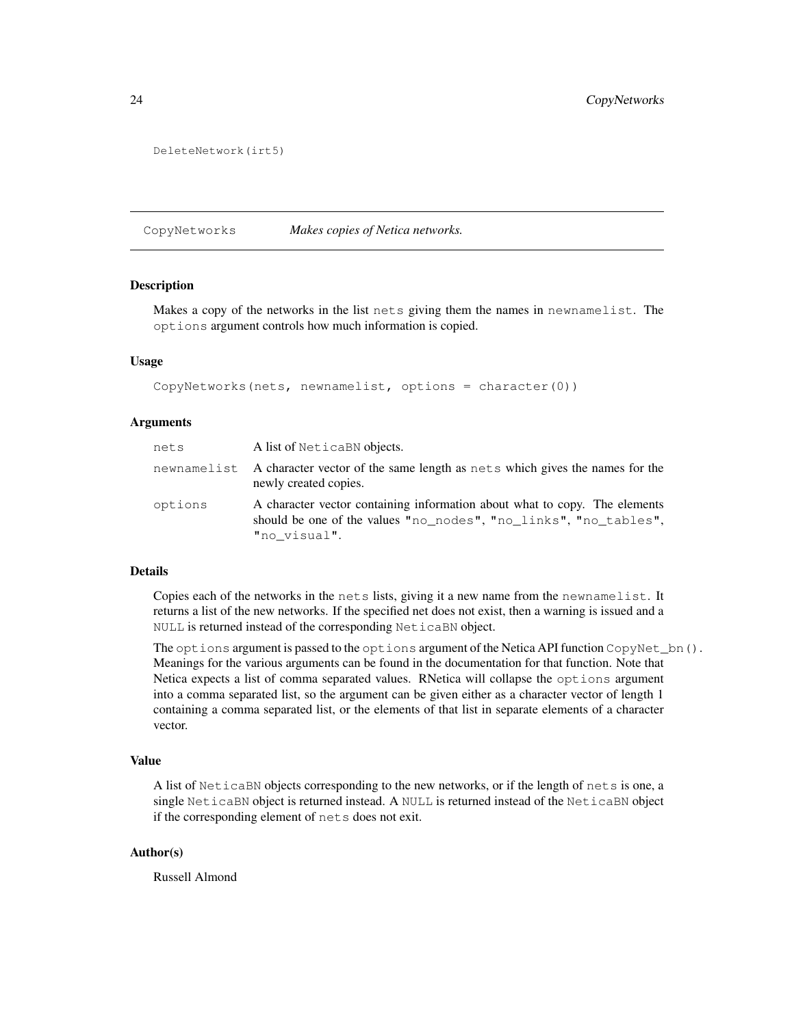```
DeleteNetwork(irt5)
```
CopyNetworks *Makes copies of Netica networks.*

### Description

Makes a copy of the networks in the list nets giving them the names in newnamelist. The options argument controls how much information is copied.

### Usage

CopyNetworks(nets, newnamelist, options = character $(0)$ )

### Arguments

| nets    | A list of NeticaBN objects.                                                                                                                                    |
|---------|----------------------------------------------------------------------------------------------------------------------------------------------------------------|
|         | newnamelist A character vector of the same length as nets which gives the names for the<br>newly created copies.                                               |
| options | A character vector containing information about what to copy. The elements<br>should be one of the values "no_nodes", "no_links", "no_tables",<br>"no visual". |

#### Details

Copies each of the networks in the nets lists, giving it a new name from the newnamelist. It returns a list of the new networks. If the specified net does not exist, then a warning is issued and a NULL is returned instead of the corresponding NeticaBN object.

The options argument is passed to the options argument of the Netica API function CopyNet\_bn(). Meanings for the various arguments can be found in the documentation for that function. Note that Netica expects a list of comma separated values. RNetica will collapse the options argument into a comma separated list, so the argument can be given either as a character vector of length 1 containing a comma separated list, or the elements of that list in separate elements of a character vector.

### Value

A list of NeticaBN objects corresponding to the new networks, or if the length of nets is one, a single NeticaBN object is returned instead. A NULL is returned instead of the NeticaBN object if the corresponding element of nets does not exit.

### Author(s)

Russell Almond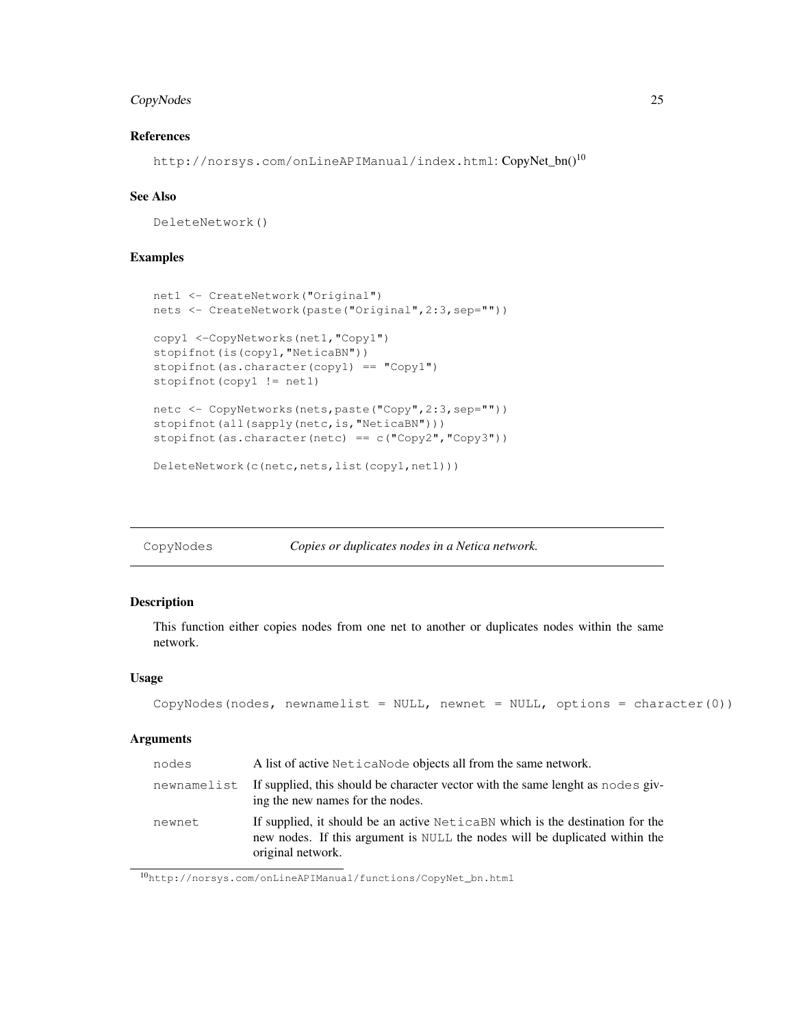### CopyNodes 25

### References

http://norsys.com/onLineAPIManual/index.html: CopyNet\_bn()<sup>10</sup>

### See Also

DeleteNetwork()

### Examples

```
net1 <- CreateNetwork("Original")
nets <- CreateNetwork(paste("Original",2:3,sep=""))
copy1 <-CopyNetworks(net1,"Copy1")
stopifnot(is(copy1,"NeticaBN"))
stopifnot(as.character(copy1) == "Copy1")
stopifnot(copy1 != net1)
netc <- CopyNetworks(nets,paste("Copy",2:3,sep=""))
stopifnot(all(sapply(netc,is, "NeticaBN")))
stopifnot(as.character(netc) == c("Copy2", "Copy3"))DeleteNetwork(c(netc,nets,list(copy1,net1)))
```
CopyNodes *Copies or duplicates nodes in a Netica network.*

### Description

This function either copies nodes from one net to another or duplicates nodes within the same network.

### Usage

```
CopyNodes(nodes, newnamelist = NULL, newnet = NULL, options = character(0))
```
#### Arguments

| nodes       | A list of active Netica Node objects all from the same network.                                                                                                                     |
|-------------|-------------------------------------------------------------------------------------------------------------------------------------------------------------------------------------|
| newnamelist | If supplied, this should be character vector with the same lenght as nodes giv-<br>ing the new names for the nodes.                                                                 |
| newnet      | If supplied, it should be an active Netical BN which is the destination for the<br>new nodes. If this argument is NULL the nodes will be duplicated within the<br>original network. |

<sup>10</sup>http://norsys.com/onLineAPIManual/functions/CopyNet\_bn.html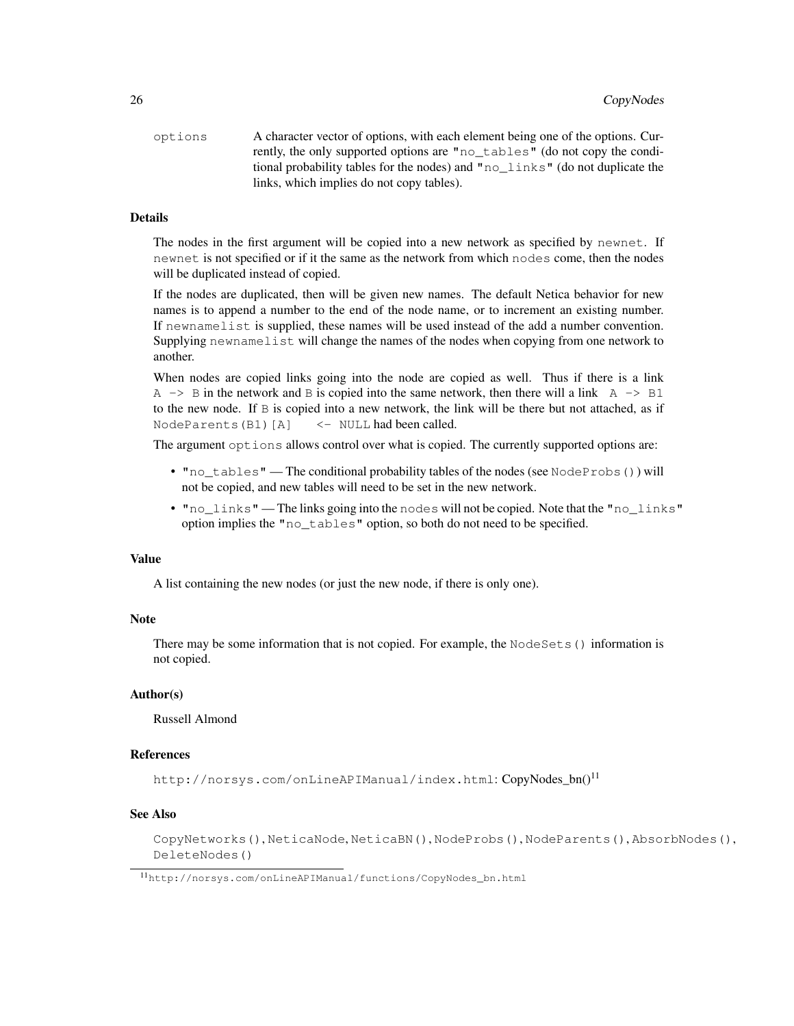| options | A character vector of options, with each element being one of the options. Cur-  |
|---------|----------------------------------------------------------------------------------|
|         | rently, the only supported options are "no_tables" (do not copy the condi-       |
|         | tional probability tables for the nodes) and " $no$ links" (do not duplicate the |
|         | links, which implies do not copy tables).                                        |

### Details

The nodes in the first argument will be copied into a new network as specified by newnet. If newnet is not specified or if it the same as the network from which nodes come, then the nodes will be duplicated instead of copied.

If the nodes are duplicated, then will be given new names. The default Netica behavior for new names is to append a number to the end of the node name, or to increment an existing number. If newnamelist is supplied, these names will be used instead of the add a number convention. Supplying newnamelist will change the names of the nodes when copying from one network to another.

When nodes are copied links going into the node are copied as well. Thus if there is a link  $A \rightarrow B$  in the network and B is copied into the same network, then there will a link  $A \rightarrow B1$ to the new node. If B is copied into a new network, the link will be there but not attached, as if NodeParents(B1)[A] <- NULL had been called.

The argument  $options$  allows control over what is copied. The currently supported options are:

- "no\_tables" The conditional probability tables of the nodes (see NodeProbs()) will not be copied, and new tables will need to be set in the new network.
- "no\_links" The links going into the nodes will not be copied. Note that the "no\_links" option implies the "no\_tables" option, so both do not need to be specified.

### Value

A list containing the new nodes (or just the new node, if there is only one).

#### **Note**

There may be some information that is not copied. For example, the NodeSets() information is not copied.

#### Author(s)

Russell Almond

### References

http://norsys.com/onLineAPIManual/index.html: CopyNodes bn()<sup>11</sup>

### See Also

CopyNetworks(), NeticaNode, NeticaBN(), NodeProbs(), NodeParents(), AbsorbNodes(), DeleteNodes()

<sup>11</sup>http://norsys.com/onLineAPIManual/functions/CopyNodes\_bn.html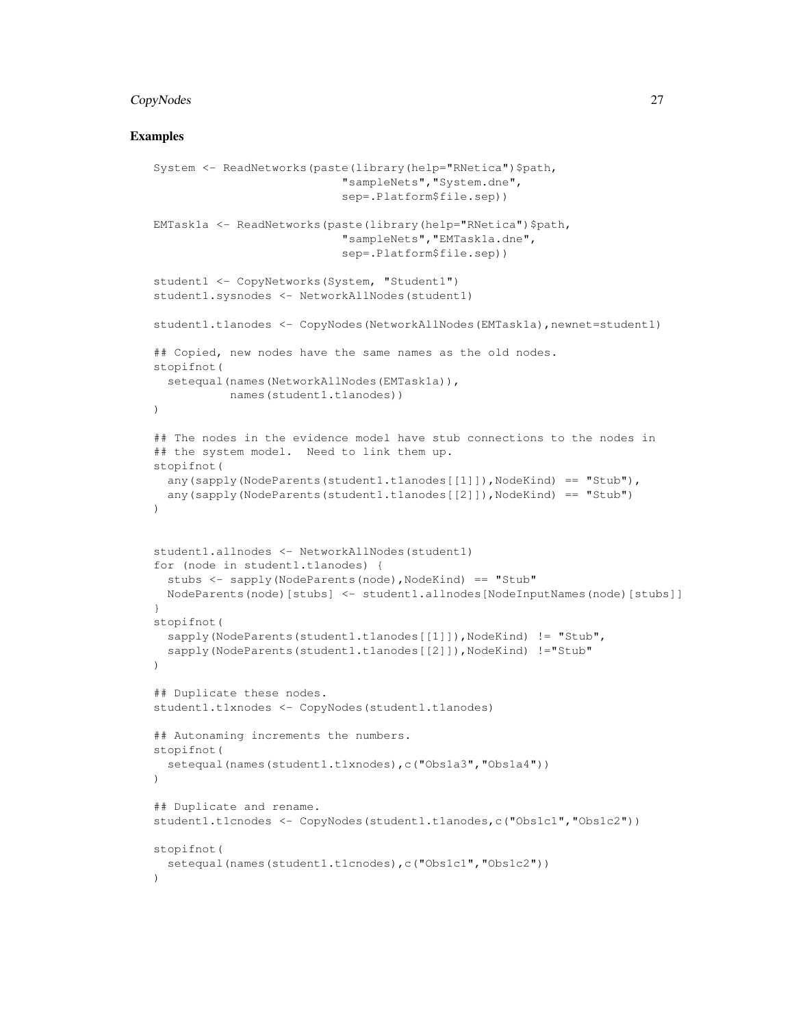### CopyNodes 27

```
System <- ReadNetworks(paste(library(help="RNetica")$path,
                           "sampleNets","System.dne",
                           sep=.Platform$file.sep))
EMTask1a <- ReadNetworks(paste(library(help="RNetica")$path,
                           "sampleNets","EMTask1a.dne",
                           sep=.Platform$file.sep))
student1 <- CopyNetworks(System, "Student1")
student1.sysnodes <- NetworkAllNodes(student1)
student1.t1anodes <- CopyNodes(NetworkAllNodes(EMTask1a), newnet=student1)
## Copied, new nodes have the same names as the old nodes.
stopifnot(
  setequal(names(NetworkAllNodes(EMTask1a)),
           names(student1.t1anodes))
)
## The nodes in the evidence model have stub connections to the nodes in
## the system model. Need to link them up.
stopifnot(
 any(sapply(NodeParents(student1.t1anodes[[1]]),NodeKind) == "Stub"),
 any(sapply(NodeParents(student1.t1anodes[[2]]),NodeKind) == "Stub")
)
student1.allnodes <- NetworkAllNodes(student1)
for (node in student1.t1anodes) {
  stubs <- sapply(NodeParents(node),NodeKind) == "Stub"
 NodeParents(node)[stubs] <- student1.allnodes[NodeInputNames(node)[stubs]]
}
stopifnot(
  sapply(NodeParents(student1.t1anodes[[1]]),NodeKind) != "Stub",
  sapply(NodeParents(student1.t1anodes[[2]]),NodeKind) !="Stub"
)
## Duplicate these nodes.
student1.t1xnodes <- CopyNodes(student1.t1anodes)
## Autonaming increments the numbers.
stopifnot(
  setequal(names(student1.t1xnodes),c("Obs1a3","Obs1a4"))
)
## Duplicate and rename.
student1.t1cnodes <- CopyNodes(student1.t1anodes,c("Obs1c1","Obs1c2"))
stopifnot(
  setequal(names(student1.t1cnodes),c("Obs1c1","Obs1c2"))
)
```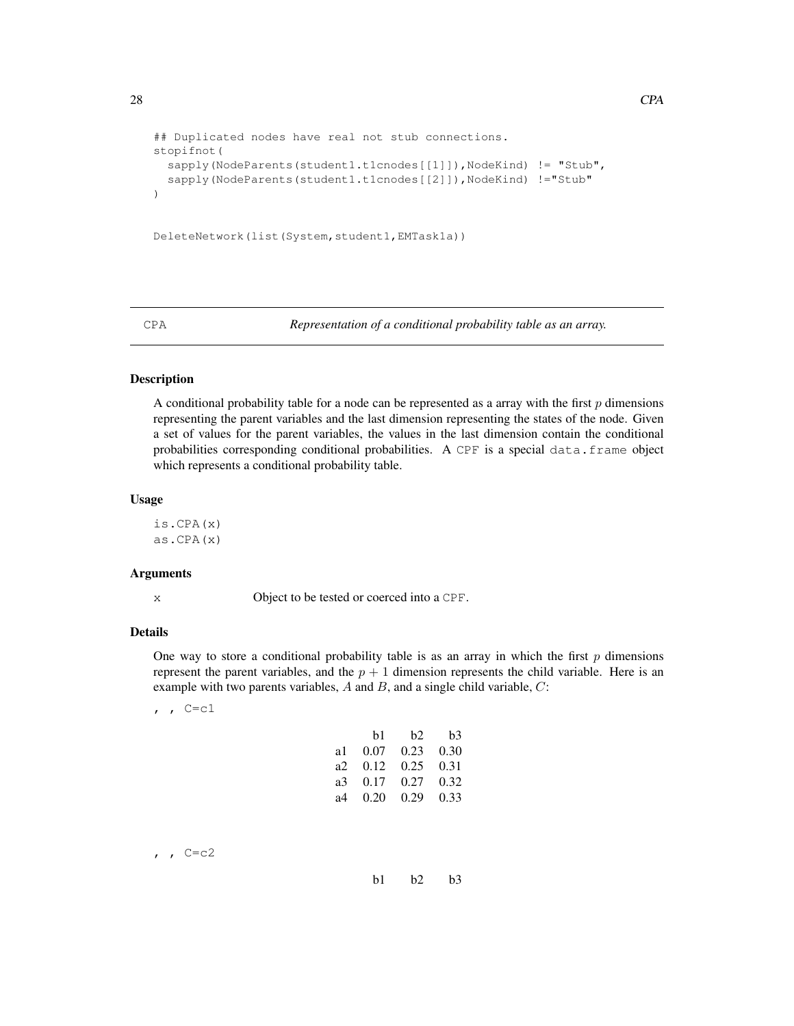```
## Duplicated nodes have real not stub connections.
stopifnot(
  sapply(NodeParents(student1.t1cnodes[[1]]),NodeKind) != "Stub",
  sapply(NodeParents(student1.t1cnodes[[2]]),NodeKind) !="Stub"
)
DeleteNetwork(list(System,student1,EMTask1a))
```
CPA *Representation of a conditional probability table as an array.*

### Description

A conditional probability table for a node can be represented as a array with the first  $p$  dimensions representing the parent variables and the last dimension representing the states of the node. Given a set of values for the parent variables, the values in the last dimension contain the conditional probabilities corresponding conditional probabilities. A CPF is a special data.frame object which represents a conditional probability table.

### Usage

is.CPA(x) as.CPA(x)

#### Arguments

x Object to be tested or coerced into a CPF.

#### Details

One way to store a conditional probability table is as an array in which the first  $p$  dimensions represent the parent variables, and the  $p + 1$  dimension represents the child variable. Here is an example with two parents variables,  $A$  and  $B$ , and a single child variable,  $C$ :

, ,  $C=C1$ 

|      | b1   | b2                | b3   |
|------|------|-------------------|------|
| al - | 0.07 | $0.23 \quad 0.30$ |      |
| a2.  | 0.12 | 0.25              | 0.31 |
| a3 - | 0.17 | $0.27$ 0.32       |      |
| а4   | 0.20 | $0.29$ 0.33       |      |

 $, 7 C = c2$ 

b1 b2 b3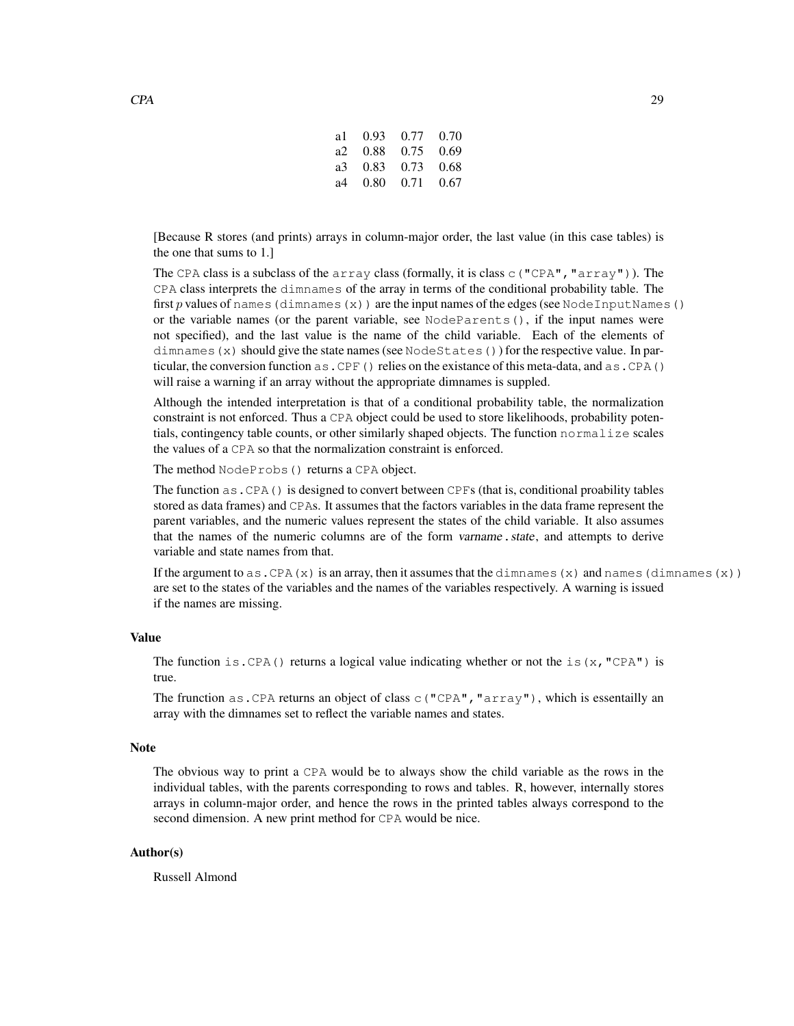| a 10.93 0.77 0.70 |  |
|-------------------|--|
| a2 0.88 0.75 0.69 |  |
| a3 0.83 0.73 0.68 |  |
| a4 0.80 0.71 0.67 |  |
|                   |  |

[Because R stores (and prints) arrays in column-major order, the last value (in this case tables) is the one that sums to 1.]

The CPA class is a subclass of the array class (formally, it is class  $\subset$  ("CPA", "array")). The CPA class interprets the dimnames of the array in terms of the conditional probability table. The first p values of names (dimnames(x)) are the input names of the edges (see NodeInputNames() or the variable names (or the parent variable, see NodeParents(), if the input names were not specified), and the last value is the name of the child variable. Each of the elements of dimnames (x) should give the state names (see NodeStates()) for the respective value. In particular, the conversion function  $as.CPF()$  relies on the existance of this meta-data, and  $as.CPA()$ will raise a warning if an array without the appropriate dimnames is suppled.

Although the intended interpretation is that of a conditional probability table, the normalization constraint is not enforced. Thus a CPA object could be used to store likelihoods, probability potentials, contingency table counts, or other similarly shaped objects. The function normalize scales the values of a CPA so that the normalization constraint is enforced.

The method NodeProbs() returns a CPA object.

The function as.CPA() is designed to convert between CPFs (that is, conditional proability tables stored as data frames) and CPAs. It assumes that the factors variables in the data frame represent the parent variables, and the numeric values represent the states of the child variable. It also assumes that the names of the numeric columns are of the form varname.state, and attempts to derive variable and state names from that.

If the argument to as. CPA(x) is an array, then it assumes that the dimnames(x) and names(dimnames(x)) are set to the states of the variables and the names of the variables respectively. A warning is issued if the names are missing.

### Value

The function is.CPA() returns a logical value indicating whether or not the is(x, "CPA") is true.

The frunction as . CPA returns an object of class  $\subset$  ("CPA", "array"), which is essentailly an array with the dimnames set to reflect the variable names and states.

### Note

The obvious way to print a CPA would be to always show the child variable as the rows in the individual tables, with the parents corresponding to rows and tables. R, however, internally stores arrays in column-major order, and hence the rows in the printed tables always correspond to the second dimension. A new print method for CPA would be nice.

### Author(s)

Russell Almond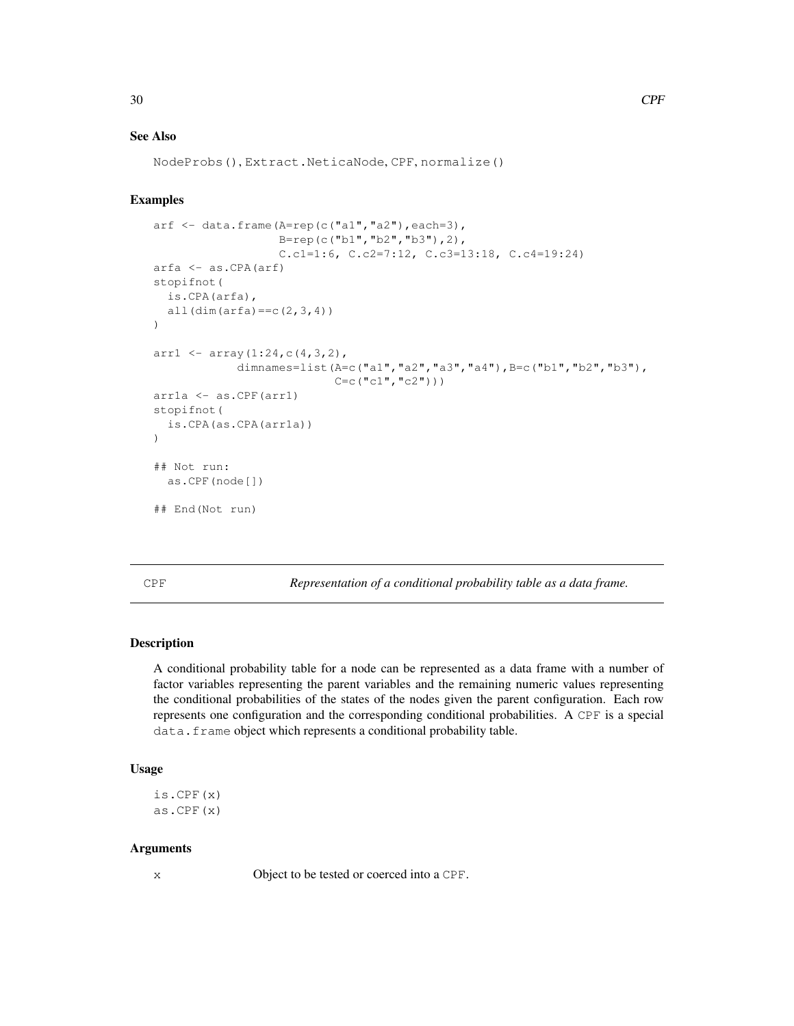### See Also

```
NodeProbs(), Extract.NeticaNode, CPF, normalize()
```
### Examples

```
arf \leftarrow data.frame(A=rep(c("a1","a2"),each=3),
                   B=rep(c("b1","b2","b3"),2),
                   C.c1=1:6, C.c2=7:12, C.c3=13:18, C.c4=19:24)
arfa <- as.CPA(arf)
stopifnot(
  is.CPA(arfa),
  all(dim(arfa) == c(2,3,4)))
arr1 \leftarrow \text{array}(1:24, c(4, 3, 2),
             dimnames=list(A=c("a1","a2","a3","a4"), B=c("b1","b2","b3"),
                            C = c("c1", "c2"))
arr1a <- as.CPF(arr1)
stopifnot(
  is.CPA(as.CPA(arr1a))
)
## Not run:
  as.CPF(node[])
## End(Not run)
```
CPF *Representation of a conditional probability table as a data frame.*

### Description

A conditional probability table for a node can be represented as a data frame with a number of factor variables representing the parent variables and the remaining numeric values representing the conditional probabilities of the states of the nodes given the parent configuration. Each row represents one configuration and the corresponding conditional probabilities. A CPF is a special data. frame object which represents a conditional probability table.

### Usage

is.CPF(x) as.CPF(x)

### Arguments

x Object to be tested or coerced into a CPF.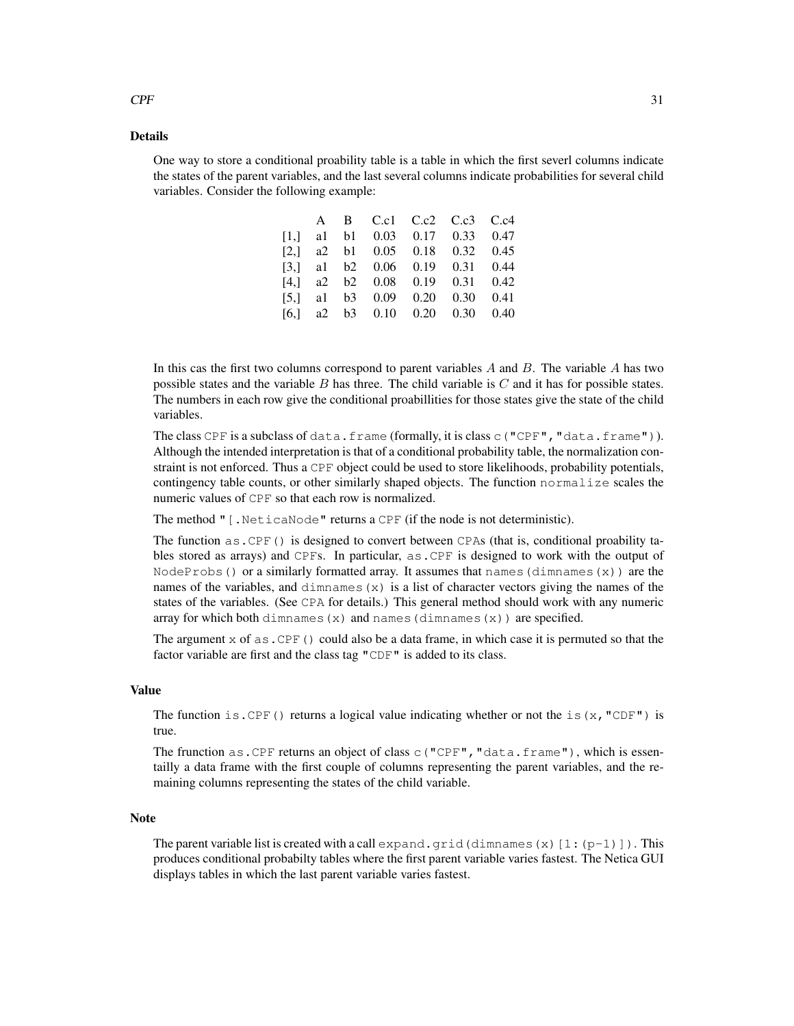#### Details

One way to store a conditional proability table is a table in which the first severl columns indicate the states of the parent variables, and the last several columns indicate probabilities for several child variables. Consider the following example:

|  |  | A B C.c1 C.c2 C.c3 C.c4                |  |
|--|--|----------------------------------------|--|
|  |  | $[1,]$ al b1 0.03 0.17 0.33 0.47       |  |
|  |  | $[2,]$ a 2 b 1 0.05 0.18 0.32 0.45     |  |
|  |  | $[3,]$ al b2 0.06 0.19 0.31 0.44       |  |
|  |  | $[4,]$ a2 b2 0.08 0.19 0.31 0.42       |  |
|  |  | $[5,]$ al b3 0.09 0.20 0.30 0.41       |  |
|  |  | [6,] a2 b3 $0.10$ $0.20$ $0.30$ $0.40$ |  |

In this cas the first two columns correspond to parent variables  $A$  and  $B$ . The variable  $A$  has two possible states and the variable  $B$  has three. The child variable is  $C$  and it has for possible states. The numbers in each row give the conditional proabillities for those states give the state of the child variables.

The class CPF is a subclass of data.frame (formally, it is class  $c($  "CPF", "data.frame")). Although the intended interpretation is that of a conditional probability table, the normalization constraint is not enforced. Thus a CPF object could be used to store likelihoods, probability potentials, contingency table counts, or other similarly shaped objects. The function normalize scales the numeric values of CPF so that each row is normalized.

The method "[.NeticaNode" returns a CPF (if the node is not deterministic).

The function as . CPF() is designed to convert between CPAs (that is, conditional proability tables stored as arrays) and CPFs. In particular, as.CPF is designed to work with the output of NodeProbs() or a similarly formatted array. It assumes that names(dimnames(x)) are the names of the variables, and dimnames  $(x)$  is a list of character vectors giving the names of the states of the variables. (See CPA for details.) This general method should work with any numeric array for which both dimnames  $(x)$  and names (dimnames  $(x)$ ) are specified.

The argument  $x$  of as. CPF() could also be a data frame, in which case it is permuted so that the factor variable are first and the class tag "CDF" is added to its class.

### Value

The function is. CPF() returns a logical value indicating whether or not the is(x, "CDF") is true.

The frunction as. CPF returns an object of class c("CPF", "data.frame"), which is essentailly a data frame with the first couple of columns representing the parent variables, and the remaining columns representing the states of the child variable.

### Note

The parent variable list is created with a call expand.grid(dimnames(x)[1:(p-1)]). This produces conditional probabilty tables where the first parent variable varies fastest. The Netica GUI displays tables in which the last parent variable varies fastest.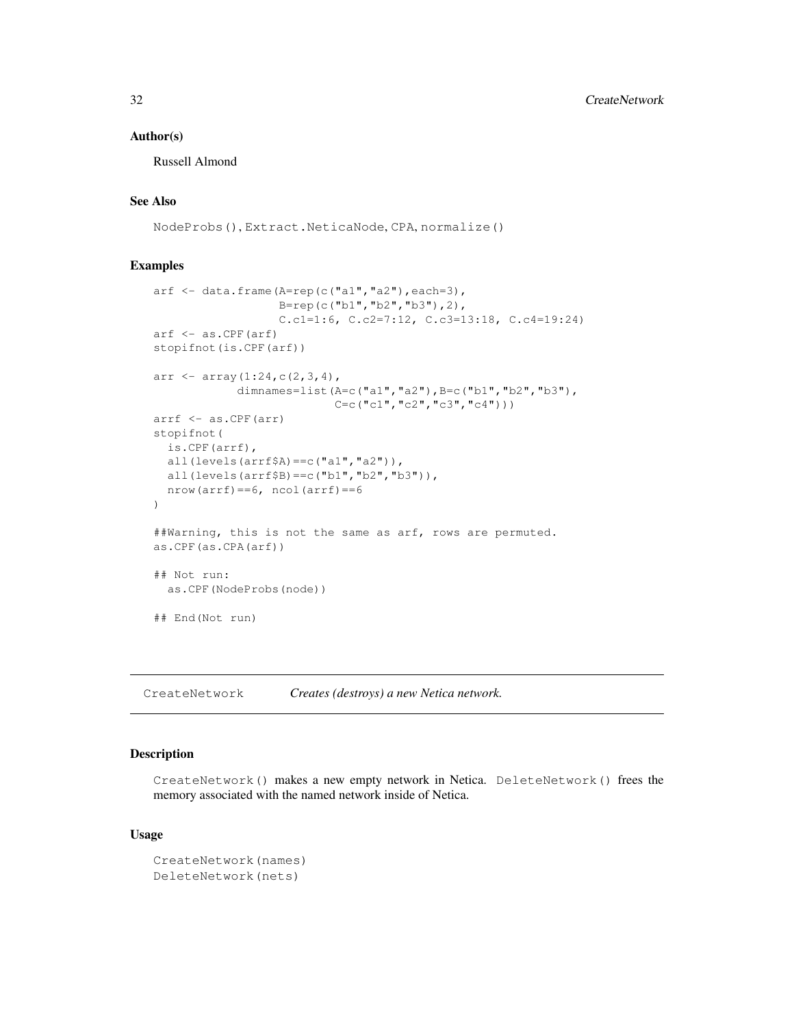### Author(s)

Russell Almond

### See Also

NodeProbs(), Extract.NeticaNode, CPA, normalize()

#### Examples

```
arf \leq data.frame(A=rep(c("a1","a2"), each=3),
                  B=rep(c("b1","b2","b3"),2),
                   C.c1=1:6, C.c2=7:12, C.c3=13:18, C.c4=19:24)
arf <- as.CPF(arf)
stopifnot(is.CPF(arf))
arr \leftarrow array (1:24, c(2, 3, 4),
            dimnames=list(A=c("a1","a2"), B=c("b1","b2","b3"),
                           C=c("c1","c2","c3","c4")))
arrf <- as.CPF(arr)
stopifnot(
 is.CPF(arrf),
 all(levels(arrf$A)==c("a1","a2")),
 all(levels(arrf$B) ==c("b1", "b2", "b3")),
 nrow(arrf) == 6, ncol(arrf) == 6)
##Warning, this is not the same as arf, rows are permuted.
as.CPF(as.CPA(arf))
## Not run:
 as.CPF(NodeProbs(node))
## End(Not run)
```
CreateNetwork *Creates (destroys) a new Netica network.*

### Description

CreateNetwork() makes a new empty network in Netica. DeleteNetwork() frees the memory associated with the named network inside of Netica.

#### Usage

```
CreateNetwork(names)
DeleteNetwork(nets)
```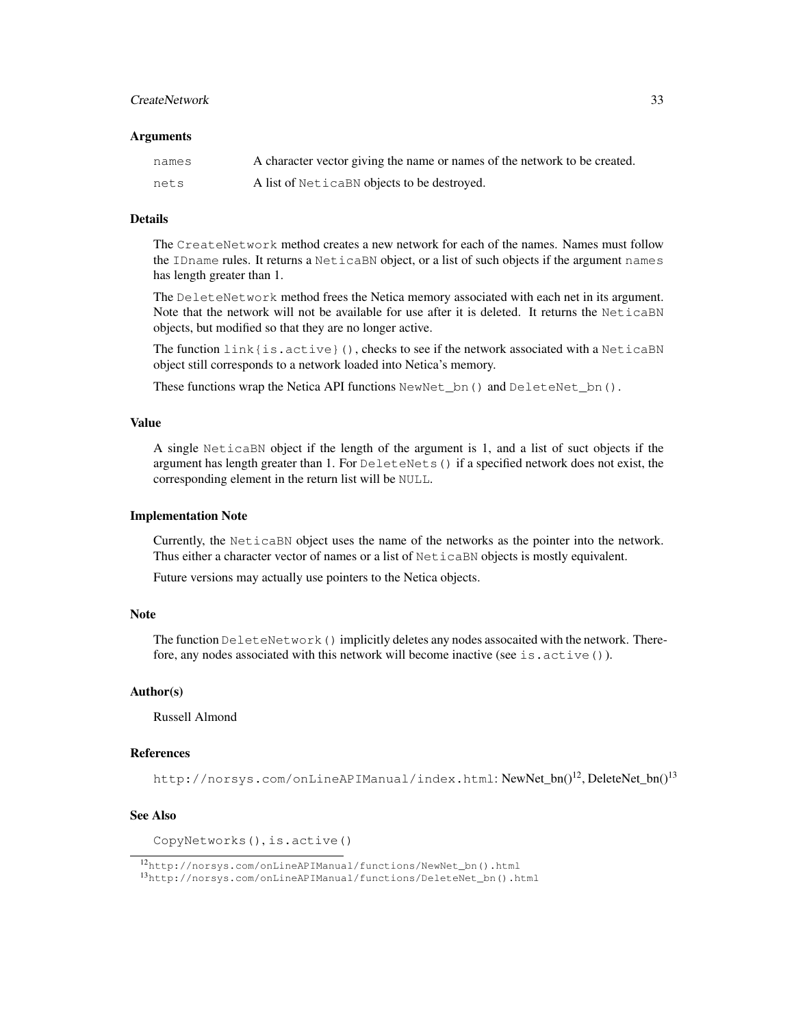### CreateNetwork 33

#### **Arguments**

| names | A character vector giving the name or names of the network to be created. |
|-------|---------------------------------------------------------------------------|
| nets  | A list of Netical BN objects to be destroyed.                             |

### Details

The CreateNetwork method creates a new network for each of the names. Names must follow the IDname rules. It returns a NeticaBN object, or a list of such objects if the argument names has length greater than 1.

The DeleteNetwork method frees the Netica memory associated with each net in its argument. Note that the network will not be available for use after it is deleted. It returns the NeticaBN objects, but modified so that they are no longer active.

The function link {is.active}(), checks to see if the network associated with a NeticaBN object still corresponds to a network loaded into Netica's memory.

These functions wrap the Netica API functions  $NewNet$  bn() and DeleteNet bn().

### Value

A single NeticaBN object if the length of the argument is 1, and a list of suct objects if the argument has length greater than 1. For DeleteNets() if a specified network does not exist, the corresponding element in the return list will be NULL.

#### Implementation Note

Currently, the NeticaBN object uses the name of the networks as the pointer into the network. Thus either a character vector of names or a list of NeticaBN objects is mostly equivalent.

Future versions may actually use pointers to the Netica objects.

### Note

The function DeleteNetwork () implicitly deletes any nodes assocaited with the network. Therefore, any nodes associated with this network will become inactive (see is.active()).

### Author(s)

Russell Almond

### References

http://norsys.com/onLineAPIManual/index.html: NewNet\_bn()<sup>12</sup>, DeleteNet\_bn()<sup>13</sup>

### See Also

CopyNetworks(), is.active()

<sup>12</sup>http://norsys.com/onLineAPIManual/functions/NewNet\_bn().html

<sup>13</sup>http://norsys.com/onLineAPIManual/functions/DeleteNet\_bn().html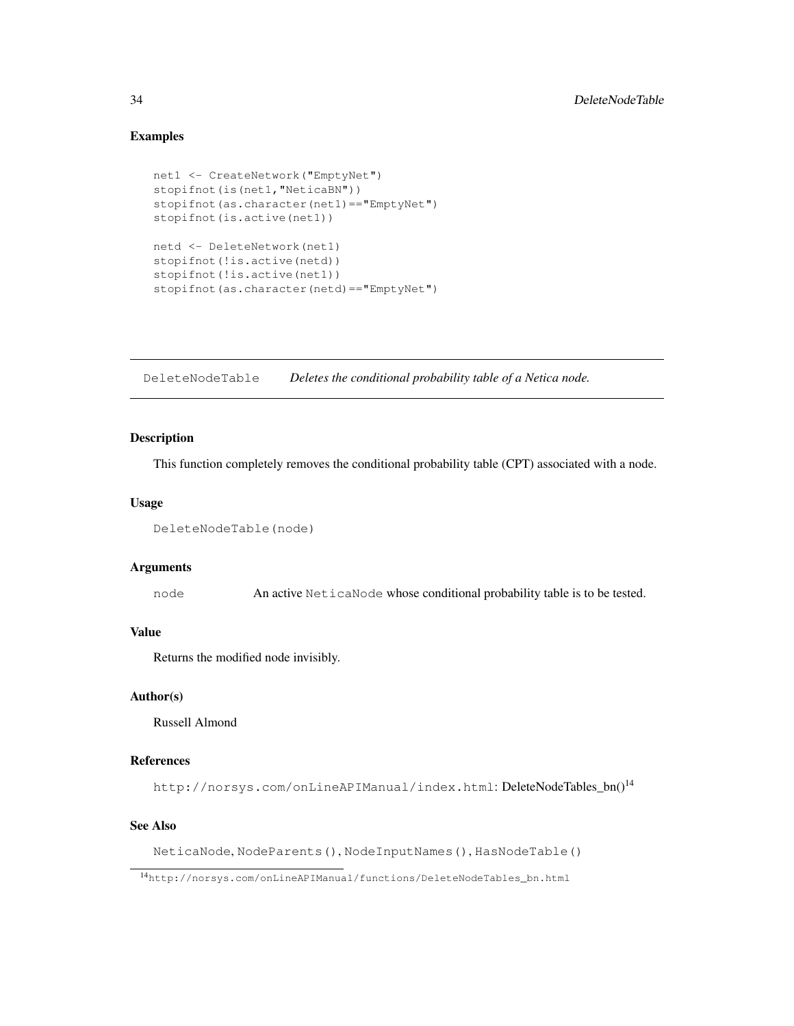### Examples

```
net1 <- CreateNetwork("EmptyNet")
stopifnot(is(net1, "NeticaBN"))
stopifnot(as.character(net1)=="EmptyNet")
stopifnot(is.active(net1))
netd <- DeleteNetwork(net1)
stopifnot(!is.active(netd))
stopifnot(!is.active(net1))
stopifnot(as.character(netd)=="EmptyNet")
```
DeleteNodeTable *Deletes the conditional probability table of a Netica node.*

### Description

This function completely removes the conditional probability table (CPT) associated with a node.

#### Usage

```
DeleteNodeTable(node)
```
#### Arguments

node An active NeticaNode whose conditional probability table is to be tested.

### Value

Returns the modified node invisibly.

### Author(s)

Russell Almond

### References

http://norsys.com/onLineAPIManual/index.html: DeleteNodeTables\_bn()<sup>14</sup>

### See Also

NeticaNode, NodeParents(), NodeInputNames(), HasNodeTable()

<sup>14</sup>http://norsys.com/onLineAPIManual/functions/DeleteNodeTables\_bn.html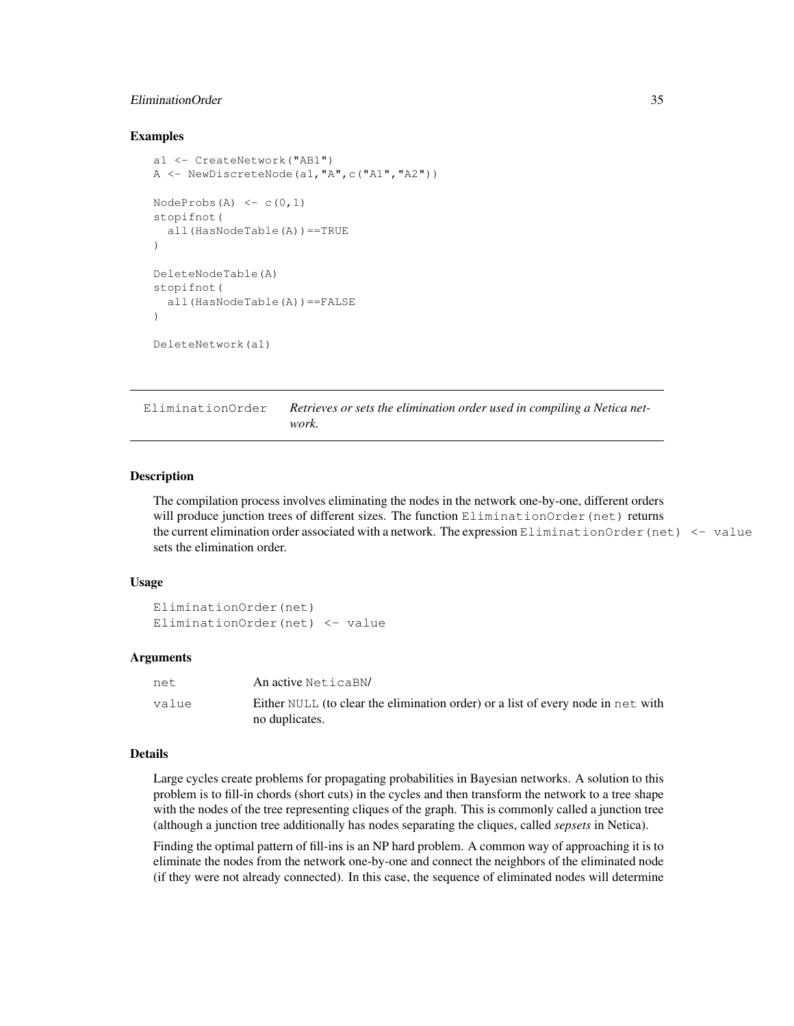### EliminationOrder 35

### Examples

```
a1 <- CreateNetwork("AB1")
A \leftarrow \text{NewDiscreteNode}(a1, "A", c("A1", "A2"))NodeProbs(A) \leq c(0,1)stopifnot(
  all(HasNodeTable(A))==TRUE
)
DeleteNodeTable(A)
stopifnot(
  all(HasNodeTable(A))==FALSE
)
DeleteNetwork(a1)
```
EliminationOrder Retrieves or sets the elimination order used in compiling a Netica net*work.*

### **Description**

The compilation process involves eliminating the nodes in the network one-by-one, different orders will produce junction trees of different sizes. The function EliminationOrder(net) returns the current elimination order associated with a network. The expression EliminationOrder(net) <- value sets the elimination order.

### Usage

```
EliminationOrder(net)
EliminationOrder(net) <- value
```
#### Arguments

| net.  | An active NeticaBN/                                                                                |
|-------|----------------------------------------------------------------------------------------------------|
| value | Either NULL (to clear the elimination order) or a list of every node in net with<br>no duplicates. |

### Details

Large cycles create problems for propagating probabilities in Bayesian networks. A solution to this problem is to fill-in chords (short cuts) in the cycles and then transform the network to a tree shape with the nodes of the tree representing cliques of the graph. This is commonly called a junction tree (although a junction tree additionally has nodes separating the cliques, called *sepsets* in Netica).

Finding the optimal pattern of fill-ins is an NP hard problem. A common way of approaching it is to eliminate the nodes from the network one-by-one and connect the neighbors of the eliminated node (if they were not already connected). In this case, the sequence of eliminated nodes will determine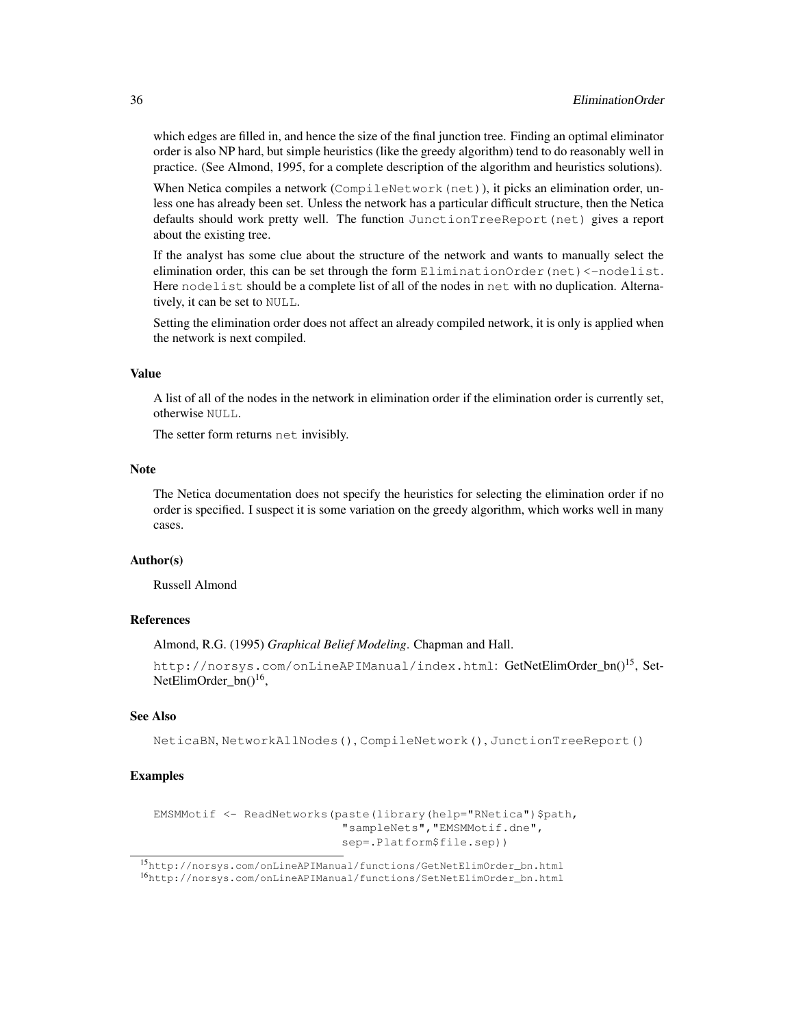which edges are filled in, and hence the size of the final junction tree. Finding an optimal eliminator order is also NP hard, but simple heuristics (like the greedy algorithm) tend to do reasonably well in practice. (See Almond, 1995, for a complete description of the algorithm and heuristics solutions).

When Netica compiles a network (CompileNetwork (net)), it picks an elimination order, unless one has already been set. Unless the network has a particular difficult structure, then the Netica defaults should work pretty well. The function JunctionTreeReport(net) gives a report about the existing tree.

If the analyst has some clue about the structure of the network and wants to manually select the elimination order, this can be set through the form EliminationOrder(net)<-nodelist. Here nodelist should be a complete list of all of the nodes in net with no duplication. Alternatively, it can be set to NULL.

Setting the elimination order does not affect an already compiled network, it is only is applied when the network is next compiled.

### Value

A list of all of the nodes in the network in elimination order if the elimination order is currently set, otherwise NULL.

The setter form returns net invisibly.

### Note

The Netica documentation does not specify the heuristics for selecting the elimination order if no order is specified. I suspect it is some variation on the greedy algorithm, which works well in many cases.

#### Author(s)

Russell Almond

### References

Almond, R.G. (1995) *Graphical Belief Modeling*. Chapman and Hall.

http://norsys.com/onLineAPIManual/index.html: GetNetElimOrder\_bn()<sup>15</sup>, Set-NetElimOrder\_bn()<sup>16</sup>,

### See Also

NeticaBN, NetworkAllNodes(), CompileNetwork(), JunctionTreeReport()

```
EMSMMotif <- ReadNetworks(paste(library(help="RNetica")$path,
                           "sampleNets","EMSMMotif.dne",
                           sep=.Platform$file.sep))
```
<sup>15</sup>http://norsys.com/onLineAPIManual/functions/GetNetElimOrder\_bn.html <sup>16</sup>http://norsys.com/onLineAPIManual/functions/SetNetElimOrder\_bn.html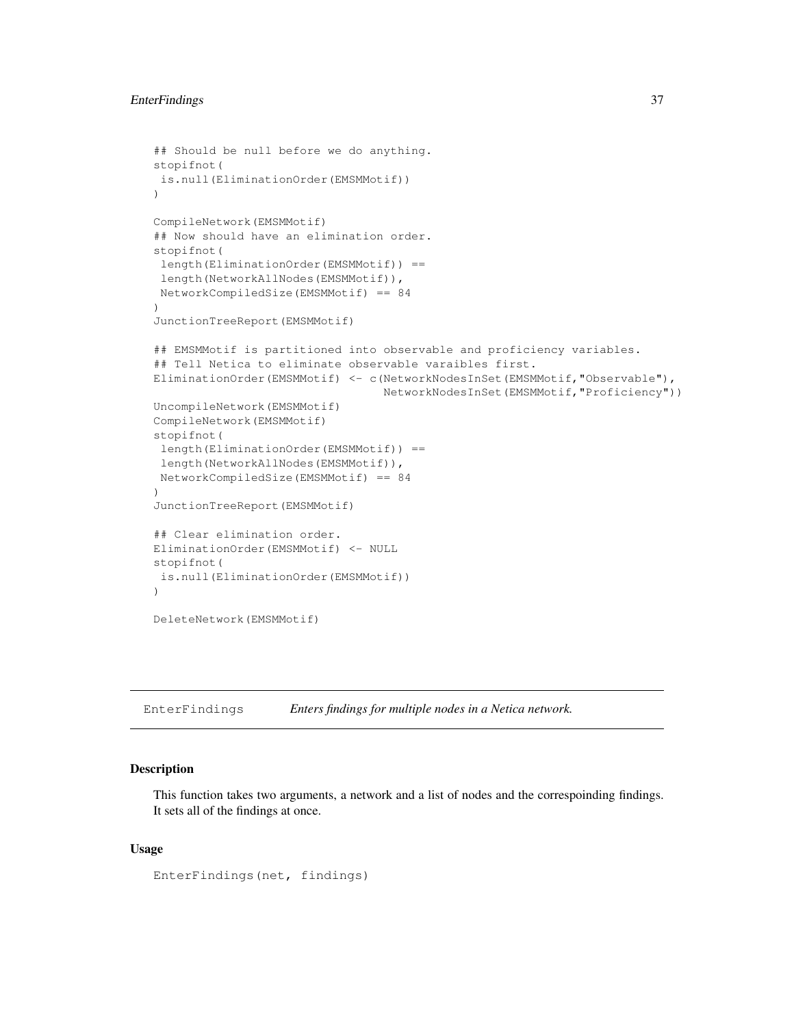# EnterFindings 37

```
## Should be null before we do anything.
stopifnot(
is.null(EliminationOrder(EMSMMotif))
)
CompileNetwork(EMSMMotif)
## Now should have an elimination order.
stopifnot(
length(EliminationOrder(EMSMMotif)) ==
 length(NetworkAllNodes(EMSMMotif)),
NetworkCompiledSize(EMSMMotif) == 84
)
JunctionTreeReport(EMSMMotif)
## EMSMMotif is partitioned into observable and proficiency variables.
## Tell Netica to eliminate observable varaibles first.
EliminationOrder(EMSMMotif) <- c(NetworkNodesInSet(EMSMMotif,"Observable"),
                                 NetworkNodesInSet(EMSMMotif,"Proficiency"))
UncompileNetwork(EMSMMotif)
CompileNetwork(EMSMMotif)
stopifnot(
 length(EliminationOrder(EMSMMotif)) ==
 length(NetworkAllNodes(EMSMMotif)),
 NetworkCompiledSize(EMSMMotif) == 84
)
JunctionTreeReport(EMSMMotif)
## Clear elimination order.
EliminationOrder(EMSMMotif) <- NULL
stopifnot(
is.null(EliminationOrder(EMSMMotif))
)
DeleteNetwork(EMSMMotif)
```
EnterFindings *Enters findings for multiple nodes in a Netica network.*

## **Description**

This function takes two arguments, a network and a list of nodes and the correspoinding findings. It sets all of the findings at once.

## Usage

```
EnterFindings(net, findings)
```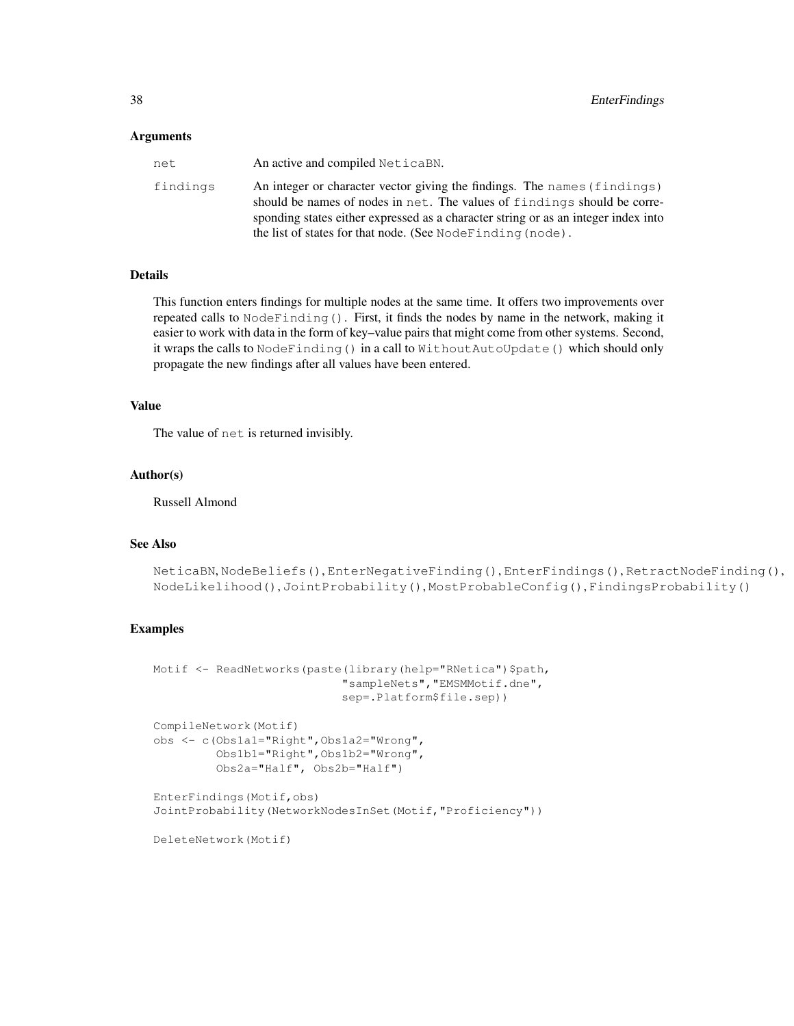### Arguments

| net      | An active and compiled NeticaBN.                                                                                                                                                                                                                                                                         |
|----------|----------------------------------------------------------------------------------------------------------------------------------------------------------------------------------------------------------------------------------------------------------------------------------------------------------|
| findings | An integer or character vector giving the findings. The names (findings)<br>should be names of nodes in net. The values of findings should be corre-<br>sponding states either expressed as a character string or as an integer index into<br>the list of states for that node. (See NodeFinding (node). |

# **Details**

This function enters findings for multiple nodes at the same time. It offers two improvements over repeated calls to NodeFinding(). First, it finds the nodes by name in the network, making it easier to work with data in the form of key–value pairs that might come from other systems. Second, it wraps the calls to NodeFinding() in a call to WithoutAutoUpdate() which should only propagate the new findings after all values have been entered.

## Value

The value of net is returned invisibly.

### Author(s)

Russell Almond

# See Also

```
NeticaBN, NodeBeliefs(), EnterNegativeFinding(), EnterFindings(), RetractNodeFinding(),
NodeLikelihood(), JointProbability(), MostProbableConfig(), FindingsProbability()
```
### Examples

```
Motif <- ReadNetworks(paste(library(help="RNetica")$path,
                           "sampleNets","EMSMMotif.dne",
                           sep=.Platform$file.sep))
CompileNetwork(Motif)
obs <- c(Obs1a1="Right",Obs1a2="Wrong",
        Obs1b1="Right",Obs1b2="Wrong",
        Obs2a="Half", Obs2b="Half")
EnterFindings(Motif,obs)
JointProbability(NetworkNodesInSet(Motif,"Proficiency"))
DeleteNetwork(Motif)
```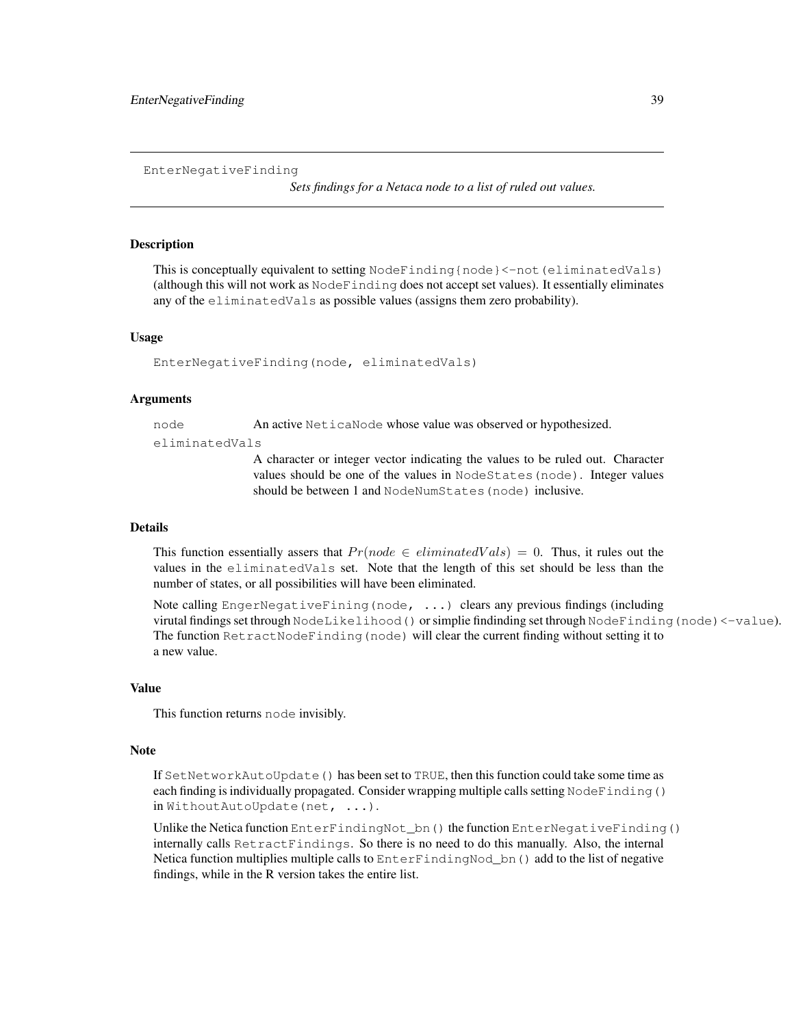EnterNegativeFinding

*Sets findings for a Netaca node to a list of ruled out values.*

### **Description**

This is conceptually equivalent to setting NodeFinding{node}<-not (eliminatedVals) (although this will not work as NodeFinding does not accept set values). It essentially eliminates any of the eliminatedVals as possible values (assigns them zero probability).

### Usage

```
EnterNegativeFinding(node, eliminatedVals)
```
### Arguments

node An active NeticaNode whose value was observed or hypothesized.

eliminatedVals

A character or integer vector indicating the values to be ruled out. Character values should be one of the values in NodeStates(node). Integer values should be between 1 and NodeNumStates(node) inclusive.

# Details

This function essentially assers that  $Pr(node \in eliminated Vals) = 0$ . Thus, it rules out the values in the eliminatedVals set. Note that the length of this set should be less than the number of states, or all possibilities will have been eliminated.

Note calling EngerNegativeFining(node, ...) clears any previous findings (including virutal findings set through NodeLikelihood() or simplie findinding set through NodeFinding(node)<-value). The function RetractNodeFinding (node) will clear the current finding without setting it to a new value.

### Value

This function returns node invisibly.

## Note

If SetNetworkAutoUpdate() has been set to TRUE, then this function could take some time as each finding is individually propagated. Consider wrapping multiple calls setting NodeFinding() in WithoutAutoUpdate(net, ...).

Unlike the Netica function EnterFindingNot\_bn() the function EnterNegativeFinding() internally calls RetractFindings. So there is no need to do this manually. Also, the internal Netica function multiplies multiple calls to EnterFindingNod\_bn() add to the list of negative findings, while in the R version takes the entire list.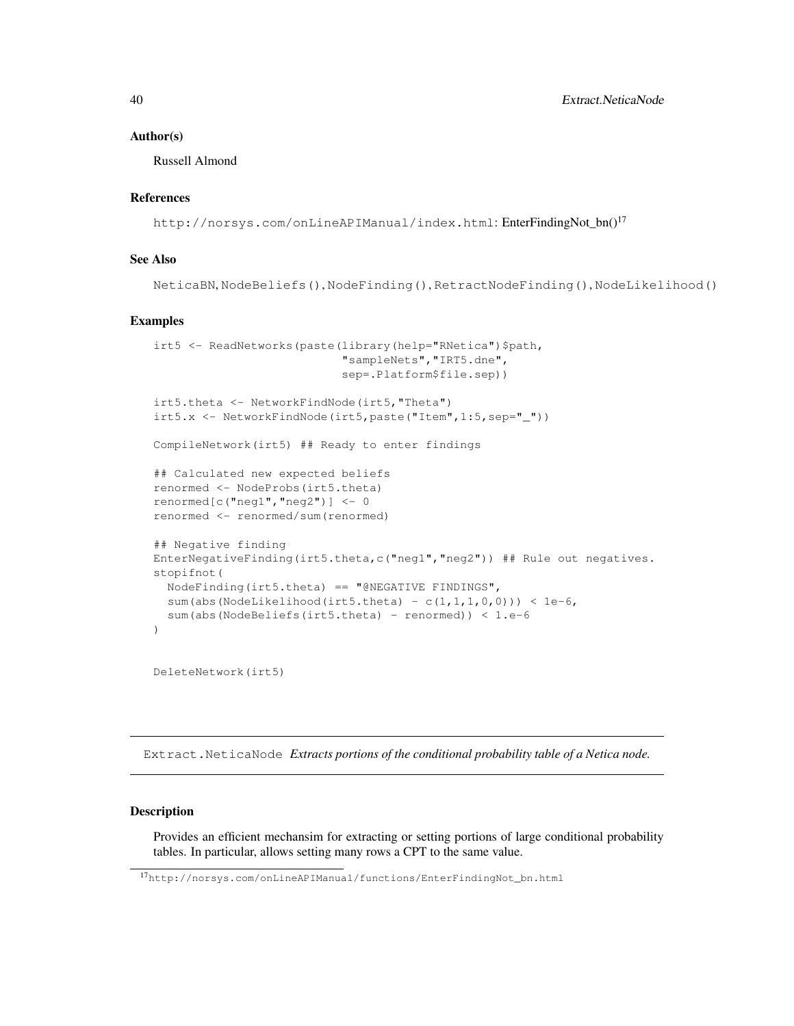#### Author(s)

Russell Almond

## References

http://norsys.com/onLineAPIManual/index.html: EnterFindingNot\_bn()<sup>17</sup>

# See Also

NeticaBN, NodeBeliefs(), NodeFinding(), RetractNodeFinding(), NodeLikelihood()

## Examples

```
irt5 <- ReadNetworks(paste(library(help="RNetica")$path,
                           "sampleNets","IRT5.dne",
                           sep=.Platform$file.sep))
irt5.theta <- NetworkFindNode(irt5,"Theta")
irt5.x <- NetworkFindNode(irt5,paste("Item",1:5,sep="_"))
CompileNetwork(irt5) ## Ready to enter findings
## Calculated new expected beliefs
renormed <- NodeProbs(irt5.theta)
renormed[c("neg1","neg2")] <- 0
renormed <- renormed/sum(renormed)
## Negative finding
EnterNegativeFinding(irt5.theta,c("neg1","neg2")) ## Rule out negatives.
stopifnot(
 NodeFinding(irt5.theta) == "@NEGATIVE FINDINGS",
 sum(abs(NodeLikelihood(irt5.theta) - c(1,1,1,0,0))) < 1e-6,
  sum(abs(NodeBeliefs(irt5.theta) - renormed)) < 1.e-6
)
```
DeleteNetwork(irt5)

Extract.NeticaNode *Extracts portions of the conditional probability table of a Netica node.*

# **Description**

Provides an efficient mechansim for extracting or setting portions of large conditional probability tables. In particular, allows setting many rows a CPT to the same value.

<sup>17</sup>http://norsys.com/onLineAPIManual/functions/EnterFindingNot\_bn.html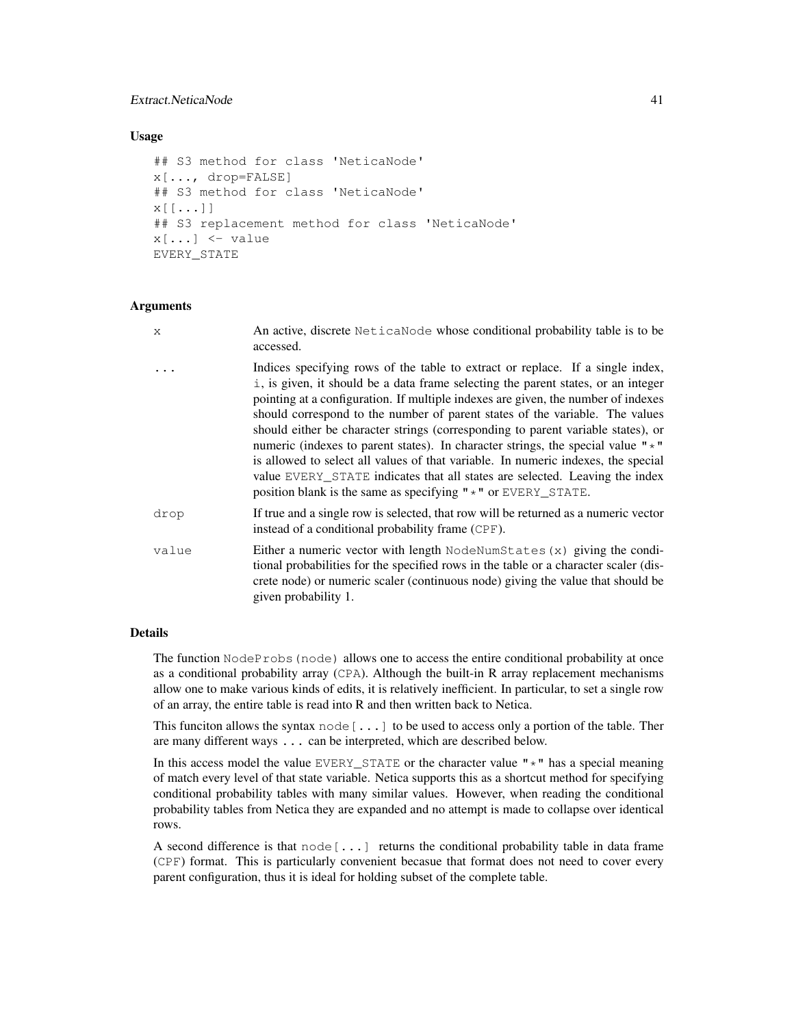## Extract.NeticaNode 41

### Usage

```
## S3 method for class 'NeticaNode'
x[..., drop=FALSE]
## S3 method for class 'NeticaNode'
x[[...]]
## S3 replacement method for class 'NeticaNode'
x[\ldots] <- value
EVERY_STATE
```
### Arguments

| X.    | An active, discrete NeticaNode whose conditional probability table is to be<br>accessed.                                                                                                                                                                                                                                                                                                                                                                                                                                                                                                                                                                                                                                                                     |
|-------|--------------------------------------------------------------------------------------------------------------------------------------------------------------------------------------------------------------------------------------------------------------------------------------------------------------------------------------------------------------------------------------------------------------------------------------------------------------------------------------------------------------------------------------------------------------------------------------------------------------------------------------------------------------------------------------------------------------------------------------------------------------|
|       | Indices specifying rows of the table to extract or replace. If a single index,<br>i, is given, it should be a data frame selecting the parent states, or an integer<br>pointing at a configuration. If multiple indexes are given, the number of indexes<br>should correspond to the number of parent states of the variable. The values<br>should either be character strings (corresponding to parent variable states), or<br>numeric (indexes to parent states). In character strings, the special value $"\star"$<br>is allowed to select all values of that variable. In numeric indexes, the special<br>value EVERY_STATE indicates that all states are selected. Leaving the index<br>position blank is the same as specifying $" *"$ or EVERY_STATE. |
| drop  | If true and a single row is selected, that row will be returned as a numeric vector<br>instead of a conditional probability frame (CPF).                                                                                                                                                                                                                                                                                                                                                                                                                                                                                                                                                                                                                     |
| value | Either a numeric vector with length $N$ ode $Num$ States $(x)$ giving the condi-<br>tional probabilities for the specified rows in the table or a character scaler (dis-<br>crete node) or numeric scaler (continuous node) giving the value that should be<br>given probability 1.                                                                                                                                                                                                                                                                                                                                                                                                                                                                          |

## Details

The function NodeProbs (node) allows one to access the entire conditional probability at once as a conditional probability array (CPA). Although the built-in R array replacement mechanisms allow one to make various kinds of edits, it is relatively inefficient. In particular, to set a single row of an array, the entire table is read into R and then written back to Netica.

This funciton allows the syntax node  $[\ldots]$  to be used to access only a portion of the table. Ther are many different ways ... can be interpreted, which are described below.

In this access model the value EVERY\_STATE or the character value  $" \star"$  has a special meaning of match every level of that state variable. Netica supports this as a shortcut method for specifying conditional probability tables with many similar values. However, when reading the conditional probability tables from Netica they are expanded and no attempt is made to collapse over identical rows.

A second difference is that  $node[...]$  returns the conditional probability table in data frame (CPF) format. This is particularly convenient becasue that format does not need to cover every parent configuration, thus it is ideal for holding subset of the complete table.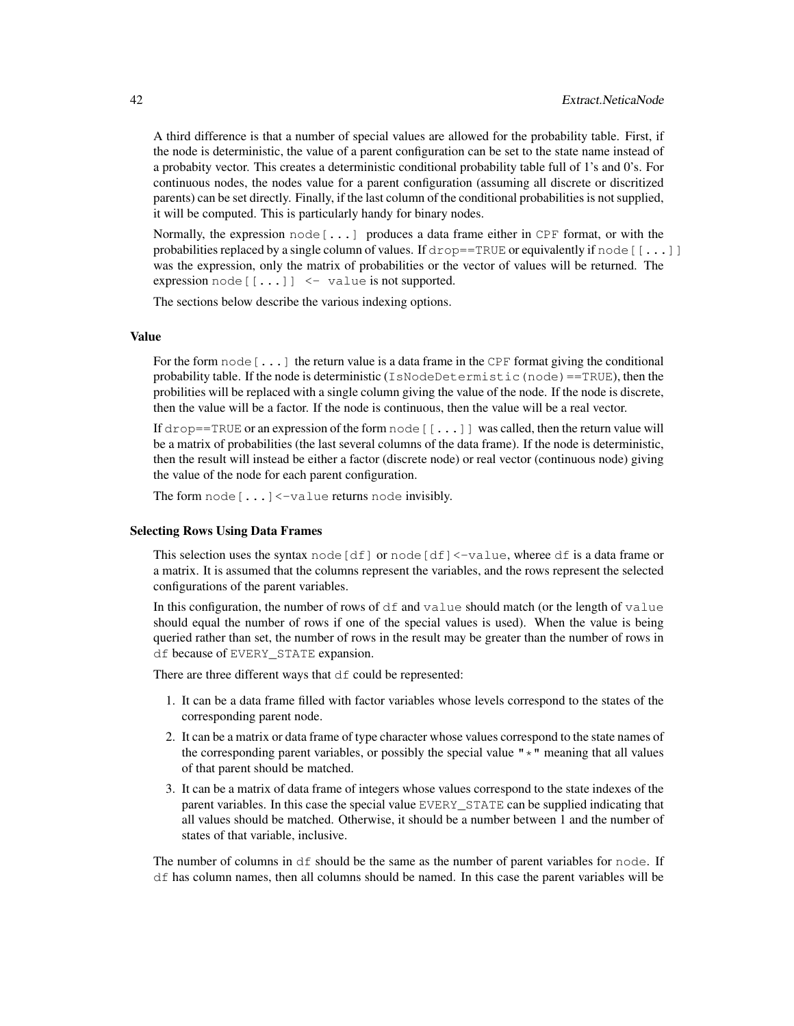A third difference is that a number of special values are allowed for the probability table. First, if the node is deterministic, the value of a parent configuration can be set to the state name instead of a probabity vector. This creates a deterministic conditional probability table full of 1's and 0's. For continuous nodes, the nodes value for a parent configuration (assuming all discrete or discritized parents) can be set directly. Finally, if the last column of the conditional probabilities is not supplied, it will be computed. This is particularly handy for binary nodes.

Normally, the expression  $node[...]$  produces a data frame either in CPF format, or with the probabilities replaced by a single column of values. If  $drop = TRUE$  or equivalently if node [[...]] was the expression, only the matrix of probabilities or the vector of values will be returned. The expression node  $[...]$   $\leq$  value is not supported.

The sections below describe the various indexing options.

## Value

For the form  $node[...]$  the return value is a data frame in the CPF format giving the conditional probability table. If the node is deterministic (IsNodeDetermistic(node)==TRUE), then the probilities will be replaced with a single column giving the value of the node. If the node is discrete, then the value will be a factor. If the node is continuous, then the value will be a real vector.

If drop==TRUE or an expression of the form  $\text{node}[[...]]$  was called, then the return value will be a matrix of probabilities (the last several columns of the data frame). If the node is deterministic, then the result will instead be either a factor (discrete node) or real vector (continuous node) giving the value of the node for each parent configuration.

The form node [...]<-value returns node invisibly.

### Selecting Rows Using Data Frames

This selection uses the syntax node  $[df]$  or node  $[df] < -\text{value}$ , wheree df is a data frame or a matrix. It is assumed that the columns represent the variables, and the rows represent the selected configurations of the parent variables.

In this configuration, the number of rows of  $df$  and value should match (or the length of value should equal the number of rows if one of the special values is used). When the value is being queried rather than set, the number of rows in the result may be greater than the number of rows in df because of EVERY\_STATE expansion.

There are three different ways that  $df$  could be represented:

- 1. It can be a data frame filled with factor variables whose levels correspond to the states of the corresponding parent node.
- 2. It can be a matrix or data frame of type character whose values correspond to the state names of the corresponding parent variables, or possibly the special value  $" \star"$  meaning that all values of that parent should be matched.
- 3. It can be a matrix of data frame of integers whose values correspond to the state indexes of the parent variables. In this case the special value EVERY\_STATE can be supplied indicating that all values should be matched. Otherwise, it should be a number between 1 and the number of states of that variable, inclusive.

The number of columns in  $df$  should be the same as the number of parent variables for node. If df has column names, then all columns should be named. In this case the parent variables will be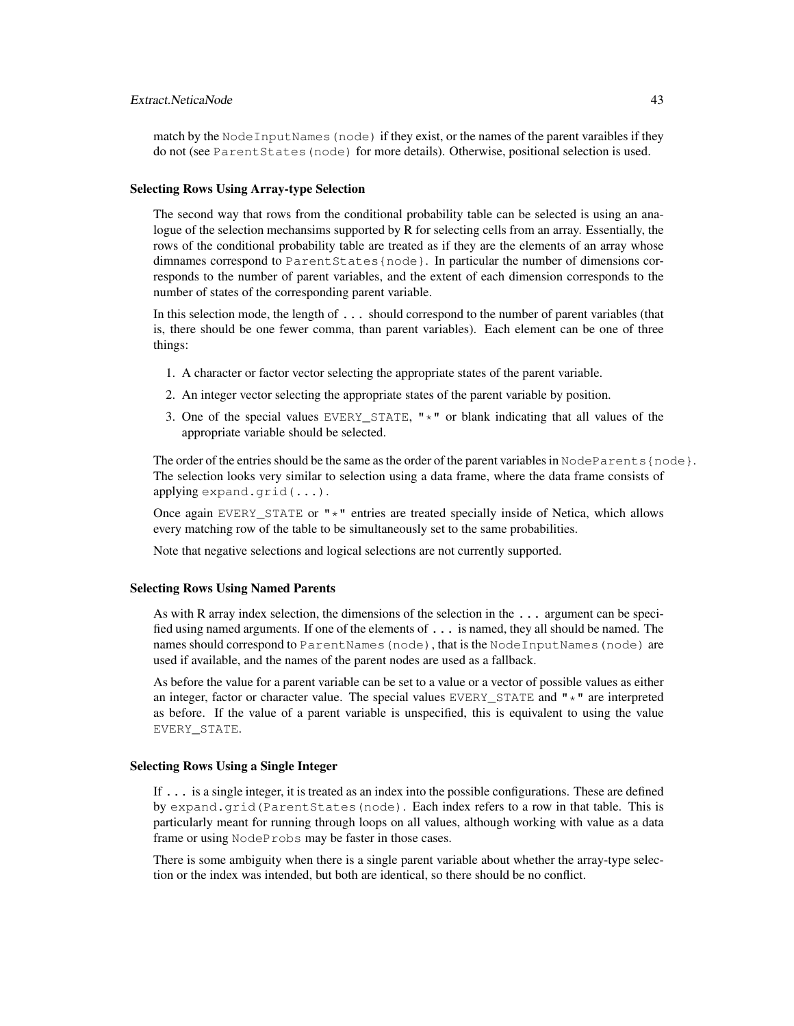# Extract.NeticaNode 43

match by the NodeInputNames(node) if they exist, or the names of the parent varaibles if they do not (see ParentStates(node) for more details). Otherwise, positional selection is used.

#### Selecting Rows Using Array-type Selection

The second way that rows from the conditional probability table can be selected is using an analogue of the selection mechansims supported by R for selecting cells from an array. Essentially, the rows of the conditional probability table are treated as if they are the elements of an array whose dimnames correspond to ParentStates{node}. In particular the number of dimensions corresponds to the number of parent variables, and the extent of each dimension corresponds to the number of states of the corresponding parent variable.

In this selection mode, the length of . . . should correspond to the number of parent variables (that is, there should be one fewer comma, than parent variables). Each element can be one of three things:

- 1. A character or factor vector selecting the appropriate states of the parent variable.
- 2. An integer vector selecting the appropriate states of the parent variable by position.
- 3. One of the special values EVERY\_STATE, " $\star$ " or blank indicating that all values of the appropriate variable should be selected.

The order of the entries should be the same as the order of the parent variables in NodeParents{node}. The selection looks very similar to selection using a data frame, where the data frame consists of applying expand.grid(...).

Once again EVERY\_STATE or  $"\star"$  entries are treated specially inside of Netica, which allows every matching row of the table to be simultaneously set to the same probabilities.

Note that negative selections and logical selections are not currently supported.

#### Selecting Rows Using Named Parents

As with R array index selection, the dimensions of the selection in the ... argument can be specified using named arguments. If one of the elements of ... is named, they all should be named. The names should correspond to ParentNames (node), that is the NodeInputNames (node) are used if available, and the names of the parent nodes are used as a fallback.

As before the value for a parent variable can be set to a value or a vector of possible values as either an integer, factor or character value. The special values EVERY\_STATE and  $"*"$  are interpreted as before. If the value of a parent variable is unspecified, this is equivalent to using the value EVERY\_STATE.

#### Selecting Rows Using a Single Integer

If ... is a single integer, it is treated as an index into the possible configurations. These are defined by expand.grid(ParentStates(node). Each index refers to a row in that table. This is particularly meant for running through loops on all values, although working with value as a data frame or using NodeProbs may be faster in those cases.

There is some ambiguity when there is a single parent variable about whether the array-type selection or the index was intended, but both are identical, so there should be no conflict.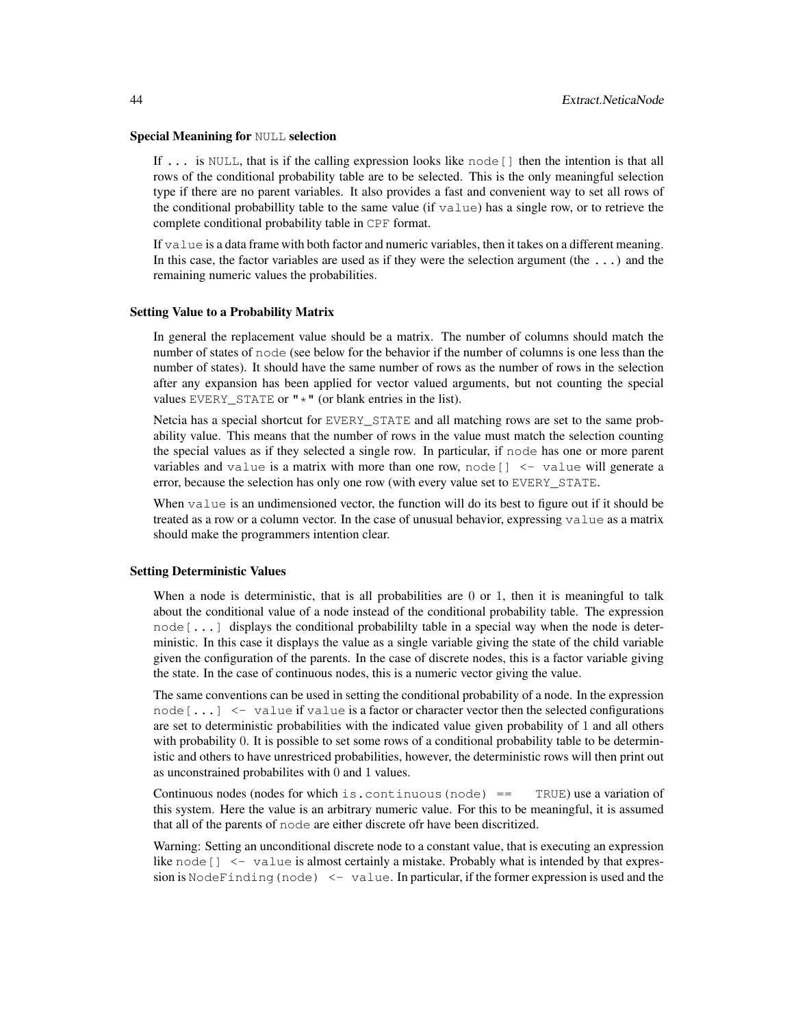#### Special Meanining for NULL selection

If  $\ldots$  is NULL, that is if the calling expression looks like node [] then the intention is that all rows of the conditional probability table are to be selected. This is the only meaningful selection type if there are no parent variables. It also provides a fast and convenient way to set all rows of the conditional probabillity table to the same value (if value) has a single row, or to retrieve the complete conditional probability table in CPF format.

If value is a data frame with both factor and numeric variables, then it takes on a different meaning. In this case, the factor variables are used as if they were the selection argument (the  $\dots$ ) and the remaining numeric values the probabilities.

#### Setting Value to a Probability Matrix

In general the replacement value should be a matrix. The number of columns should match the number of states of node (see below for the behavior if the number of columns is one less than the number of states). It should have the same number of rows as the number of rows in the selection after any expansion has been applied for vector valued arguments, but not counting the special values EVERY\_STATE or  $"\star"$  (or blank entries in the list).

Netcia has a special shortcut for EVERY STATE and all matching rows are set to the same probability value. This means that the number of rows in the value must match the selection counting the special values as if they selected a single row. In particular, if node has one or more parent variables and value is a matrix with more than one row, node  $\left[ \right]$  <- value will generate a error, because the selection has only one row (with every value set to EVERY\_STATE.

When value is an undimensioned vector, the function will do its best to figure out if it should be treated as a row or a column vector. In the case of unusual behavior, expressing value as a matrix should make the programmers intention clear.

#### Setting Deterministic Values

When a node is deterministic, that is all probabilities are 0 or 1, then it is meaningful to talk about the conditional value of a node instead of the conditional probability table. The expression node[...] displays the conditional probabililty table in a special way when the node is deterministic. In this case it displays the value as a single variable giving the state of the child variable given the configuration of the parents. In the case of discrete nodes, this is a factor variable giving the state. In the case of continuous nodes, this is a numeric vector giving the value.

The same conventions can be used in setting the conditional probability of a node. In the expression node  $[\dots]$  <- value if value is a factor or character vector then the selected configurations are set to deterministic probabilities with the indicated value given probability of 1 and all others with probability 0. It is possible to set some rows of a conditional probability table to be deterministic and others to have unrestriced probabilities, however, the deterministic rows will then print out as unconstrained probabilites with 0 and 1 values.

Continuous nodes (nodes for which is, continuous (node)  $==$  TRUE) use a variation of this system. Here the value is an arbitrary numeric value. For this to be meaningful, it is assumed that all of the parents of node are either discrete ofr have been discritized.

Warning: Setting an unconditional discrete node to a constant value, that is executing an expression like node  $\begin{bmatrix} 1 < - & \text{value} \end{bmatrix}$  is almost certainly a mistake. Probably what is intended by that expression is NodeFinding (node)  $\le$  value. In particular, if the former expression is used and the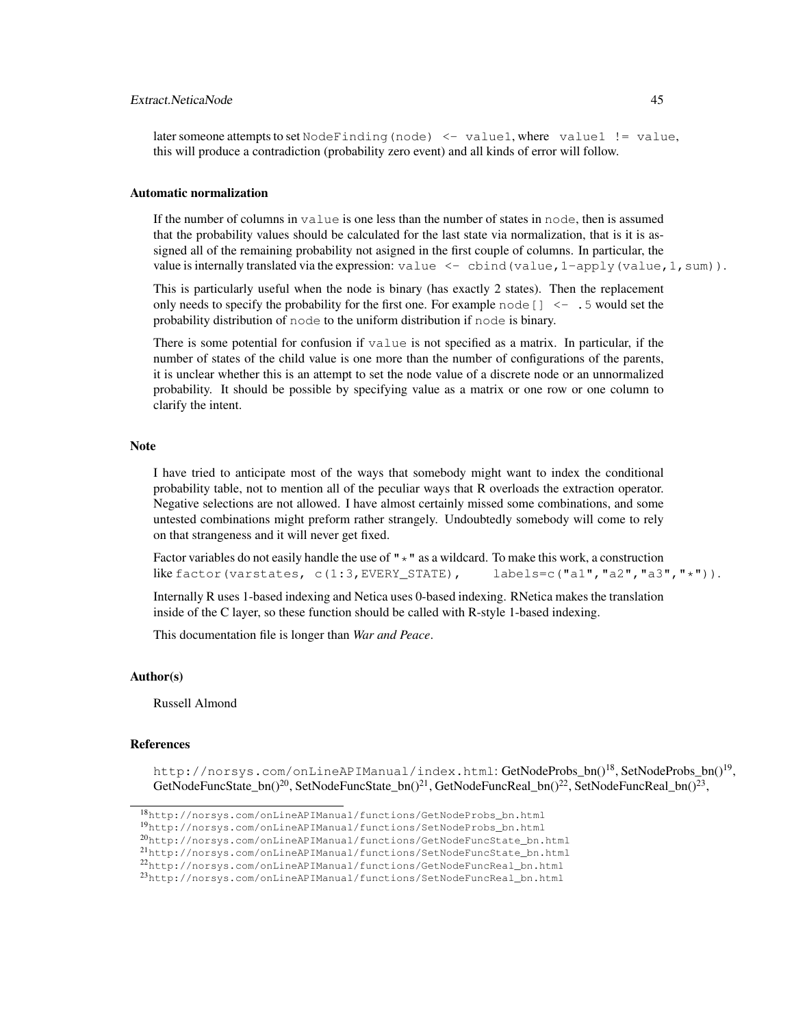## Extract.NeticaNode 45

#### Automatic normalization

If the number of columns in value is one less than the number of states in node, then is assumed that the probability values should be calculated for the last state via normalization, that is it is assigned all of the remaining probability not asigned in the first couple of columns. In particular, the value is internally translated via the expression: value  $\leq$  cbind (value, 1-apply (value, 1, sum)).

This is particularly useful when the node is binary (has exactly 2 states). Then the replacement only needs to specify the probability for the first one. For example node  $[$  |  $\leq -1.5$  would set the probability distribution of node to the uniform distribution if node is binary.

There is some potential for confusion if value is not specified as a matrix. In particular, if the number of states of the child value is one more than the number of configurations of the parents, it is unclear whether this is an attempt to set the node value of a discrete node or an unnormalized probability. It should be possible by specifying value as a matrix or one row or one column to clarify the intent.

#### Note

I have tried to anticipate most of the ways that somebody might want to index the conditional probability table, not to mention all of the peculiar ways that R overloads the extraction operator. Negative selections are not allowed. I have almost certainly missed some combinations, and some untested combinations might preform rather strangely. Undoubtedly somebody will come to rely on that strangeness and it will never get fixed.

Factor variables do not easily handle the use of  $" \star"$  as a wildcard. To make this work, a construction like factor(varstates, c(1:3,EVERY\_STATE), labels=c("a1","a2","a3","\*")).

Internally R uses 1-based indexing and Netica uses 0-based indexing. RNetica makes the translation inside of the C layer, so these function should be called with R-style 1-based indexing.

This documentation file is longer than *War and Peace*.

#### Author(s)

Russell Almond

# References

http://norsys.com/onLineAPIManual/index.html:GetNodeProbs\_bn()<sup>18</sup>,SetNodeProbs\_bn()<sup>19</sup>, GetNodeFuncState\_bn()<sup>20</sup>, SetNodeFuncState\_bn()<sup>21</sup>, GetNodeFuncReal\_bn()<sup>22</sup>, SetNodeFuncReal\_bn()<sup>23</sup>,

<sup>18</sup>http://norsys.com/onLineAPIManual/functions/GetNodeProbs\_bn.html

<sup>19</sup>http://norsys.com/onLineAPIManual/functions/SetNodeProbs\_bn.html

<sup>20</sup>http://norsys.com/onLineAPIManual/functions/GetNodeFuncState\_bn.html

<sup>21</sup>http://norsys.com/onLineAPIManual/functions/SetNodeFuncState\_bn.html

<sup>22</sup>http://norsys.com/onLineAPIManual/functions/GetNodeFuncReal\_bn.html

<sup>23</sup>http://norsys.com/onLineAPIManual/functions/SetNodeFuncReal\_bn.html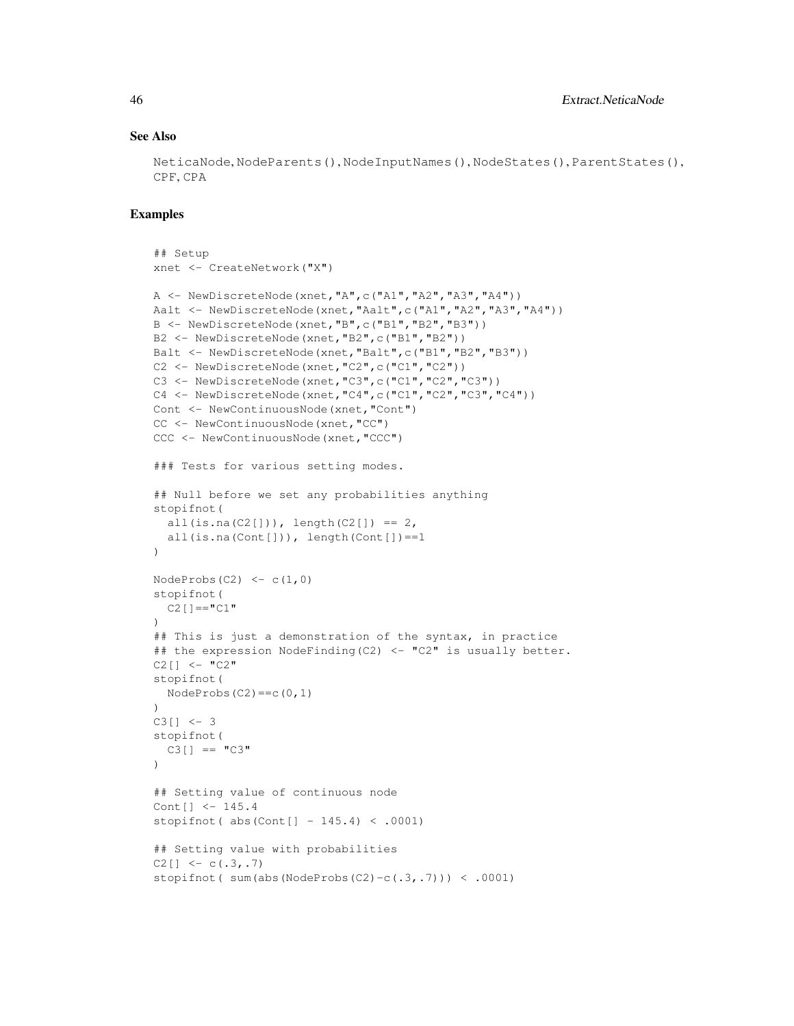## See Also

NeticaNode, NodeParents(), NodeInputNames(), NodeStates(), ParentStates(), CPF, CPA

### Examples

```
## Setup
xnet <- CreateNetwork("X")
A <- NewDiscreteNode(xnet,"A",c("A1","A2","A3","A4"))
Aalt <- NewDiscreteNode(xnet, "Aalt",c("A1", "A2", "A3", "A4"))
B <- NewDiscreteNode(xnet,"B",c("B1","B2","B3"))
B2 <- NewDiscreteNode(xnet,"B2",c("B1","B2"))
Balt <- NewDiscreteNode(xnet, "Balt",c("B1", "B2", "B3"))
C2 <- NewDiscreteNode(xnet, "C2", c("C1", "C2"))
C3 <- NewDiscreteNode(xnet, "C3", c("C1", "C2", "C3"))
C4 \leq NewDiscreteNode(xnet,"C4",c("C1","C2","C3","C4"))
Cont <- NewContinuousNode(xnet,"Cont")
CC <- NewContinuousNode(xnet,"CC")
CCC <- NewContinuousNode(xnet,"CCC")
### Tests for various setting modes.
## Null before we set any probabilities anything
stopifnot(
 all(is.na(C2[])), length(C2[]) == 2,
  all(is.na(Cont[])), length(Cont[])==1
)
NodeProbs(C2) < -c(1,0)stopifnot(
 C2[] =="C1"
)
## This is just a demonstration of the syntax, in practice
## the expression NodeFinding(C2) <- "C2" is usually better.
C2[] \leq - "C2"
stopifnot(
 NodeProbs(C2) == c(0,1)\lambdaC3[] <-3stopifnot(
 C3[] == "C3"
\lambda## Setting value of continuous node
Cont[] <- 145.4
stopifnot( abs(Cont[] - 145.4) < .0001)
## Setting value with probabilities
C2[] \leq -c(.3,.7)stopifnot( sum(abs(NodeProbs(C2)-c(.3,.7))) < .0001)
```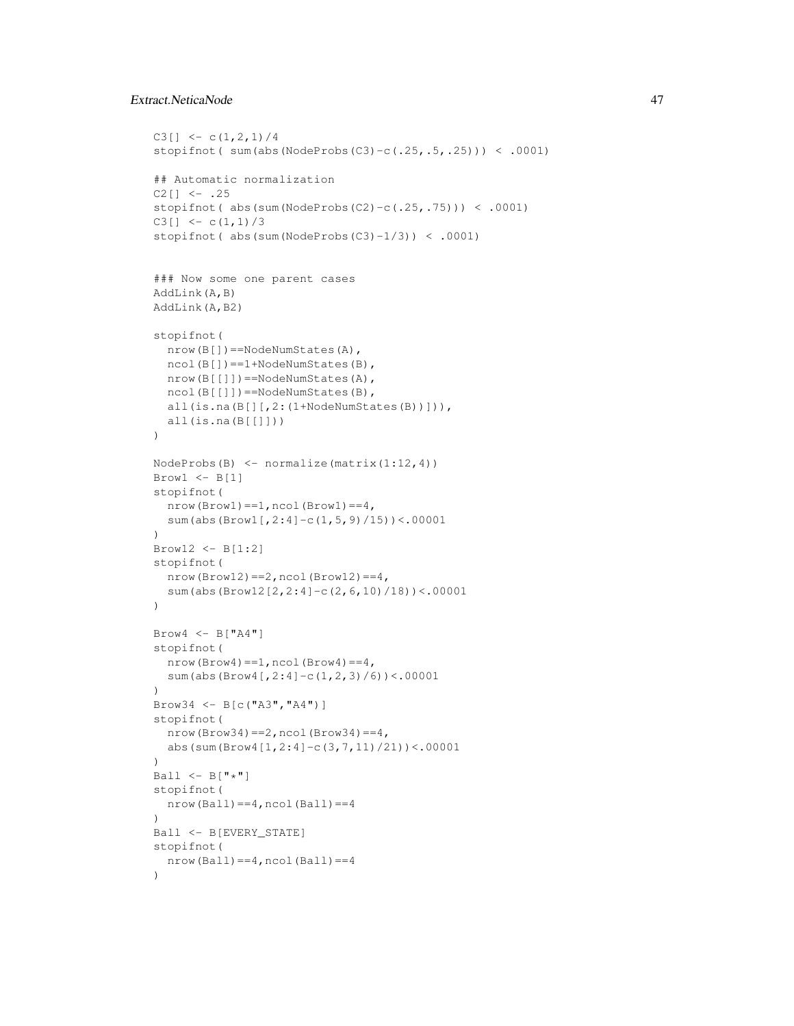# Extract.NeticaNode 47

```
C3[] \leftarrow c(1,2,1)/4
stopifnot( sum(abs(NodeProbs(C3)-c(.25,.5,.25))) < .0001)
## Automatic normalization
C2[] <- .25stopifnot( abs(sum(NodeProbs(C2)-c(.25,.75))) < .0001)
C3[] <- c(1,1)/3
stopifnot( abs(sum(NodeProbs(C3)-1/3)) < .0001)
### Now some one parent cases
AddLink(A,B)
AddLink(A,B2)
stopifnot(
  nrow(B[])==NodeNumStates(A),
  ncol(B[])==1+NodeNumStates(B),
  nrow(B[[]])==NodeNumStates(A),
  ncol(B[[]])==NodeNumStates(B),
  all(is.na(B[][,2:(1+NodeNumStates(B))])),
  all(is.na(B[[]]))
)
NodeProbs(B) <- normalize(matrix(1:12,4))
Brow1 \leftarrow B[1]stopifnot(
  nrow(Brow1) == 1, ncol(Brow1) == 4,sum(abs(Brow1[,2:4]-c(1,5,9)/15))<.00001
)
Brow12 <- B[1:2]
stopifnot(
 nrow(Brow12) == 2, ncol(Brow12) == 4,sum(abs(Brow12[2,2:4]-c(2,6,10)/18))<.00001
)
Brow4 \leftarrow B['TA4'']stopifnot(
  nrow(Brow4) == 1, ncol(Brow4) == 4,sum(abs(Brow4[,2:4]-c(1,2,3)/6))<.00001
)
Brow34 <- B[c("A3","A4")]
stopifnot(
  nrow(Brow34) == 2, ncol(Brow34) == 4,abs(sum(Brow4[1,2:4]-c(3,7,11)/21))<.00001
\lambdaBall \leftarrow B["*"]
stopifnot(
 nrow(Ball) == 4, ncol(Ball) == 4\lambdaBall <- B[EVERY_STATE]
stopifnot(
  nrow(Ball) == 4, ncol(Ball) == 4)
```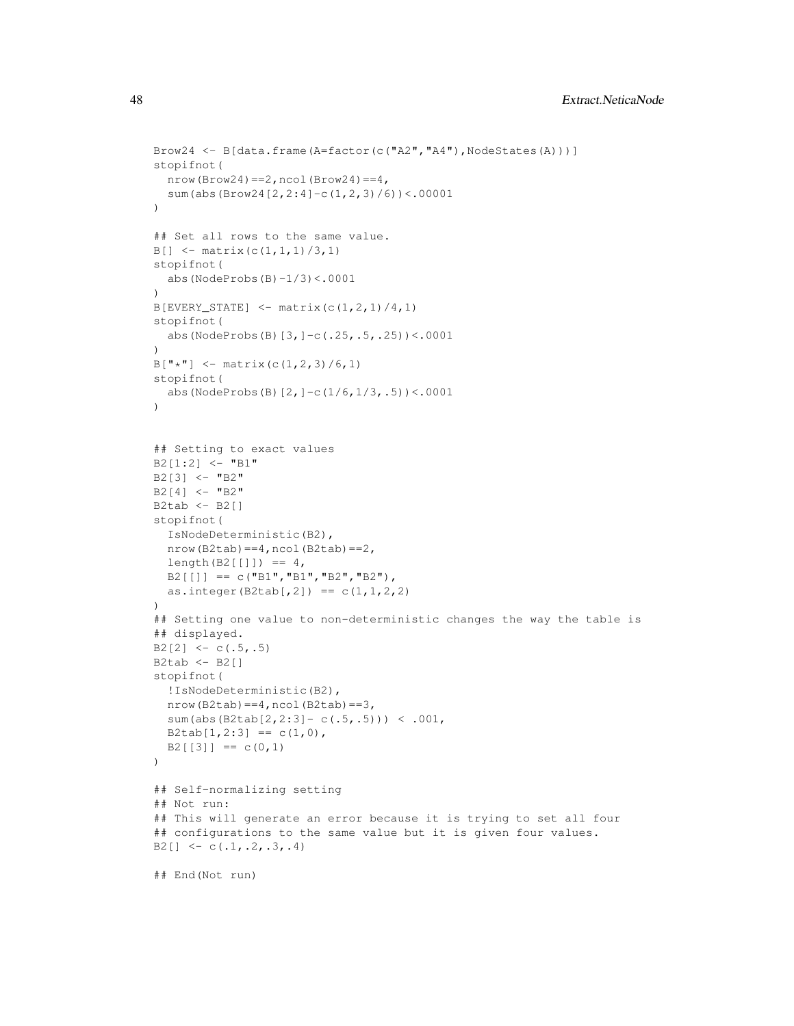```
Brow24 <- B[data.frame(A=factor(c("A2","A4"),NodeStates(A)))]
stopifnot(
 nrow(Brow24) == 2, ncol(Brow24) == 4,sum(abs(Brow24[2,2:4]-c(1,2,3)/6))<.00001
\lambda## Set all rows to the same value.
B[\ ] <- matrix(c(1,1,1)/3,1)
stopifnot(
  abs(NodeProbs(B) -1/3) <.0001
\lambdaB[EVERT\_STATE] \le - matrix(c(1,2,1)/4,1)
stopifnot(
  abs(NodeProbs(B)[3,]-c(.25,.5,.25))<.0001
)
B["*"] \leq - \text{ matrix}(c(1,2,3)/6,1)stopifnot(
 abs(NodeProbs(B)[2,]-c(1/6,1/3,.5))<.0001
)
## Setting to exact values
B2[1:2] <- "B1"
B2[3] < - "B2"
B2[4] <- "B2"
B2tab < - B2[]stopifnot(
  IsNodeDeterministic(B2),
  nrow(B2tab)==4,ncol(B2tab)==2,
  length(B2[[])] = 4,B2[[1] == c("B1", "B1", "B2", "B2"),as.integer(B2tab[,2]) == c(1, 1, 2, 2))
## Setting one value to non-deterministic changes the way the table is
## displayed.
B2[2] \leftarrow c(.5,.5)B2tab <- B2[]
stopifnot(
  !IsNodeDeterministic(B2),
  nrow(B2tab) == 4, ncol(B2tab) == 3,sum(abs(B2tab[2,2:3]- c(.5,.5))) < .001,
  B2tab[1,2:3] == c(1,0),B2[[3]] == c(0,1))
## Self-normalizing setting
## Not run:
## This will generate an error because it is trying to set all four
## configurations to the same value but it is given four values.
B2[] \leftarrow c(.1, .2, .3, .4)## End(Not run)
```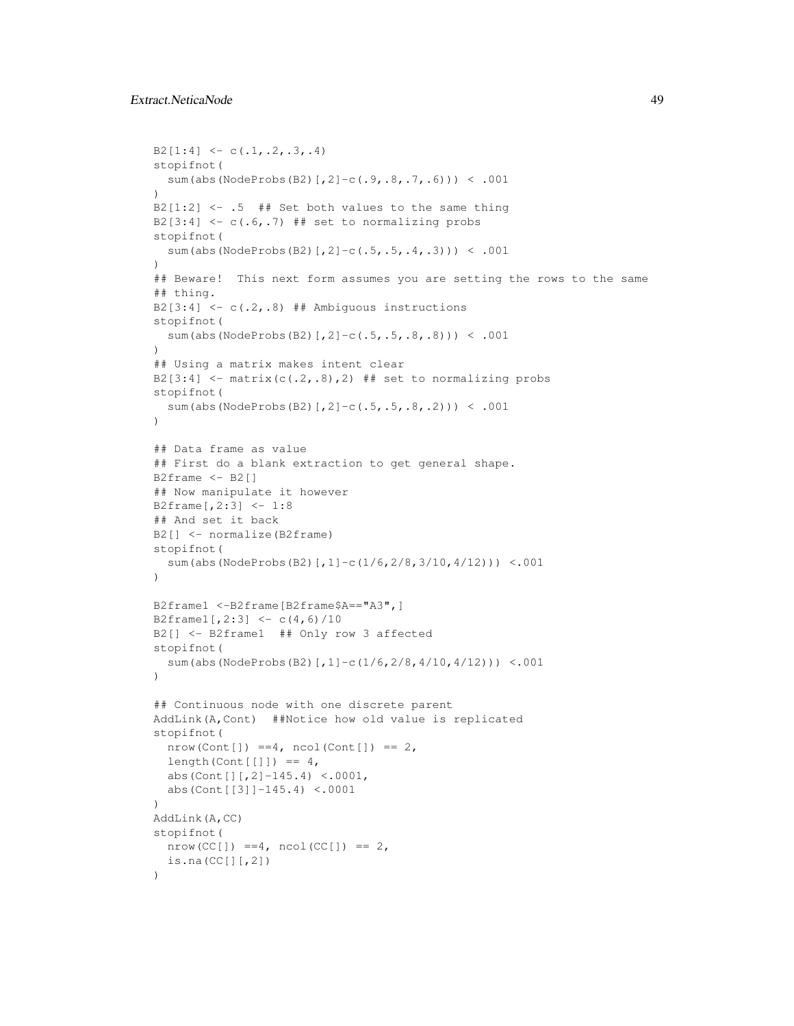```
B2[1:4] \leftarrow c(.1,.2,.3,.4)stopifnot(
 sum(abs(NodeProbs(B2)[,2]-c(.9,.8,.7,.6))) < .001
\lambdaB2[1:2] <- .5 ## Set both values to the same thing
B2[3:4] \leftarrow c(.6,.7) ## set to normalizing probs
stopifnot(
  sum(abs(NodeProbs(B2)[,2]-c(.5,.5,.4,.3))) < .001
\lambda## Beware! This next form assumes you are setting the rows to the same
## thing.
B2[3:4] \leftarrow c(.2,.8) ## Ambiguous instructions
stopifnot(
  sum(abs(NodeProbs(B2)[,2]-c(.5,.5,.8,.8))) < .001
\lambda## Using a matrix makes intent clear
B2[3:4] \leftarrow matrix(c(.2,.8),2) ## set to normalizing probs
stopifnot(
  sum(abs(NodeProbs(B2)[,2]-c(.5,.5,.8,.2))) < .001
)
## Data frame as value
## First do a blank extraction to get general shape.
B2frame \leftarrow B2[]
## Now manipulate it however
B2frame[,2:3] <- 1:8
## And set it back
B2[] <- normalize(B2frame)
stopifnot(
  sum(abs(NodeProbs(B2)[,1]-c(1/6,2/8,3/10,4/12))) <.001
)B2frame1 <-B2frame[B2frame$A=="A3",]
B2frame1[,2:3] <- c(4,6)/10
B2[] <- B2frame1 ## Only row 3 affected
stopifnot(
  sum(abs(NodeProbs(B2)[,1]-c(1/6,2/8,4/10,4/12))) <.001
)
## Continuous node with one discrete parent
AddLink(A,Cont) ##Notice how old value is replicated
stopifnot(
  nrow(Cont[]) == 4, ncol(Cont[]) == 2,length(Cont[[]]) = 4,abs(Cont[][,2]-145.4) <.0001,
  abs(Cont[[3]]-145.4) <.0001
)
AddLink(A,CC)
stopifnot(
  nrow(CC[]) == 4, ncol(CC[]) == 2,is.na(CC[][,2])
)
```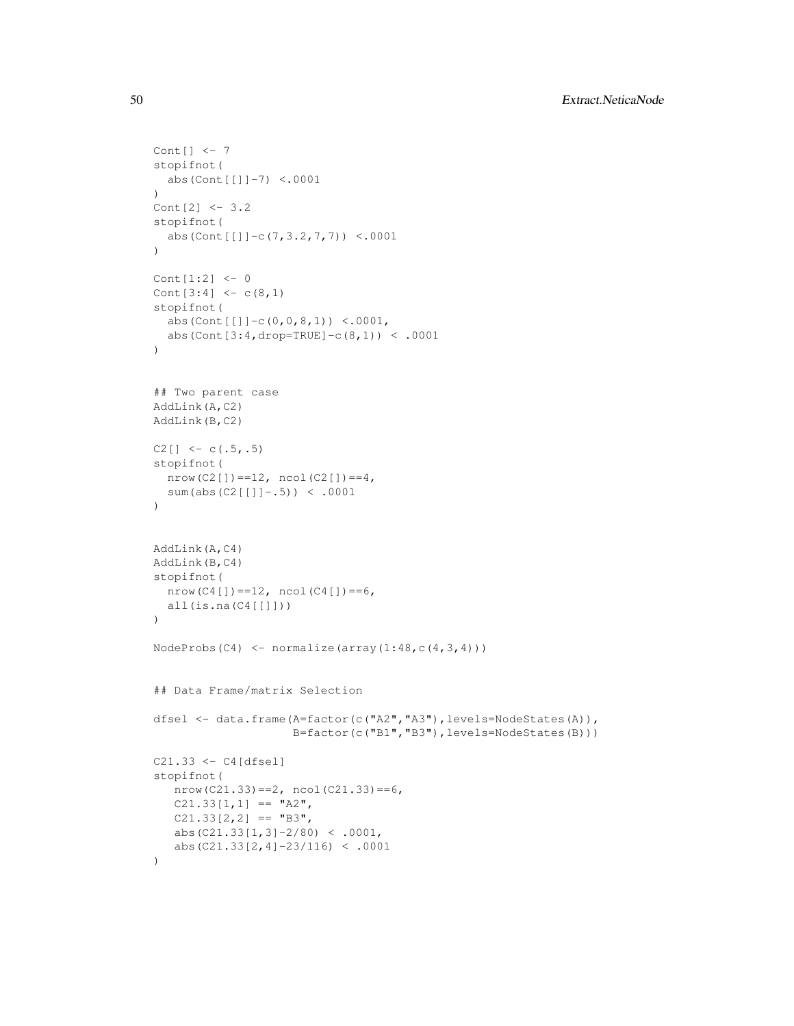```
Cont[] <- 7
stopifnot(
 abs(Cont[[]]-7) <.0001
\lambdaCont[2] <- 3.2
stopifnot(
 abs(Cont[[]]-c(7,3.2,7,7)) <.0001
\lambdaCont[1:2] <- 0
Cont[3:4] < -c(8,1)stopifnot(
  abs(Cont[[]]-c(0,0,8,1)) <.0001,
  abs(Cont[3:4,drop=TRUE]-c(8,1)) < .0001
)
## Two parent case
AddLink(A,C2)
AddLink(B,C2)
C2[] \leftarrow c(.5,.5)
stopifnot(
 nrow(C2[]) == 12, ncol(C2[]) == 4,sum(abs(C2[[]]-.5)) < .0001
)
AddLink(A,C4)
AddLink(B,C4)
stopifnot(
 nrow(C4[]) == 12, ncol(C4[]) == 6,all(is.na(C4[[]]))
)
NodeProbs(C4) \leftarrow normalize(array(1:48,c(4,3,4)))
## Data Frame/matrix Selection
dfsel <- data.frame(A=factor(c("A2","A3"),levels=NodeStates(A)),
                     B=factor(c("B1","B3"),levels=NodeStates(B)))
C21.33 \leftarrow C4[dfsel]stopifnot(
  nrow(C21.33) == 2, ncol(C21.33) == 6,C21.33[1,1] == "A2",C21.33[2,2] == "B3",abs(C21.33[1,3]-2/80) < .0001,
   abs(C21.33[2,4]-23/116) < .0001
)
```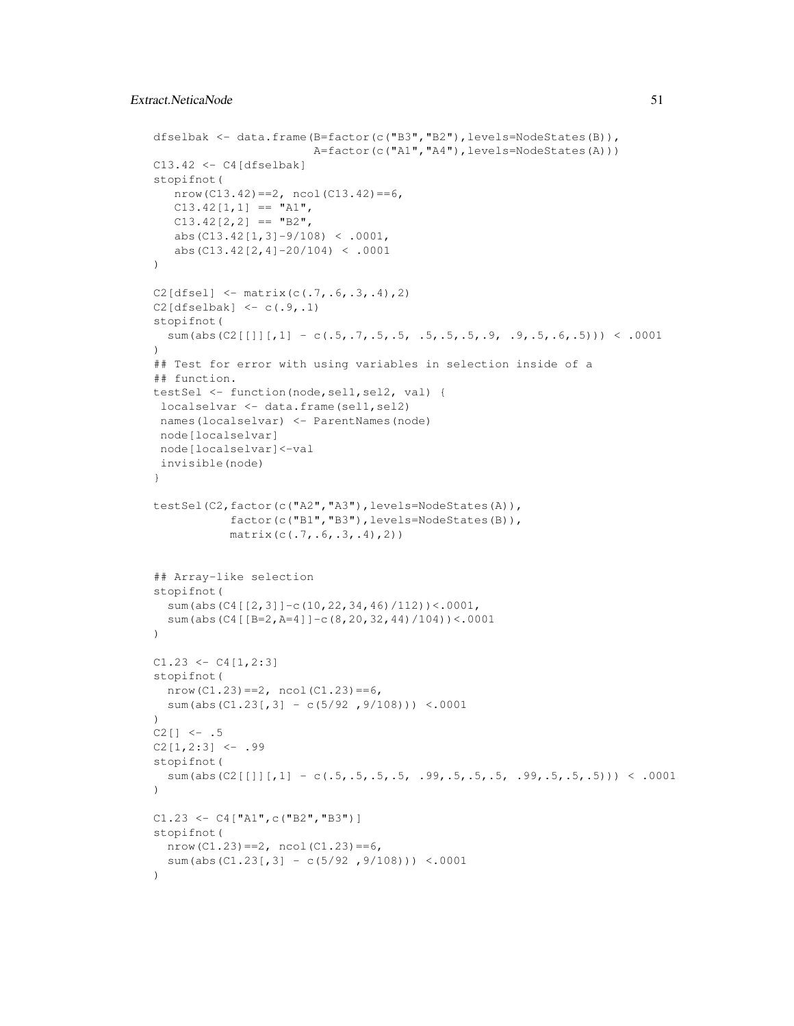```
dfselbak <- data.frame(B=factor(c("B3","B2"),levels=NodeStates(B)),
                        A=factor(c("A1","A4"),levels=NodeStates(A)))
C13.42 < - C4[dfselbak]stopifnot(
   nrow(C13.42) == 2, ncol(C13.42) == 6,C13.42[1,1] == "A1",C13.42[2,2] == "B2",abs(C13.42[1,3]-9/108) < .0001,
   abs(C13.42[2,4]-20/104) < .0001
)
C2[dfsel] <- matrix(c(.7, .6, .3, .4), 2)
C2[{\text{dfselbak}}] \leftarrow c(.9,.1)stopifnot(
  sum(abs(C2[[]][,1] - c(.5,.7,.5,.5, .5,.5,.5,.9, .9,.5,.6,.5))) < .0001
)
## Test for error with using variables in selection inside of a
## function.
testSel <- function(node,sel1,sel2, val) {
localselvar <- data.frame(sel1, sel2)
names(localselvar) <- ParentNames(node)
 node[localselvar]
node[localselvar]<-val
 invisible(node)
}
testSel(C2, factor(c("A2", "A3"), levels=NodeStates(A)),
           factor(c("B1","B3"),levels=NodeStates(B)),
           matrix(c(.7,.6,.3,.4),2))
## Array-like selection
stopifnot(
  sum(abs(C4[[2,3]]-c(10,22,34,46)/112))<.0001,
  sum(abs(C4[[B=2,A=4]]-c(8,20,32,44)/104))<.0001
)
C1.23 \leftarrow C4[1,2:3]stopifnot(
  nrow(C1.23) == 2, ncol(C1.23) == 6,sum(abs(C1.23[,3] - c(5/92,9/108))) <.0001
)
C2[] <- .5C2[1,2:3] <- .99
stopifnot(
  sum(abs(C2[[]][,1] - c(.5,.5,.5,.5, .99,.5,.5,.5, .99,.5,.5,.5))) < .0001
)
C1.23 < - C4["A1", c("B2", "B3")]
stopifnot(
  nrow(C1.23) == 2, ncol(C1.23) == 6,sum(abs(C1.23[,3] - c(5/92,9/108))) <.0001
)
```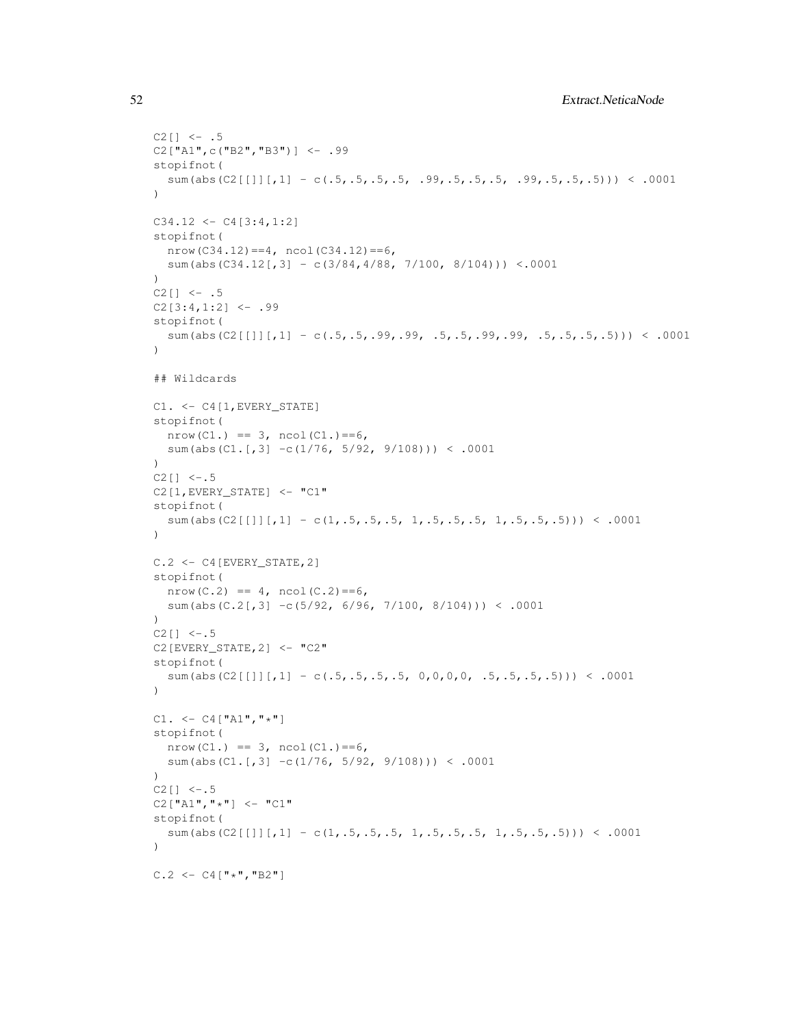```
C2[] <- .5C2["A1",c("B2","B3")] <- .99
stopifnot(
 sum(abs(C2[[]][,1] - c(.5,.5,.5,.5, .99,.5,.5,.5, .99,.5,.5,.5))) < .0001
)
C34.12 \leftarrow C4[3:4,1:2]stopifnot(
  nrow(C34.12) == 4, ncol(C34.12) == 6,sum(abs(C34.12[,3] - c(3/84,4/88, 7/100, 8/104))) <.0001
)
C2[] <- .5C2[3:4,1:2] <- .99
stopifnot(
  sum(abs(C2[[]][,1] - c(.5,.5,.99,.99, .5,.5,.99,.99, .5,.5,.5,.5))) < .0001
\lambda## Wildcards
C1. <- C4[1,EVERY_STATE]
stopifnot(
  nrow(C1.) == 3, ncol(C1.) == 6,sum(abs(C1.[,3] -c(1/76, 5/92, 9/108))) < .0001
)
C2[] <-.5C2[1,EVERY_STATE] <- "C1"
stopifnot(
  sum(abs(C2[[]][,1] - c(1,.5,.5,.5, 1,.5,.5,.5, 1,.5,.5,.5))) < .0001
)
C.2 <- C4[EVERY_STATE,2]
stopifnot(
 nrow(C.2) == 4, ncol(C.2) == 6,sum(abs(C.2[,3] -c(5/92, 6/96, 7/100, 8/104)) < .0001
\lambdaC2[] <-.5
C2[EVERY_STATE, 2] <- "C2"
stopifnot(
  sum(abs(C2[[1][,1] - c(.5,.5,.5,.5, 0,0,0,0, .5,.5,.5,.5))) < .0001
)
C1. < - C4["A1","*"]
stopifnot(
  nrow(C1.) == 3, ncol(C1.) == 6,sum(abs(C1.[,3] -c(1/76, 5/92, 9/108))) < .0001
)
C2[] <-.5C2["A1", "\star"] <- "C1"
stopifnot(
  sum(abs(C2[[]][,1] - c(1,.5,.5,.5, 1,.5,.5,.5, 1,.5,.5,.5))) < .0001
)
C.2 \le -C4["*","B2"]
```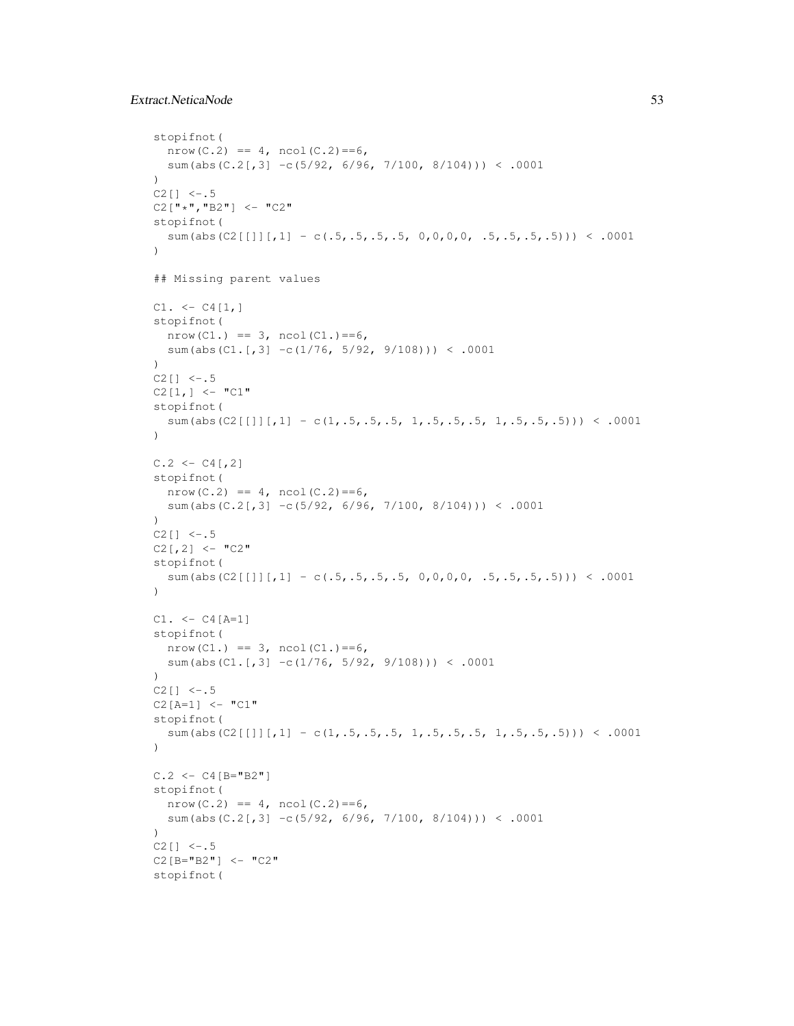# Extract.NeticaNode 53

```
stopifnot(
 nrow(C.2) == 4, ncol(C.2) == 6,sum(abs(C.2[,3] -c(5/92, 6/96, 7/100, 8/104)) < .0001
)
C2[] <-.5C2["*", "B2"] <- "C2"
stopifnot(
  sum(abs(C2[[1]][,1] - c(.5,.5,.5,.5, 0,0,0,0, .5,.5,.5,.5))) < .0001
\lambda## Missing parent values
C1. < - C4[1,]stopifnot(
  nrow(C1.) == 3, ncol(C1.) == 6,sum(abs(C1.[,3] -c(1/76, 5/92, 9/108))) < .0001
)
C2[] <-.5C2[1,] <- "C1"
stopifnot(
  sum(abs(C2[[]][,1] - c(1,.5,.5,.5, 1,.5,.5,.5, 1,.5,.5,.5))) < .0001
)
C.2 \leftarrow C4[,2]
stopifnot(
  nrow(C.2) == 4, ncol(C.2) == 6,sum(abs(C.2[,3] -c(5/92, 6/96, 7/100, 8/104)) < .0001
)
C2[] <-.5C2[,2] <- "C2"
stopifnot(
  sum(abs(C2[[]][,1] - c(.5,.5,.5,.5, 0,0,0,0, .5,.5,.5,.5))) < .0001
)
C1. < - C4[A=1]stopifnot(
  nrow(C1.) == 3, ncol(C1.) == 6,sum(abs(C1.[,3] -c(1/76, 5/92, 9/108))) < .0001
)
C2[] <-.5C2[A=1] <- "C1"
stopifnot(
  sum(abs(C2[[]][,1] - c(1,.5,.5,.5, 1,.5,.5,.5, 1,.5,.5,.5))) < .0001
)
C.2 < - C4 [B="B2"]stopifnot(
 nrow(C.2) == 4, ncol(C.2) == 6,sum(abs(C.2[,3] -c(5/92, 6/96, 7/100, 8/104)) < .0001
\lambdaC2[] <-.5C2[B="B2"] <- "C2"
stopifnot(
```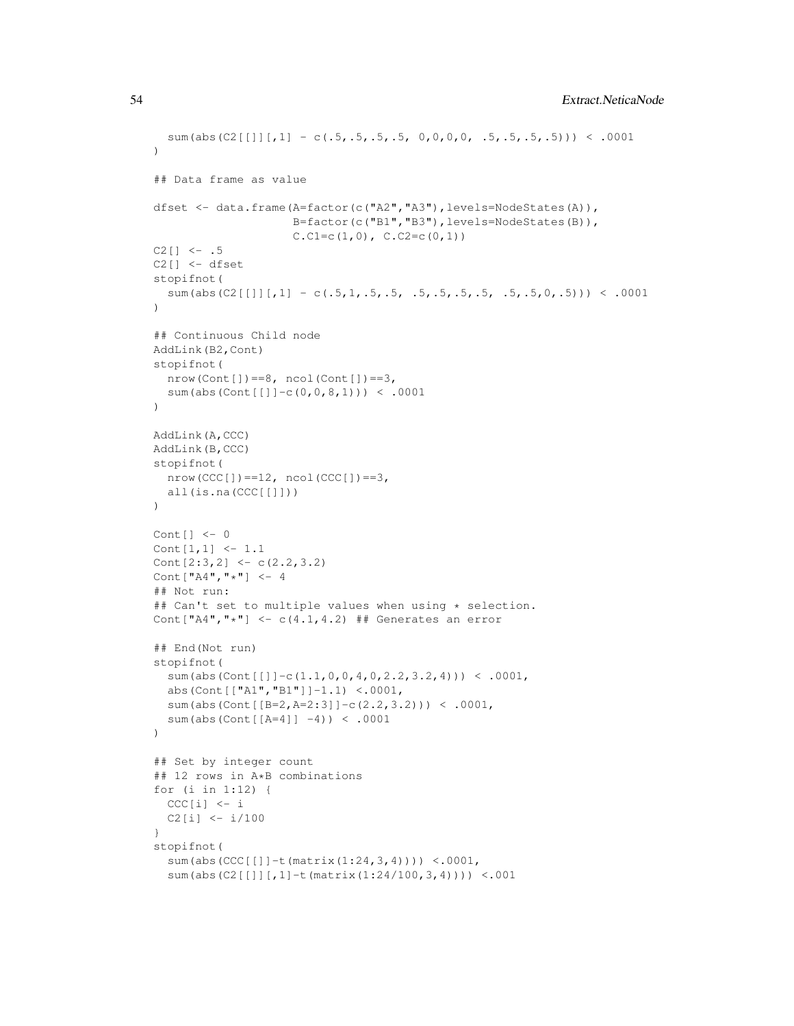```
sum(abs(C2[[]][,1] - c(.5,.5,.5, 0,0,0,0, .5,.5,.5,.5))) < .0001
)
## Data frame as value
dfset <- data.frame(A=factor(c("A2","A3"),levels=NodeStates(A)),
                    B=factor(c("B1","B3"),levels=NodeStates(B)),
                    C.C1=c(1,0), C.C2=c(0,1))C2[] \le -1.5C2[] <- dfset
stopifnot(
  sum(abs(C2[[]][,1] - c(.5,1,.5,.5, .5,.5,.5,.5, .5,.5,0,.5))) < .0001
)
## Continuous Child node
AddLink(B2,Cont)
stopifnot(
  nrow(Cont[]) == 8, noch(Cont[]) == 3,sum(abs(Cont[[]]-c(0,0,8,1))) < .0001
)
AddLink(A,CCC)
AddLink(B,CCC)
stopifnot(
 nrow(CCC[]) == 12, ncol(CCC[]) == 3,all(is.na(CCC[[]]))
)
Cont[] <- 0
Cont[1,1] <- 1.1
Cont[2:3,2] <- c(2.2,3.2)
Cont["A4", "*"] < -4## Not run:
## Can't set to multiple values when using * selection.
Cont ["A4", "*"] <- c(4.1, 4.2) ## Generates an error
## End(Not run)
stopifnot(
  sum(abs(Cont[[]]-c(1.1,0,0,4,0,2.2,3.2,4))) < .0001,
  abs(Cont[["A1","B1"]]-1.1) <.0001,
  sum(abs(Cont[[B=2,A=2:3]]-c(2.2,3.2))) < .0001,
  sum(abs(Cont[[A=4]] -4)) < .0001
)
## Set by integer count
## 12 rows in A*B combinations
for (i in 1:12) {
 CCC[i] < -iC2[i] <- i/100
}
stopifnot(
  sum(abs(CCC[[]]-t(matrix(1:24,3,4)))) <.0001,
  sum(abs(C2[[]][,1]-t(matrix(1:24/100,3,4)))) <.001
```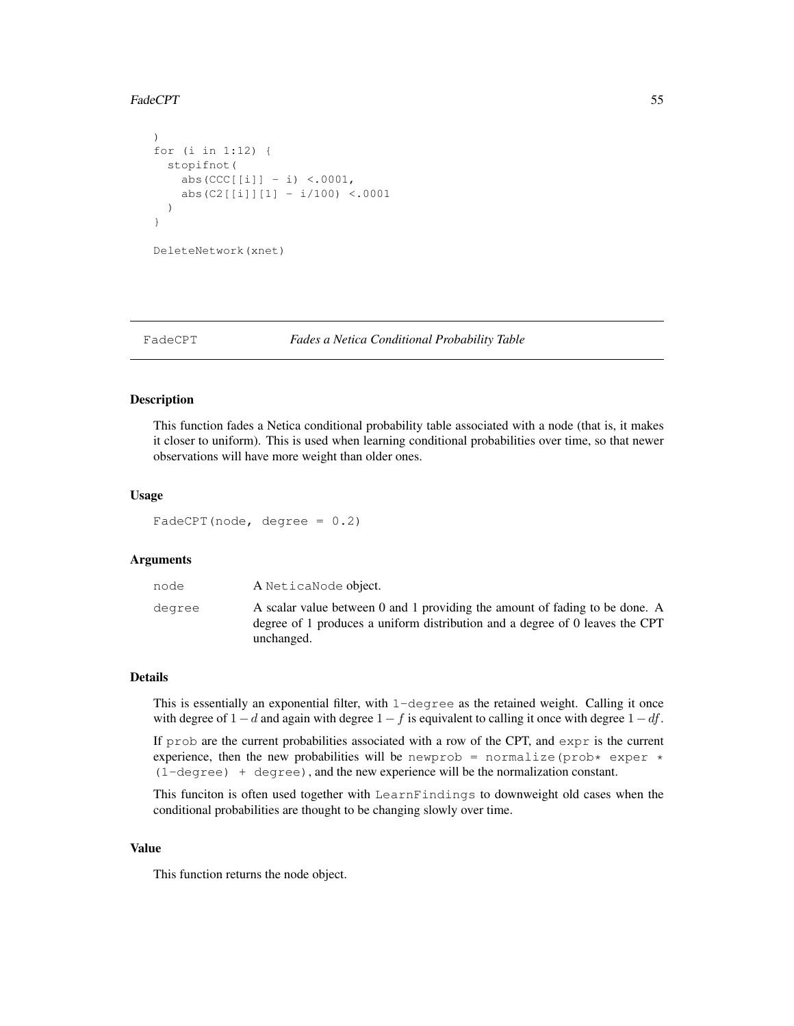## FadeCPT 55

```
)
for (i in 1:12) {
  stopifnot(
   abs(CCC[[i]] - i) <.0001,
    abs(C2[[i]][1] - i/100) <.0001
  )
}
DeleteNetwork(xnet)
```
#### FadeCPT *Fades a Netica Conditional Probability Table*

### Description

This function fades a Netica conditional probability table associated with a node (that is, it makes it closer to uniform). This is used when learning conditional probabilities over time, so that newer observations will have more weight than older ones.

### Usage

 $FadeCPT(node, degree = 0.2)$ 

## Arguments

| node   | A NeticaNode object.                                                                                                                                                      |
|--------|---------------------------------------------------------------------------------------------------------------------------------------------------------------------------|
| degree | A scalar value between 0 and 1 providing the amount of fading to be done. A<br>degree of 1 produces a uniform distribution and a degree of 0 leaves the CPT<br>unchanged. |

### Details

This is essentially an exponential filter, with  $1$ -degree as the retained weight. Calling it once with degree of  $1 - d$  and again with degree  $1 - f$  is equivalent to calling it once with degree  $1 - df$ .

If  $p_{\text{r}}$  ob are the current probabilities associated with a row of the CPT, and  $\exp r$  is the current experience, then the new probabilities will be newprob = normalize(prob\* exper \*  $(1–degree) + degree$ , and the new experience will be the normalization constant.

This funciton is often used together with LearnFindings to downweight old cases when the conditional probabilities are thought to be changing slowly over time.

## Value

This function returns the node object.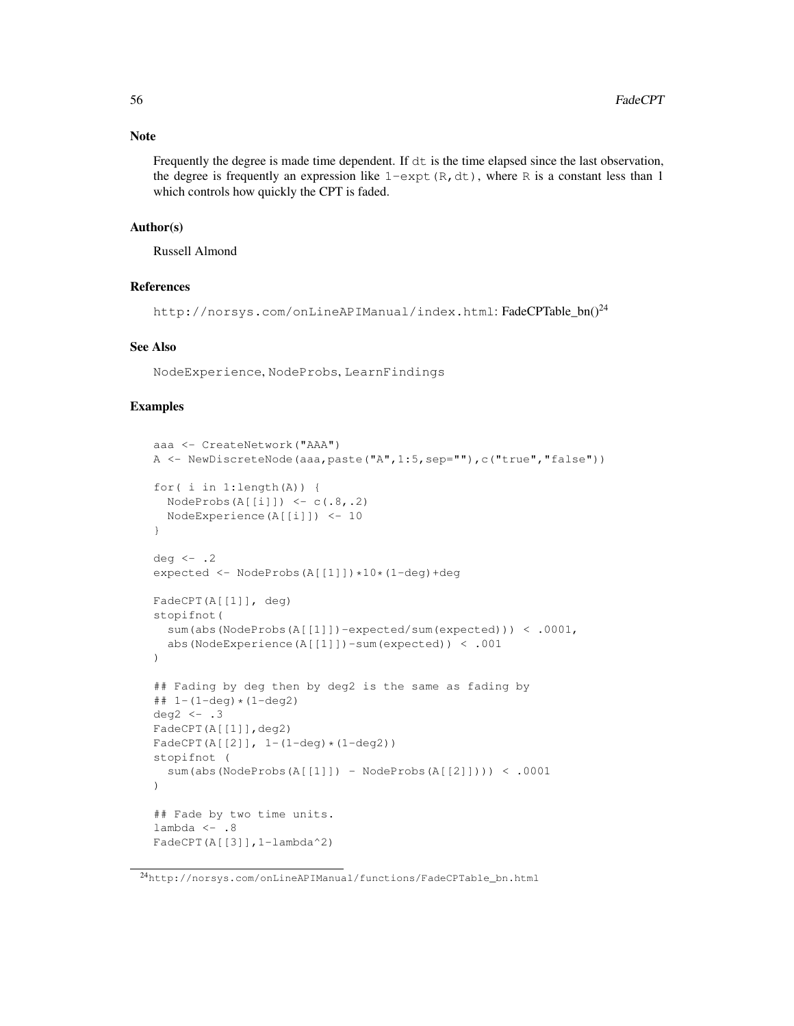## Note

Frequently the degree is made time dependent. If  $dt$  is the time elapsed since the last observation, the degree is frequently an expression like  $1$ -expt(R,dt), where R is a constant less than 1 which controls how quickly the CPT is faded.

# Author(s)

Russell Almond

# References

http://norsys.com/onLineAPIManual/index.html: FadeCPTable\_bn()<sup>24</sup>

### See Also

NodeExperience, NodeProbs, LearnFindings

## Examples

```
aaa <- CreateNetwork("AAA")
A <- NewDiscreteNode(aaa,paste("A", 1:5,sep=""),c("true","false"))
for( i in 1:length(A)) {
  NodeProbs(A[[i]]) \leftarrow c(.8,.2)NodeExperience(A[[i]]) <- 10
}
deg <-.2
expected <- NodeProbs(A[[1]])*10*(1-deg)+deg
FadeCPT(A[[1]], deg)
stopifnot(
  sum(abs(NodeProbs(A[[1]])-expected/sum(expected))) < .0001,
  abs(NodeExperience(A[[1]])-sum(expected)) < .001
)
## Fading by deg then by deg2 is the same as fading by
\## 1-(1-deg) \star (1-deg2)
deg2 \leftarrow .3
FadeCPT(A[[1]],deg2)
FadeCPT(A[[2]], 1-(1-deq)*(1-deq2))stopifnot (
  sum(abs(NodeProbs(A[[1]]) - NodeProbs(A[[2]]))) < .0001
\lambda## Fade by two time units.
lambda <-.8
FadeCPT(A[[3]],1-lambda^2)
```
 $^{24}$ http://norsys.com/onLineAPIManual/functions/FadeCPTable\_bn.html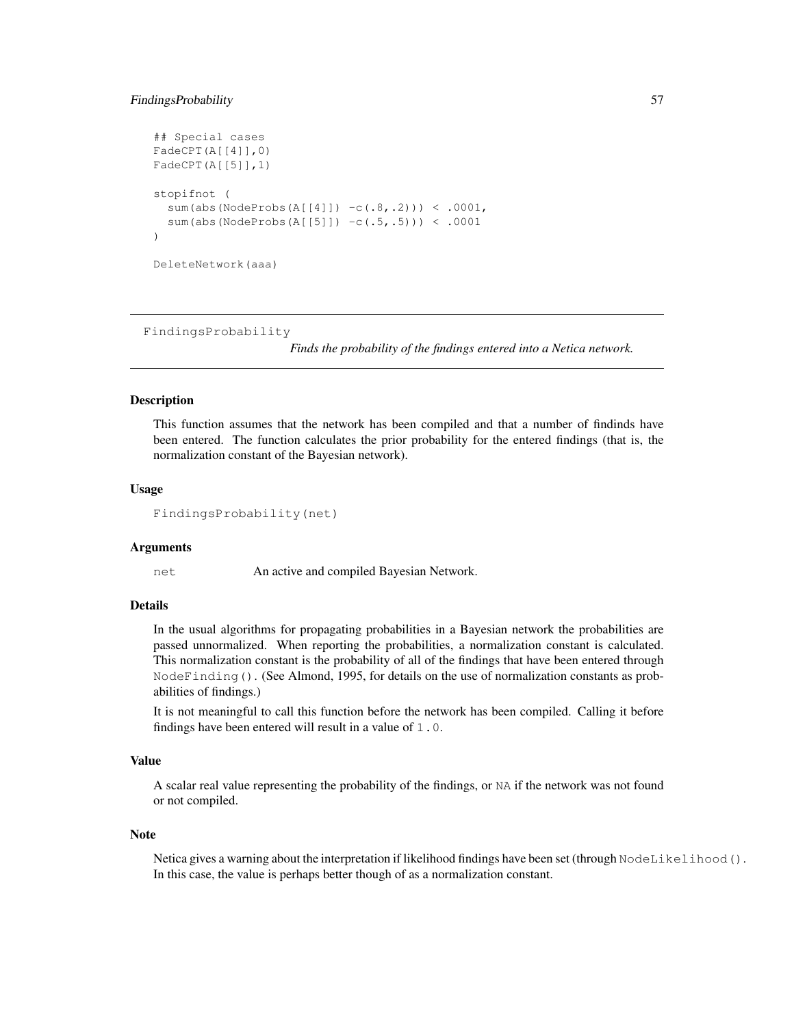### FindingsProbability 57

```
## Special cases
FadeCPT(A[[4]],0)
FadeCPT(A[[5]],1)
stopifnot (
  sum(abs(NodeProbs(A[[4]]) -c(.8,.2))) < .0001,
  sum(abs(NodeProbs(A[[5]]) -c(.5,.5))) < .0001
)
DeleteNetwork(aaa)
```
FindingsProbability

*Finds the probability of the findings entered into a Netica network.*

### Description

This function assumes that the network has been compiled and that a number of findinds have been entered. The function calculates the prior probability for the entered findings (that is, the normalization constant of the Bayesian network).

## Usage

```
FindingsProbability(net)
```
## Arguments

net An active and compiled Bayesian Network.

## Details

In the usual algorithms for propagating probabilities in a Bayesian network the probabilities are passed unnormalized. When reporting the probabilities, a normalization constant is calculated. This normalization constant is the probability of all of the findings that have been entered through NodeFinding(). (See Almond, 1995, for details on the use of normalization constants as probabilities of findings.)

It is not meaningful to call this function before the network has been compiled. Calling it before findings have been entered will result in a value of 1.0.

## Value

A scalar real value representing the probability of the findings, or NA if the network was not found or not compiled.

### **Note**

Netica gives a warning about the interpretation if likelihood findings have been set (through NodeLikelihood(). In this case, the value is perhaps better though of as a normalization constant.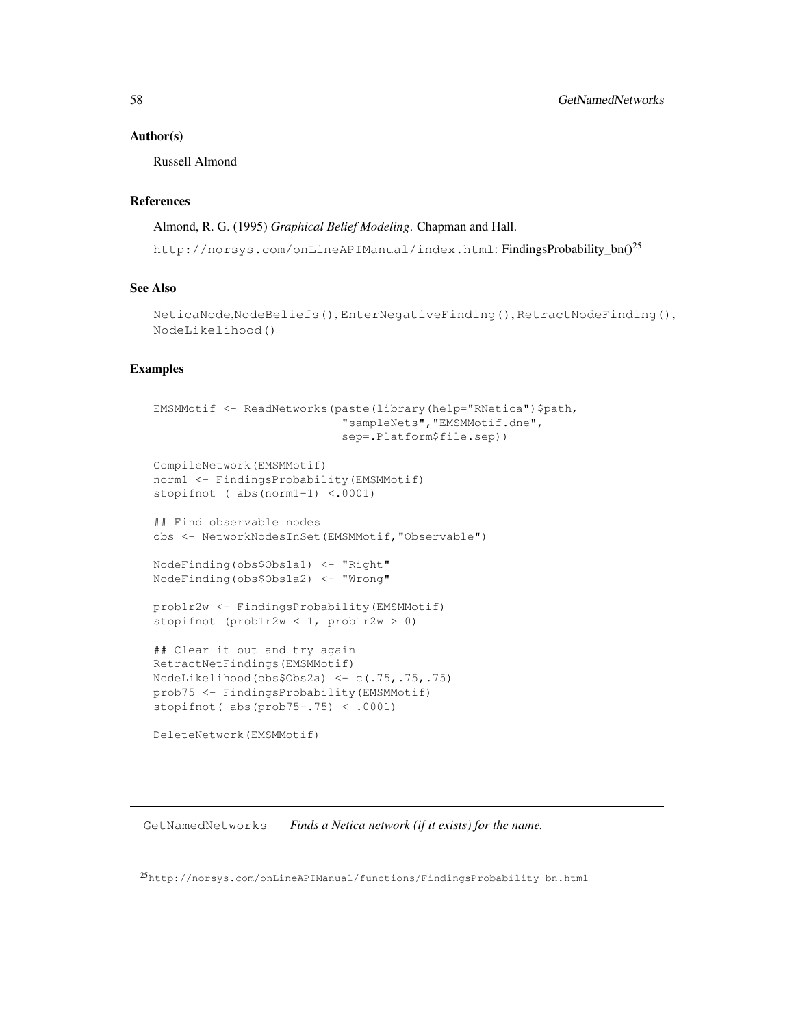### Author(s)

Russell Almond

# References

Almond, R. G. (1995) *Graphical Belief Modeling*. Chapman and Hall.

http://norsys.com/onLineAPIManual/index.html: FindingsProbability\_bn()<sup>25</sup>

# See Also

```
NeticaNode,NodeBeliefs(), EnterNegativeFinding(), RetractNodeFinding(),
NodeLikelihood()
```
### Examples

```
EMSMMotif <- ReadNetworks(paste(library(help="RNetica")$path,
                           "sampleNets","EMSMMotif.dne",
                           sep=.Platform$file.sep))
CompileNetwork(EMSMMotif)
norm1 <- FindingsProbability(EMSMMotif)
stopifnot ( abs(norm1-1) <.0001)
## Find observable nodes
obs <- NetworkNodesInSet(EMSMMotif,"Observable")
NodeFinding(obs$Obs1a1) <- "Right"
NodeFinding(obs$Obs1a2) <- "Wrong"
prob1r2w <- FindingsProbability(EMSMMotif)
stopifnot (prob1r2w < 1, prob1r2w > 0)
## Clear it out and try again
RetractNetFindings(EMSMMotif)
NodeLikelihood(obs$Obs2a) <- c(.75,.75,.75)
prob75 <- FindingsProbability(EMSMMotif)
stopifnot( abs(prob75-.75) < .0001)
DeleteNetwork(EMSMMotif)
```
GetNamedNetworks *Finds a Netica network (if it exists) for the name.*

 $^{25}{\rm http://norsys.com/onlineAPIManual/functions/FindingProbability\_bn.html}$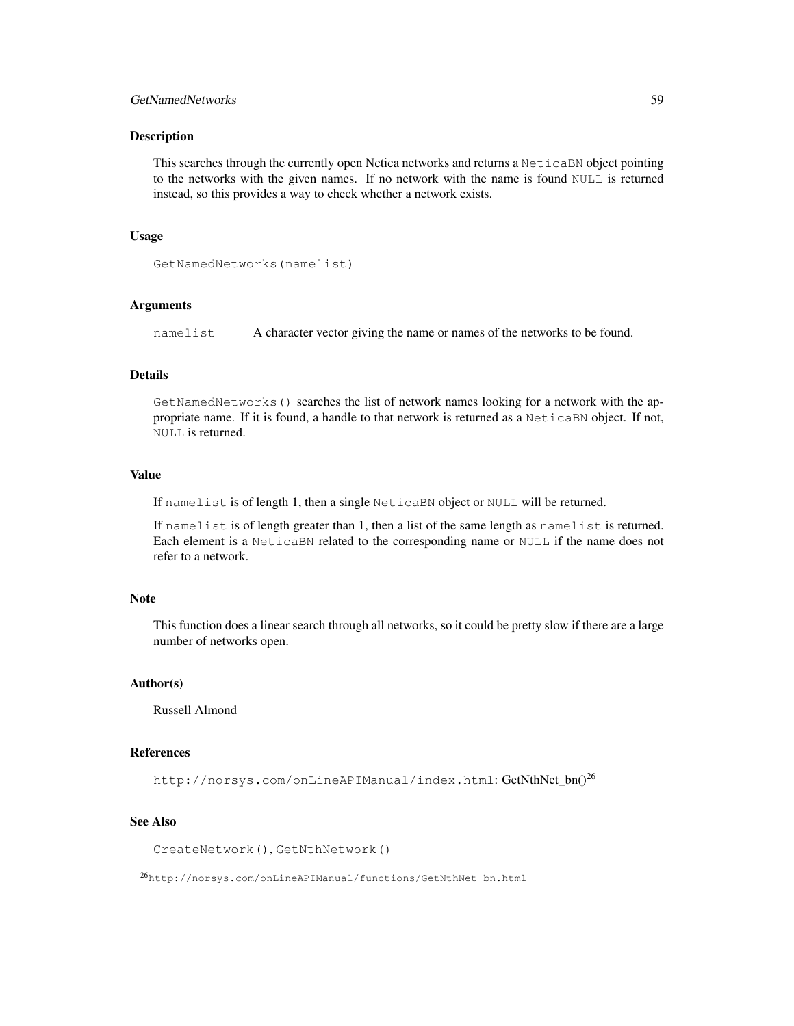# GetNamedNetworks 59

#### Description

This searches through the currently open Netica networks and returns a NeticaBN object pointing to the networks with the given names. If no network with the name is found NULL is returned instead, so this provides a way to check whether a network exists.

### Usage

```
GetNamedNetworks(namelist)
```
## Arguments

namelist A character vector giving the name or names of the networks to be found.

### Details

GetNamedNetworks() searches the list of network names looking for a network with the appropriate name. If it is found, a handle to that network is returned as a NeticaBN object. If not, NULL is returned.

#### Value

If namelist is of length 1, then a single NeticaBN object or NULL will be returned.

If namelist is of length greater than 1, then a list of the same length as namelist is returned. Each element is a NeticaBN related to the corresponding name or NULL if the name does not refer to a network.

# Note

This function does a linear search through all networks, so it could be pretty slow if there are a large number of networks open.

#### Author(s)

Russell Almond

### References

http://norsys.com/onLineAPIManual/index.html: GetNthNet\_bn()<sup>26</sup>

# See Also

CreateNetwork(), GetNthNetwork()

<sup>26</sup>http://norsys.com/onLineAPIManual/functions/GetNthNet\_bn.html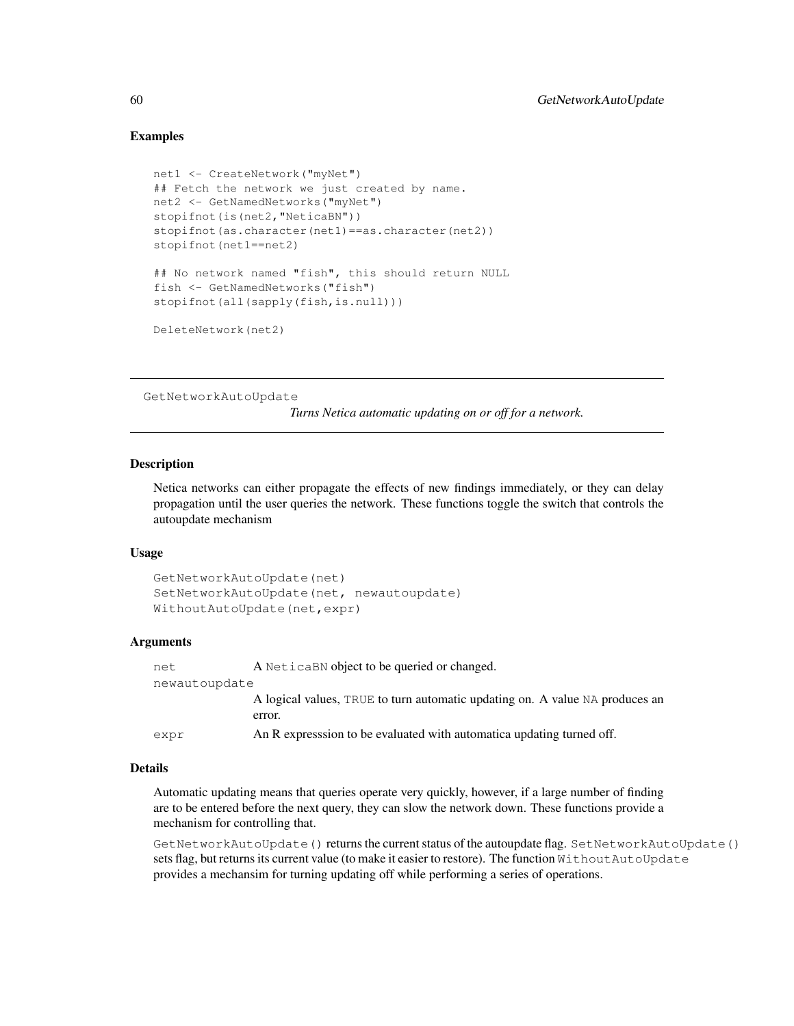## Examples

```
net1 <- CreateNetwork("myNet")
## Fetch the network we just created by name.
net2 <- GetNamedNetworks("myNet")
stopifnot(is(net2, "NeticaBN"))
stopifnot(as.character(net1)==as.character(net2))
stopifnot(net1==net2)
## No network named "fish", this should return NULL
fish <- GetNamedNetworks("fish")
stopifnot(all(sapply(fish,is.null)))
DeleteNetwork(net2)
```
GetNetworkAutoUpdate

*Turns Netica automatic updating on or off for a network.*

#### Description

Netica networks can either propagate the effects of new findings immediately, or they can delay propagation until the user queries the network. These functions toggle the switch that controls the autoupdate mechanism

#### Usage

```
GetNetworkAutoUpdate(net)
SetNetworkAutoUpdate(net, newautoupdate)
WithoutAutoUpdate(net,expr)
```
### Arguments

| net           | A Netical BN object to be queried or changed.                                |
|---------------|------------------------------------------------------------------------------|
| newautoupdate |                                                                              |
|               | A logical values, TRUE to turn automatic updating on. A value NA produces an |
|               | error.                                                                       |
| expr          | An R expression to be evaluated with automatica updating turned off.         |

# Details

Automatic updating means that queries operate very quickly, however, if a large number of finding are to be entered before the next query, they can slow the network down. These functions provide a mechanism for controlling that.

GetNetworkAutoUpdate() returns the current status of the autoupdate flag. SetNetworkAutoUpdate() sets flag, but returns its current value (to make it easier to restore). The function WithoutAutoUpdate provides a mechansim for turning updating off while performing a series of operations.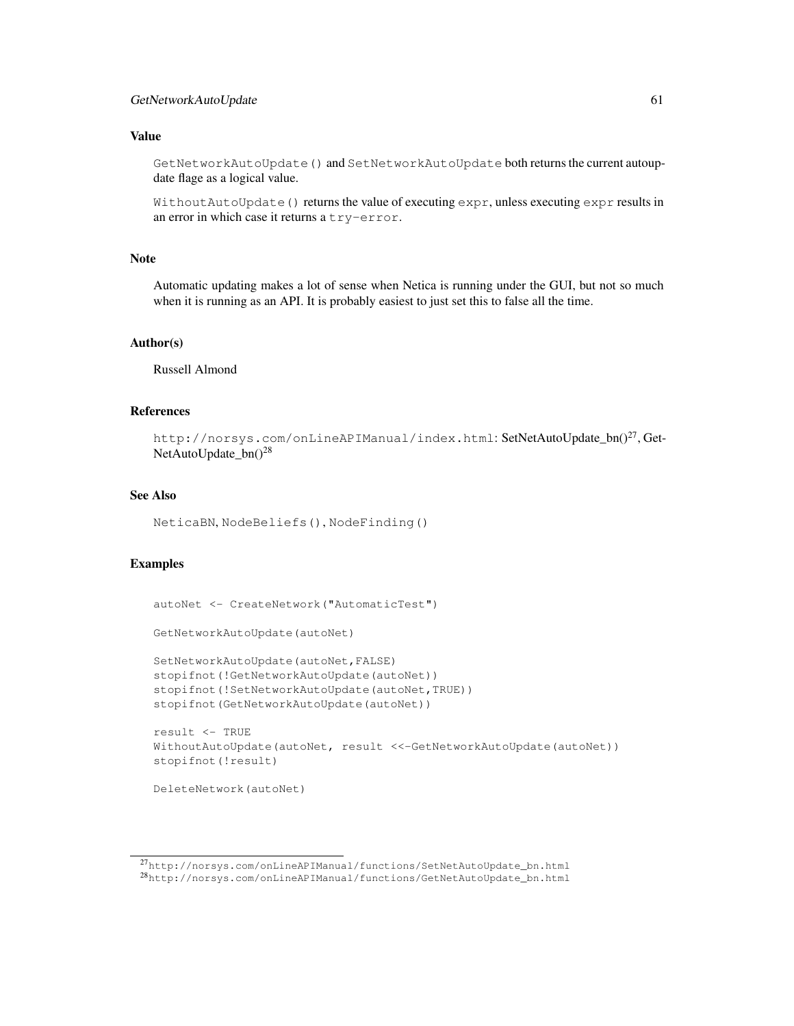## GetNetworkAutoUpdate 61

## Value

GetNetworkAutoUpdate() and SetNetworkAutoUpdate both returns the current autoupdate flage as a logical value.

WithoutAutoUpdate() returns the value of executing expr, unless executing expr results in an error in which case it returns a try-error.

# Note

Automatic updating makes a lot of sense when Netica is running under the GUI, but not so much when it is running as an API. It is probably easiest to just set this to false all the time.

# Author(s)

Russell Almond

# References

```
http://norsys.com/onLineAPIManual/index.html: SetNetAutoUpdate_bn()<sup>27</sup>, Get-
NetAutoUpdate_bn()<sup>28</sup>
```
#### See Also

NeticaBN, NodeBeliefs(), NodeFinding()

### Examples

```
autoNet <- CreateNetwork("AutomaticTest")
GetNetworkAutoUpdate(autoNet)
SetNetworkAutoUpdate(autoNet,FALSE)
stopifnot(!GetNetworkAutoUpdate(autoNet))
stopifnot(!SetNetworkAutoUpdate(autoNet,TRUE))
stopifnot(GetNetworkAutoUpdate(autoNet))
result <- TRUE
WithoutAutoUpdate(autoNet, result <<-GetNetworkAutoUpdate(autoNet))
stopifnot(!result)
DeleteNetwork(autoNet)
```
 $^{27}$ http://norsys.com/onLineAPIManual/functions/SetNetAutoUpdate\_bn.html <sup>28</sup>http://norsys.com/onLineAPIManual/functions/GetNetAutoUpdate\_bn.html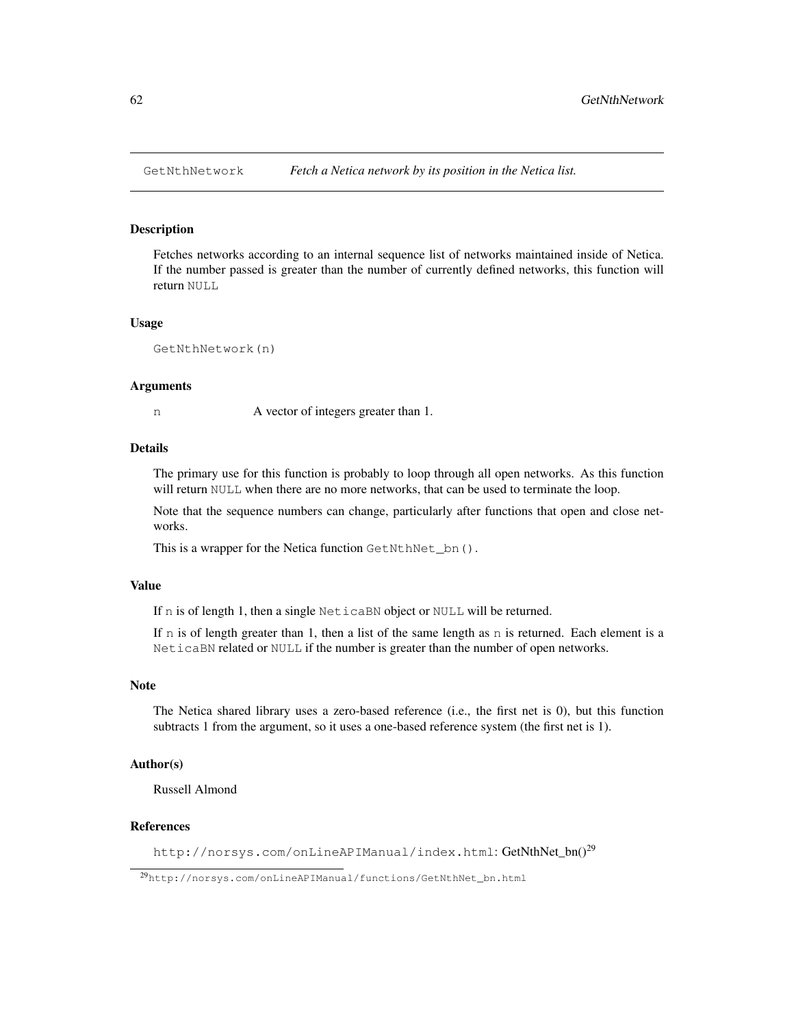### Description

Fetches networks according to an internal sequence list of networks maintained inside of Netica. If the number passed is greater than the number of currently defined networks, this function will return NULL

#### Usage

GetNthNetwork(n)

#### Arguments

n A vector of integers greater than 1.

### Details

The primary use for this function is probably to loop through all open networks. As this function will return NULL when there are no more networks, that can be used to terminate the loop.

Note that the sequence numbers can change, particularly after functions that open and close networks.

This is a wrapper for the Netica function GetNthNet\_bn().

## Value

If n is of length 1, then a single NeticaBN object or NULL will be returned.

If n is of length greater than 1, then a list of the same length as n is returned. Each element is a NeticaBN related or NULL if the number is greater than the number of open networks.

# Note

The Netica shared library uses a zero-based reference (i.e., the first net is 0), but this function subtracts 1 from the argument, so it uses a one-based reference system (the first net is 1).

## Author(s)

Russell Almond

## References

http://norsys.com/onLineAPIManual/index.html: GetNthNet bn()<sup>29</sup>

<sup>29</sup>http://norsys.com/onLineAPIManual/functions/GetNthNet\_bn.html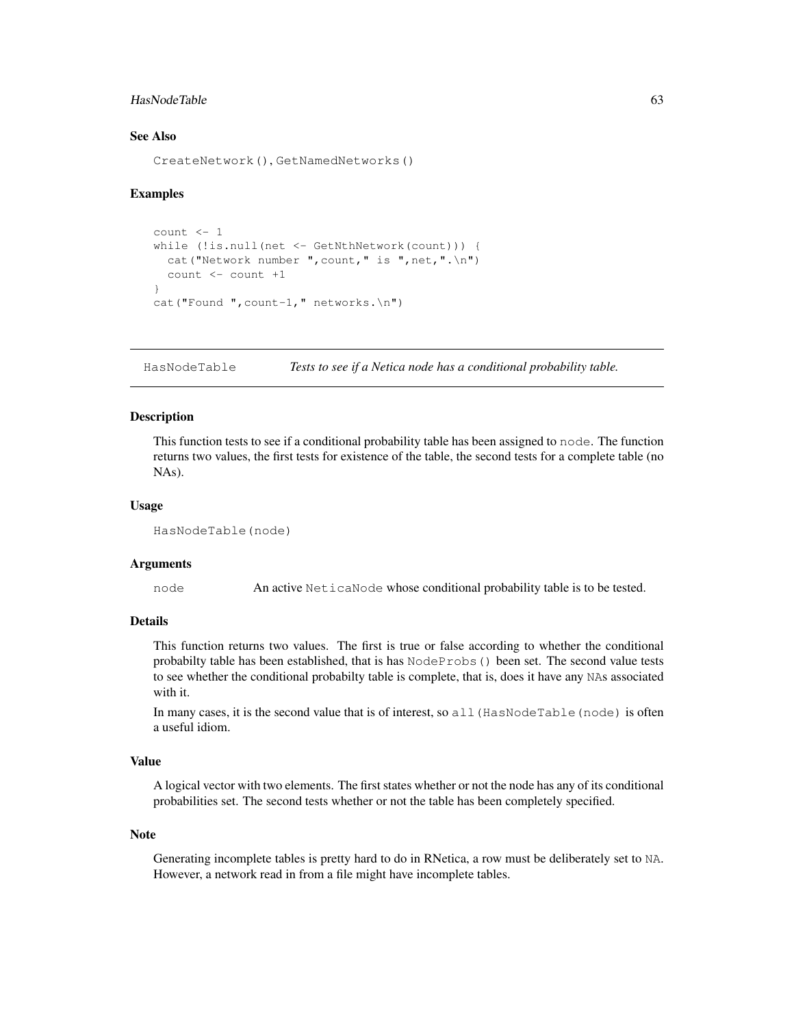# HasNodeTable 63

# See Also

CreateNetwork(), GetNamedNetworks()

### Examples

```
count <- 1
while (!is.null(net <- GetNthNetwork(count))) {
  cat("Network number ", count," is ", net,".\n \n \begin{bmatrix}\n 1 & 1 \\
 0 & 1\n \end{bmatrix}count <- count +1
}
cat("Found ", count-1," networks.\n")
```
HasNodeTable *Tests to see if a Netica node has a conditional probability table.*

## Description

This function tests to see if a conditional probability table has been assigned to node. The function returns two values, the first tests for existence of the table, the second tests for a complete table (no NAs).

#### Usage

```
HasNodeTable(node)
```
#### Arguments

node An active NeticaNode whose conditional probability table is to be tested.

#### Details

This function returns two values. The first is true or false according to whether the conditional probabilty table has been established, that is has NodeProbs() been set. The second value tests to see whether the conditional probabilty table is complete, that is, does it have any NAs associated with it.

In many cases, it is the second value that is of interest, so all (HasNodeTable(node) is often a useful idiom.

# Value

A logical vector with two elements. The first states whether or not the node has any of its conditional probabilities set. The second tests whether or not the table has been completely specified.

### **Note**

Generating incomplete tables is pretty hard to do in RNetica, a row must be deliberately set to NA. However, a network read in from a file might have incomplete tables.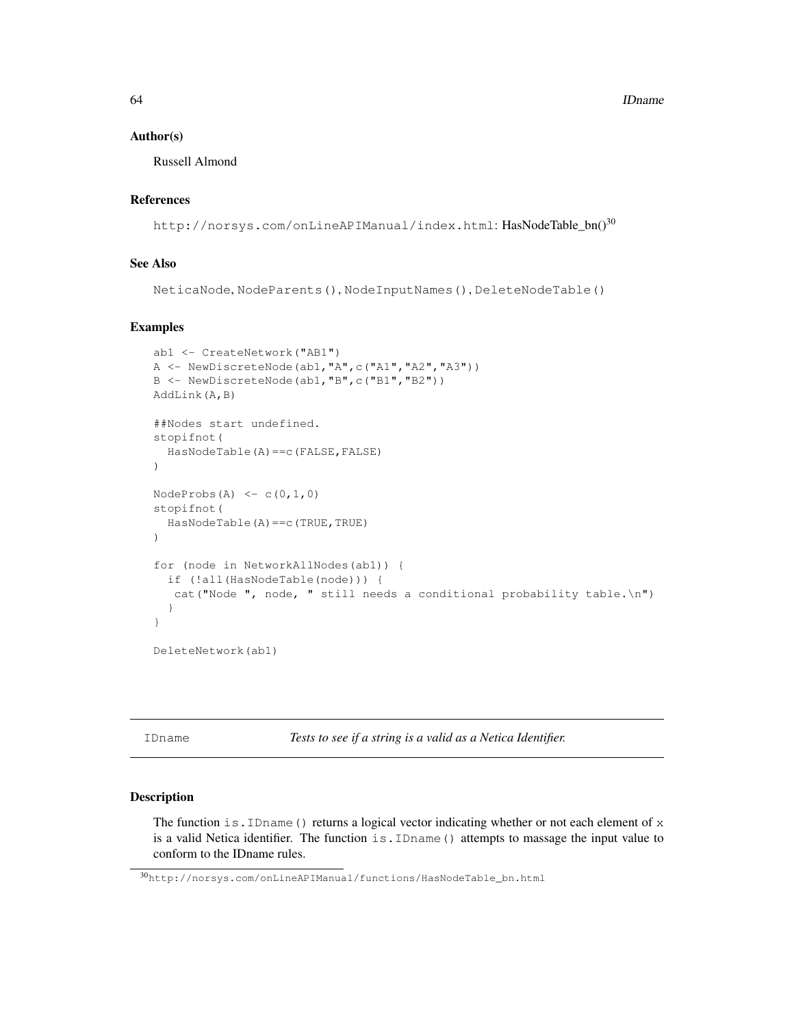64 **IDname** 

#### Author(s)

Russell Almond

# References

http://norsys.com/onLineAPIManual/index.html: HasNodeTable\_bn()<sup>30</sup>

# See Also

```
NeticaNode, NodeParents(), NodeInputNames(), DeleteNodeTable()
```
### Examples

```
ab1 <- CreateNetwork("AB1")
A \leftarrow \text{NewDiscreteNode}(\text{ab1}, \text{"A", c("A1", "A2", "A3"))B <- NewDiscreteNode(ab1,"B",c("B1","B2"))
AddLink(A,B)
##Nodes start undefined.
stopifnot(
  HasNodeTable(A)==c(FALSE,FALSE)
)
NodeProbs(A) \leq C(0,1,0)stopifnot(
  HasNodeTable(A)==c(TRUE,TRUE)
)
for (node in NetworkAllNodes(ab1)) {
  if (!all(HasNodeTable(node))) {
   cat("Node ", node, " still needs a conditional probability table.\n")
  }
}
```
DeleteNetwork(ab1)

IDname *Tests to see if a string is a valid as a Netica Identifier.*

# Description

The function is . IDname () returns a logical vector indicating whether or not each element of  $x$ is a valid Netica identifier. The function is.IDname() attempts to massage the input value to conform to the IDname rules.

<sup>30</sup>http://norsys.com/onLineAPIManual/functions/HasNodeTable\_bn.html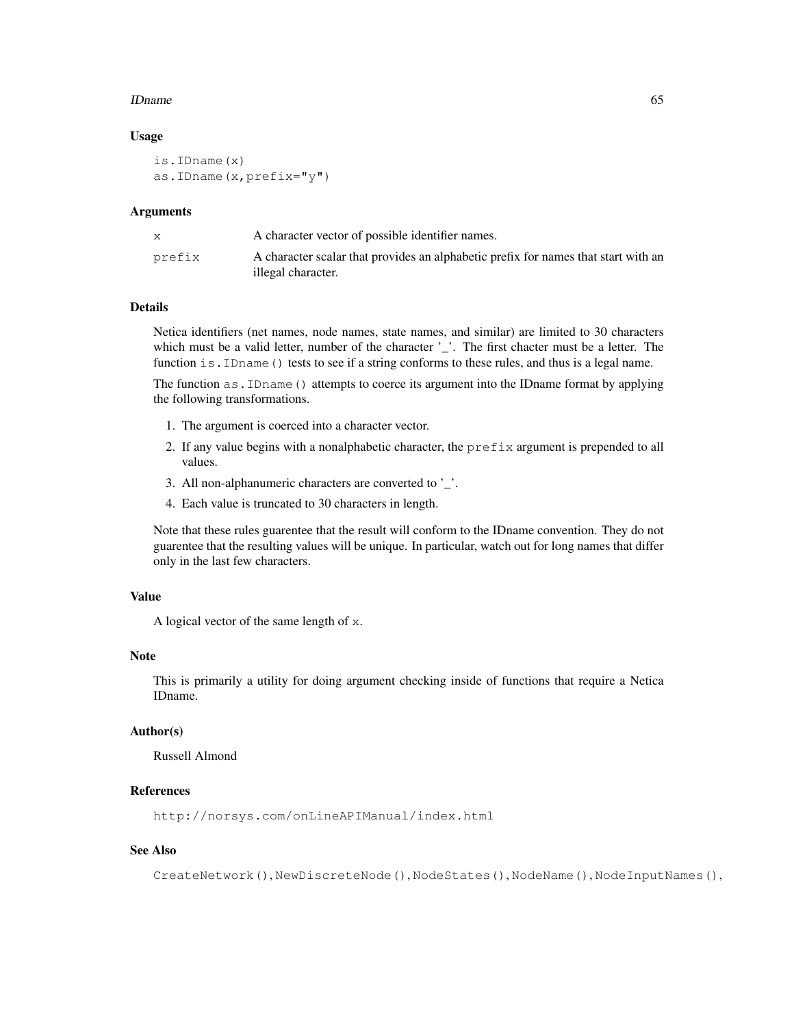#### IDname 65

#### Usage

```
is.IDname(x)
as.IDname(x,prefix="y")
```
#### Arguments

|        | A character vector of possible identifier names.                                   |
|--------|------------------------------------------------------------------------------------|
| prefix | A character scalar that provides an alphabetic prefix for names that start with an |
|        | illegal character.                                                                 |

## Details

Netica identifiers (net names, node names, state names, and similar) are limited to 30 characters which must be a valid letter, number of the character '\_'. The first chacter must be a letter. The function is. IDname () tests to see if a string conforms to these rules, and thus is a legal name.

The function as.IDname() attempts to coerce its argument into the IDname format by applying the following transformations.

- 1. The argument is coerced into a character vector.
- 2. If any value begins with a nonalphabetic character, the  $prefix$  argument is prepended to all values.
- 3. All non-alphanumeric characters are converted to '\_'.
- 4. Each value is truncated to 30 characters in length.

Note that these rules guarentee that the result will conform to the IDname convention. They do not guarentee that the resulting values will be unique. In particular, watch out for long names that differ only in the last few characters.

### Value

A logical vector of the same length of x.

#### Note

This is primarily a utility for doing argument checking inside of functions that require a Netica IDname.

#### Author(s)

Russell Almond

# References

http://norsys.com/onLineAPIManual/index.html

### See Also

CreateNetwork(), NewDiscreteNode(), NodeStates(), NodeName(), NodeInputNames(),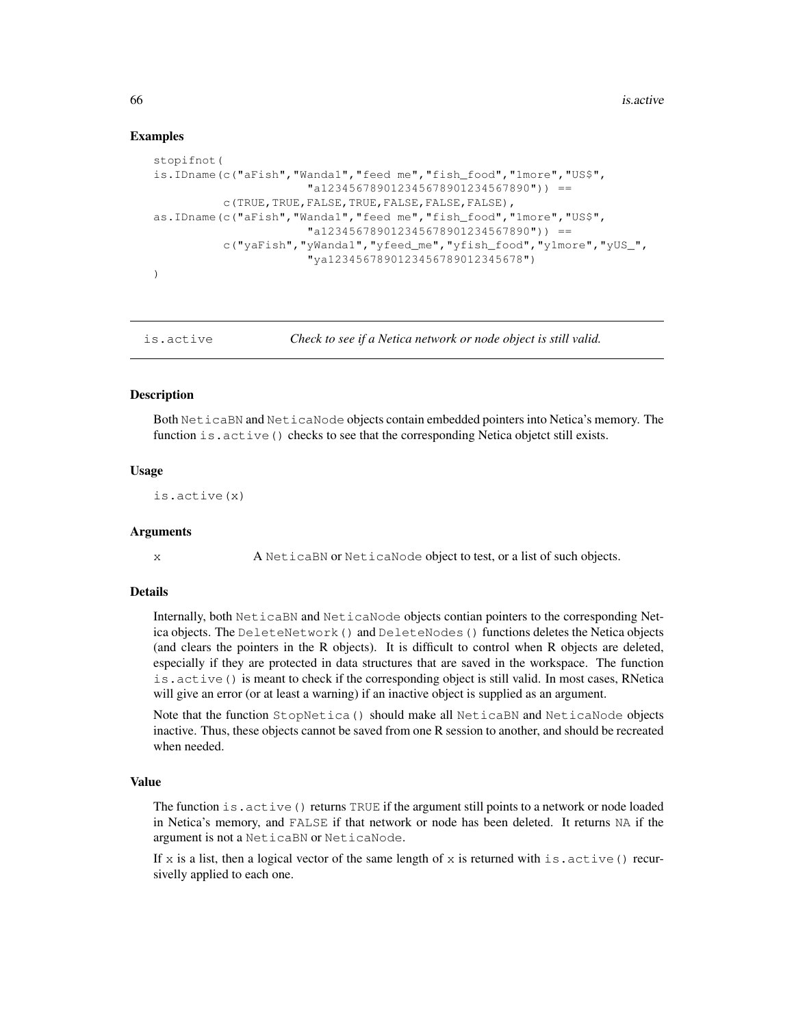## Examples

```
stopifnot(
is.IDname(c("aFish","Wanda1","feed me","fish_food","1more","US$",
                      "a123456789012345678901234567890")) ==
          c(TRUE,TRUE,FALSE,TRUE,FALSE,FALSE,FALSE),
as.IDname(c("aFish","Wanda1","feed me","fish_food","1more","US$",
                      "a123456789012345678901234567890" ) ==
          c("yaFish","yWanda1","yfeed_me","yfish_food","y1more","yUS_",
                      "ya1234567890123456789012345678")
)
```
is.active *Check to see if a Netica network or node object is still valid.*

### Description

Both NeticaBN and NeticaNode objects contain embedded pointers into Netica's memory. The function is.active() checks to see that the corresponding Netica objetct still exists.

### Usage

is.active(x)

## Arguments

x A NeticaBN or NeticaNode object to test, or a list of such objects.

# Details

Internally, both NeticaBN and NeticaNode objects contian pointers to the corresponding Netica objects. The DeleteNetwork() and DeleteNodes() functions deletes the Netica objects (and clears the pointers in the R objects). It is difficult to control when R objects are deleted, especially if they are protected in data structures that are saved in the workspace. The function is.active() is meant to check if the corresponding object is still valid. In most cases, RNetica will give an error (or at least a warning) if an inactive object is supplied as an argument.

Note that the function StopNetica() should make all NeticaBN and NeticaNode objects inactive. Thus, these objects cannot be saved from one R session to another, and should be recreated when needed.

## Value

The function is. active () returns TRUE if the argument still points to a network or node loaded in Netica's memory, and FALSE if that network or node has been deleted. It returns NA if the argument is not a NeticaBN or NeticaNode.

If x is a list, then a logical vector of the same length of x is returned with is. active () recursivelly applied to each one.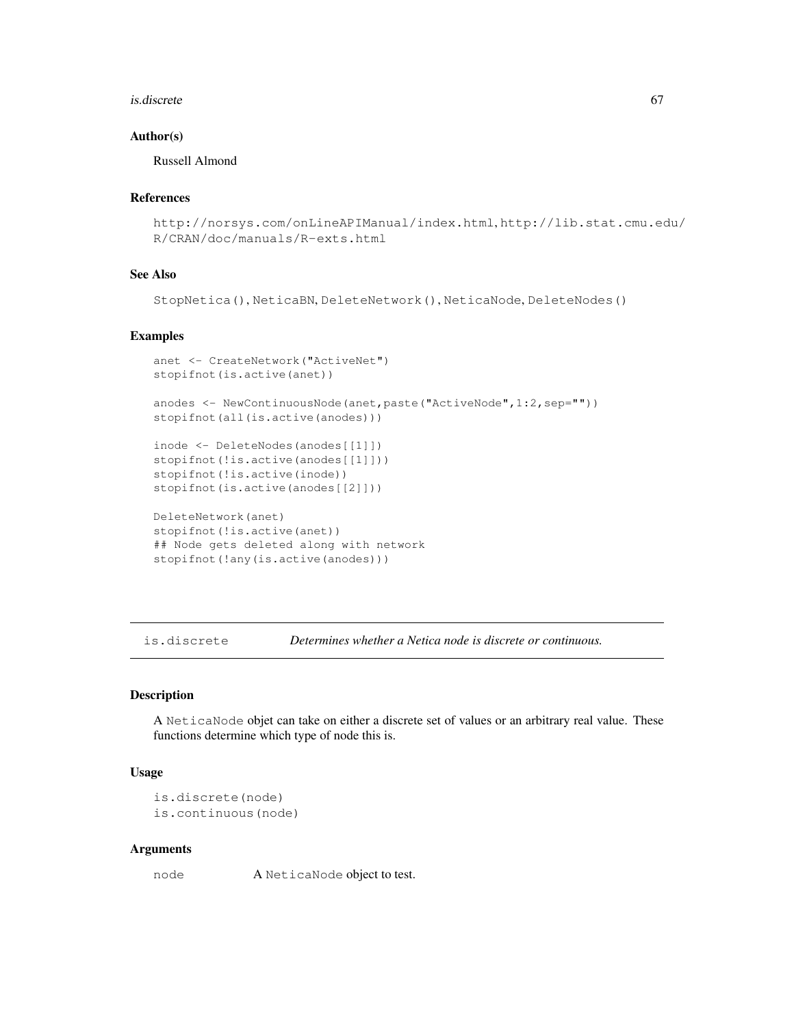#### is.discrete 67

### Author(s)

Russell Almond

### References

```
http://norsys.com/onLineAPIManual/index.html, http://lib.stat.cmu.edu/
R/CRAN/doc/manuals/R-exts.html
```
# See Also

StopNetica(), NeticaBN, DeleteNetwork(), NeticaNode, DeleteNodes()

# Examples

```
anet <- CreateNetwork("ActiveNet")
stopifnot(is.active(anet))
anodes <- NewContinuousNode(anet,paste("ActiveNode",1:2,sep=""))
stopifnot(all(is.active(anodes)))
inode <- DeleteNodes(anodes[[1]])
stopifnot(!is.active(anodes[[1]]))
stopifnot(!is.active(inode))
stopifnot(is.active(anodes[[2]]))
```

```
DeleteNetwork(anet)
stopifnot(!is.active(anet))
## Node gets deleted along with network
stopifnot(!any(is.active(anodes)))
```
is.discrete *Determines whether a Netica node is discrete or continuous.*

# Description

A NeticaNode objet can take on either a discrete set of values or an arbitrary real value. These functions determine which type of node this is.

### Usage

```
is.discrete(node)
is.continuous(node)
```
#### Arguments

node A NeticaNode object to test.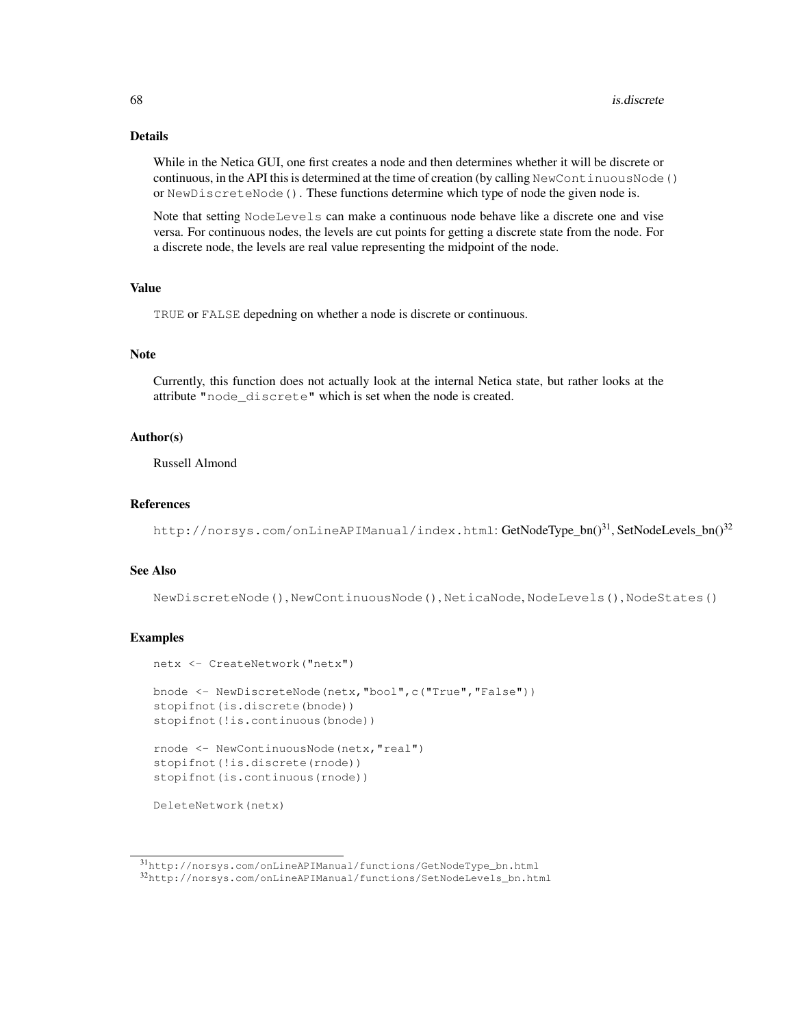# Details

While in the Netica GUI, one first creates a node and then determines whether it will be discrete or continuous, in the API this is determined at the time of creation (by calling NewContinuousNode() or NewDiscreteNode(). These functions determine which type of node the given node is.

Note that setting NodeLevels can make a continuous node behave like a discrete one and vise versa. For continuous nodes, the levels are cut points for getting a discrete state from the node. For a discrete node, the levels are real value representing the midpoint of the node.

### Value

TRUE or FALSE depedning on whether a node is discrete or continuous.

### **Note**

Currently, this function does not actually look at the internal Netica state, but rather looks at the attribute "node\_discrete" which is set when the node is created.

#### Author(s)

Russell Almond

#### References

http://norsys.com/onLineAPIManual/index.html: GetNodeType\_bn()<sup>31</sup>, SetNodeLevels\_bn()<sup>32</sup>

#### See Also

NewDiscreteNode(), NewContinuousNode(), NeticaNode, NodeLevels(), NodeStates()

#### Examples

```
netx <- CreateNetwork("netx")
bnode <- NewDiscreteNode(netx,"bool",c("True","False"))
stopifnot(is.discrete(bnode))
stopifnot(!is.continuous(bnode))
rnode <- NewContinuousNode(netx,"real")
stopifnot(!is.discrete(rnode))
stopifnot(is.continuous(rnode))
DeleteNetwork(netx)
```
<sup>31</sup>http://norsys.com/onLineAPIManual/functions/GetNodeType\_bn.html

<sup>32</sup>http://norsys.com/onLineAPIManual/functions/SetNodeLevels\_bn.html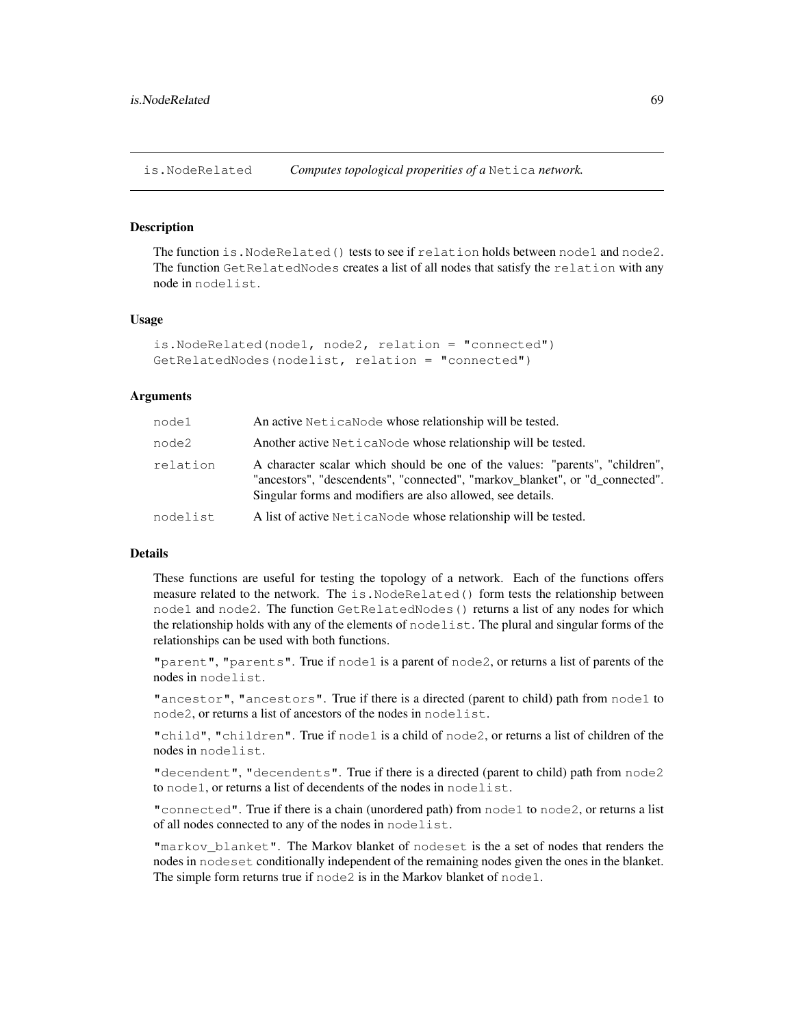is.NodeRelated *Computes topological properities of a* Netica *network.*

## **Description**

The function is. NodeRelated() tests to see if relation holds between node1 and node2. The function GetRelatedNodes creates a list of all nodes that satisfy the relation with any node in nodelist.

#### Usage

```
is.NodeRelated(node1, node2, relation = "connected")
GetRelatedNodes(nodelist, relation = "connected")
```
## Arguments

| node1    | An active NeticaNode whose relationship will be tested.                                                                                                                                                                     |
|----------|-----------------------------------------------------------------------------------------------------------------------------------------------------------------------------------------------------------------------------|
| node2    | Another active Netica Node whose relationship will be tested.                                                                                                                                                               |
| relation | A character scalar which should be one of the values: "parents", "children",<br>"ancestors", "descendents", "connected", "markov blanket", or "d connected".<br>Singular forms and modifiers are also allowed, see details. |
| nodelist | A list of active NeticaNode whose relationship will be tested.                                                                                                                                                              |

#### Details

These functions are useful for testing the topology of a network. Each of the functions offers measure related to the network. The is.NodeRelated() form tests the relationship between node1 and node2. The function GetRelatedNodes() returns a list of any nodes for which the relationship holds with any of the elements of nodelist. The plural and singular forms of the relationships can be used with both functions.

"parent", "parents". True if node1 is a parent of node2, or returns a list of parents of the nodes in nodelist.

"ancestor", "ancestors". True if there is a directed (parent to child) path from node1 to node2, or returns a list of ancestors of the nodes in nodelist.

"child", "children". True if node1 is a child of node2, or returns a list of children of the nodes in nodelist.

"decendent", "decendents". True if there is a directed (parent to child) path from node2 to node1, or returns a list of decendents of the nodes in nodelist.

"connected". True if there is a chain (unordered path) from node1 to node2, or returns a list of all nodes connected to any of the nodes in nodelist.

"markov\_blanket". The Markov blanket of nodeset is the a set of nodes that renders the nodes in nodeset conditionally independent of the remaining nodes given the ones in the blanket. The simple form returns true if node2 is in the Markov blanket of node1.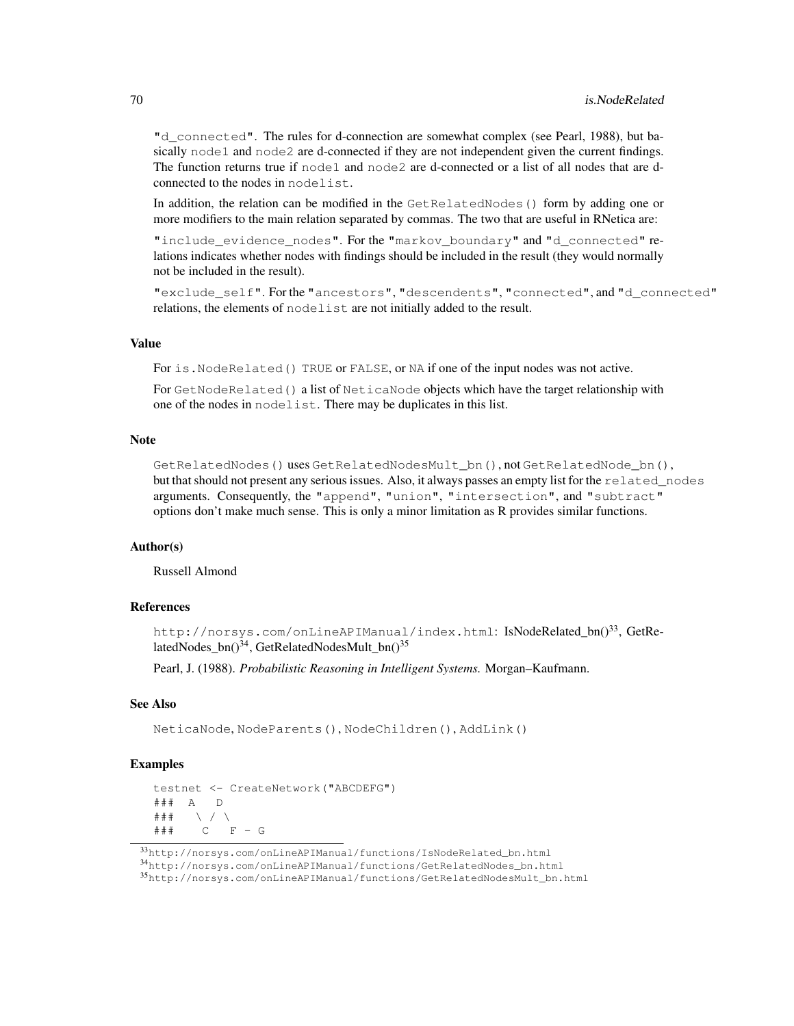"d\_connected". The rules for d-connection are somewhat complex (see Pearl, 1988), but basically  $node1$  and  $node2$  are d-connected if they are not independent given the current findings. The function returns true if node1 and node2 are d-connected or a list of all nodes that are dconnected to the nodes in nodelist.

In addition, the relation can be modified in the GetRelatedNodes() form by adding one or more modifiers to the main relation separated by commas. The two that are useful in RNetica are:

"include\_evidence\_nodes". For the "markov\_boundary" and "d\_connected" relations indicates whether nodes with findings should be included in the result (they would normally not be included in the result).

"exclude\_self". For the "ancestors", "descendents", "connected", and "d\_connected" relations, the elements of nodelist are not initially added to the result.

## Value

For is.NodeRelated() TRUE or FALSE, or NA if one of the input nodes was not active.

For GetNodeRelated() a list of NeticaNode objects which have the target relationship with one of the nodes in nodelist. There may be duplicates in this list.

### **Note**

GetRelatedNodes()usesGetRelatedNodesMult\_bn(), not GetRelatedNode\_bn(), but that should not present any serious issues. Also, it always passes an empty list for the related\_nodes arguments. Consequently, the "append", "union", "intersection", and "subtract" options don't make much sense. This is only a minor limitation as R provides similar functions.

## Author(s)

Russell Almond

# References

```
http://norsys.com/onLineAPIManual/index.html: IsNodeRelated_bn()<sup>33</sup>, GetRe-
latedNodes_bn()<sup>34</sup>, GetRelatedNodesMult_bn()<sup>35</sup>
```
Pearl, J. (1988). *Probabilistic Reasoning in Intelligent Systems.* Morgan–Kaufmann.

# See Also

NeticaNode, NodeParents(), NodeChildren(), AddLink()

## Examples

```
testnet <- CreateNetwork("ABCDEFG")
### A D
### \ / \
### C F - G
```
<sup>35</sup>http://norsys.com/onLineAPIManual/functions/GetRelatedNodesMult\_bn.html

<sup>33</sup>http://norsys.com/onLineAPIManual/functions/IsNodeRelated\_bn.html

<sup>34</sup>http://norsys.com/onLineAPIManual/functions/GetRelatedNodes\_bn.html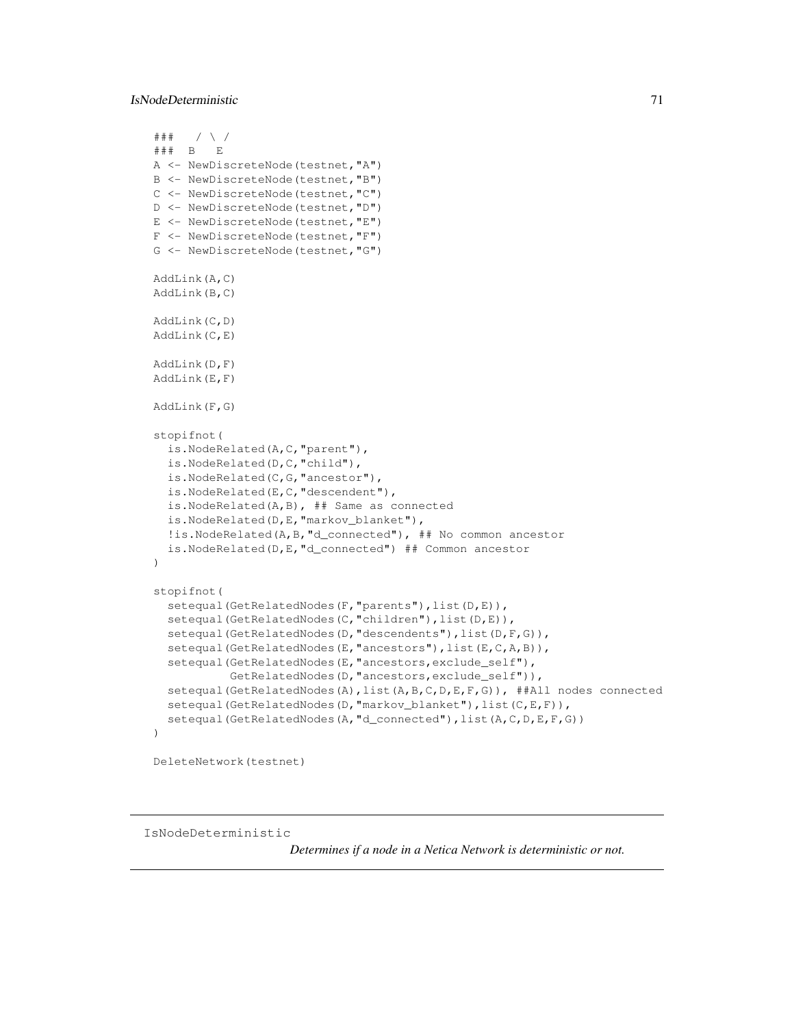## IsNodeDeterministic 71

```
### / \ /
### B E
A <- NewDiscreteNode(testnet,"A")
B <- NewDiscreteNode(testnet,"B")
C <- NewDiscreteNode(testnet,"C")
D <- NewDiscreteNode(testnet,"D")
E <- NewDiscreteNode(testnet,"E")
F <- NewDiscreteNode(testnet,"F")
G <- NewDiscreteNode(testnet,"G")
AddLink(A,C)
AddLink(B,C)
AddLink(C,D)
AddLink(C,E)
AddLink(D,F)
AddLink(E,F)
AddLink(F,G)
stopifnot(
  is.NodeRelated(A,C,"parent"),
  is.NodeRelated(D,C,"child"),
  is.NodeRelated(C,G,"ancestor"),
  is.NodeRelated(E,C,"descendent"),
  is.NodeRelated(A,B), ## Same as connected
  is.NodeRelated(D,E,"markov_blanket"),
  !is.NodeRelated(A,B,"d_connected"), ## No common ancestor
  is.NodeRelated(D,E,"d_connected") ## Common ancestor
)
stopifnot(
  setequal(GetRelatedNodes(F, "parents"), list(D,E)),
  setequal(GetRelatedNodes(C, "children"), list(D,E)),
  setequal(GetRelatedNodes(D, "descendents"), list(D, F, G)),
  setequal(GetRelatedNodes(E, "ancestors"), list(E, C, A, B)),
  setequal(GetRelatedNodes(E, "ancestors, exclude_self"),
           GetRelatedNodes(D, "ancestors, exclude_self")),
  setequal(GetRelatedNodes(A),list(A,B,C,D,E,F,G)), ##All nodes connected
  setequal(GetRelatedNodes(D, "markov_blanket"), list(C,E,F)),
  setequal(GetRelatedNodes(A, "d_connected"), list(A, C, D, E, F, G))
)
```
DeleteNetwork(testnet)

IsNodeDeterministic

*Determines if a node in a Netica Network is deterministic or not.*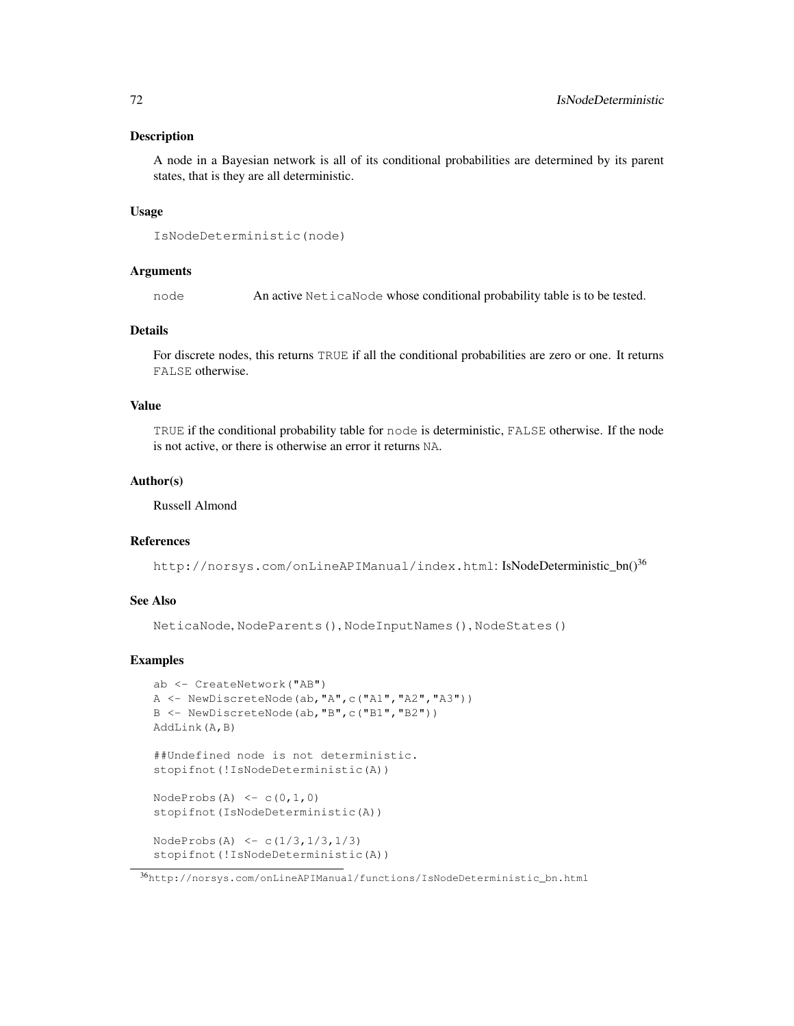### Description

A node in a Bayesian network is all of its conditional probabilities are determined by its parent states, that is they are all deterministic.

### Usage

```
IsNodeDeterministic(node)
```
# Arguments

node An active NeticaNode whose conditional probability table is to be tested.

## Details

For discrete nodes, this returns TRUE if all the conditional probabilities are zero or one. It returns FALSE otherwise.

## Value

TRUE if the conditional probability table for node is deterministic, FALSE otherwise. If the node is not active, or there is otherwise an error it returns NA.

## Author(s)

Russell Almond

# References

http://norsys.com/onLineAPIManual/index.html: IsNodeDeterministic\_bn()<sup>36</sup>

#### See Also

NeticaNode, NodeParents(), NodeInputNames(), NodeStates()

## Examples

```
ab <- CreateNetwork("AB")
A \leq NewDiscreteNode(ab, "A", c("A1", "A2", "A3"))
B <- NewDiscreteNode(ab,"B",c("B1","B2"))
AddLink(A,B)
##Undefined node is not deterministic.
stopifnot(!IsNodeDeterministic(A))
NodeProbs(A) \leq c(0,1,0)stopifnot(IsNodeDeterministic(A))
NodeProbs(A) \leftarrow c(1/3,1/3,1/3)stopifnot(!IsNodeDeterministic(A))
```
<sup>36</sup>http://norsys.com/onLineAPIManual/functions/IsNodeDeterministic\_bn.html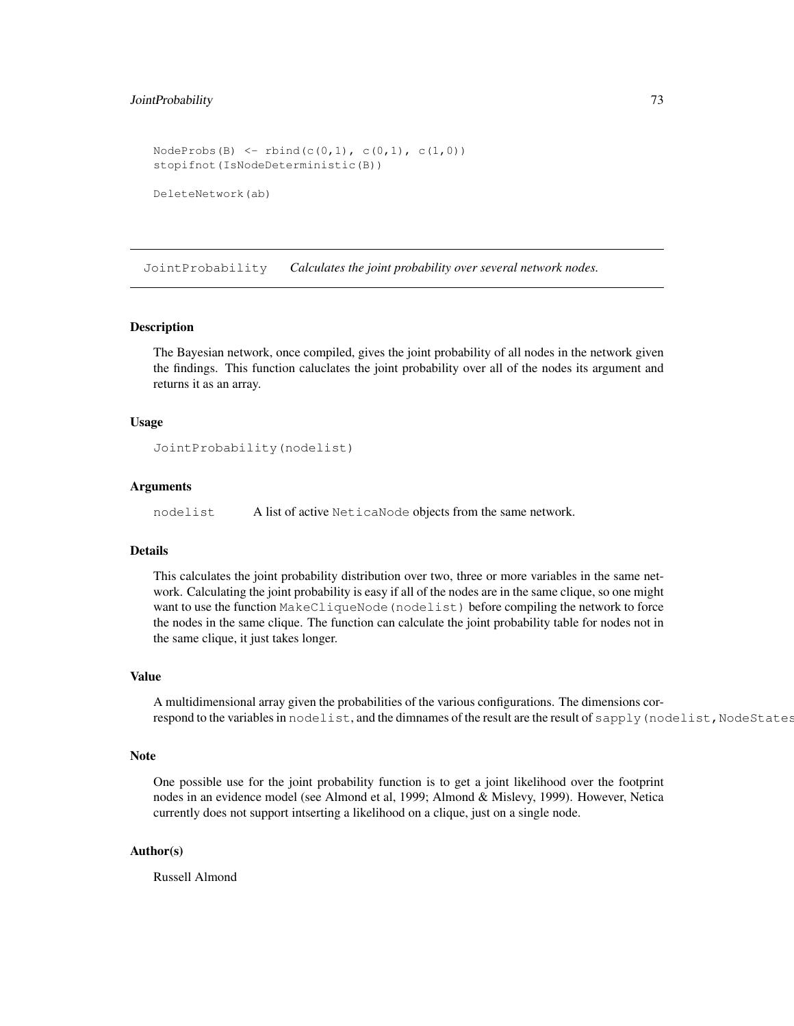# JointProbability 73

```
NodeProbs(B) <- rbind(c(0,1), c(0,1), c(1,0))
stopifnot(IsNodeDeterministic(B))
DeleteNetwork(ab)
```
JointProbability *Calculates the joint probability over several network nodes.*

#### Description

The Bayesian network, once compiled, gives the joint probability of all nodes in the network given the findings. This function caluclates the joint probability over all of the nodes its argument and returns it as an array.

## Usage

```
JointProbability(nodelist)
```
## **Arguments**

nodelist A list of active NeticaNode objects from the same network.

#### Details

This calculates the joint probability distribution over two, three or more variables in the same network. Calculating the joint probability is easy if all of the nodes are in the same clique, so one might want to use the function MakeCliqueNode(nodelist) before compiling the network to force the nodes in the same clique. The function can calculate the joint probability table for nodes not in the same clique, it just takes longer.

## Value

A multidimensional array given the probabilities of the various configurations. The dimensions correspond to the variables in nodelist, and the dimnames of the result are the result of sapply (nodelist, NodeStates

#### Note

One possible use for the joint probability function is to get a joint likelihood over the footprint nodes in an evidence model (see Almond et al, 1999; Almond & Mislevy, 1999). However, Netica currently does not support intserting a likelihood on a clique, just on a single node.

## Author(s)

Russell Almond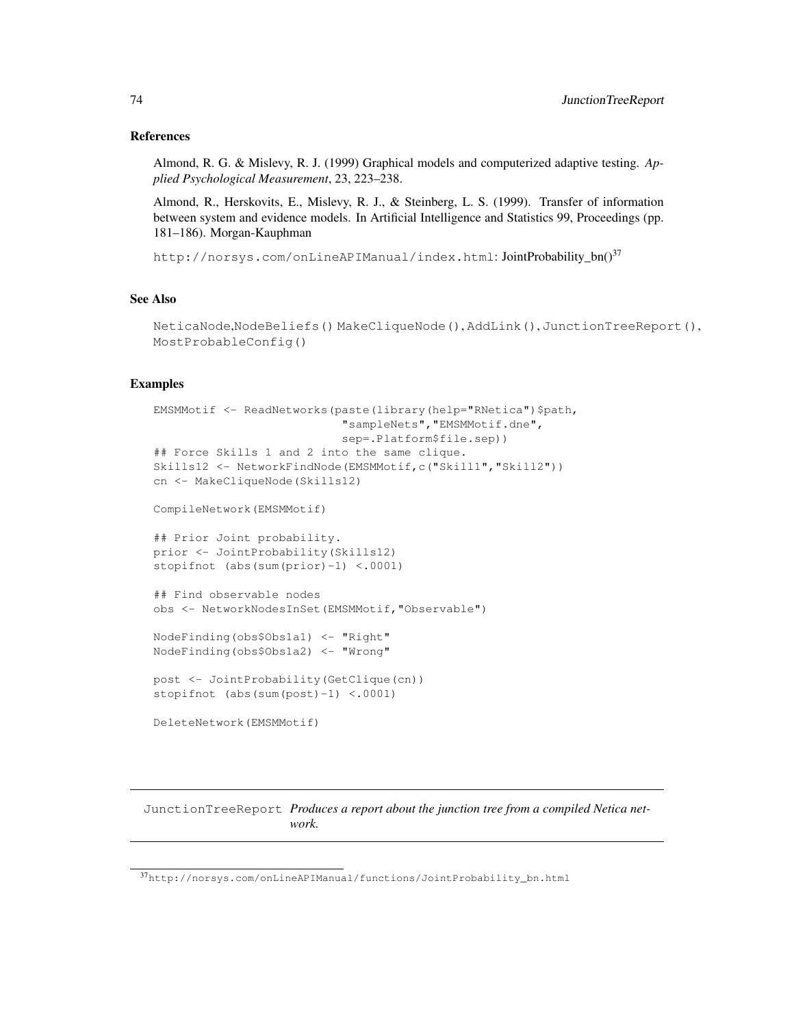## References

Almond, R. G. & Mislevy, R. J. (1999) Graphical models and computerized adaptive testing. *Applied Psychological Measurement*, 23, 223–238.

Almond, R., Herskovits, E., Mislevy, R. J., & Steinberg, L. S. (1999). Transfer of information between system and evidence models. In Artificial Intelligence and Statistics 99, Proceedings (pp. 181–186). Morgan-Kauphman

http://norsys.com/onLineAPIManual/index.html:JointProbability\_bn()<sup>37</sup>

# See Also

```
NeticaNode,NodeBeliefs() MakeCliqueNode(), AddLink(), JunctionTreeReport(),
MostProbableConfig()
```
# Examples

```
EMSMMotif <- ReadNetworks(paste(library(help="RNetica")$path,
                           "sampleNets","EMSMMotif.dne",
                           sep=.Platform$file.sep))
## Force Skills 1 and 2 into the same clique.
Skills12 <- NetworkFindNode(EMSMMotif,c("Skill1","Skill2"))
cn <- MakeCliqueNode(Skills12)
CompileNetwork(EMSMMotif)
## Prior Joint probability.
prior <- JointProbability(Skills12)
stopifnot (abs(sum(prior)-1) <.0001)
## Find observable nodes
obs <- NetworkNodesInSet(EMSMMotif,"Observable")
NodeFinding(obs$Obs1a1) <- "Right"
NodeFinding(obs$Obs1a2) <- "Wrong"
post <- JointProbability(GetClique(cn))
stopifnot (abs(sum(post)-1) <.0001)
DeleteNetwork(EMSMMotif)
```
JunctionTreeReport *Produces a report about the junction tree from a compiled Netica network.*

<sup>37</sup>http://norsys.com/onLineAPIManual/functions/JointProbability\_bn.html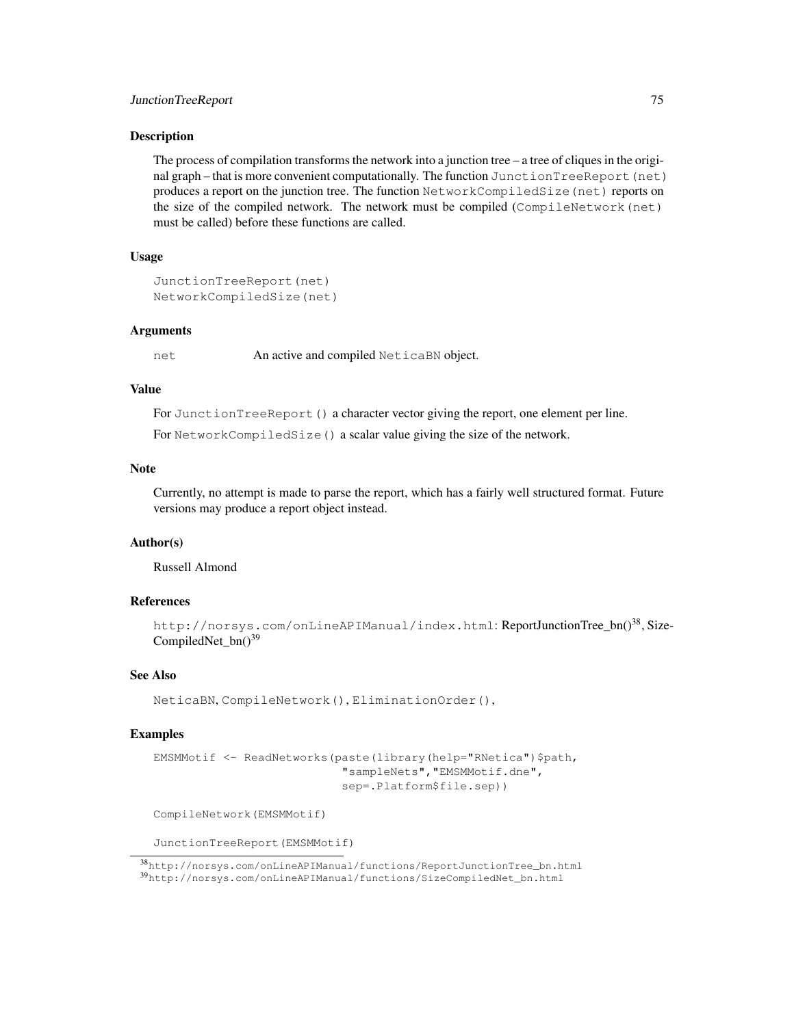#### JunctionTreeReport 75

## **Description**

The process of compilation transforms the network into a junction tree  $-$  a tree of cliques in the original graph – that is more convenient computationally. The function JunctionTreeReport(net) produces a report on the junction tree. The function NetworkCompiledSize(net) reports on the size of the compiled network. The network must be compiled (CompileNetwork(net) must be called) before these functions are called.

# Usage

```
JunctionTreeReport(net)
NetworkCompiledSize(net)
```
#### Arguments

net An active and compiled NeticaBN object.

#### Value

For JunctionTreeReport() a character vector giving the report, one element per line.

For NetworkCompiledSize() a scalar value giving the size of the network.

# **Note**

Currently, no attempt is made to parse the report, which has a fairly well structured format. Future versions may produce a report object instead.

# Author(s)

Russell Almond

## References

```
http://norsys.com/onLineAPIManual/index.html: ReportJunctionTree_bn()<sup>38</sup>, Size-
CompiledNet_bn()<sup>39</sup>
```
## See Also

NeticaBN, CompileNetwork(), EliminationOrder(),

## Examples

```
EMSMMotif <- ReadNetworks(paste(library(help="RNetica")$path,
                           "sampleNets","EMSMMotif.dne",
                           sep=.Platform$file.sep))
```
CompileNetwork(EMSMMotif)

JunctionTreeReport(EMSMMotif)

<sup>38</sup>http://norsys.com/onLineAPIManual/functions/ReportJunctionTree\_bn.html <sup>39</sup>http://norsys.com/onLineAPIManual/functions/SizeCompiledNet\_bn.html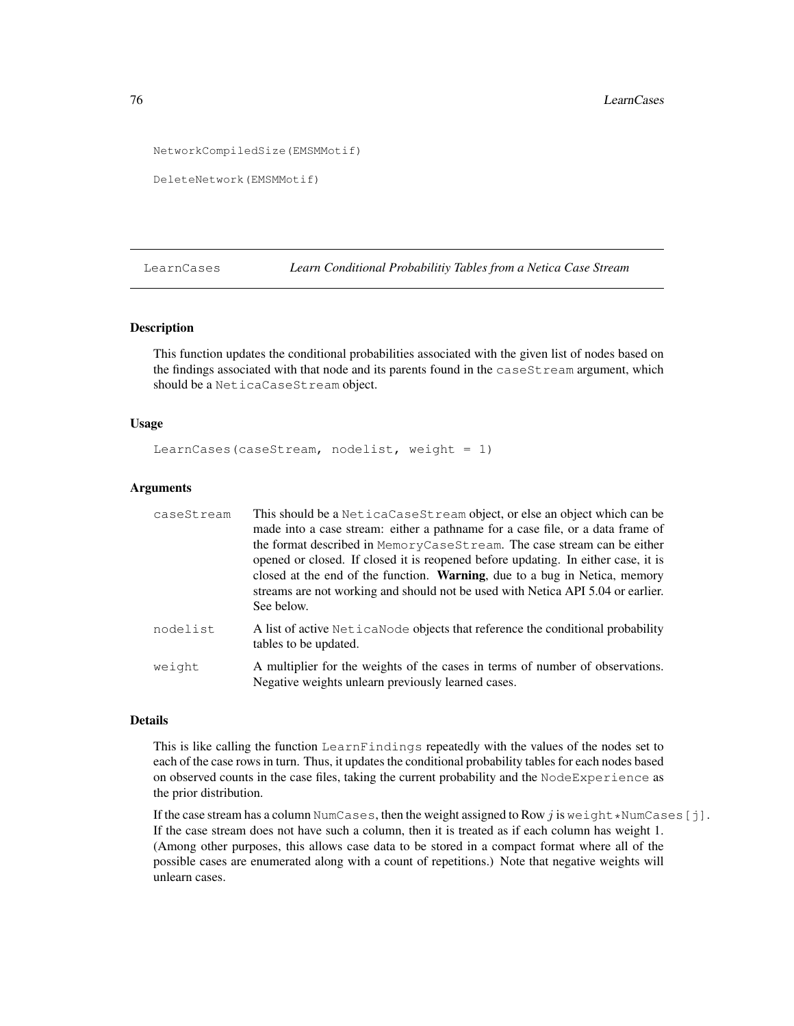```
NetworkCompiledSize(EMSMMotif)
```

```
DeleteNetwork(EMSMMotif)
```
LearnCases *Learn Conditional Probabilitiy Tables from a Netica Case Stream*

#### Description

This function updates the conditional probabilities associated with the given list of nodes based on the findings associated with that node and its parents found in the caseStream argument, which should be a NeticaCaseStream object.

## Usage

LearnCases(caseStream, nodelist, weight =  $1$ )

#### **Arguments**

| caseStream | This should be a NeticaCaseStream object, or else an object which can be<br>made into a case stream: either a pathname for a case file, or a data frame of<br>the format described in MemoryCaseStream. The case stream can be either<br>opened or closed. If closed it is reopened before updating. In either case, it is<br>closed at the end of the function. <b>Warning</b> , due to a bug in Netica, memory<br>streams are not working and should not be used with Netica API 5.04 or earlier.<br>See below. |
|------------|-------------------------------------------------------------------------------------------------------------------------------------------------------------------------------------------------------------------------------------------------------------------------------------------------------------------------------------------------------------------------------------------------------------------------------------------------------------------------------------------------------------------|
| nodelist   | A list of active Netical Node objects that reference the conditional probability<br>tables to be updated.                                                                                                                                                                                                                                                                                                                                                                                                         |
| weight     | A multiplier for the weights of the cases in terms of number of observations.<br>Negative weights unlearn previously learned cases.                                                                                                                                                                                                                                                                                                                                                                               |

# Details

This is like calling the function LearnFindings repeatedly with the values of the nodes set to each of the case rows in turn. Thus, it updates the conditional probability tables for each nodes based on observed counts in the case files, taking the current probability and the NodeExperience as the prior distribution.

If the case stream has a column NumCases, then the weight assigned to Row  $j$  is weight  $\star$ NumCases [j]. If the case stream does not have such a column, then it is treated as if each column has weight 1. (Among other purposes, this allows case data to be stored in a compact format where all of the possible cases are enumerated along with a count of repetitions.) Note that negative weights will unlearn cases.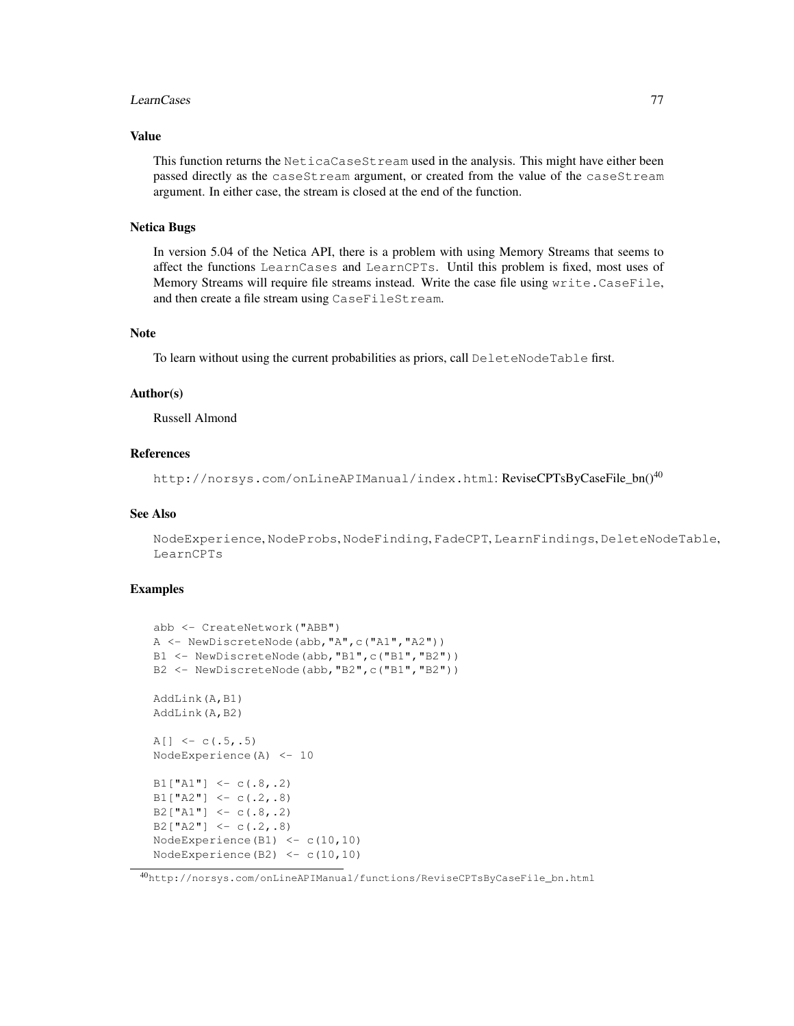#### LearnCases 77

## Value

This function returns the NeticaCaseStream used in the analysis. This might have either been passed directly as the caseStream argument, or created from the value of the caseStream argument. In either case, the stream is closed at the end of the function.

## Netica Bugs

In version 5.04 of the Netica API, there is a problem with using Memory Streams that seems to affect the functions LearnCases and LearnCPTs. Until this problem is fixed, most uses of Memory Streams will require file streams instead. Write the case file using write.CaseFile, and then create a file stream using CaseFileStream.

# Note

To learn without using the current probabilities as priors, call DeleteNodeTable first.

# Author(s)

Russell Almond

## References

http://norsys.com/onLineAPIManual/index.html: ReviseCPTsByCaseFile\_bn()<sup>40</sup>

#### See Also

NodeExperience, NodeProbs, NodeFinding, FadeCPT, LearnFindings, DeleteNodeTable, LearnCPTs

```
abb <- CreateNetwork("ABB")
A <- NewDiscreteNode(abb,"A",c("A1","A2"))
B1 <- NewDiscreteNode(abb, "B1", c("B1", "B2"))
B2 <- NewDiscreteNode(abb, "B2", c("B1", "B2"))
AddLink(A,B1)
AddLink(A,B2)
A[] <- c(.5,.5)
NodeExperience(A) <- 10
B1["A1"] <- c(.8,.2)
B1["A2"] <- c(.2,.8)
B2["A1"] <- c(.8,.2)
B2["A2"] <- c(.2,.8)
NodeExperience(B1) <- c(10,10)
NodeExperience(B2) \leq c(10,10)
```
<sup>40</sup>http://norsys.com/onLineAPIManual/functions/ReviseCPTsByCaseFile\_bn.html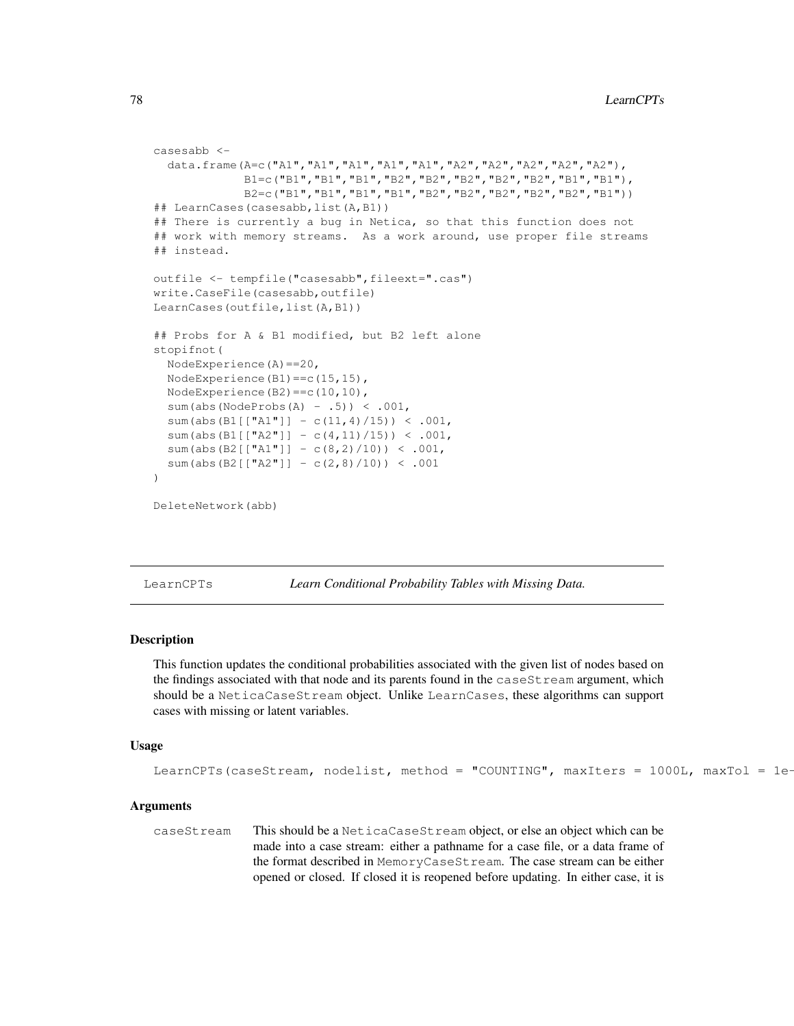```
casesabb <-
  data.frame(A=c("A1","A1","A1","A1","A1","A2","A2","A2","A2","A2"),
             B1=c("B1","B1","B1","B2","B2","B2","B2","B2","B1","B1"),
             B2=c("B1","B1","B1","B1","B2","B2","B2","B2","B2","B1"))
## LearnCases(casesabb,list(A,B1))
## There is currently a bug in Netica, so that this function does not
## work with memory streams. As a work around, use proper file streams
## instead.
outfile <- tempfile("casesabb",fileext=".cas")
write.CaseFile(casesabb,outfile)
LearnCases(outfile, list(A, B1))
## Probs for A & B1 modified, but B2 left alone
stopifnot(
  NodeExperience(A)==20,
  NodeExperience(B1)==c(15,15),
  NodeExperience(B2) == c(10,10),
  sum(abs(NodeProbs(A) - .5)) < .001,
  sum(abs(B1[["A1"]] - c(11,4)/15)) < .001,
  sum(abs(B1[["A2"]] - c(4,11)/15)) < .001,
  sum(abs(B2[["A1"]] - c(8,2)/10)) < .001,
  sum(abs(B2[["A2"]] - c(2,8)/10)) < .001
)
DeleteNetwork(abb)
```
LearnCPTs *Learn Conditional Probability Tables with Missing Data.*

# Description

This function updates the conditional probabilities associated with the given list of nodes based on the findings associated with that node and its parents found in the caseStream argument, which should be a NeticaCaseStream object. Unlike LearnCases, these algorithms can support cases with missing or latent variables.

#### Usage

```
LearnCPTs(caseStream, nodelist, method = "COUNTING", maxIters = 1000L, maxTol = 1e-
```
## Arguments

caseStream This should be a NeticaCaseStream object, or else an object which can be made into a case stream: either a pathname for a case file, or a data frame of the format described in MemoryCaseStream. The case stream can be either opened or closed. If closed it is reopened before updating. In either case, it is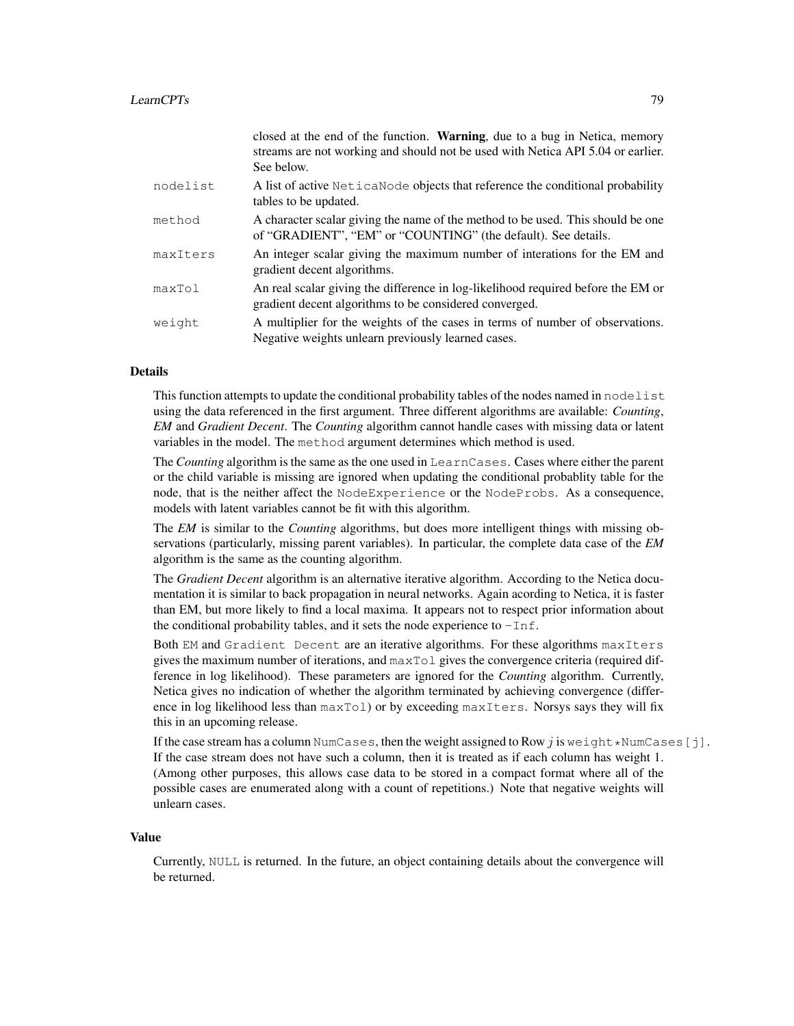|          | closed at the end of the function. Warning, due to a bug in Netica, memory<br>streams are not working and should not be used with Netica API 5.04 or earlier.<br>See below. |
|----------|-----------------------------------------------------------------------------------------------------------------------------------------------------------------------------|
| nodelist | A list of active NeticaNode objects that reference the conditional probability<br>tables to be updated.                                                                     |
| method   | A character scalar giving the name of the method to be used. This should be one<br>of "GRADIENT", "EM" or "COUNTING" (the default). See details.                            |
| maxIters | An integer scalar giving the maximum number of interations for the EM and<br>gradient decent algorithms.                                                                    |
| maxTol   | An real scalar giving the difference in log-likelihood required before the EM or<br>gradient decent algorithms to be considered converged.                                  |
| weight   | A multiplier for the weights of the cases in terms of number of observations.<br>Negative weights unlearn previously learned cases.                                         |

# Details

This function attempts to update the conditional probability tables of the nodes named in nodelist using the data referenced in the first argument. Three different algorithms are available: *Counting*, *EM* and *Gradient Decent*. The *Counting* algorithm cannot handle cases with missing data or latent variables in the model. The method argument determines which method is used.

The *Counting* algorithm is the same as the one used in LearnCases. Cases where either the parent or the child variable is missing are ignored when updating the conditional probablity table for the node, that is the neither affect the NodeExperience or the NodeProbs. As a consequence, models with latent variables cannot be fit with this algorithm.

The *EM* is similar to the *Counting* algorithms, but does more intelligent things with missing observations (particularly, missing parent variables). In particular, the complete data case of the *EM* algorithm is the same as the counting algorithm.

The *Gradient Decent* algorithm is an alternative iterative algorithm. According to the Netica documentation it is similar to back propagation in neural networks. Again acording to Netica, it is faster than EM, but more likely to find a local maxima. It appears not to respect prior information about the conditional probability tables, and it sets the node experience to  $-Inf.$ 

Both EM and Gradient Decent are an iterative algorithms. For these algorithms maxIters gives the maximum number of iterations, and maxTol gives the convergence criteria (required difference in log likelihood). These parameters are ignored for the *Counting* algorithm. Currently, Netica gives no indication of whether the algorithm terminated by achieving convergence (difference in log likelihood less than  $maxTO1$ ) or by exceeding maxIters. Norsys says they will fix this in an upcoming release.

If the case stream has a column NumCases, then the weight assigned to Row  $j$  is we ight \*NumCases [j]. If the case stream does not have such a column, then it is treated as if each column has weight 1. (Among other purposes, this allows case data to be stored in a compact format where all of the possible cases are enumerated along with a count of repetitions.) Note that negative weights will unlearn cases.

#### Value

Currently, NULL is returned. In the future, an object containing details about the convergence will be returned.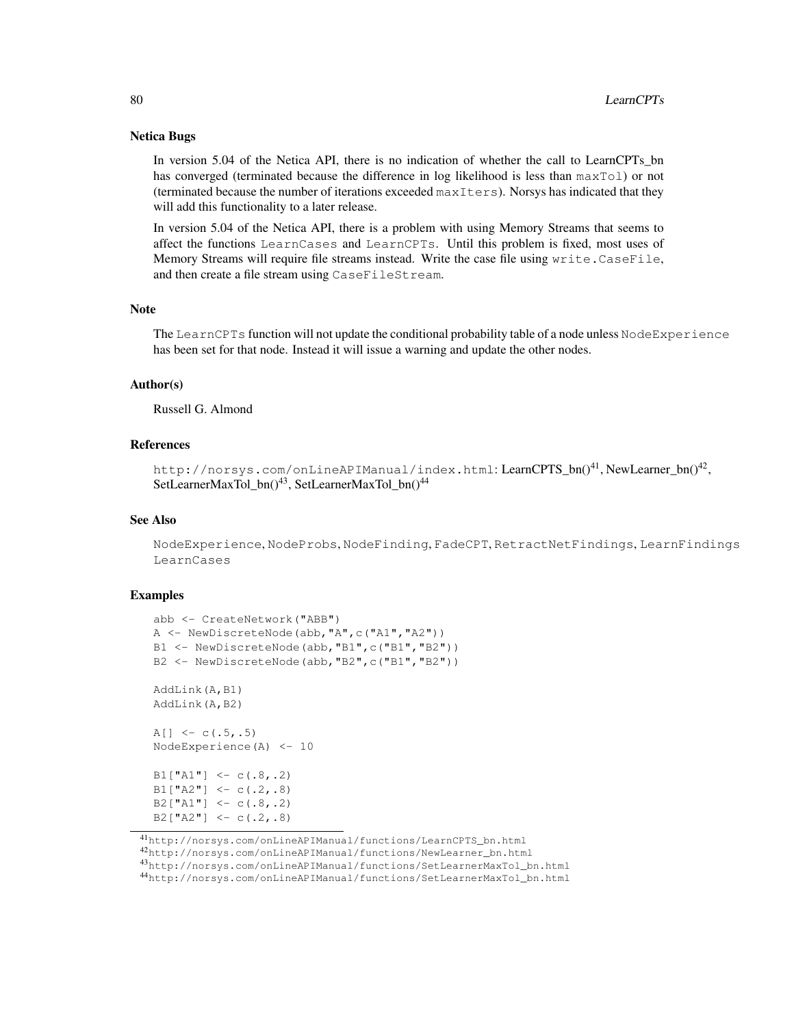## Netica Bugs

In version 5.04 of the Netica API, there is no indication of whether the call to LearnCPTs\_bn has converged (terminated because the difference in log likelihood is less than  $maxTol$ ) or not (terminated because the number of iterations exceeded maxIters). Norsys has indicated that they will add this functionality to a later release.

In version 5.04 of the Netica API, there is a problem with using Memory Streams that seems to affect the functions LearnCases and LearnCPTs. Until this problem is fixed, most uses of Memory Streams will require file streams instead. Write the case file using write.CaseFile, and then create a file stream using CaseFileStream.

## Note

The LearnCPTs function will not update the conditional probability table of a node unless NodeExperience has been set for that node. Instead it will issue a warning and update the other nodes.

#### Author(s)

Russell G. Almond

## References

http://norsys.com/onLineAPIManual/index.html:LearnCPTS\_bn()<sup>41</sup>,NewLearner\_bn()<sup>42</sup>, SetLearnerMaxTol\_bn()<sup>43</sup>, SetLearnerMaxTol\_bn()<sup>44</sup>

## See Also

NodeExperience, NodeProbs, NodeFinding, FadeCPT, RetractNetFindings, LearnFindings LearnCases

## Examples

```
abb <- CreateNetwork("ABB")
A <- NewDiscreteNode(abb,"A",c("A1","A2"))
B1 <- NewDiscreteNode(abb, "B1", c("B1", "B2"))
B2 <- NewDiscreteNode(abb, "B2",c("B1", "B2"))
AddLink(A,B1)
AddLink(A,B2)
A[] \leftarrow c(.5,.5)NodeExperience(A) <- 10
B1['A1"] \leftarrow c(.8,.2)B1['A2"] \leftarrow c(.2,.8)B2["A1"] <- c(.8,.2)
B2["A2"] <- c(.2,.8)
```
<sup>41</sup>http://norsys.com/onLineAPIManual/functions/LearnCPTS\_bn.html

<sup>42</sup>http://norsys.com/onLineAPIManual/functions/NewLearner\_bn.html

<sup>43</sup>http://norsys.com/onLineAPIManual/functions/SetLearnerMaxTol\_bn.html

<sup>44</sup>http://norsys.com/onLineAPIManual/functions/SetLearnerMaxTol\_bn.html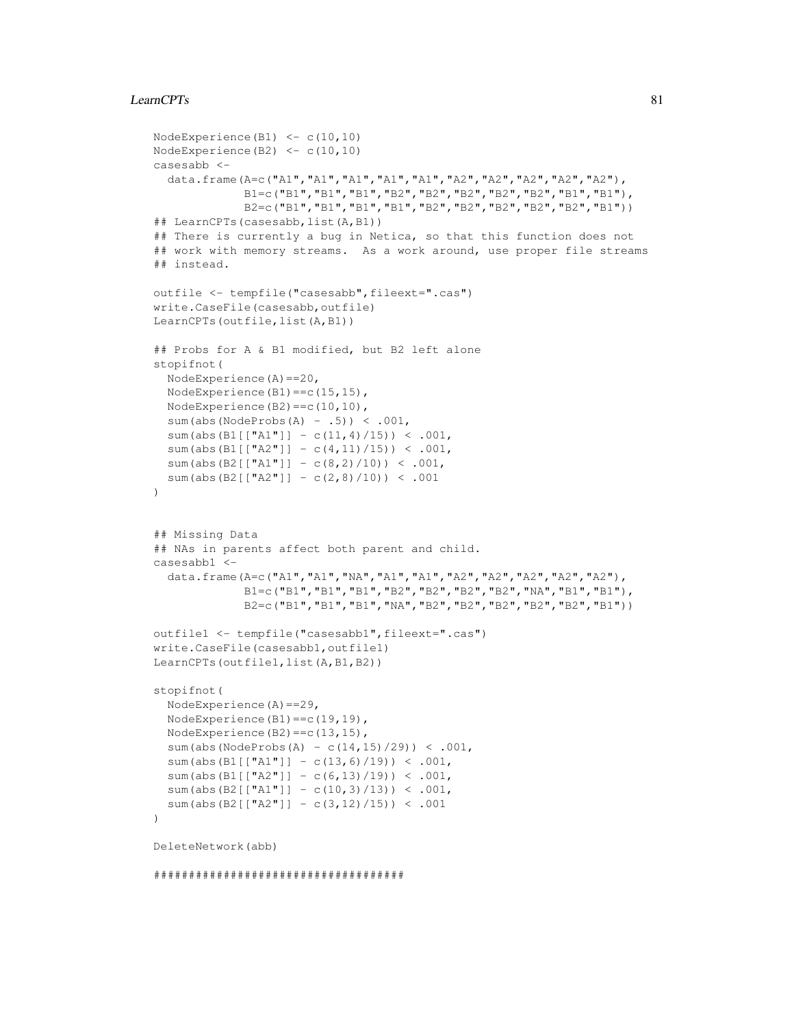## LearnCPTs 81

```
NodeExperience(B1) \leq c(10,10)
NodeExperience(B2) \leq c(10,10)
casesabb <-
  data.frame(A=c("A1","A1","A1","A1","A1","A2","A2","A2","A2","A2"),
             B1=c("B1","B1","B1","B2","B2","B2","B2","B2","B1","B1"),
             B2=c("B1","B1","B1","B1","B2","B2","B2","B2","B2","B1"))
## LearnCPTs(casesabb,list(A,B1))
## There is currently a bug in Netica, so that this function does not
## work with memory streams. As a work around, use proper file streams
## instead.
outfile <- tempfile("casesabb", fileext=".cas")
write.CaseFile(casesabb,outfile)
LearnCPTs(outfile, list(A, B1))
## Probs for A & B1 modified, but B2 left alone
stopifnot(
  NodeExperience(A)==20,
  NodeExperience(B1)==c(15,15),
  NodeExperience(B2)==c(10,10),
  sum(abs(NodeProbs(A) - .5)) < .001,
  sum(abs(B1[["A1"]] - c(11,4)/15)) < .001,
  sum(abs(B1[["A2"]] - c(4,11)/15)) < .001,
  sum(abs(B2[["A1"]] - c(8,2)/10)) < .001,
  sum(abs(B2[["A2"]] - c(2,8)/10)) < .001
)
## Missing Data
## NAs in parents affect both parent and child.
casesabb1 <-
  data.frame(A=c("A1","A1","NA","A1","A1","A2","A2","A2","A2","A2"),
             B1=c("B1","B1","B1","B2","B2","B2","B2","NA","B1","B1"),
             B2=c("B1","B1","B1","NA","B2","B2","B2","B2","B2","B1"))
outfile1 <- tempfile("casesabb1",fileext=".cas")
write.CaseFile(casesabb1,outfile1)
LearnCPTs(outfile1,list(A,B1,B2))
stopifnot(
  NodeExperience(A)==29,
  NodeExperience(B1)==c(19,19),
  NodeExperience(B2)==c(13,15),
  sum(abs(NodeProbs(A) - c(14,15)/29)) < .001,
  sum(abs(B1[["A1"]] - c(13,6)/19)) < .001,
  sum(abs(B1[["A2"]] - c(6,13)/19)) < .001,
  sum(abs(B2[["A1"]] - c(10,3)/13)) < .001,
  sum(abs(B2[["A2"]] - c(3,12)/15)) < .001
\lambdaDeleteNetwork(abb)
```
#### ####################################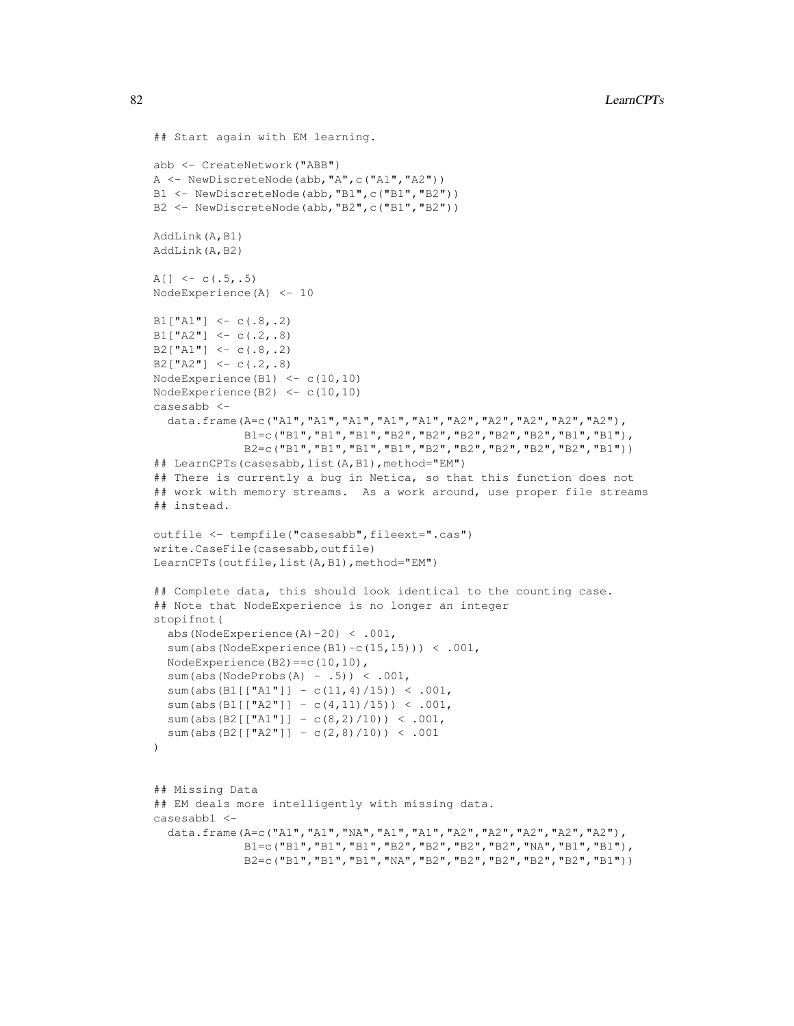```
## Start again with EM learning.
abb <- CreateNetwork("ABB")
A <- NewDiscreteNode(abb,"A",c("A1","A2"))
B1 <- NewDiscreteNode(abb, "B1", c("B1", "B2"))
B2 <- NewDiscreteNode(abb,"B2",c("B1","B2"))
AddLink(A,B1)
AddLink(A,B2)
A[] \leftarrow c(.5,.5)NodeExperience(A) <- 10
B1['A1"] \leftarrow c(.8,.2)B1["A2"] <- c(.2,.8)
B2["A1"] <- c(.8,.2)
B2["A2"] <- c(.2,.8)
NodeExperience(B1) <- c(10, 10)NodeExperience(B2) <- c(10,10)
casesabb <-
  data.frame(A=c("A1","A1","A1","A1","A1","A2","A2","A2","A2","A2"),
             B1=c("B1","B1","B1","B2","B2","B2","B2","B2","B1","B1"),
             B2=c("B1","B1","B1","B1","B2","B2","B2","B2","B2","B1"))
## LearnCPTs(casesabb, list(A, B1), method="EM")
## There is currently a bug in Netica, so that this function does not
## work with memory streams. As a work around, use proper file streams
## instead.
outfile <- tempfile("casesabb",fileext=".cas")
write.CaseFile(casesabb,outfile)
LearnCPTs(outfile, list(A, B1), method="EM")
## Complete data, this should look identical to the counting case.
## Note that NodeExperience is no longer an integer
stopifnot(
  abs(NodeExperience(A)-20) < .001,
  sum(abs(NodeExperience(B1)-c(15,15))) < .001,
  NodeExperience(B2)==c(10,10),
  sum(abs(NodeProbs(A) - .5)) < .001,
  sum(abs(B1[["A1"]] - c(11,4)/15)) < .001,
  sum(abs(B1[["A2"]] - c(4,11)/15)) < .001,
  sum(abs(B2[["A1"]] - c(8,2)/10)) < .001,
  sum(abs(B2[["A2"]] - c(2,8)/10)) < .001
\lambda## Missing Data
## EM deals more intelligently with missing data.
casesabb1 <-
  data.frame(A=c("A1","A1","NA","A1","A1","A2","A2","A2","A2","A2"),
             B1=c("B1","B1","B1","B2","B2","B2","B2","NA","B1","B1"),
             B2=c("B1","B1","B1","NA","B2","B2","B2","B2","B2","B1"))
```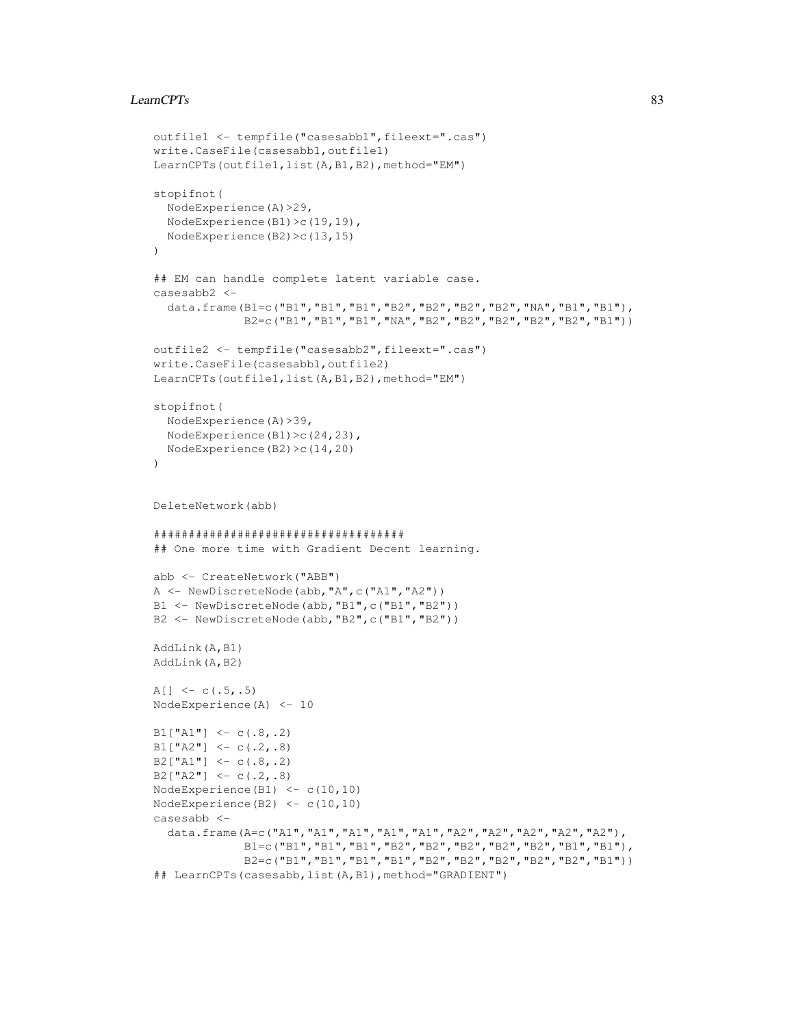# LearnCPTs 83

```
outfile1 <- tempfile("casesabb1", fileext=".cas")
write.CaseFile(casesabb1,outfile1)
LearnCPTs(outfile1,list(A,B1,B2), method="EM")
stopifnot(
 NodeExperience(A)>29,
  NodeExperience(B1)>c(19,19),
 NodeExperience(B2)>c(13,15)
)
## EM can handle complete latent variable case.
casesabb2 <-
  data.frame(B1=c("B1","B1","B1","B2","B2","B2","B2","NA","B1","B1"),
             B2=c("B1","B1","B1","NA","B2","B2","B2","B2","B2","B1"))
outfile2 <- tempfile("casesabb2",fileext=".cas")
write.CaseFile(casesabb1,outfile2)
LearnCPTs(outfile1,list(A,B1,B2),method="EM")
stopifnot(
 NodeExperience(A)>39,
 NodeExperience(B1)>c(24,23),
 NodeExperience(B2)>c(14,20)
)
DeleteNetwork(abb)
####################################
## One more time with Gradient Decent learning.
abb <- CreateNetwork("ABB")
A <- NewDiscreteNode(abb,"A",c("A1","A2"))
B1 <- NewDiscreteNode(abb,"B1",c("B1","B2"))
B2 <- NewDiscreteNode(abb,"B2",c("B1","B2"))
AddLink(A,B1)
AddLink(A,B2)
A[] <- c(.5,.5)
NodeExperience(A) <- 10
B1["A1"] <- c(.8,.2)
B1['A2"] \leftarrow c(.2,.8)B2["A1"] <- c(.8,.2)
B2["A2"] <- c(.2,.8)
NodeExperience(B1) \leftarrow c(10,10)
NodeExperience(B2) <- c(10,10)
casesabb <-
  data.frame(A=c("A1","A1","A1","A1","A1","A2","A2","A2","A2","A2"),
             B1=c("B1","B1","B1","B2","B2","B2","B2","B2","B1","B1"),
             B2=c("B1","B1","B1","B1","B2","B2","B2","B2","B2","B1"))
## LearnCPTs(casesabb, list(A, B1), method="GRADIENT")
```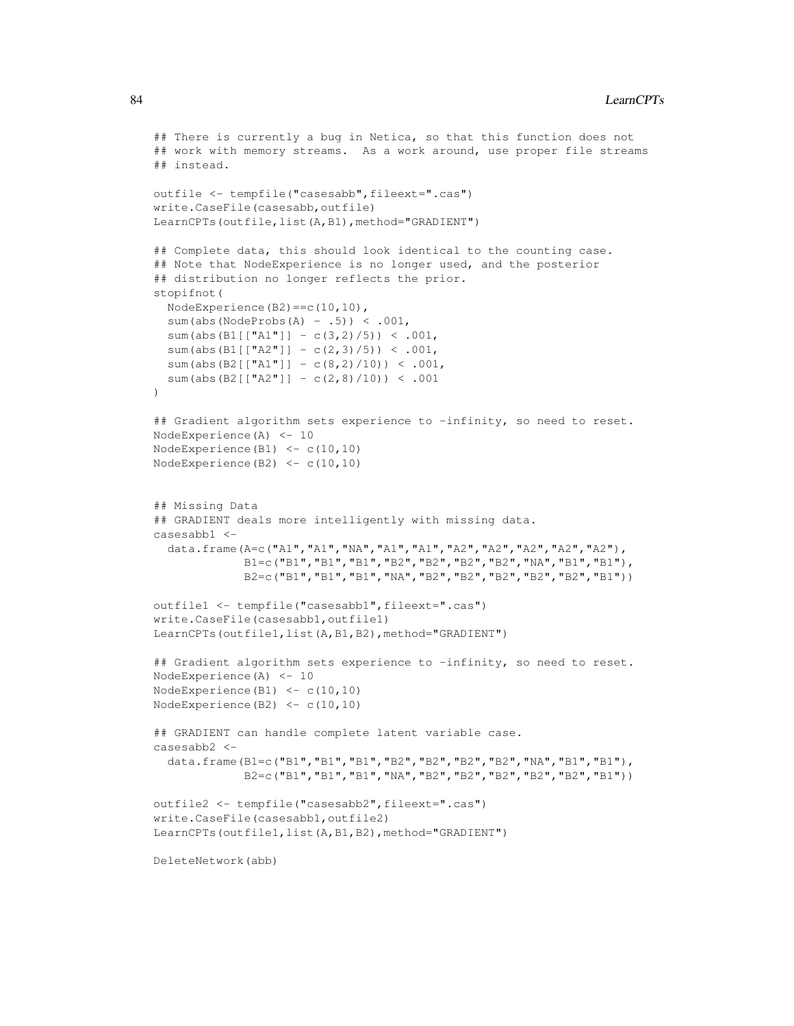```
## There is currently a bug in Netica, so that this function does not
## work with memory streams. As a work around, use proper file streams
## instead.
outfile <- tempfile("casesabb", fileext=".cas")
write.CaseFile(casesabb,outfile)
LearnCPTs(outfile,list(A,B1),method="GRADIENT")
## Complete data, this should look identical to the counting case.
## Note that NodeExperience is no longer used, and the posterior
## distribution no longer reflects the prior.
stopifnot(
  NodeExperience(B2)==c(10,10),
  sum(abs(NodeProbs(A) - .5)) < .001,
  sum(abs(B1[["A1"]] - c(3,2)/5)) < .001,
  sum(abs(B1[["A2"]] - c(2,3)/5)) < .001,
  sum(abs(B2[["A1"]] - c(8,2)/10)) < .001,
  sum(abs(B2[["A2"]] - c(2,8)/10)) < .001
\lambda## Gradient algorithm sets experience to -infinity, so need to reset.
NodeExperience(A) <- 10
NodeExperience(B1) <-c(10,10)NodeExperience(B2) <- c(10,10)
## Missing Data
## GRADIENT deals more intelligently with missing data.
casesabb1 <-
  data.frame(A=c("A1","A1","NA","A1","A1","A2","A2","A2","A2","A2"),
             B1=c("B1","B1","B1","B2","B2","B2","B2","NA","B1","B1"),
             B2=c("B1","B1","B1","NA","B2","B2","B2","B2","B2","B1"))
outfile1 <- tempfile("casesabb1",fileext=".cas")
write.CaseFile(casesabb1,outfile1)
LearnCPTs(outfile1,list(A,B1,B2),method="GRADIENT")
## Gradient algorithm sets experience to -infinity, so need to reset.
NodeExperience(A) <- 10
NodeExperience(B1) \leq c(10,10)
NodeExperience(B2) <- c(10,10)
## GRADIENT can handle complete latent variable case.
casesabb2 <-
  data.frame(B1=c("B1","B1","B1","B2","B2","B2","B2","NA","B1","B1"),
             B2=c("B1","B1","B1","NA","B2","B2","B2","B2","B2","B1"))
outfile2 <- tempfile("casesabb2",fileext=".cas")
write.CaseFile(casesabb1,outfile2)
LearnCPTs(outfile1,list(A,B1,B2),method="GRADIENT")
```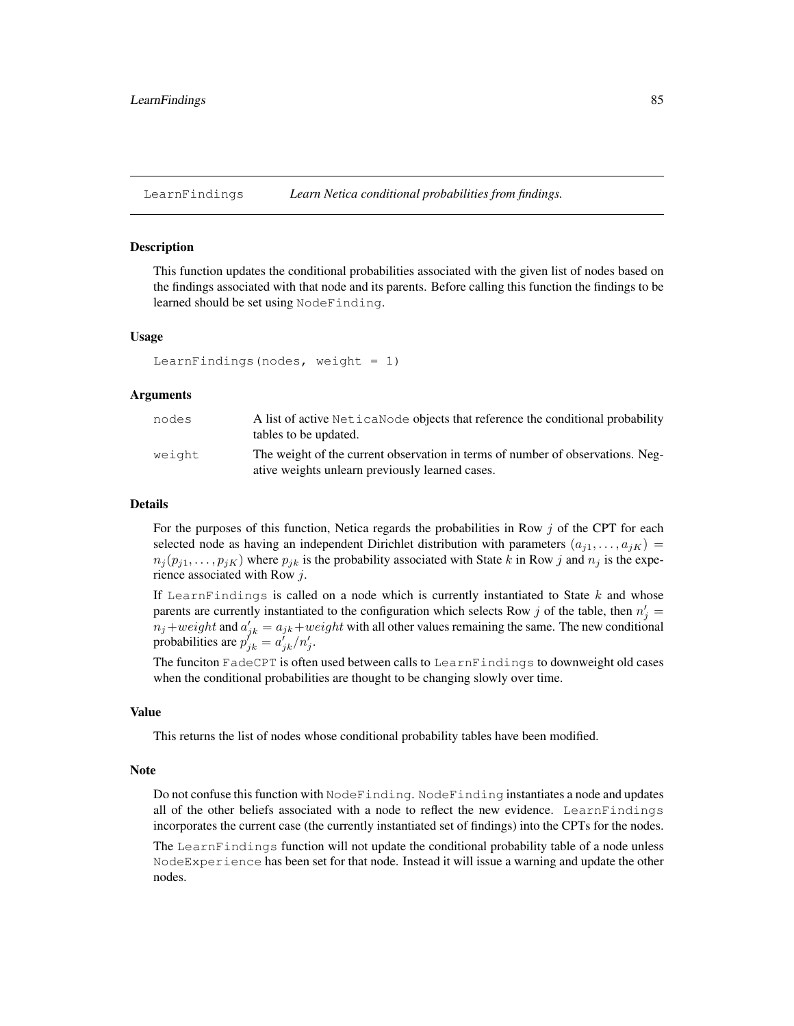# Description

This function updates the conditional probabilities associated with the given list of nodes based on the findings associated with that node and its parents. Before calling this function the findings to be learned should be set using NodeFinding.

#### Usage

```
LearnFindings(nodes, weight = 1)
```
#### Arguments

| nodes  | A list of active Netical Node objects that reference the conditional probability<br>tables to be updated.                         |
|--------|-----------------------------------------------------------------------------------------------------------------------------------|
| weight | The weight of the current observation in terms of number of observations. Neg-<br>ative weights unlearn previously learned cases. |

#### Details

For the purposes of this function, Netica regards the probabilities in Row  $j$  of the CPT for each selected node as having an independent Dirichlet distribution with parameters  $(a_{i1}, \ldots, a_{iK})$  =  $n_j(p_{j1}, \ldots, p_{jK})$  where  $p_{jk}$  is the probability associated with State k in Row j and  $n_j$  is the experience associated with Row j.

If LearnFindings is called on a node which is currently instantiated to State  $k$  and whose parents are currently instantiated to the configuration which selects Row j of the table, then  $n'_j =$  $n_j+weight$  and  $a'_{jk} = a_{jk}+weight$  with all other values remaining the same. The new conditional probabilities are  $p_{jk}^{j'} = a_{jk}^{j}/n'_{j}$ .

The funciton FadeCPT is often used between calls to LearnFindings to downweight old cases when the conditional probabilities are thought to be changing slowly over time.

# Value

This returns the list of nodes whose conditional probability tables have been modified.

#### **Note**

Do not confuse this function with NodeFinding. NodeFinding instantiates a node and updates all of the other beliefs associated with a node to reflect the new evidence. LearnFindings incorporates the current case (the currently instantiated set of findings) into the CPTs for the nodes.

The LearnFindings function will not update the conditional probability table of a node unless NodeExperience has been set for that node. Instead it will issue a warning and update the other nodes.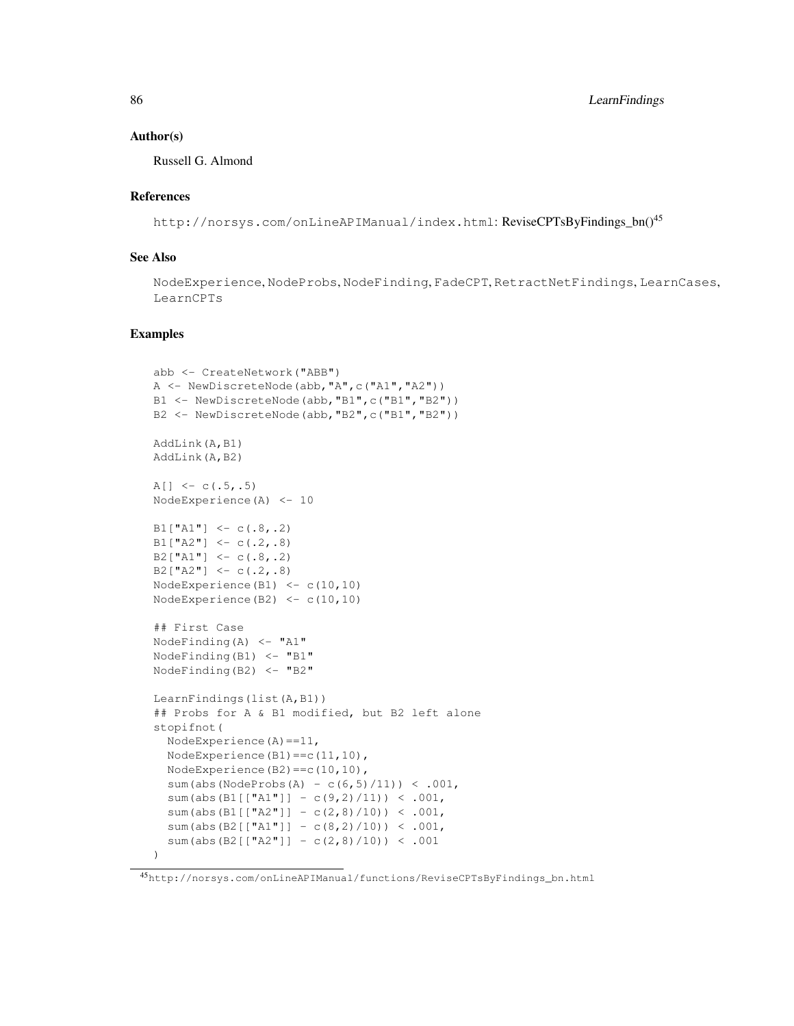## Author(s)

Russell G. Almond

# References

http://norsys.com/onLineAPIManual/index.html: ReviseCPTsByFindings\_bn()<sup>45</sup>

# See Also

NodeExperience, NodeProbs, NodeFinding, FadeCPT, RetractNetFindings, LearnCases, LearnCPTs

```
abb <- CreateNetwork("ABB")
A <- NewDiscreteNode(abb,"A",c("A1","A2"))
B1 <- NewDiscreteNode(abb, "B1", c("B1", "B2"))
B2 <- NewDiscreteNode(abb,"B2",c("B1","B2"))
AddLink(A,B1)
AddLink(A,B2)
A[] \leftarrow c(.5,.5)NodeExperience(A) <- 10
B1['A1"] < -c(.8,.2)B1["A2"] <- c(.2,.8)
B2["A1"] <- c(.8,.2)
B2["A2"] <- c(.2,.8)
NodeExperience(B1) <- c(10,10)
NodeExperience(B2) \leq c(10,10)
## First Case
NodeFinding(A) \leq "A1"
NodeFinding(B1) <- "B1"
NodeFinding(B2) <- "B2"
LearnFindings(list(A,B1))
## Probs for A & B1 modified, but B2 left alone
stopifnot(
  NodeExperience(A)==11,
  NodeExperience(B1)==c(11,10),
  NodeExperience(B2)==c(10,10),
  sum(abs(NodeProbs(A) - c(6,5)/11) < .001,
  sum(abs(B1[["A1"]] - c(9,2)/11)) < .001,
  sum(abs(B1[["A2"]] - c(2,8)/10)) < .001,
  sum(abs(B2[["A1"]] - c(8,2)/10)) < .001,
  sum(abs(B2[["A2"]] - c(2,8)/10)) < .001
)
```
<sup>45</sup>http://norsys.com/onLineAPIManual/functions/ReviseCPTsByFindings\_bn.html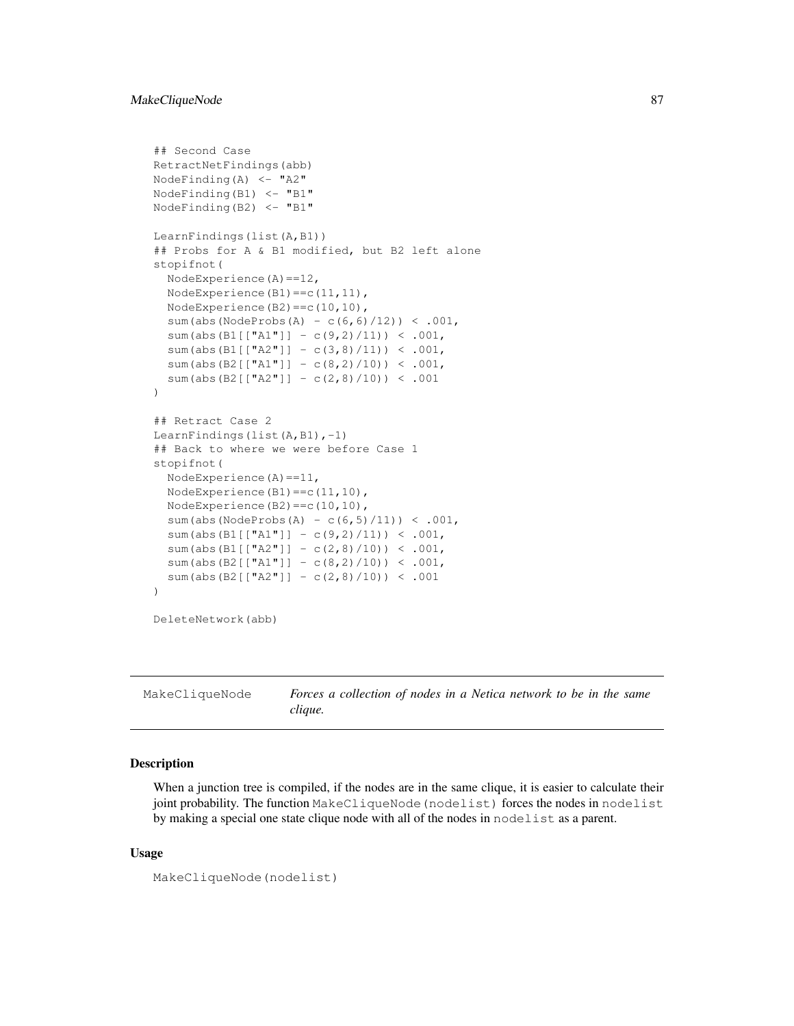# MakeCliqueNode 87

```
## Second Case
RetractNetFindings(abb)
NodeFinding(A) \leq "A2"
NodeFinding(B1) \leftarrow "B1"
NodeFinding(B2) \leq "B1"
LearnFindings(list(A,B1))
## Probs for A & B1 modified, but B2 left alone
stopifnot(
  NodeExperience(A)==12,
  NodeExperience(B1)==c(11,11),
  NodeExperience(B2)==c(10,10),
  sum(abs(NodeProbs(A) - c(6, 6)/12) < .001,
  sum(abs(B1[["A1"]] - c(9,2)/11)) < .001,
  sum(abs(B1[["A2"]] - c(3,8)/11)) < .001,
  sum(abs(B2[["A1"]] - c(8,2)/10)) < .001,
  sum(abs(B2[["A2"]] - c(2,8)/10)) < .001
)
## Retract Case 2
LearnFindings(list(A,B1),-1)
## Back to where we were before Case 1
stopifnot(
  NodeExperience(A)==11,
  NodeExperience(B1)==c(11,10),
  NodeExperience(B2)==c(10,10),
  sum(abs(NodeProbs(A) - c(6,5)/11) < .001,
  sum(abs(B1[["A1"]] - c(9,2)/11)) < .001,
  sum(abs(B1[["A2"]] - c(2,8)/10)) < .001,
  sum(abs(B2[["A1"]] - c(8,2)/10)) < .001,
  sum(abs(B2[["A2"]] - c(2,8)/10)) < .001
)
DeleteNetwork(abb)
```
MakeCliqueNode *Forces a collection of nodes in a Netica network to be in the same clique.*

## Description

When a junction tree is compiled, if the nodes are in the same clique, it is easier to calculate their joint probability. The function MakeCliqueNode(nodelist) forces the nodes in nodelist by making a special one state clique node with all of the nodes in nodelist as a parent.

# Usage

```
MakeCliqueNode(nodelist)
```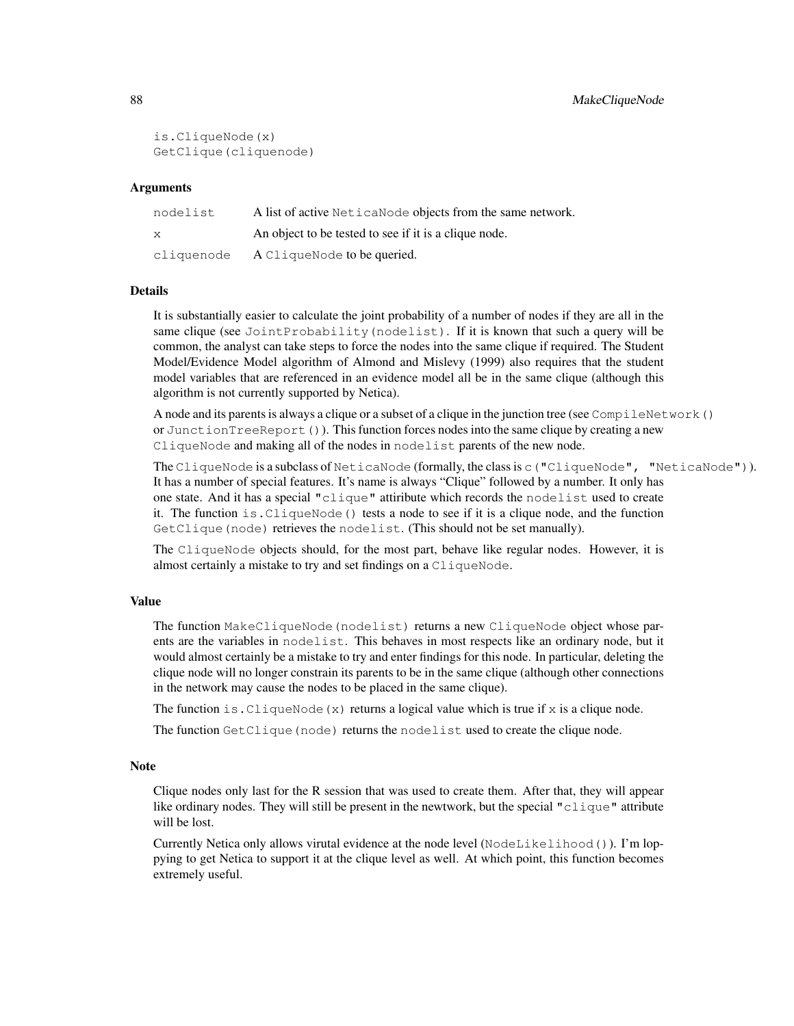```
is.CliqueNode(x)
GetClique(cliquenode)
```
#### Arguments

| nodelist   | A list of active Netica Node objects from the same network. |
|------------|-------------------------------------------------------------|
| X          | An object to be tested to see if it is a clique node.       |
| cliquenode | A CliqueNode to be queried.                                 |

# Details

It is substantially easier to calculate the joint probability of a number of nodes if they are all in the same clique (see JointProbability(nodelist). If it is known that such a query will be common, the analyst can take steps to force the nodes into the same clique if required. The Student Model/Evidence Model algorithm of Almond and Mislevy (1999) also requires that the student model variables that are referenced in an evidence model all be in the same clique (although this algorithm is not currently supported by Netica).

A node and its parents is always a clique or a subset of a clique in the junction tree (see CompileNetwork() or JunctionTreeReport()). This function forces nodes into the same clique by creating a new CliqueNode and making all of the nodes in nodelist parents of the new node.

The CliqueNode is a subclass of NeticaNode (formally, the class is c("CliqueNode", "NeticaNode")). It has a number of special features. It's name is always "Clique" followed by a number. It only has one state. And it has a special "clique" attiribute which records the nodelist used to create it. The function is.CliqueNode() tests a node to see if it is a clique node, and the function GetClique(node) retrieves the nodelist. (This should not be set manually).

The CliqueNode objects should, for the most part, behave like regular nodes. However, it is almost certainly a mistake to try and set findings on a CliqueNode.

## Value

The function MakeCliqueNode (nodelist) returns a new CliqueNode object whose parents are the variables in nodelist. This behaves in most respects like an ordinary node, but it would almost certainly be a mistake to try and enter findings for this node. In particular, deleting the clique node will no longer constrain its parents to be in the same clique (although other connections in the network may cause the nodes to be placed in the same clique).

The function is. CliqueNode  $(x)$  returns a logical value which is true if x is a clique node.

The function GetClique (node) returns the nodelist used to create the clique node.

## **Note**

Clique nodes only last for the R session that was used to create them. After that, they will appear like ordinary nodes. They will still be present in the newtwork, but the special "clique" attribute will be lost.

Currently Netica only allows virutal evidence at the node level (NodeLikelihood()). I'm loppying to get Netica to support it at the clique level as well. At which point, this function becomes extremely useful.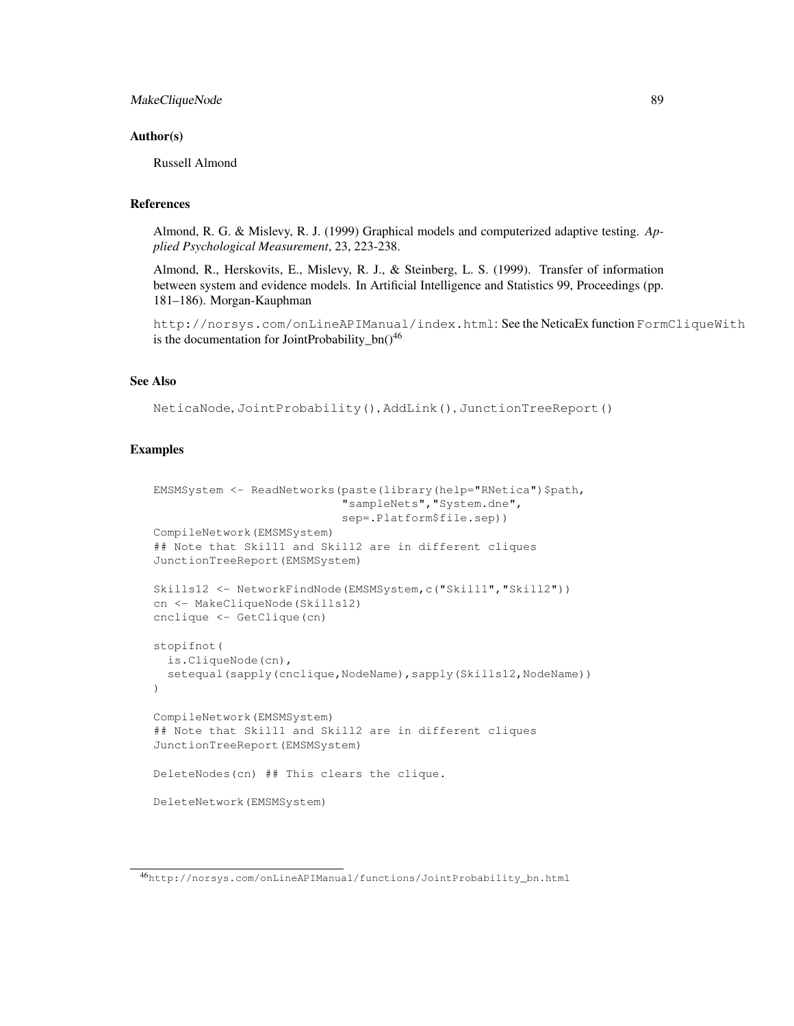# MakeCliqueNode 89

#### Author(s)

Russell Almond

## References

Almond, R. G. & Mislevy, R. J. (1999) Graphical models and computerized adaptive testing. *Applied Psychological Measurement*, 23, 223-238.

Almond, R., Herskovits, E., Mislevy, R. J., & Steinberg, L. S. (1999). Transfer of information between system and evidence models. In Artificial Intelligence and Statistics 99, Proceedings (pp. 181–186). Morgan-Kauphman

http://norsys.com/onLineAPIManual/index.html: See the NeticaEx function FormCliqueWith is the documentation for JointProbability\_bn( $)^{46}$ 

# See Also

```
NeticaNode, JointProbability(), AddLink(), JunctionTreeReport()
```

```
EMSMSystem <- ReadNetworks(paste(library(help="RNetica")$path,
                           "sampleNets","System.dne",
                           sep=.Platform$file.sep))
CompileNetwork(EMSMSystem)
## Note that Skill1 and Skill2 are in different cliques
JunctionTreeReport(EMSMSystem)
Skills12 <- NetworkFindNode(EMSMSystem,c("Skill1","Skill2"))
cn <- MakeCliqueNode(Skills12)
cnclique <- GetClique(cn)
stopifnot(
  is.CliqueNode(cn),
  setequal(sapply(cnclique,NodeName), sapply(Skills12,NodeName))
)
CompileNetwork(EMSMSystem)
## Note that Skill1 and Skill2 are in different cliques
JunctionTreeReport(EMSMSystem)
DeleteNodes(cn) ## This clears the clique.
DeleteNetwork(EMSMSystem)
```
<sup>46</sup>http://norsys.com/onLineAPIManual/functions/JointProbability\_bn.html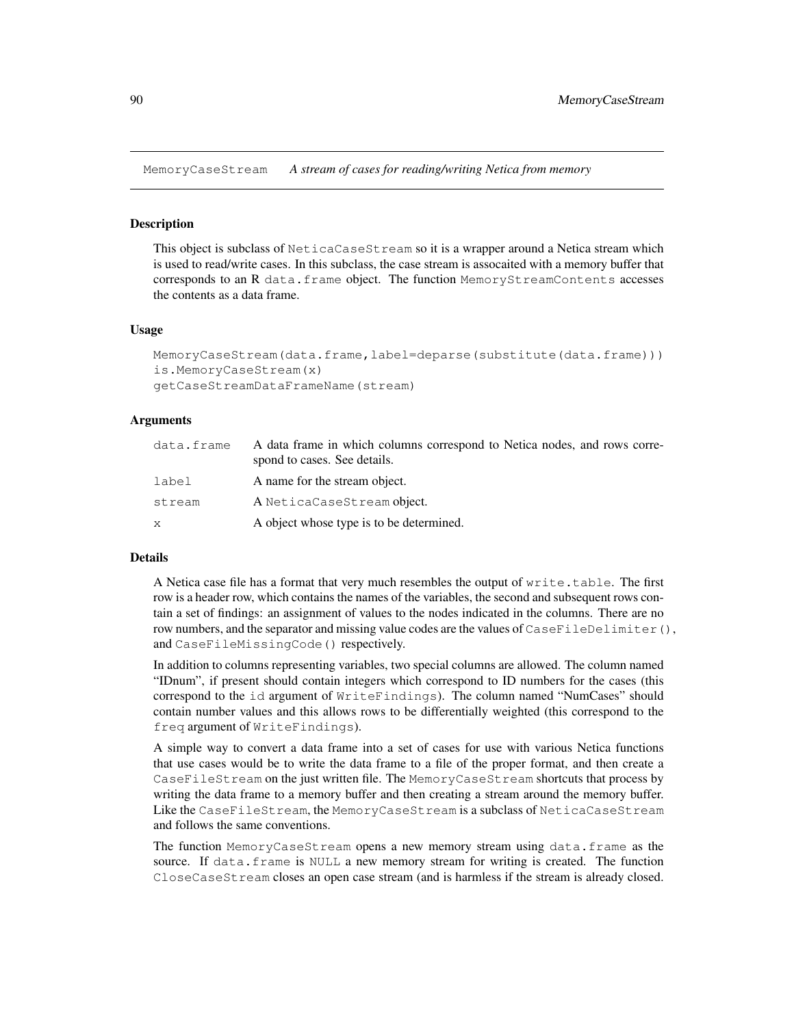MemoryCaseStream *A stream of cases for reading/writing Netica from memory*

## Description

This object is subclass of NeticaCaseStream so it is a wrapper around a Netica stream which is used to read/write cases. In this subclass, the case stream is assocaited with a memory buffer that corresponds to an R data.frame object. The function MemoryStreamContents accesses the contents as a data frame.

## Usage

```
MemoryCaseStream(data.frame,label=deparse(substitute(data.frame)))
is.MemoryCaseStream(x)
getCaseStreamDataFrameName(stream)
```
## Arguments

| data.frame | A data frame in which columns correspond to Netica nodes, and rows corre-<br>spond to cases. See details. |
|------------|-----------------------------------------------------------------------------------------------------------|
| label      | A name for the stream object.                                                                             |
| stream     | A NeticaCaseStream object.                                                                                |
| X          | A object whose type is to be determined.                                                                  |

## Details

A Netica case file has a format that very much resembles the output of write.table. The first row is a header row, which contains the names of the variables, the second and subsequent rows contain a set of findings: an assignment of values to the nodes indicated in the columns. There are no row numbers, and the separator and missing value codes are the values of  $\text{CaseFileDelimiter}()$ , and CaseFileMissingCode() respectively.

In addition to columns representing variables, two special columns are allowed. The column named "IDnum", if present should contain integers which correspond to ID numbers for the cases (this correspond to the id argument of WriteFindings). The column named "NumCases" should contain number values and this allows rows to be differentially weighted (this correspond to the freq argument of WriteFindings).

A simple way to convert a data frame into a set of cases for use with various Netica functions that use cases would be to write the data frame to a file of the proper format, and then create a CaseFileStream on the just written file. The MemoryCaseStream shortcuts that process by writing the data frame to a memory buffer and then creating a stream around the memory buffer. Like the CaseFileStream, the MemoryCaseStream is a subclass of NeticaCaseStream and follows the same conventions.

The function MemoryCaseStream opens a new memory stream using data.frame as the source. If data.frame is NULL a new memory stream for writing is created. The function CloseCaseStream closes an open case stream (and is harmless if the stream is already closed.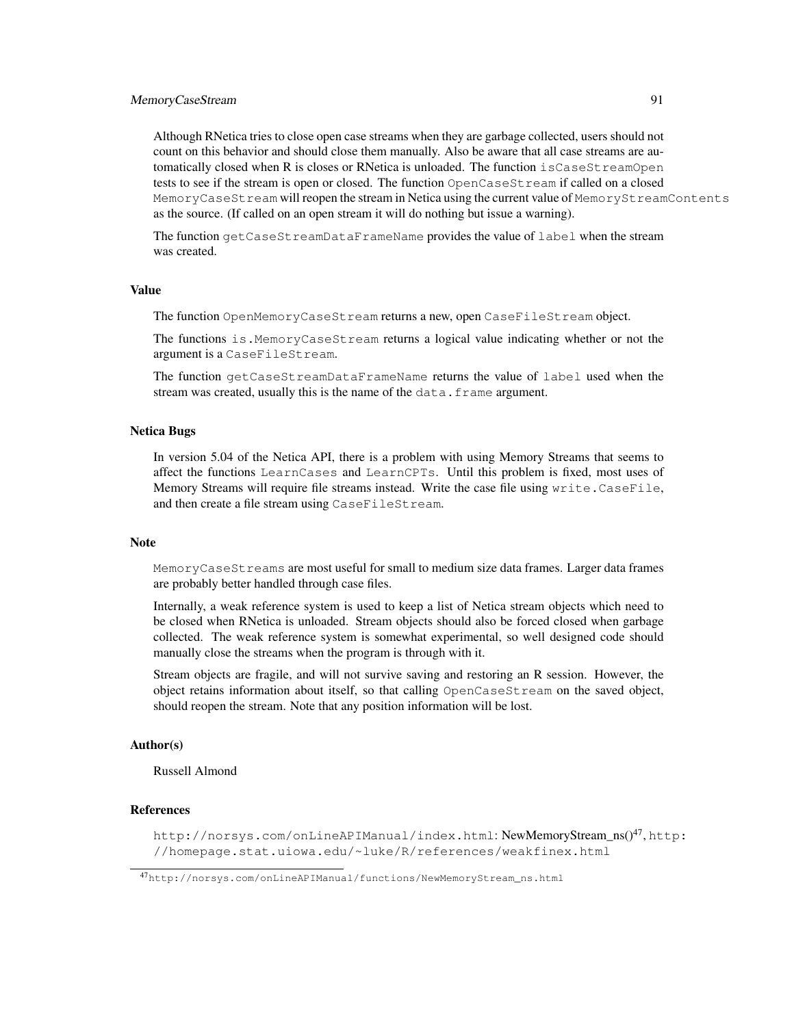# MemoryCaseStream 91

Although RNetica tries to close open case streams when they are garbage collected, users should not count on this behavior and should close them manually. Also be aware that all case streams are automatically closed when R is closes or RNetica is unloaded. The function isCaseStreamOpen tests to see if the stream is open or closed. The function OpenCaseStream if called on a closed MemoryCaseStream will reopen the stream in Netica using the current value of MemoryStreamContents as the source. (If called on an open stream it will do nothing but issue a warning).

The function getCaseStreamDataFrameName provides the value of label when the stream was created.

#### Value

The function OpenMemoryCaseStream returns a new, open CaseFileStream object.

The functions is. MemoryCaseStream returns a logical value indicating whether or not the argument is a CaseFileStream.

The function getCaseStreamDataFrameName returns the value of label used when the stream was created, usually this is the name of the data.frame argument.

## Netica Bugs

In version 5.04 of the Netica API, there is a problem with using Memory Streams that seems to affect the functions LearnCases and LearnCPTs. Until this problem is fixed, most uses of Memory Streams will require file streams instead. Write the case file using write.CaseFile, and then create a file stream using CaseFileStream.

# **Note**

MemoryCaseStreams are most useful for small to medium size data frames. Larger data frames are probably better handled through case files.

Internally, a weak reference system is used to keep a list of Netica stream objects which need to be closed when RNetica is unloaded. Stream objects should also be forced closed when garbage collected. The weak reference system is somewhat experimental, so well designed code should manually close the streams when the program is through with it.

Stream objects are fragile, and will not survive saving and restoring an R session. However, the object retains information about itself, so that calling OpenCaseStream on the saved object, should reopen the stream. Note that any position information will be lost.

#### Author(s)

Russell Almond

# References

http://norsys.com/onLineAPIManual/index.html:NewMemoryStream\_ns()<sup>47</sup>,http: //homepage.stat.uiowa.edu/~luke/R/references/weakfinex.html

<sup>47</sup>http://norsys.com/onLineAPIManual/functions/NewMemoryStream\_ns.html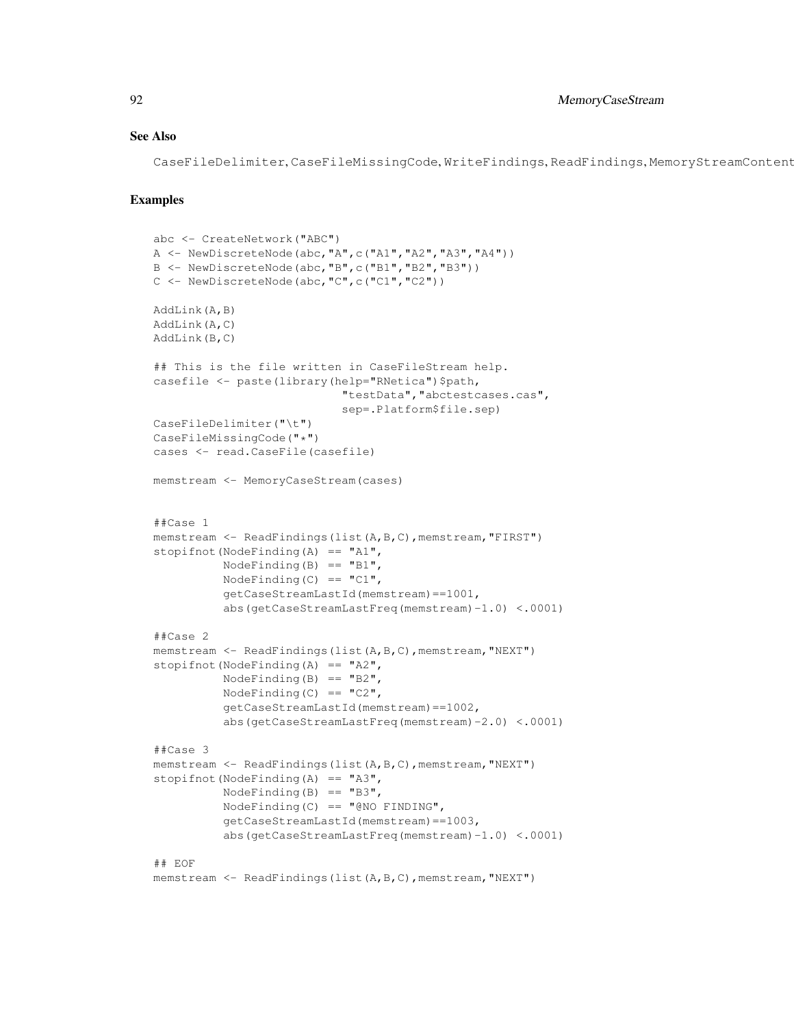## See Also

CaseFileDelimiter, CaseFileMissingCode, WriteFindings, ReadFindings, MemoryStreamContent

```
abc <- CreateNetwork("ABC")
A \leftarrow \text{NewDiscreteNode}(\text{abc}, "A", c("A1", "A2", "A3", "A4"))B <- NewDiscreteNode(abc,"B",c("B1","B2","B3"))
C <- NewDiscreteNode(abc,"C",c("C1","C2"))
AddLink(A,B)
AddLink(A,C)
AddLink(B,C)
## This is the file written in CaseFileStream help.
casefile <- paste(library(help="RNetica")$path,
                            "testData","abctestcases.cas",
                            sep=.Platform$file.sep)
CaseFileDelimiter("\t")
CaseFileMissingCode("*")
cases <- read.CaseFile(casefile)
memstream <- MemoryCaseStream (cases)
##Case 1
memstream <- ReadFindings(list(A,B,C), memstream, "FIRST")
stopifnot (NodeFinding(A) == "A1",
          NodeFinding(B) == "B1",NodeFinding(C) == "C1",getCaseStreamLastId(memstream)==1001,
          abs(getCaseStreamLastFreq(memstream)-1.0) <.0001)
##Case 2
memstream <- ReadFindings(list(A,B,C),memstream,"NEXT")
stopifnot(NodeFinding(A) == "A2",
          NodeFinding(B) == "B2",
          NodeFinding(C) == "C2",
          getCaseStreamLastId(memstream)==1002,
          abs(getCaseStreamLastFreq(memstream)-2.0) <.0001)
##Case 3
memstream <- ReadFindings(list(A,B,C),memstream,"NEXT")
stopifnot(NodeFinding(A) == "A3",
          NodeFinding(B) == "B3",
          NodeFinding(C) == "QNO FINDING",getCaseStreamLastId(memstream)==1003,
          abs(getCaseStreamLastFreq(memstream)-1.0) <.0001)
## EOF
memstream <- ReadFindings(list(A,B,C),memstream,"NEXT")
```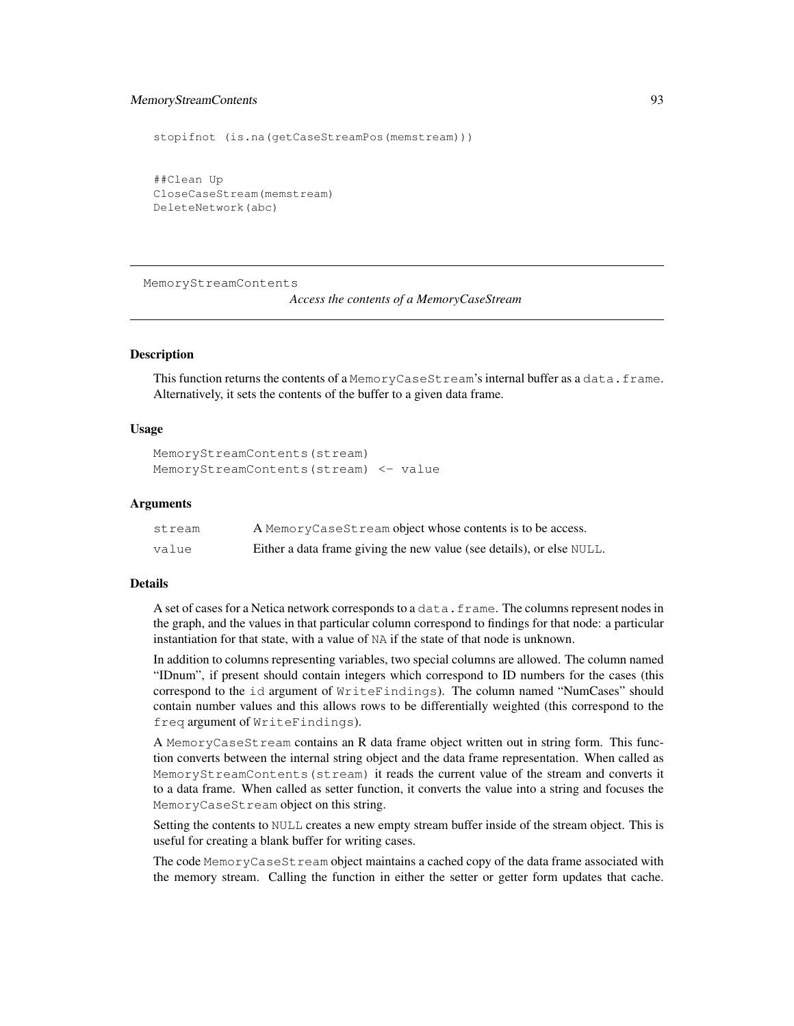# MemoryStreamContents 93

```
stopifnot (is.na(getCaseStreamPos(memstream)))
##Clean Up
CloseCaseStream(memstream)
DeleteNetwork(abc)
```
MemoryStreamContents

*Access the contents of a MemoryCaseStream*

# Description

This function returns the contents of a MemoryCaseStream's internal buffer as a data.frame. Alternatively, it sets the contents of the buffer to a given data frame.

## Usage

```
MemoryStreamContents(stream)
MemoryStreamContents(stream) <- value
```
#### Arguments

| stream | A MemoryCaseStream object whose contents is to be access.             |
|--------|-----------------------------------------------------------------------|
| value  | Either a data frame giving the new value (see details), or else NULL. |

# Details

A set of cases for a Netica network corresponds to a data.frame. The columns represent nodes in the graph, and the values in that particular column correspond to findings for that node: a particular instantiation for that state, with a value of NA if the state of that node is unknown.

In addition to columns representing variables, two special columns are allowed. The column named "IDnum", if present should contain integers which correspond to ID numbers for the cases (this correspond to the id argument of WriteFindings). The column named "NumCases" should contain number values and this allows rows to be differentially weighted (this correspond to the freq argument of WriteFindings).

A MemoryCaseStream contains an R data frame object written out in string form. This function converts between the internal string object and the data frame representation. When called as MemoryStreamContents(stream) it reads the current value of the stream and converts it to a data frame. When called as setter function, it converts the value into a string and focuses the MemoryCaseStream object on this string.

Setting the contents to NULL creates a new empty stream buffer inside of the stream object. This is useful for creating a blank buffer for writing cases.

The code MemoryCaseStream object maintains a cached copy of the data frame associated with the memory stream. Calling the function in either the setter or getter form updates that cache.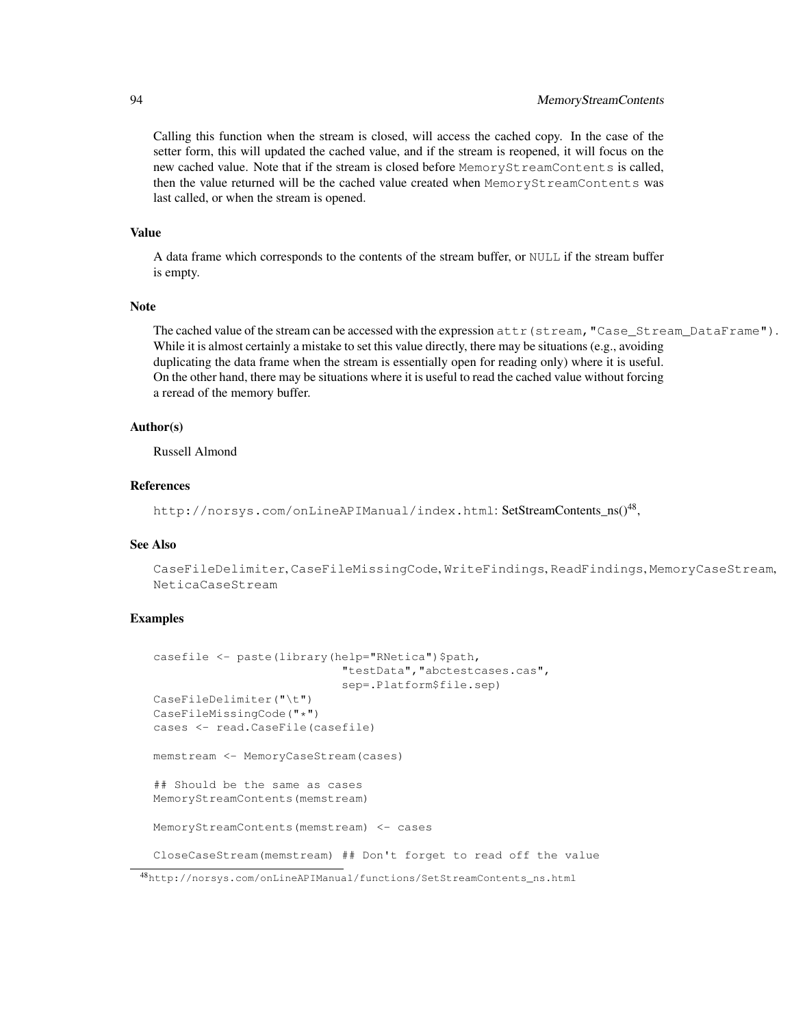# 94 MemoryStreamContents

Calling this function when the stream is closed, will access the cached copy. In the case of the setter form, this will updated the cached value, and if the stream is reopened, it will focus on the new cached value. Note that if the stream is closed before MemoryStreamContents is called, then the value returned will be the cached value created when MemoryStreamContents was last called, or when the stream is opened.

## Value

A data frame which corresponds to the contents of the stream buffer, or NULL if the stream buffer is empty.

## Note

The cached value of the stream can be accessed with the expression  $\text{attr}(\text{stream}, \text{"Case} \text{Stream DataFrame"}).$ While it is almost certainly a mistake to set this value directly, there may be situations (e.g., avoiding duplicating the data frame when the stream is essentially open for reading only) where it is useful. On the other hand, there may be situations where it is useful to read the cached value without forcing a reread of the memory buffer.

# Author(s)

Russell Almond

#### References

http://norsys.com/onLineAPIManual/index.html:**SetStreamContents\_n**s()<sup>48</sup>,

## See Also

CaseFileDelimiter, CaseFileMissingCode, WriteFindings, ReadFindings, MemoryCaseStream, NeticaCaseStream

```
casefile <- paste(library(help="RNetica")$path,
                           "testData","abctestcases.cas",
                           sep=.Platform$file.sep)
CaseFileDelimiter("\t")
CaseFileMissingCode("*")
cases <- read.CaseFile(casefile)
memstream <- MemoryCaseStream(cases)
## Should be the same as cases
MemoryStreamContents(memstream)
MemoryStreamContents(memstream) <- cases
CloseCaseStream(memstream) ## Don't forget to read off the value
```
<sup>48</sup>http://norsys.com/onLineAPIManual/functions/SetStreamContents\_ns.html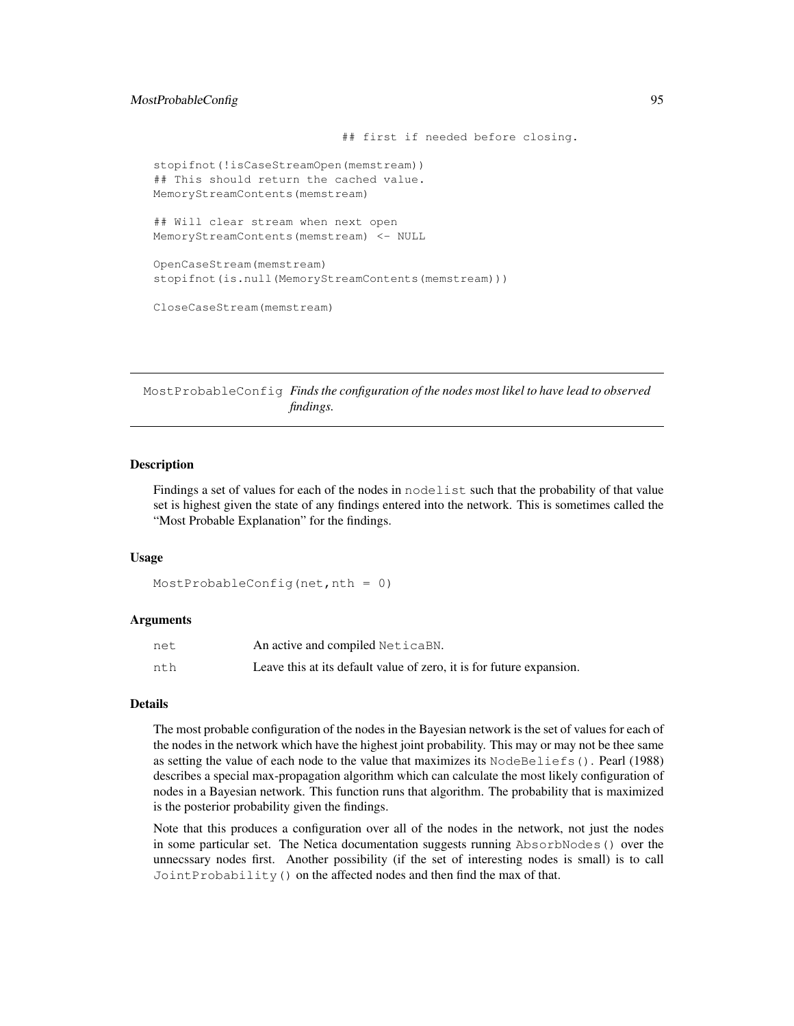# MostProbableConfig 95

```
## first if needed before closing.
stopifnot(!isCaseStreamOpen(memstream))
## This should return the cached value.
MemoryStreamContents(memstream)
## Will clear stream when next open
MemoryStreamContents(memstream) <- NULL
OpenCaseStream(memstream)
stopifnot(is.null(MemoryStreamContents(memstream)))
CloseCaseStream(memstream)
```
MostProbableConfig *Finds the configuration of the nodes most likel to have lead to observed findings.*

# Description

Findings a set of values for each of the nodes in nodelist such that the probability of that value set is highest given the state of any findings entered into the network. This is sometimes called the "Most Probable Explanation" for the findings.

## Usage

```
MostProbableConfig(net, nth = 0)
```
## Arguments

| net | An active and compiled NeticaBN.                                     |
|-----|----------------------------------------------------------------------|
| nth | Leave this at its default value of zero, it is for future expansion. |

## Details

The most probable configuration of the nodes in the Bayesian network is the set of values for each of the nodes in the network which have the highest joint probability. This may or may not be thee same as setting the value of each node to the value that maximizes its NodeBeliefs(). Pearl (1988) describes a special max-propagation algorithm which can calculate the most likely configuration of nodes in a Bayesian network. This function runs that algorithm. The probability that is maximized is the posterior probability given the findings.

Note that this produces a configuration over all of the nodes in the network, not just the nodes in some particular set. The Netica documentation suggests running AbsorbNodes() over the unnecssary nodes first. Another possibility (if the set of interesting nodes is small) is to call JointProbability() on the affected nodes and then find the max of that.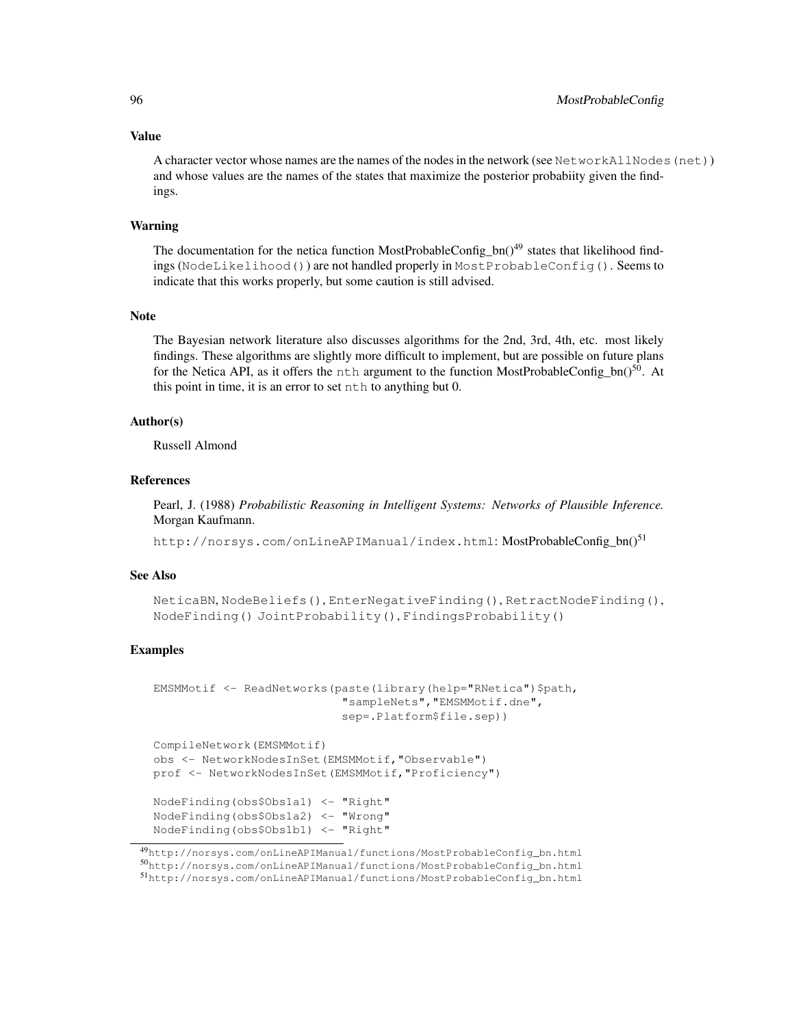#### Value

A character vector whose names are the names of the nodes in the network (see NetworkAllNodes (net)) and whose values are the names of the states that maximize the posterior probabiity given the findings.

## Warning

The documentation for the netica function MostProbableConfig\_bn( $)^{49}$  states that likelihood findings (NodeLikelihood()) are not handled properly in MostProbableConfig(). Seems to indicate that this works properly, but some caution is still advised.

#### Note

The Bayesian network literature also discusses algorithms for the 2nd, 3rd, 4th, etc. most likely findings. These algorithms are slightly more difficult to implement, but are possible on future plans for the Netica API, as it offers the nth argument to the function MostProbableConfig\_bn() $^{50}$ . At this point in time, it is an error to set nth to anything but 0.

# Author(s)

Russell Almond

## References

Pearl, J. (1988) *Probabilistic Reasoning in Intelligent Systems: Networks of Plausible Inference.* Morgan Kaufmann.

http://norsys.com/onLineAPIManual/index.html: MostProbableConfig\_bn()<sup>51</sup>

# See Also

```
NeticaBN, NodeBeliefs(), EnterNegativeFinding(), RetractNodeFinding(),
NodeFinding() JointProbability(), FindingsProbability()
```

```
EMSMMotif <- ReadNetworks(paste(library(help="RNetica")$path,
                           "sampleNets","EMSMMotif.dne",
                           sep=.Platform$file.sep))
CompileNetwork(EMSMMotif)
obs <- NetworkNodesInSet(EMSMMotif,"Observable")
prof <- NetworkNodesInSet(EMSMMotif,"Proficiency")
NodeFinding(obs$Obs1a1) <- "Right"
NodeFinding(obs$Obs1a2) <- "Wrong"
NodeFinding(obs$Obs1b1) <- "Right"
```
<sup>49</sup>http://norsys.com/onLineAPIManual/functions/MostProbableConfig\_bn.html <sup>50</sup>http://norsys.com/onLineAPIManual/functions/MostProbableConfig\_bn.html <sup>51</sup>http://norsys.com/onLineAPIManual/functions/MostProbableConfig\_bn.html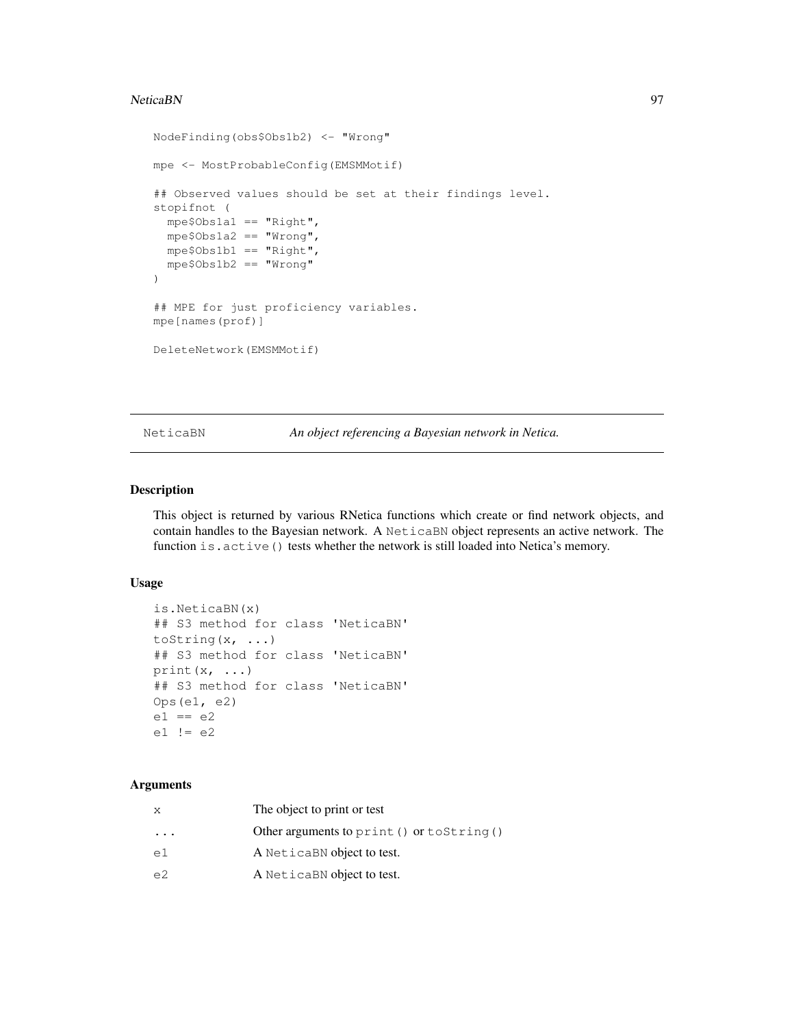## NeticaBN 97

```
NodeFinding(obs$Obs1b2) <- "Wrong"
mpe <- MostProbableConfig(EMSMMotif)
## Observed values should be set at their findings level.
stopifnot (
  mpe$Obs1a1 == "Right",
 mpe$Obs1a2 == "Wrong",
 mpe$Obs1b1 == "Right",
 mpe$Obs1b2 == "Wrong"
)
## MPE for just proficiency variables.
mpe[names(prof)]
DeleteNetwork(EMSMMotif)
```
NeticaBN *An object referencing a Bayesian network in Netica.*

# Description

This object is returned by various RNetica functions which create or find network objects, and contain handles to the Bayesian network. A NeticaBN object represents an active network. The function is.active() tests whether the network is still loaded into Netica's memory.

# Usage

```
is.NeticaBN(x)
## S3 method for class 'NeticaBN'
toString(x, ...)
## S3 method for class 'NeticaBN'
print(x, \ldots)## S3 method for class 'NeticaBN'
Ops(e1, e2)
e1 == e2e1 != e2
```
# Arguments

| X                       | The object to print or test                  |
|-------------------------|----------------------------------------------|
| $\cdot$ $\cdot$ $\cdot$ | Other arguments to $print()$ or $toString()$ |
| e1                      | A NeticaBN object to test.                   |
| e2                      | A NeticaBN object to test.                   |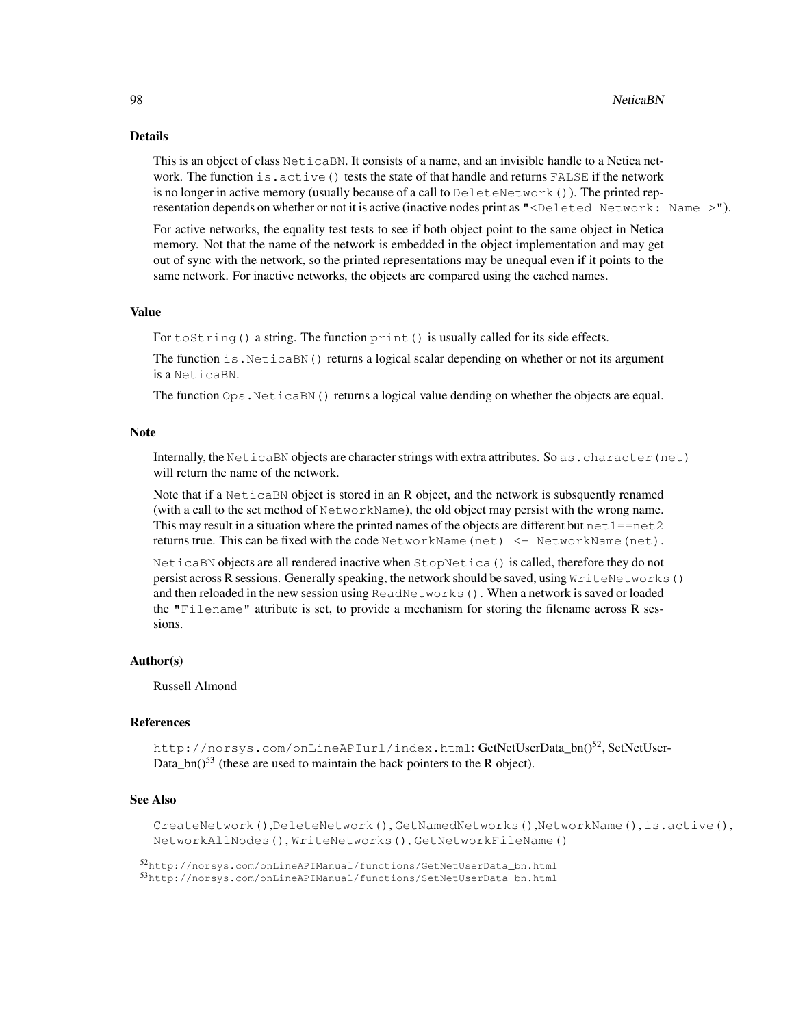## Details

This is an object of class NeticaBN. It consists of a name, and an invisible handle to a Netica network. The function is.active() tests the state of that handle and returns FALSE if the network is no longer in active memory (usually because of a call to DeleteNetwork()). The printed representation depends on whether or not it is active (inactive nodes print as "<Deleted Network: Name >").

For active networks, the equality test tests to see if both object point to the same object in Netica memory. Not that the name of the network is embedded in the object implementation and may get out of sync with the network, so the printed representations may be unequal even if it points to the same network. For inactive networks, the objects are compared using the cached names.

# Value

For  $\text{toString}($ ) a string. The function  $\text{print}($ ) is usually called for its side effects.

The function is. NeticaBN() returns a logical scalar depending on whether or not its argument is a NeticaBN.

The function  $\text{Ops}$ . NeticaBN() returns a logical value dending on whether the objects are equal.

## Note

Internally, the NeticaBN objects are character strings with extra attributes. So as.character(net) will return the name of the network.

Note that if a NeticaBN object is stored in an R object, and the network is subsquently renamed (with a call to the set method of NetworkName), the old object may persist with the wrong name. This may result in a situation where the printed names of the objects are different but  $net1=net2$ returns true. This can be fixed with the code NetworkName(net) <- NetworkName(net).

NeticaBN objects are all rendered inactive when StopNetica() is called, therefore they do not persist across R sessions. Generally speaking, the network should be saved, using WriteNetworks() and then reloaded in the new session using ReadNetworks(). When a network is saved or loaded the "Filename" attribute is set, to provide a mechanism for storing the filename across R sessions.

# Author(s)

Russell Almond

#### References

http://norsys.com/onLineAPIurl/index.html:GetNetUserData\_bn()<sup>52</sup>,SetNetUser-Data\_bn( $1^{53}$  (these are used to maintain the back pointers to the R object).

## See Also

CreateNetwork(),DeleteNetwork(), GetNamedNetworks(),NetworkName(), is.active(), NetworkAllNodes(), WriteNetworks(), GetNetworkFileName()

<sup>52</sup>http://norsys.com/onLineAPIManual/functions/GetNetUserData\_bn.html

<sup>53</sup>http://norsys.com/onLineAPIManual/functions/SetNetUserData\_bn.html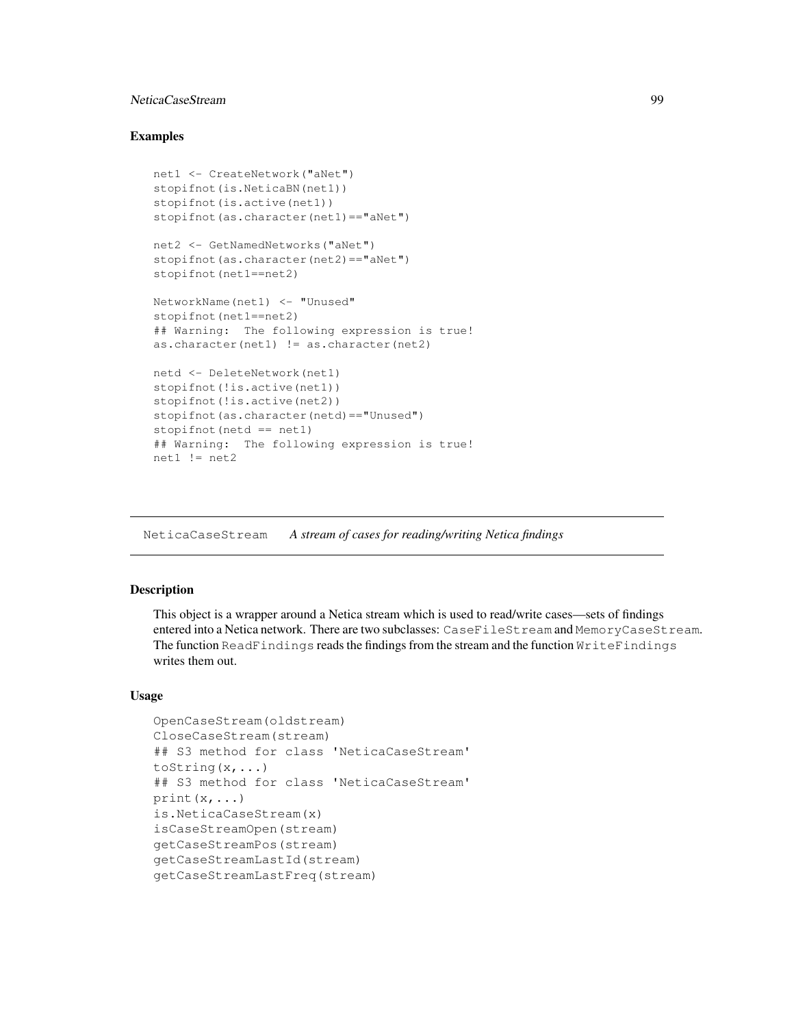# NeticaCaseStream 99

## Examples

```
net1 <- CreateNetwork("aNet")
stopifnot(is.NeticaBN(net1))
stopifnot(is.active(net1))
stopifnot(as.character(net1)=="aNet")
net2 <- GetNamedNetworks("aNet")
stopifnot(as.character(net2)=="aNet")
stopifnot(net1==net2)
NetworkName(net1) <- "Unused"
stopifnot(net1==net2)
## Warning: The following expression is true!
as.character(net1) != as.character(net2)
netd <- DeleteNetwork(net1)
stopifnot(!is.active(net1))
stopifnot(!is.active(net2))
stopifnot(as.character(netd)=="Unused")
stopifnot (netd == net1)
## Warning: The following expression is true!
net1 := net2
```
NeticaCaseStream *A stream of cases for reading/writing Netica findings*

# Description

This object is a wrapper around a Netica stream which is used to read/write cases—sets of findings entered into a Netica network. There are two subclasses: CaseFileStream and MemoryCaseStream. The function ReadFindings reads the findings from the stream and the function WriteFindings writes them out.

## Usage

```
OpenCaseStream(oldstream)
CloseCaseStream(stream)
## S3 method for class 'NeticaCaseStream'
toString(x,...)
## S3 method for class 'NeticaCaseStream'
print(x, \ldots)is.NeticaCaseStream(x)
isCaseStreamOpen(stream)
getCaseStreamPos(stream)
getCaseStreamLastId(stream)
getCaseStreamLastFreq(stream)
```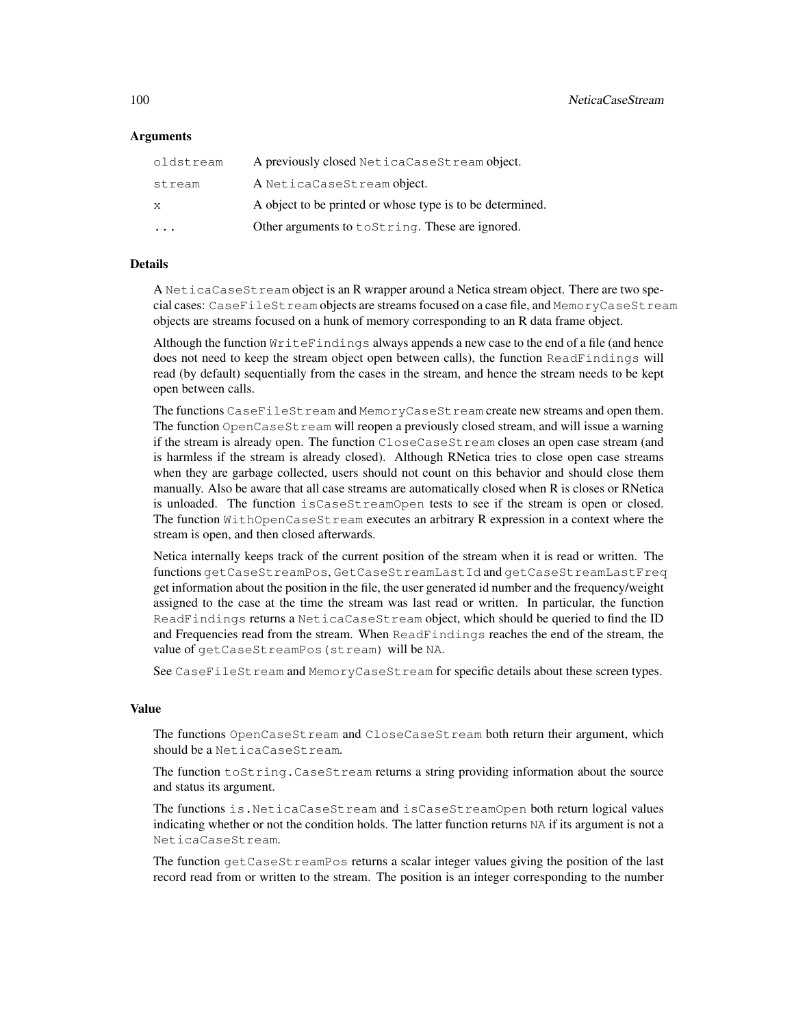## **Arguments**

| oldstream | A previously closed NeticaCaseStream object.              |
|-----------|-----------------------------------------------------------|
| stream    | A NeticaCaseStream object.                                |
| X         | A object to be printed or whose type is to be determined. |
|           | Other arguments to to String. These are ignored.          |

# Details

A NeticaCaseStream object is an R wrapper around a Netica stream object. There are two special cases: CaseFileStream objects are streams focused on a case file, and MemoryCaseStream objects are streams focused on a hunk of memory corresponding to an R data frame object.

Although the function WriteFindings always appends a new case to the end of a file (and hence does not need to keep the stream object open between calls), the function ReadFindings will read (by default) sequentially from the cases in the stream, and hence the stream needs to be kept open between calls.

The functions CaseFileStream and MemoryCaseStream create new streams and open them. The function OpenCaseStream will reopen a previously closed stream, and will issue a warning if the stream is already open. The function CloseCaseStream closes an open case stream (and is harmless if the stream is already closed). Although RNetica tries to close open case streams when they are garbage collected, users should not count on this behavior and should close them manually. Also be aware that all case streams are automatically closed when R is closes or RNetica is unloaded. The function isCaseStreamOpen tests to see if the stream is open or closed. The function WithOpenCaseStream executes an arbitrary R expression in a context where the stream is open, and then closed afterwards.

Netica internally keeps track of the current position of the stream when it is read or written. The functions getCaseStreamPos, GetCaseStreamLastId and getCaseStreamLastFreq get information about the position in the file, the user generated id number and the frequency/weight assigned to the case at the time the stream was last read or written. In particular, the function ReadFindings returns a NeticaCaseStream object, which should be queried to find the ID and Frequencies read from the stream. When ReadFindings reaches the end of the stream, the value of getCaseStreamPos(stream) will be NA.

See CaseFileStream and MemoryCaseStream for specific details about these screen types.

#### Value

The functions OpenCaseStream and CloseCaseStream both return their argument, which should be a NeticaCaseStream.

The function toString.CaseStream returns a string providing information about the source and status its argument.

The functions is.NeticaCaseStream and isCaseStreamOpen both return logical values indicating whether or not the condition holds. The latter function returns NA if its argument is not a NeticaCaseStream.

The function getCaseStreamPos returns a scalar integer values giving the position of the last record read from or written to the stream. The position is an integer corresponding to the number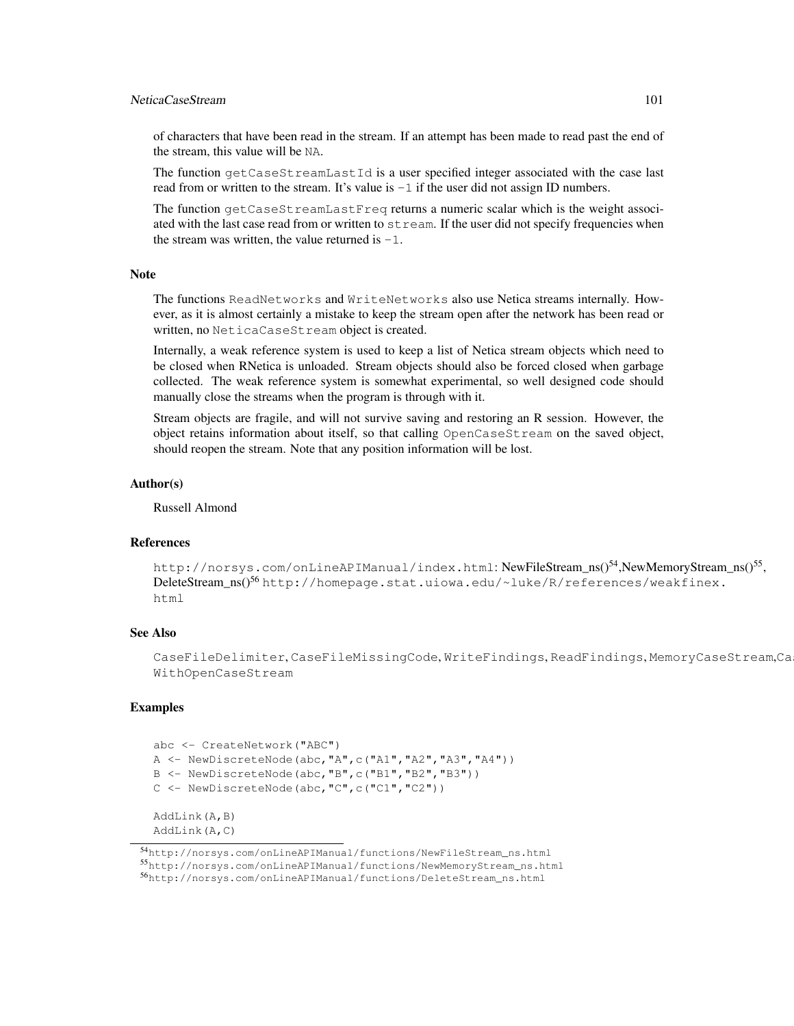# NeticaCaseStream 101

of characters that have been read in the stream. If an attempt has been made to read past the end of the stream, this value will be NA.

The function getCaseStreamLastId is a user specified integer associated with the case last read from or written to the stream. It's value is  $-1$  if the user did not assign ID numbers.

The function getCaseStreamLastFreq returns a numeric scalar which is the weight associated with the last case read from or written to  $str$ eam. If the user did not specify frequencies when the stream was written, the value returned is  $-1$ .

#### **Note**

The functions ReadNetworks and WriteNetworks also use Netica streams internally. However, as it is almost certainly a mistake to keep the stream open after the network has been read or written, no NeticaCaseStream object is created.

Internally, a weak reference system is used to keep a list of Netica stream objects which need to be closed when RNetica is unloaded. Stream objects should also be forced closed when garbage collected. The weak reference system is somewhat experimental, so well designed code should manually close the streams when the program is through with it.

Stream objects are fragile, and will not survive saving and restoring an R session. However, the object retains information about itself, so that calling OpenCaseStream on the saved object, should reopen the stream. Note that any position information will be lost.

## Author(s)

Russell Almond

## References

http://norsys.com/onLineAPIManual/index.html:NewFileStream\_ns()<sup>54</sup>,NewMemoryStream\_ns()<sup>55</sup>, DeleteStream\_ns()<sup>56</sup> http://homepage.stat.uiowa.edu/~luke/R/references/weakfinex. html

# See Also

CaseFileDelimiter, CaseFileMissingCode, WriteFindings, ReadFindings, MemoryCaseStream,Ca WithOpenCaseStream

```
abc <- CreateNetwork("ABC")
A \leftarrow \text{NewDiscreteNode}(\text{abc}, \text{"A", c("A1", "A2", "A3", "A4"))})B <- NewDiscreteNode(abc,"B",c("B1","B2","B3"))
C <- NewDiscreteNode(abc,"C",c("C1","C2"))
AddLink(A,B)
AddLink(A,C)
```
<sup>54</sup>http://norsys.com/onLineAPIManual/functions/NewFileStream\_ns.html <sup>55</sup>http://norsys.com/onLineAPIManual/functions/NewMemoryStream\_ns.html <sup>56</sup>http://norsys.com/onLineAPIManual/functions/DeleteStream\_ns.html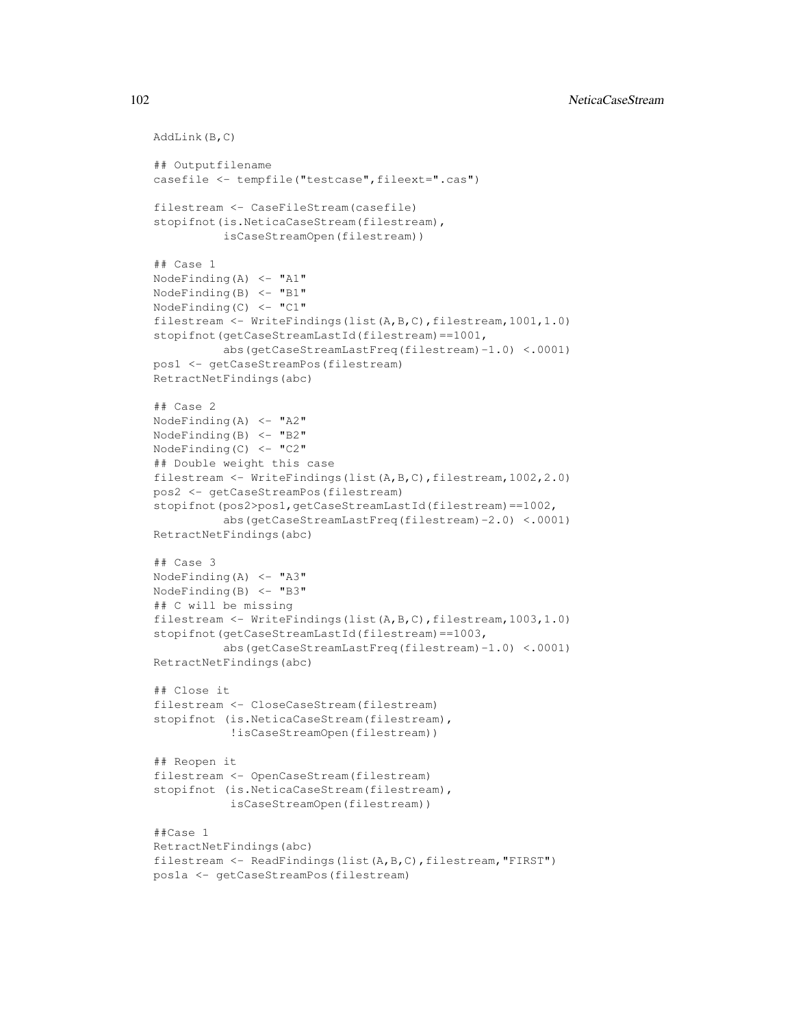```
AddLink(B,C)
## Outputfilename
casefile <- tempfile("testcase", fileext=".cas")
filestream <- CaseFileStream(casefile)
stopifnot(is.NeticaCaseStream(filestream),
          isCaseStreamOpen(filestream))
## Case 1
NodeFinding(A) <- "A1"
NodeFinding(B) \leq - "B1"
NodeFinding(C) \leq - "C1"
filestream <- WriteFindings(list(A,B,C),filestream,1001,1.0)
stopifnot(getCaseStreamLastId(filestream)==1001,
          abs(getCaseStreamLastFreq(filestream)-1.0) <.0001)
pos1 <- getCaseStreamPos(filestream)
RetractNetFindings(abc)
## Case 2
NodeFinding(A) <- "A2"
NodeFinding(B) \leq "B2"
NodeFinding(C) <- "C2"
## Double weight this case
filestream <- WriteFindings(list(A,B,C),filestream,1002,2.0)
pos2 <- getCaseStreamPos(filestream)
stopifnot(pos2>pos1,getCaseStreamLastId(filestream)==1002,
          abs(getCaseStreamLastFreq(filestream)-2.0) <.0001)
RetractNetFindings(abc)
## Case 3
NodeFinding(A) \leq "A3"
NodeFinding(B) <- "B3"
## C will be missing
filestream <- WriteFindings(list(A,B,C),filestream,1003,1.0)
stopifnot(getCaseStreamLastId(filestream)==1003,
          abs(getCaseStreamLastFreq(filestream)-1.0) <.0001)
RetractNetFindings(abc)
## Close it
filestream <- CloseCaseStream(filestream)
stopifnot (is.NeticaCaseStream(filestream),
           !isCaseStreamOpen(filestream))
## Reopen it
filestream <- OpenCaseStream(filestream)
stopifnot (is.NeticaCaseStream(filestream),
           isCaseStreamOpen(filestream))
##Case 1
RetractNetFindings(abc)
filestream <- ReadFindings(list(A,B,C),filestream,"FIRST")
pos1a <- getCaseStreamPos(filestream)
```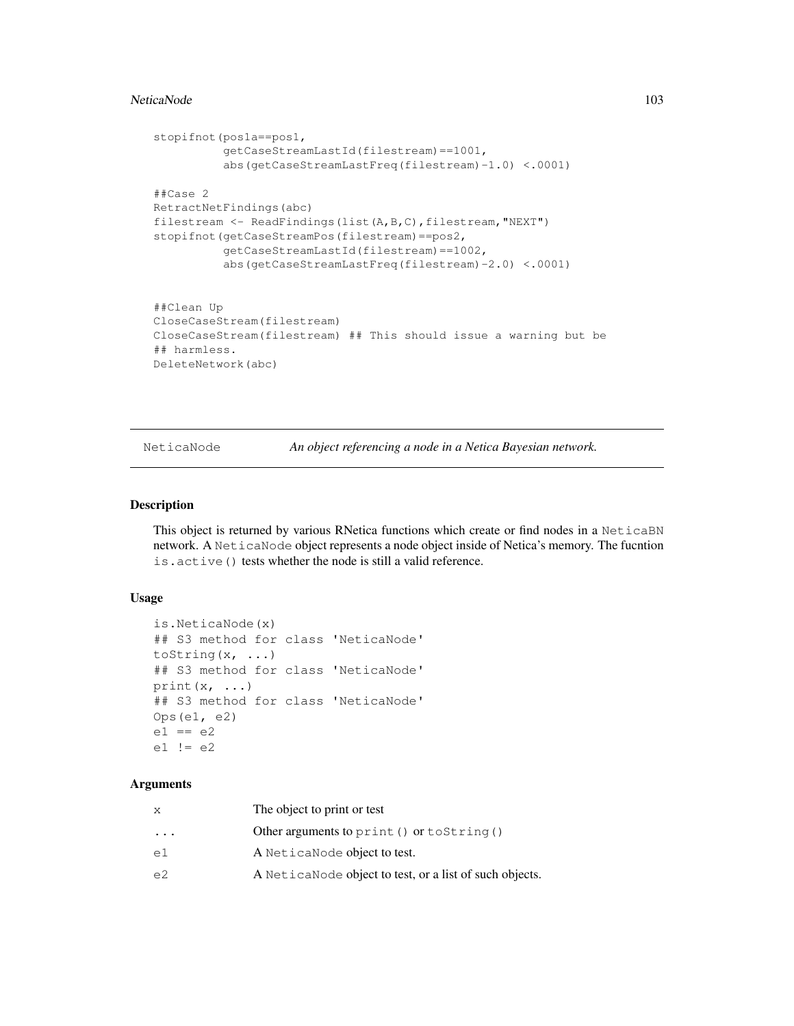#### NeticaNode 103

```
stopifnot(pos1a==pos1,
          getCaseStreamLastId(filestream)==1001,
          abs(getCaseStreamLastFreq(filestream)-1.0) <.0001)
##Case 2
RetractNetFindings(abc)
filestream <- ReadFindings(list(A, B, C), filestream, "NEXT")
stopifnot(getCaseStreamPos(filestream)==pos2,
          getCaseStreamLastId(filestream)==1002,
          abs(getCaseStreamLastFreq(filestream)-2.0) <.0001)
##Clean Up
CloseCaseStream(filestream)
CloseCaseStream(filestream) ## This should issue a warning but be
## harmless.
DeleteNetwork(abc)
```
NeticaNode *An object referencing a node in a Netica Bayesian network.*

# Description

This object is returned by various RNetica functions which create or find nodes in a NeticaBN network. A NeticaNode object represents a node object inside of Netica's memory. The fucntion is.active() tests whether the node is still a valid reference.

## Usage

```
is.NeticaNode(x)
## S3 method for class 'NeticaNode'
toString(x, ...)
## S3 method for class 'NeticaNode'
print(x, \ldots)## S3 method for class 'NeticaNode'
Ops(e1, e2)
e1 == e2e1 != e2
```
# Arguments

| x        | The object to print or test                              |
|----------|----------------------------------------------------------|
| $\ddots$ | Other arguments to print () or to String ()              |
| e1       | A Netica Node object to test.                            |
| e2       | A Netica Node object to test, or a list of such objects. |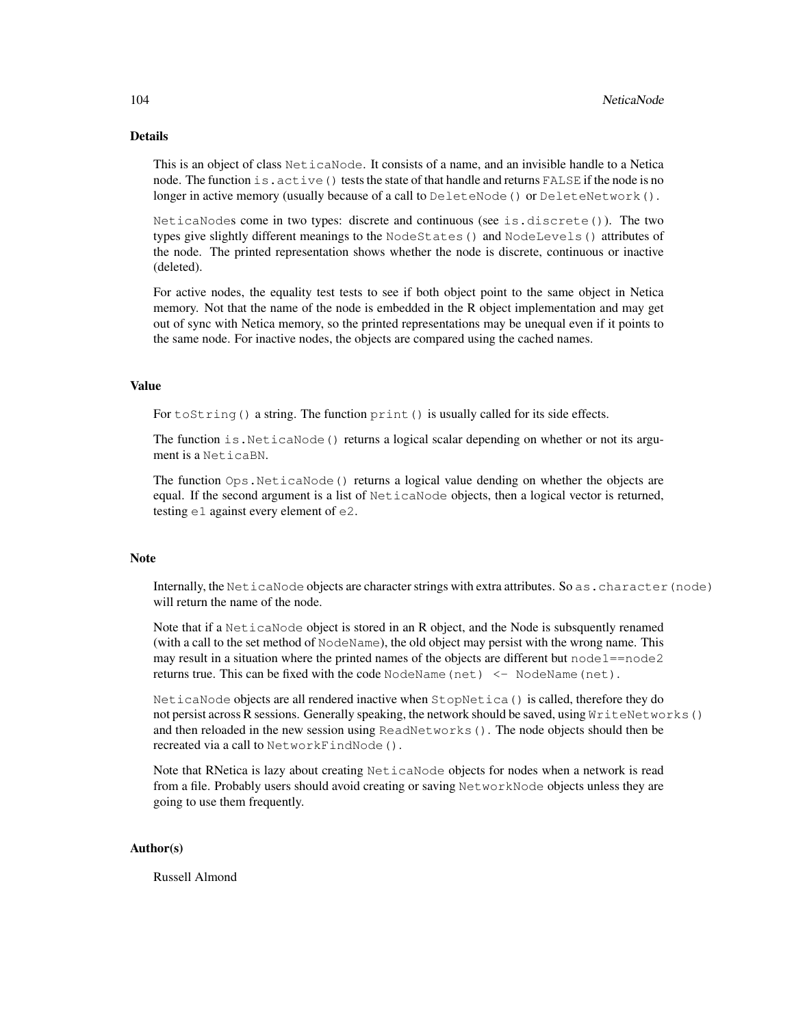# Details

This is an object of class NeticaNode. It consists of a name, and an invisible handle to a Netica node. The function is.active() tests the state of that handle and returns FALSE if the node is no longer in active memory (usually because of a call to DeleteNode () or DeleteNetwork().

NeticaNodes come in two types: discrete and continuous (see is.discrete()). The two types give slightly different meanings to the NodeStates() and NodeLevels() attributes of the node. The printed representation shows whether the node is discrete, continuous or inactive (deleted).

For active nodes, the equality test tests to see if both object point to the same object in Netica memory. Not that the name of the node is embedded in the R object implementation and may get out of sync with Netica memory, so the printed representations may be unequal even if it points to the same node. For inactive nodes, the objects are compared using the cached names.

#### Value

For toString() a string. The function print() is usually called for its side effects.

The function is.NeticaNode() returns a logical scalar depending on whether or not its argument is a NeticaBN.

The function Ops.NeticaNode() returns a logical value dending on whether the objects are equal. If the second argument is a list of NeticaNode objects, then a logical vector is returned, testing  $e1$  against every element of  $e2$ .

## Note

Internally, the NeticaNode objects are character strings with extra attributes. So as.character (node) will return the name of the node.

Note that if a NeticaNode object is stored in an R object, and the Node is subsquently renamed (with a call to the set method of NodeName), the old object may persist with the wrong name. This may result in a situation where the printed names of the objects are different but  $\text{node1} == \text{node2}$ returns true. This can be fixed with the code NodeName(net) <- NodeName(net).

NeticaNode objects are all rendered inactive when StopNetica() is called, therefore they do not persist across R sessions. Generally speaking, the network should be saved, using WriteNetworks() and then reloaded in the new session using ReadNetworks(). The node objects should then be recreated via a call to NetworkFindNode().

Note that RNetica is lazy about creating NeticaNode objects for nodes when a network is read from a file. Probably users should avoid creating or saving NetworkNode objects unless they are going to use them frequently.

# Author(s)

Russell Almond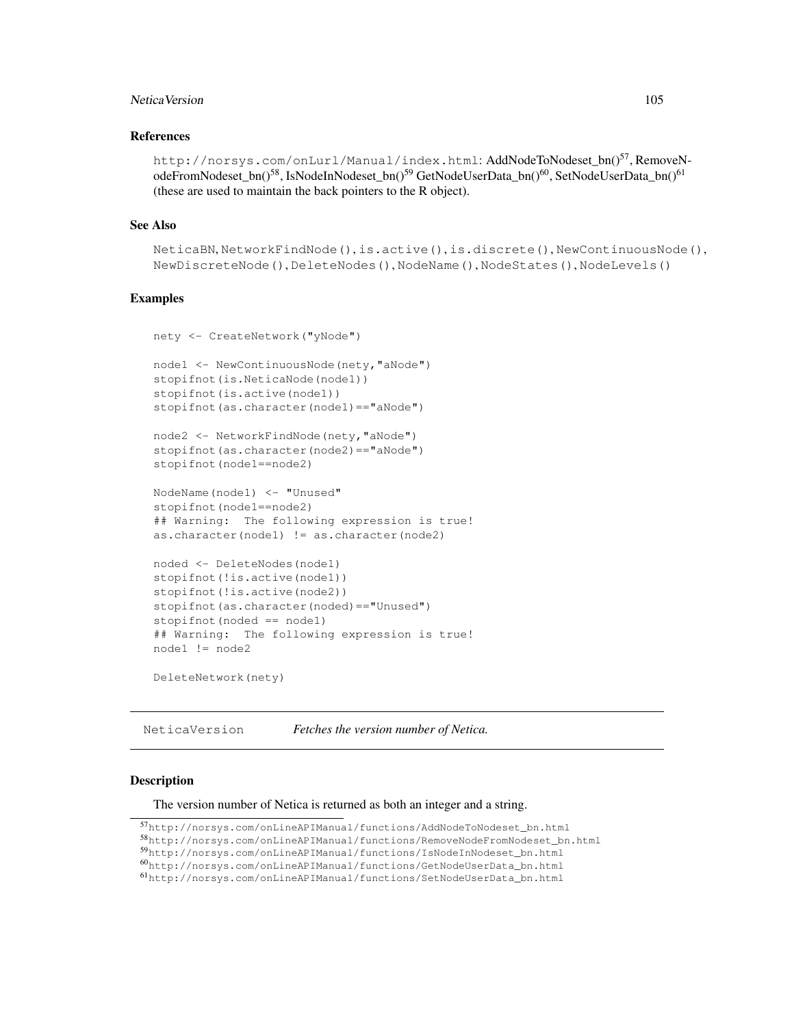# Netica Version 105

## References

http://norsys.com/onLurl/Manual/index.html: AddNodeToNodeset bn()<sup>57</sup>, RemoveNodeFromNodeset\_bn()<sup>58</sup>, IsNodeInNodeset\_bn()<sup>59</sup> GetNodeUserData\_bn()<sup>60</sup>, SetNodeUserData\_bn()<sup>61</sup> (these are used to maintain the back pointers to the R object).

## See Also

```
NeticaBN, NetworkFindNode(), is.active(), is.discrete(), NewContinuousNode(),
NewDiscreteNode(), DeleteNodes(), NodeName(), NodeStates(), NodeLevels()
```
## Examples

```
nety <- CreateNetwork("yNode")
node1 <- NewContinuousNode(nety,"aNode")
stopifnot(is.NeticaNode(node1))
stopifnot(is.active(node1))
stopifnot(as.character(node1)=="aNode")
node2 <- NetworkFindNode(nety,"aNode")
stopifnot(as.character(node2)=="aNode")
stopifnot(node1==node2)
NodeName(node1) <- "Unused"
stopifnot(node1==node2)
## Warning: The following expression is true!
as.character(node1) != as.character(node2)
noded <- DeleteNodes(node1)
stopifnot(!is.active(node1))
stopifnot(!is.active(node2))
stopifnot(as.character(noded)=="Unused")
stopifnot(noded == node1)
## Warning: The following expression is true!
node1 != node2
```
DeleteNetwork(nety)

NeticaVersion *Fetches the version number of Netica.*

## Description

The version number of Netica is returned as both an integer and a string.

<sup>58</sup>http://norsys.com/onLineAPIManual/functions/RemoveNodeFromNodeset\_bn.html

<sup>59</sup>http://norsys.com/onLineAPIManual/functions/IsNodeInNodeset\_bn.html

<sup>57</sup>http://norsys.com/onLineAPIManual/functions/AddNodeToNodeset\_bn.html

<sup>60</sup>http://norsys.com/onLineAPIManual/functions/GetNodeUserData\_bn.html

<sup>61</sup>http://norsys.com/onLineAPIManual/functions/SetNodeUserData\_bn.html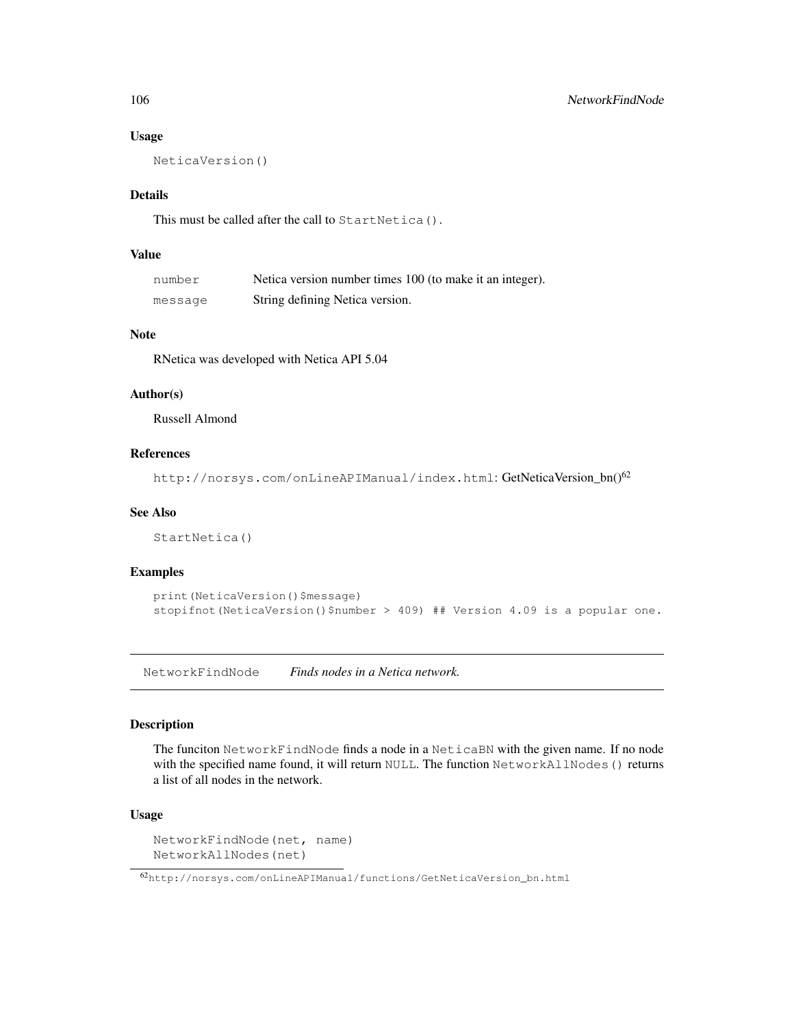# Usage

NeticaVersion()

# Details

This must be called after the call to StartNetica().

# Value

| number  | Netica version number times 100 (to make it an integer). |
|---------|----------------------------------------------------------|
| message | String defining Netica version.                          |

# Note

RNetica was developed with Netica API 5.04

# Author(s)

Russell Almond

# References

http://norsys.com/onLineAPIManual/index.html: GetNeticaVersion\_bn()<sup>62</sup>

# See Also

StartNetica()

# Examples

```
print(NeticaVersion()$message)
stopifnot(NeticaVersion()$number > 409) ## Version 4.09 is a popular one.
```
NetworkFindNode *Finds nodes in a Netica network.*

## Description

The funciton NetworkFindNode finds a node in a NeticaBN with the given name. If no node with the specified name found, it will return NULL. The function NetworkAllNodes () returns a list of all nodes in the network.

# Usage

```
NetworkFindNode(net, name)
NetworkAllNodes(net)
```
<sup>62</sup>http://norsys.com/onLineAPIManual/functions/GetNeticaVersion\_bn.html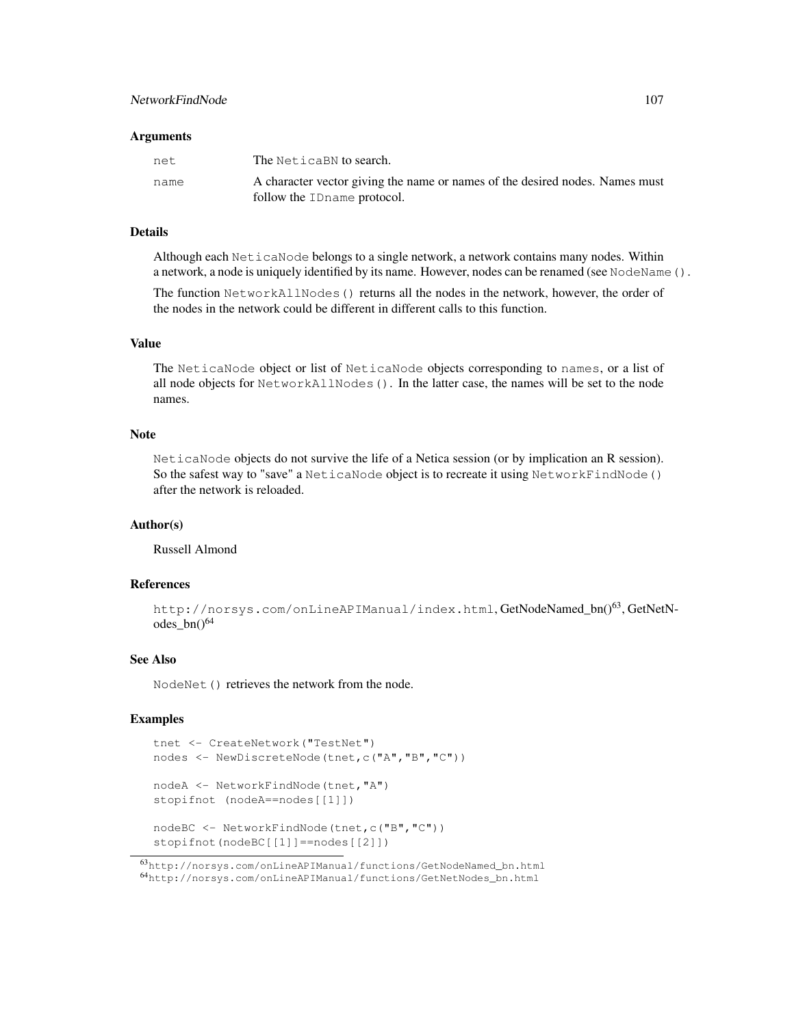# NetworkFindNode 107

#### **Arguments**

| net. | The NeticaBN to search.                                                      |
|------|------------------------------------------------------------------------------|
| name | A character vector giving the name or names of the desired nodes. Names must |
|      | follow the ID name protocol.                                                 |

# Details

Although each NeticaNode belongs to a single network, a network contains many nodes. Within a network, a node is uniquely identified by its name. However, nodes can be renamed (see NodeName ().

The function NetworkAllNodes() returns all the nodes in the network, however, the order of the nodes in the network could be different in different calls to this function.

# Value

The NeticaNode object or list of NeticaNode objects corresponding to names, or a list of all node objects for NetworkAllNodes(). In the latter case, the names will be set to the node names.

# **Note**

NeticaNode objects do not survive the life of a Netica session (or by implication an R session). So the safest way to "save" a NeticaNode object is to recreate it using NetworkFindNode() after the network is reloaded.

## Author(s)

Russell Almond

# References

```
http://norsys.com/onLineAPIManual/index.html, GetNodeNamed bn()<sup>63</sup>, GetNetN-
odes bn()^{64}
```
# See Also

NodeNet() retrieves the network from the node.

```
tnet <- CreateNetwork("TestNet")
nodes <- NewDiscreteNode(tnet,c("A","B","C"))
nodeA <- NetworkFindNode(tnet,"A")
stopifnot (nodeA==nodes[[1]])
nodeBC <- NetworkFindNode(tnet,c("B","C"))
stopifnot(nodeBC[[1]]==nodes[[2]])
```
<sup>63</sup>http://norsys.com/onLineAPIManual/functions/GetNodeNamed\_bn.html <sup>64</sup>http://norsys.com/onLineAPIManual/functions/GetNetNodes\_bn.html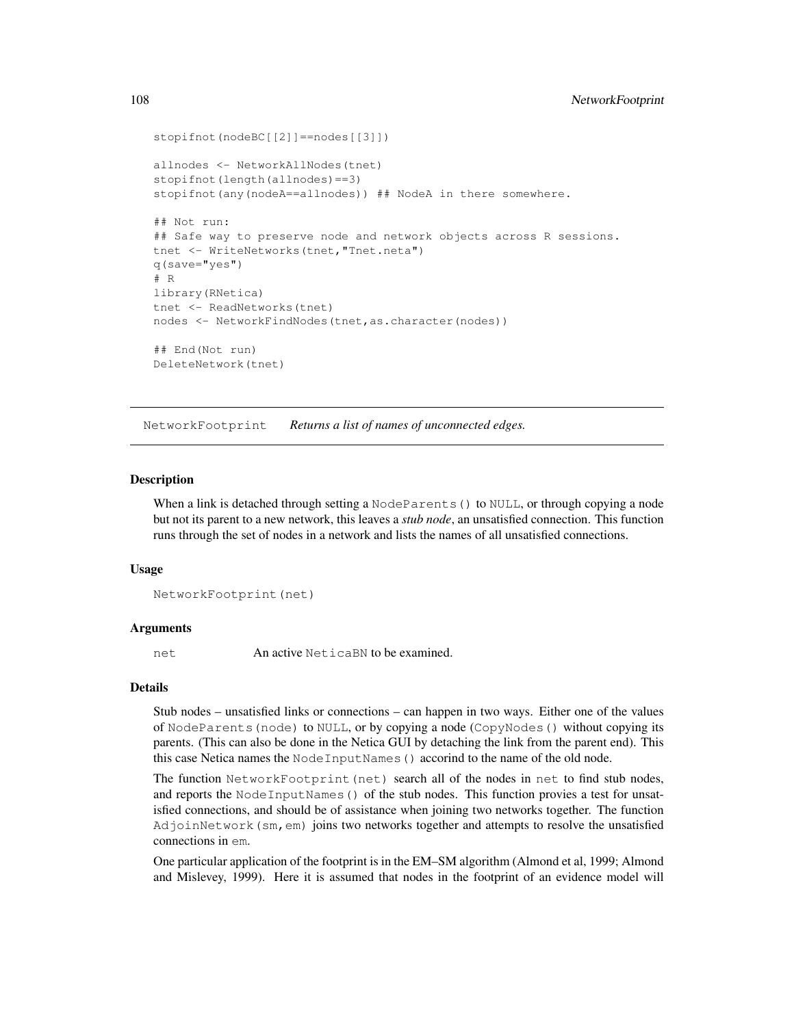```
stopifnot(nodeBC[[2]]==nodes[[3]])
allnodes <- NetworkAllNodes(tnet)
stopifnot(length(allnodes) ==3)
stopifnot (any (nodeA==allnodes)) ## NodeA in there somewhere.
## Not run:
## Safe way to preserve node and network objects across R sessions.
tnet <- WriteNetworks(tnet,"Tnet.neta")
q(save="yes")
# R
library(RNetica)
tnet <- ReadNetworks(tnet)
nodes <- NetworkFindNodes(tnet, as.character(nodes))
## End(Not run)
DeleteNetwork(tnet)
```
NetworkFootprint *Returns a list of names of unconnected edges.*

#### **Description**

When a link is detached through setting a NodeParents () to NULL, or through copying a node but not its parent to a new network, this leaves a *stub node*, an unsatisfied connection. This function runs through the set of nodes in a network and lists the names of all unsatisfied connections.

#### Usage

```
NetworkFootprint(net)
```
#### Arguments

net An active NeticaBN to be examined.

#### Details

Stub nodes – unsatisfied links or connections – can happen in two ways. Either one of the values of NodeParents(node) to NULL, or by copying a node (CopyNodes() without copying its parents. (This can also be done in the Netica GUI by detaching the link from the parent end). This this case Netica names the NodeInputNames() accorind to the name of the old node.

The function NetworkFootprint (net) search all of the nodes in net to find stub nodes, and reports the NodeInputNames () of the stub nodes. This function provies a test for unsatisfied connections, and should be of assistance when joining two networks together. The function AdjoinNetwork(sm,em) joins two networks together and attempts to resolve the unsatisfied connections in em.

One particular application of the footprint is in the EM–SM algorithm (Almond et al, 1999; Almond and Mislevey, 1999). Here it is assumed that nodes in the footprint of an evidence model will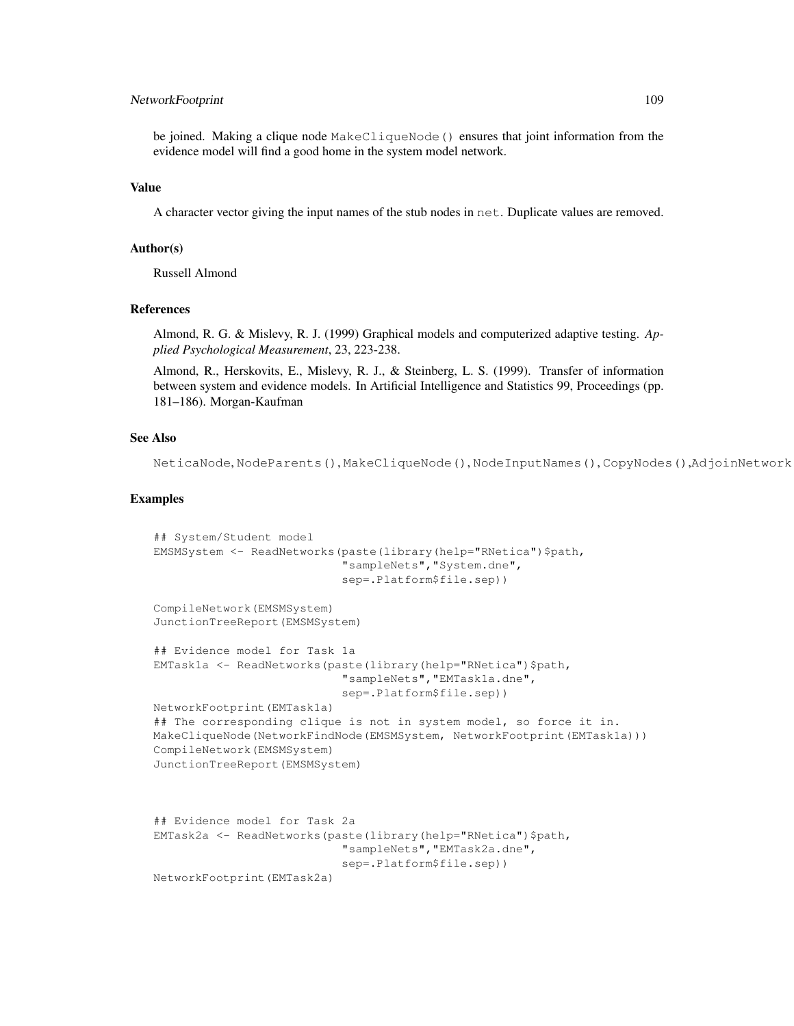# NetworkFootprint 109

be joined. Making a clique node MakeCliqueNode() ensures that joint information from the evidence model will find a good home in the system model network.

#### Value

A character vector giving the input names of the stub nodes in net. Duplicate values are removed.

## Author(s)

Russell Almond

# References

Almond, R. G. & Mislevy, R. J. (1999) Graphical models and computerized adaptive testing. *Applied Psychological Measurement*, 23, 223-238.

Almond, R., Herskovits, E., Mislevy, R. J., & Steinberg, L. S. (1999). Transfer of information between system and evidence models. In Artificial Intelligence and Statistics 99, Proceedings (pp. 181–186). Morgan-Kaufman

### See Also

NeticaNode, NodeParents(), MakeCliqueNode(), NodeInputNames(), CopyNodes(),AdjoinNetwork()

## Examples

```
## System/Student model
EMSMSystem <- ReadNetworks(paste(library(help="RNetica")$path,
                           "sampleNets","System.dne",
                           sep=.Platform$file.sep))
CompileNetwork(EMSMSystem)
JunctionTreeReport(EMSMSystem)
## Evidence model for Task 1a
EMTask1a <- ReadNetworks(paste(library(help="RNetica")$path,
                           "sampleNets","EMTask1a.dne",
                           sep=.Platform$file.sep))
NetworkFootprint(EMTask1a)
## The corresponding clique is not in system model, so force it in.
MakeCliqueNode(NetworkFindNode(EMSMSystem, NetworkFootprint(EMTask1a)))
CompileNetwork(EMSMSystem)
JunctionTreeReport(EMSMSystem)
## Evidence model for Task 2a
EMTask2a <- ReadNetworks(paste(library(help="RNetica")$path,
                           "sampleNets","EMTask2a.dne",
                           sep=.Platform$file.sep))
NetworkFootprint(EMTask2a)
```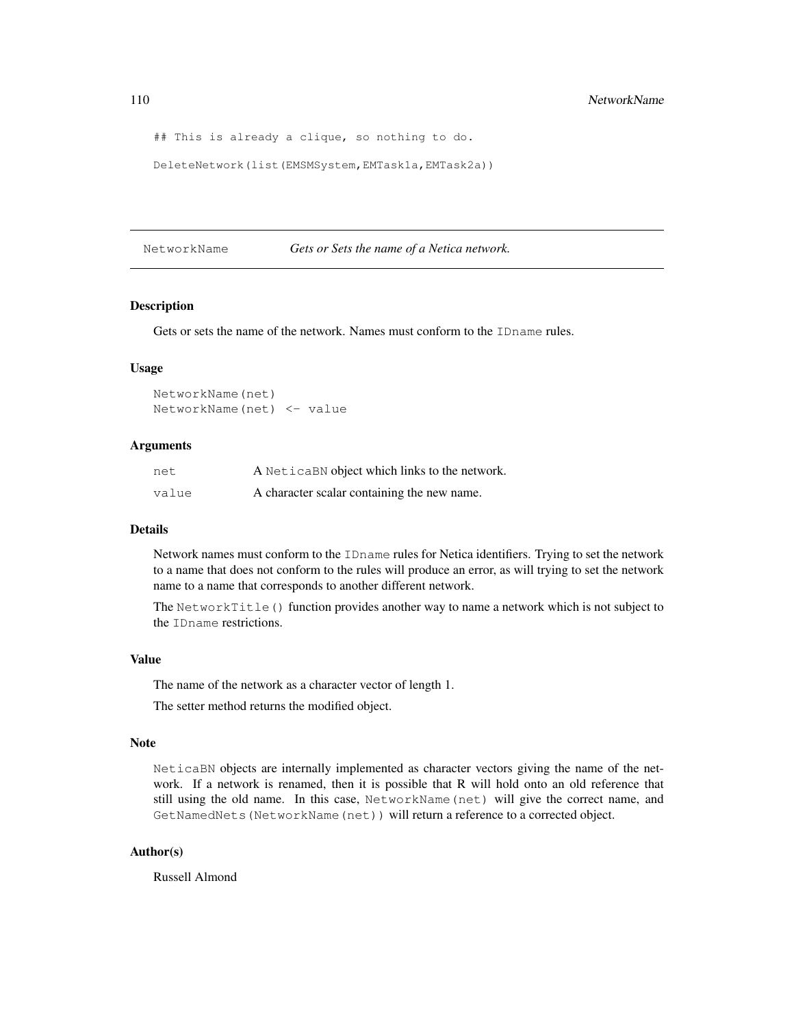```
## This is already a clique, so nothing to do.
```

```
DeleteNetwork(list(EMSMSystem,EMTask1a,EMTask2a))
```
# NetworkName *Gets or Sets the name of a Netica network.*

# Description

Gets or sets the name of the network. Names must conform to the IDname rules.

#### Usage

NetworkName(net) NetworkName(net) <- value

## Arguments

| net   | A NeticaBN object which links to the network. |
|-------|-----------------------------------------------|
| value | A character scalar containing the new name.   |

## Details

Network names must conform to the IDname rules for Netica identifiers. Trying to set the network to a name that does not conform to the rules will produce an error, as will trying to set the network name to a name that corresponds to another different network.

The NetworkTitle() function provides another way to name a network which is not subject to the IDname restrictions.

#### Value

The name of the network as a character vector of length 1.

The setter method returns the modified object.

### Note

NeticaBN objects are internally implemented as character vectors giving the name of the network. If a network is renamed, then it is possible that R will hold onto an old reference that still using the old name. In this case, NetworkName(net) will give the correct name, and GetNamedNets(NetworkName(net)) will return a reference to a corrected object.

#### Author(s)

Russell Almond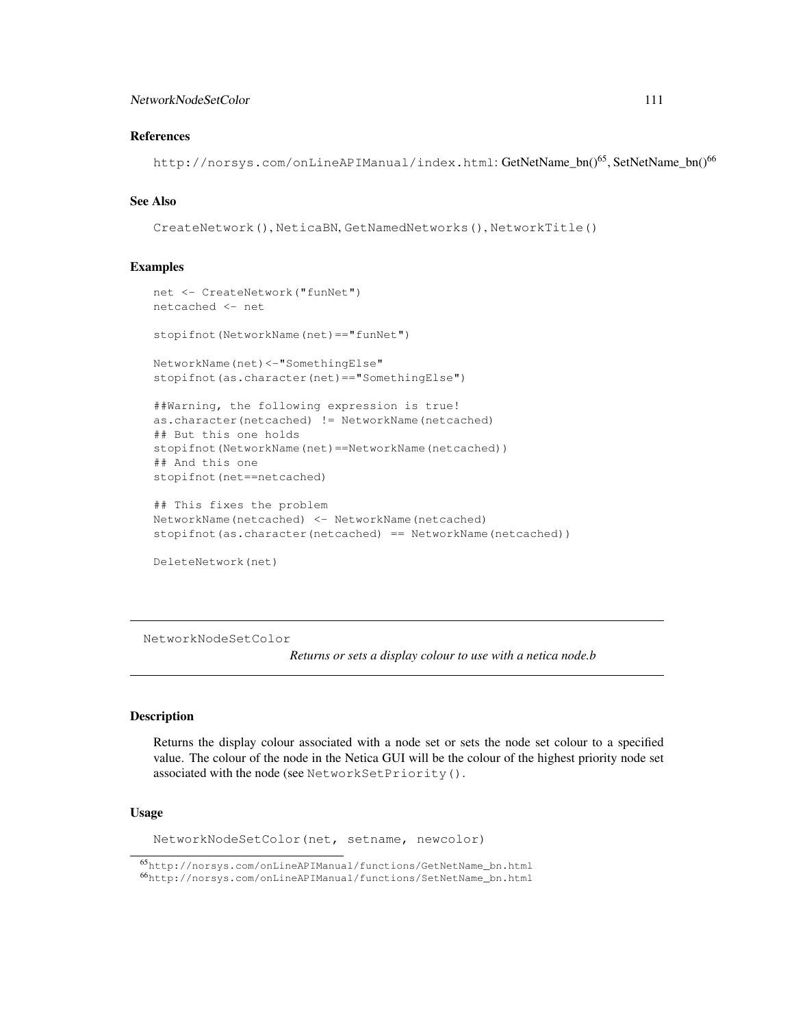## NetworkNodeSetColor 111

# References

http://norsys.com/onLineAPIManual/index.html: GetNetName\_bn()65, SetNetName\_bn()<sup>66</sup>

#### See Also

CreateNetwork(), NeticaBN, GetNamedNetworks(), NetworkTitle()

## Examples

```
net <- CreateNetwork("funNet")
netcached <- net
stopifnot(NetworkName(net) == "funNet")
NetworkName(net)<-"SomethingElse"
stopifnot(as.character(net)=="SomethingElse")
##Warning, the following expression is true!
as.character(netcached) != NetworkName(netcached)
## But this one holds
stopifnot(NetworkName(net)==NetworkName(netcached))
## And this one
stopifnot(net==netcached)
## This fixes the problem
NetworkName(netcached) <- NetworkName(netcached)
stopifnot(as.character(netcached) == NetworkName(netcached))
```
DeleteNetwork(net)

NetworkNodeSetColor

*Returns or sets a display colour to use with a netica node.b*

## **Description**

Returns the display colour associated with a node set or sets the node set colour to a specified value. The colour of the node in the Netica GUI will be the colour of the highest priority node set associated with the node (see NetworkSetPriority().

## Usage

NetworkNodeSetColor(net, setname, newcolor)

<sup>65</sup>http://norsys.com/onLineAPIManual/functions/GetNetName\_bn.html

<sup>66</sup>http://norsys.com/onLineAPIManual/functions/SetNetName\_bn.html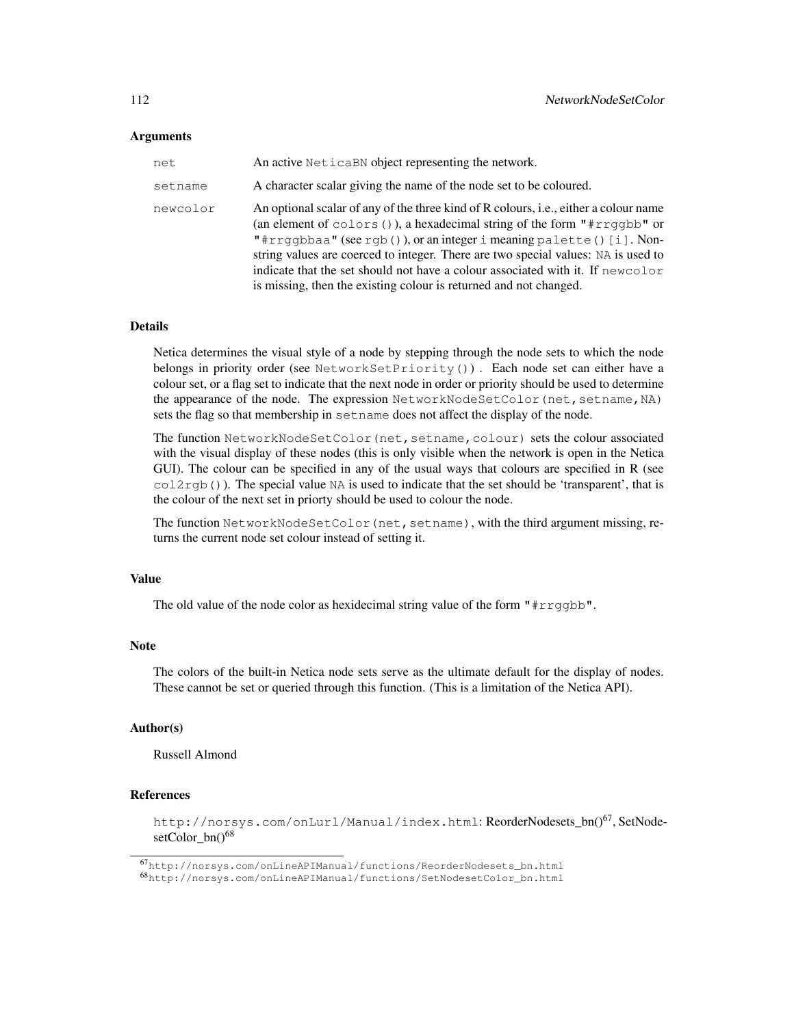#### Arguments

| net      | An active NeticaBN object representing the network.                                                                                                                                                                                                                                                                                                                                                                                                                                     |
|----------|-----------------------------------------------------------------------------------------------------------------------------------------------------------------------------------------------------------------------------------------------------------------------------------------------------------------------------------------------------------------------------------------------------------------------------------------------------------------------------------------|
| setname  | A character scalar giving the name of the node set to be coloured.                                                                                                                                                                                                                                                                                                                                                                                                                      |
| newcolor | An optional scalar of any of the three kind of R colours, i.e., either a colour name<br>(an element of colors $()$ ), a hexadecimal string of the form "#rrggbb" or<br>"#rrgqbbaa" (see rqb()), or an integer i meaning palette() [i]. Non-<br>string values are coerced to integer. There are two special values: NA is used to<br>indicate that the set should not have a colour associated with it. If newcolor<br>is missing, then the existing colour is returned and not changed. |

#### Details

Netica determines the visual style of a node by stepping through the node sets to which the node belongs in priority order (see NetworkSetPriority()) . Each node set can either have a colour set, or a flag set to indicate that the next node in order or priority should be used to determine the appearance of the node. The expression NetworkNodeSetColor (net, setname, NA) sets the flag so that membership in setname does not affect the display of the node.

The function NetworkNodeSetColor (net, setname, colour) sets the colour associated with the visual display of these nodes (this is only visible when the network is open in the Netica GUI). The colour can be specified in any of the usual ways that colours are specified in R (see  $col2rgb()$ ). The special value NA is used to indicate that the set should be 'transparent', that is the colour of the next set in priorty should be used to colour the node.

The function NetworkNodeSetColor(net, setname), with the third argument missing, returns the current node set colour instead of setting it.

# Value

The old value of the node color as hexidecimal string value of the form "#rrggbb".

#### Note

The colors of the built-in Netica node sets serve as the ultimate default for the display of nodes. These cannot be set or queried through this function. (This is a limitation of the Netica API).

#### Author(s)

Russell Almond

## References

http://norsys.com/onLurl/Manual/index.html: ReorderNodesets bn()<sup>67</sup>, SetNodesetColor\_bn()<sup>68</sup>

<sup>67</sup>http://norsys.com/onLineAPIManual/functions/ReorderNodesets\_bn.html

<sup>68</sup>http://norsys.com/onLineAPIManual/functions/SetNodesetColor\_bn.html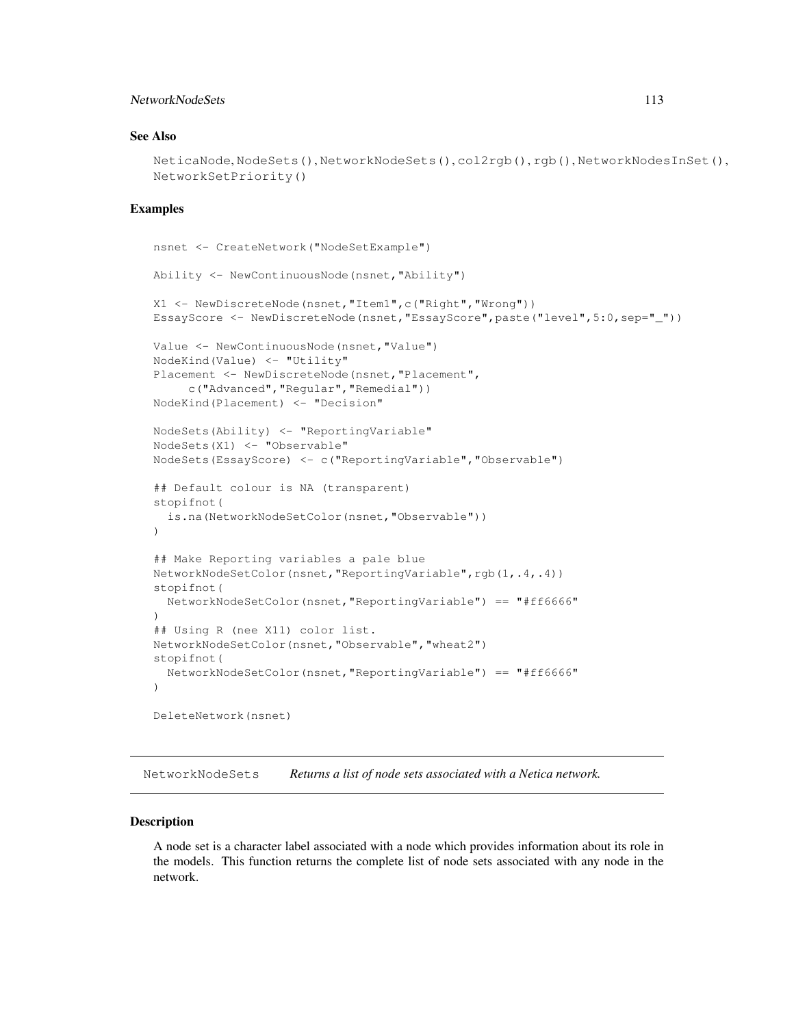# NetworkNodeSets 113

# See Also

```
NeticaNode, NodeSets(), NetworkNodeSets(), col2rgb(), rgb(), NetworkNodesInSet(),
NetworkSetPriority()
```
### Examples

```
nsnet <- CreateNetwork("NodeSetExample")
Ability <- NewContinuousNode(nsnet,"Ability")
X1 <- NewDiscreteNode(nsnet,"Item1",c("Right","Wrong"))
EssayScore <- NewDiscreteNode(nsnet,"EssayScore",paste("level",5:0,sep="_"))
Value <- NewContinuousNode(nsnet,"Value")
NodeKind(Value) <- "Utility"
Placement <- NewDiscreteNode(nsnet, "Placement",
     c("Advanced","Regular","Remedial"))
NodeKind(Placement) <- "Decision"
NodeSets(Ability) <- "ReportingVariable"
NodeSets(X1) <- "Observable"
NodeSets(EssayScore) <- c("ReportingVariable","Observable")
## Default colour is NA (transparent)
stopifnot(
  is.na(NetworkNodeSetColor(nsnet,"Observable"))
)
## Make Reporting variables a pale blue
NetworkNodeSetColor(nsnet,"ReportingVariable",rgb(1,.4,.4))
stopifnot(
  NetworkNodeSetColor(nsnet,"ReportingVariable") == "#ff6666"
\lambda## Using R (nee X11) color list.
NetworkNodeSetColor(nsnet,"Observable","wheat2")
stopifnot(
 NetworkNodeSetColor(nsnet,"ReportingVariable") == "#ff6666"
)
DeleteNetwork(nsnet)
```
NetworkNodeSets *Returns a list of node sets associated with a Netica network.*

#### Description

A node set is a character label associated with a node which provides information about its role in the models. This function returns the complete list of node sets associated with any node in the network.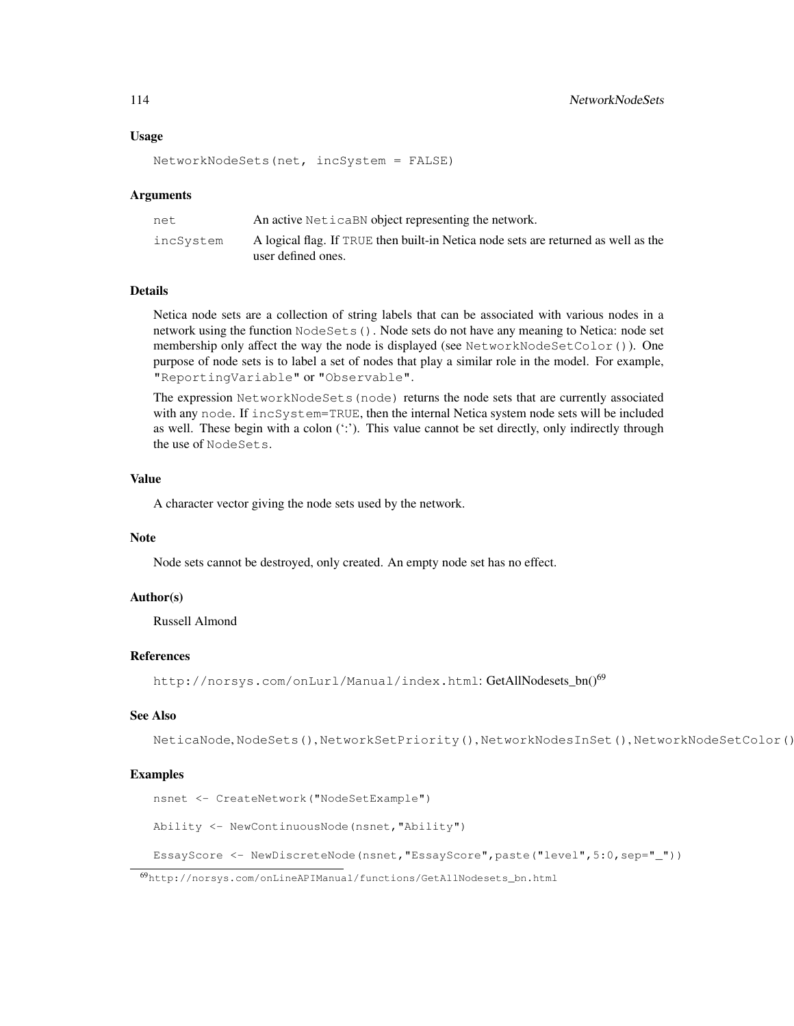#### Usage

```
NetworkNodeSets(net, incSystem = FALSE)
```
#### Arguments

| net.      | An active Netical BN object representing the network.                                                    |
|-----------|----------------------------------------------------------------------------------------------------------|
| incSvstem | A logical flag. If TRUE then built-in Netica node sets are returned as well as the<br>user defined ones. |

## Details

Netica node sets are a collection of string labels that can be associated with various nodes in a network using the function NodeSets(). Node sets do not have any meaning to Netica: node set membership only affect the way the node is displayed (see NetworkNodeSetColor()). One purpose of node sets is to label a set of nodes that play a similar role in the model. For example, "ReportingVariable" or "Observable".

The expression NetworkNodeSets(node) returns the node sets that are currently associated with any node. If incSystem=TRUE, then the internal Netica system node sets will be included as well. These begin with a colon (':'). This value cannot be set directly, only indirectly through the use of NodeSets.

## Value

A character vector giving the node sets used by the network.

#### Note

Node sets cannot be destroyed, only created. An empty node set has no effect.

#### Author(s)

Russell Almond

#### References

http://norsys.com/onLurl/Manual/index.html: GetAllNodesets\_bn()<sup>69</sup>

#### See Also

```
NeticaNode, NodeSets(), NetworkSetPriority(), NetworkNodesInSet(), NetworkNodeSetColor()
```
#### Examples

```
nsnet <- CreateNetwork("NodeSetExample")
```
Ability <- NewContinuousNode(nsnet,"Ability")

EssayScore <- NewDiscreteNode(nsnet,"EssayScore",paste("level",5:0,sep="\_"))

<sup>69</sup>http://norsys.com/onLineAPIManual/functions/GetAllNodesets\_bn.html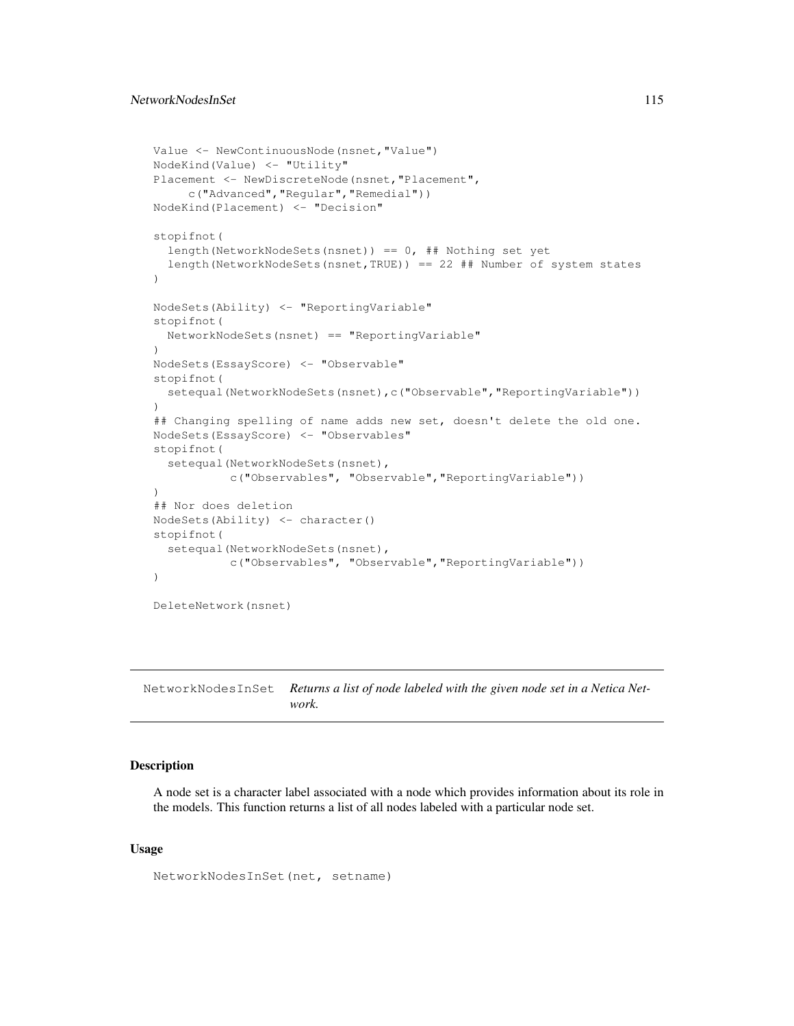## NetworkNodesInSet 115

```
Value <- NewContinuousNode(nsnet,"Value")
NodeKind(Value) <- "Utility"
Placement <- NewDiscreteNode(nsnet,"Placement",
     c("Advanced","Regular","Remedial"))
NodeKind(Placement) <- "Decision"
stopifnot(
  length(NetworkNodeSets(nsnet)) == 0, ## Nothing set yet
  length(NetworkNodeSets(nsnet,TRUE)) == 22 ## Number of system states
)
NodeSets(Ability) <- "ReportingVariable"
stopifnot(
  NetworkNodeSets(nsnet) == "ReportingVariable"
)
NodeSets(EssayScore) <- "Observable"
stopifnot(
  setequal(NetworkNodeSets(nsnet),c("Observable", "ReportingVariable"))
)
## Changing spelling of name adds new set, doesn't delete the old one.
NodeSets(EssayScore) <- "Observables"
stopifnot(
  setequal(NetworkNodeSets(nsnet),
           c("Observables", "Observable","ReportingVariable"))
)
## Nor does deletion
NodeSets(Ability) <- character()
stopifnot(
  setequal(NetworkNodeSets(nsnet),
           c("Observables", "Observable","ReportingVariable"))
)
DeleteNetwork(nsnet)
```
NetworkNodesInSet *Returns a list of node labeled with the given node set in a Netica Network.*

## Description

A node set is a character label associated with a node which provides information about its role in the models. This function returns a list of all nodes labeled with a particular node set.

## Usage

```
NetworkNodesInSet(net, setname)
```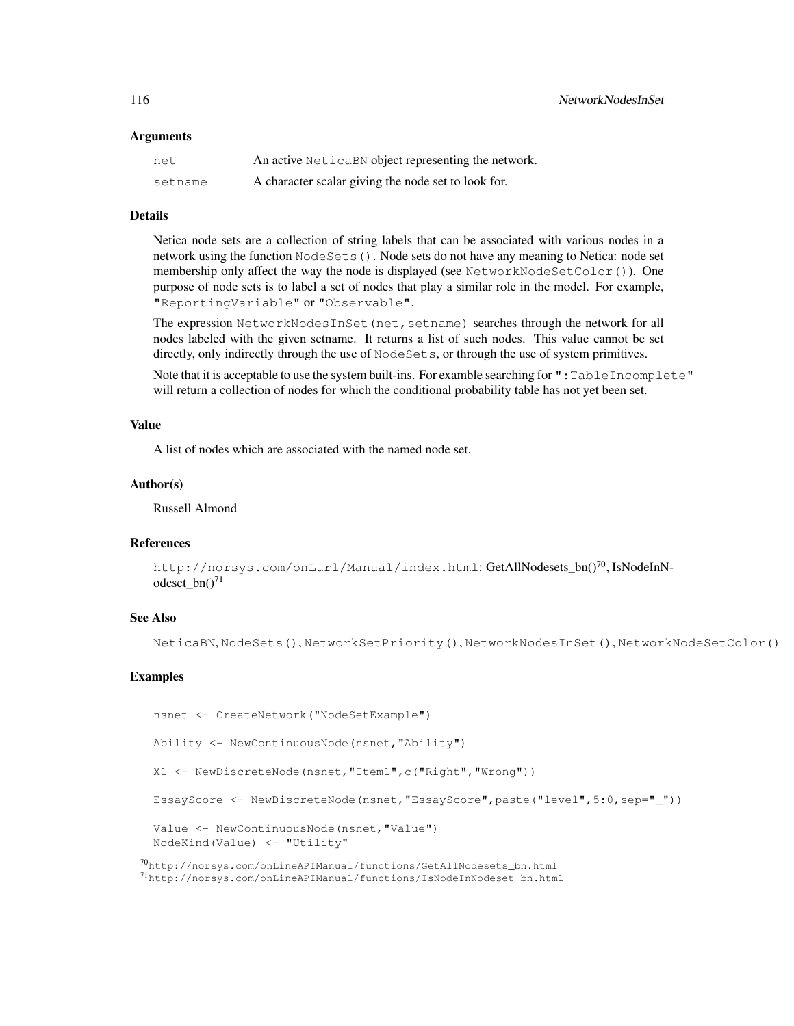#### Arguments

| net     | An active NeticaBN object representing the network. |
|---------|-----------------------------------------------------|
| setname | A character scalar giving the node set to look for. |

## Details

Netica node sets are a collection of string labels that can be associated with various nodes in a network using the function NodeSets(). Node sets do not have any meaning to Netica: node set membership only affect the way the node is displayed (see NetworkNodeSetColor()). One purpose of node sets is to label a set of nodes that play a similar role in the model. For example, "ReportingVariable" or "Observable".

The expression NetworkNodesInSet (net, setname) searches through the network for all nodes labeled with the given setname. It returns a list of such nodes. This value cannot be set directly, only indirectly through the use of NodeSets, or through the use of system primitives.

Note that it is acceptable to use the system built-ins. For examble searching for ":TableIncomplete" will return a collection of nodes for which the conditional probability table has not yet been set.

## Value

A list of nodes which are associated with the named node set.

#### Author(s)

Russell Almond

## References

```
http://norsys.com/onLurl/Manual/index.html: GetAllNodesets_bn()<sup>70</sup>, IsNodeInN-
odeset bn()^{71}
```
## See Also

```
NeticaBN, NodeSets(), NetworkSetPriority(), NetworkNodesInSet(), NetworkNodeSetColor()
```
#### Examples

```
nsnet <- CreateNetwork("NodeSetExample")
```
Ability <- NewContinuousNode(nsnet,"Ability")

```
X1 <- NewDiscreteNode(nsnet,"Item1",c("Right","Wrong"))
```
EssayScore <- NewDiscreteNode(nsnet,"EssayScore",paste("level",5:0,sep="\_"))

Value <- NewContinuousNode(nsnet,"Value") NodeKind(Value) <- "Utility"

 $70$ http://norsys.com/onLineAPIManual/functions/GetAllNodesets\_bn.html

<sup>71</sup>http://norsys.com/onLineAPIManual/functions/IsNodeInNodeset\_bn.html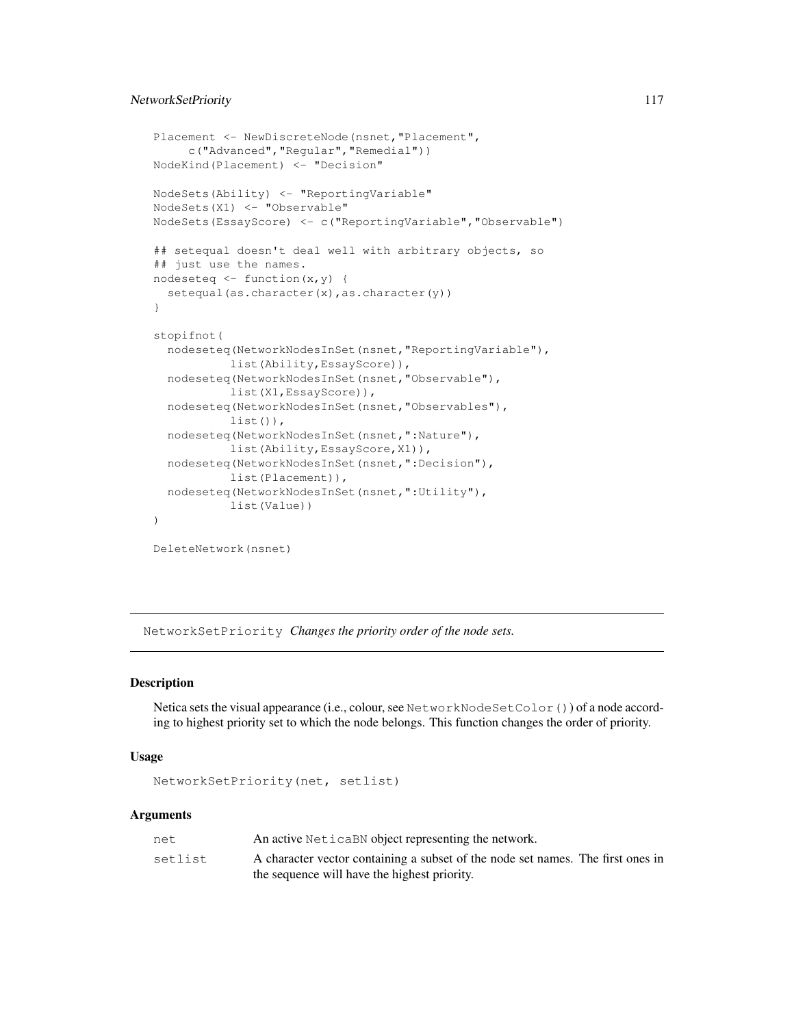# NetworkSetPriority 117

```
Placement <- NewDiscreteNode(nsnet,"Placement",
     c("Advanced","Regular","Remedial"))
NodeKind(Placement) <- "Decision"
NodeSets(Ability) <- "ReportingVariable"
NodeSets(X1) <- "Observable"
NodeSets(EssayScore) <- c("ReportingVariable","Observable")
## setequal doesn't deal well with arbitrary objects, so
## just use the names.
nodeseteq \leftarrow function(x, y) {
  setequal(as.character(x), as.character(y))
}
stopifnot(
  nodeseteq(NetworkNodesInSet(nsnet,"ReportingVariable"),
           list(Ability,EssayScore)),
  nodeseteq(NetworkNodesInSet(nsnet,"Observable"),
           list(X1,EssayScore)),
  nodeseteq(NetworkNodesInSet(nsnet,"Observables"),
           list()),
  nodeseteq(NetworkNodesInSet(nsnet,":Nature"),
           list(Ability,EssayScore,X1)),
  nodeseteq(NetworkNodesInSet(nsnet,":Decision"),
           list(Placement)),
  nodeseteq(NetworkNodesInSet(nsnet,":Utility"),
           list(Value))
)
DeleteNetwork(nsnet)
```
NetworkSetPriority *Changes the priority order of the node sets.*

## Description

Netica sets the visual appearance (i.e., colour, see NetworkNodeSetColor()) of a node according to highest priority set to which the node belongs. This function changes the order of priority.

#### Usage

```
NetworkSetPriority(net, setlist)
```
#### Arguments

| net     | An active Netical BN object representing the network.                           |
|---------|---------------------------------------------------------------------------------|
| setlist | A character vector containing a subset of the node set names. The first ones in |
|         | the sequence will have the highest priority.                                    |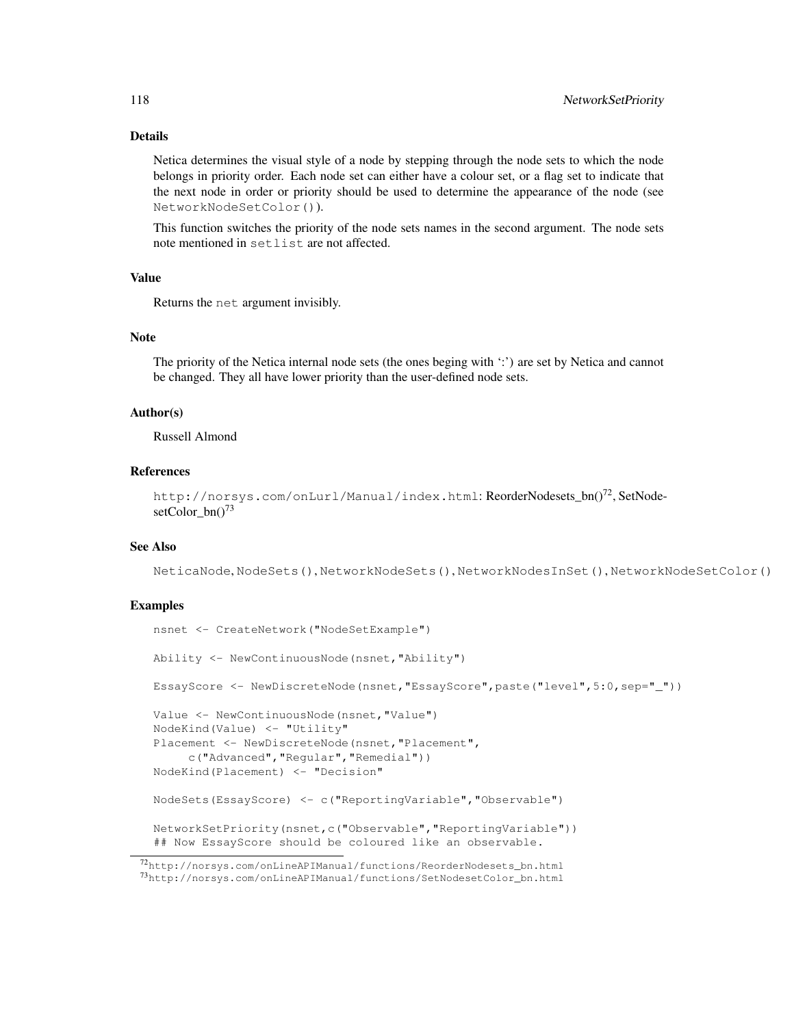# Details

Netica determines the visual style of a node by stepping through the node sets to which the node belongs in priority order. Each node set can either have a colour set, or a flag set to indicate that the next node in order or priority should be used to determine the appearance of the node (see NetworkNodeSetColor()).

This function switches the priority of the node sets names in the second argument. The node sets note mentioned in setlist are not affected.

## Value

Returns the net argument invisibly.

#### Note

The priority of the Netica internal node sets (the ones beging with ':') are set by Netica and cannot be changed. They all have lower priority than the user-defined node sets.

#### Author(s)

Russell Almond

#### References

```
http://norsys.com/onLurl/Manual/index.html: ReorderNodesets_bn()<sup>72</sup>, SetNode-
setColor_bn()<sup>73</sup>
```
## See Also

NeticaNode, NodeSets(), NetworkNodeSets(), NetworkNodesInSet(), NetworkNodeSetColor()

## Examples

```
nsnet <- CreateNetwork("NodeSetExample")
Ability <- NewContinuousNode(nsnet,"Ability")
EssayScore <- NewDiscreteNode(nsnet,"EssayScore",paste("level",5:0,sep="_"))
Value <- NewContinuousNode(nsnet,"Value")
NodeKind(Value) <- "Utility"
Placement <- NewDiscreteNode(nsnet,"Placement",
     c("Advanced","Regular","Remedial"))
NodeKind(Placement) <- "Decision"
NodeSets(EssayScore) <- c("ReportingVariable","Observable")
NetworkSetPriority(nsnet,c("Observable","ReportingVariable"))
## Now EssayScore should be coloured like an observable.
```
<sup>72</sup>http://norsys.com/onLineAPIManual/functions/ReorderNodesets\_bn.html <sup>73</sup>http://norsys.com/onLineAPIManual/functions/SetNodesetColor\_bn.html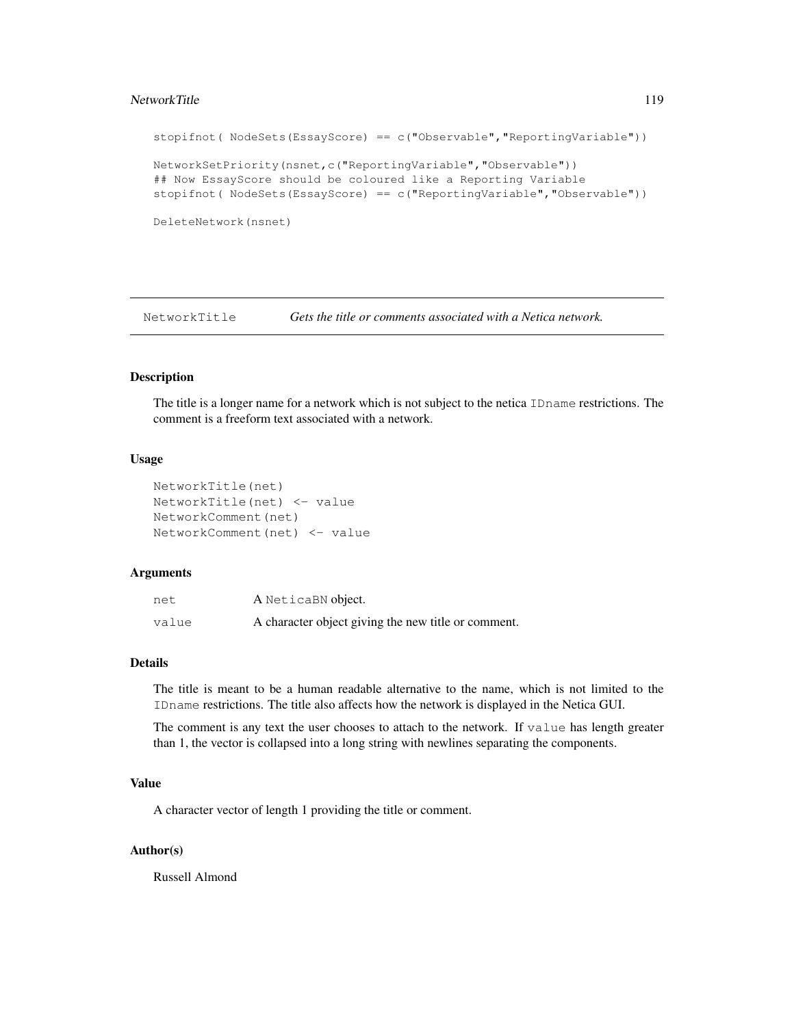#### NetworkTitle 119

```
stopifnot( NodeSets(EssayScore) == c("Observable","ReportingVariable"))
NetworkSetPriority(nsnet,c("ReportingVariable","Observable"))
## Now EssayScore should be coloured like a Reporting Variable
stopifnot( NodeSets(EssayScore) == c("ReportingVariable","Observable"))
DeleteNetwork(nsnet)
```
NetworkTitle *Gets the title or comments associated with a Netica network.*

# Description

The title is a longer name for a network which is not subject to the netica IDname restrictions. The comment is a freeform text associated with a network.

#### Usage

```
NetworkTitle(net)
NetworkTitle(net) <- value
NetworkComment(net)
NetworkComment(net) <- value
```
#### Arguments

| net   | A NeticaBN object.                                  |
|-------|-----------------------------------------------------|
| value | A character object giving the new title or comment. |

# Details

The title is meant to be a human readable alternative to the name, which is not limited to the IDname restrictions. The title also affects how the network is displayed in the Netica GUI.

The comment is any text the user chooses to attach to the network. If value has length greater than 1, the vector is collapsed into a long string with newlines separating the components.

# Value

A character vector of length 1 providing the title or comment.

## Author(s)

Russell Almond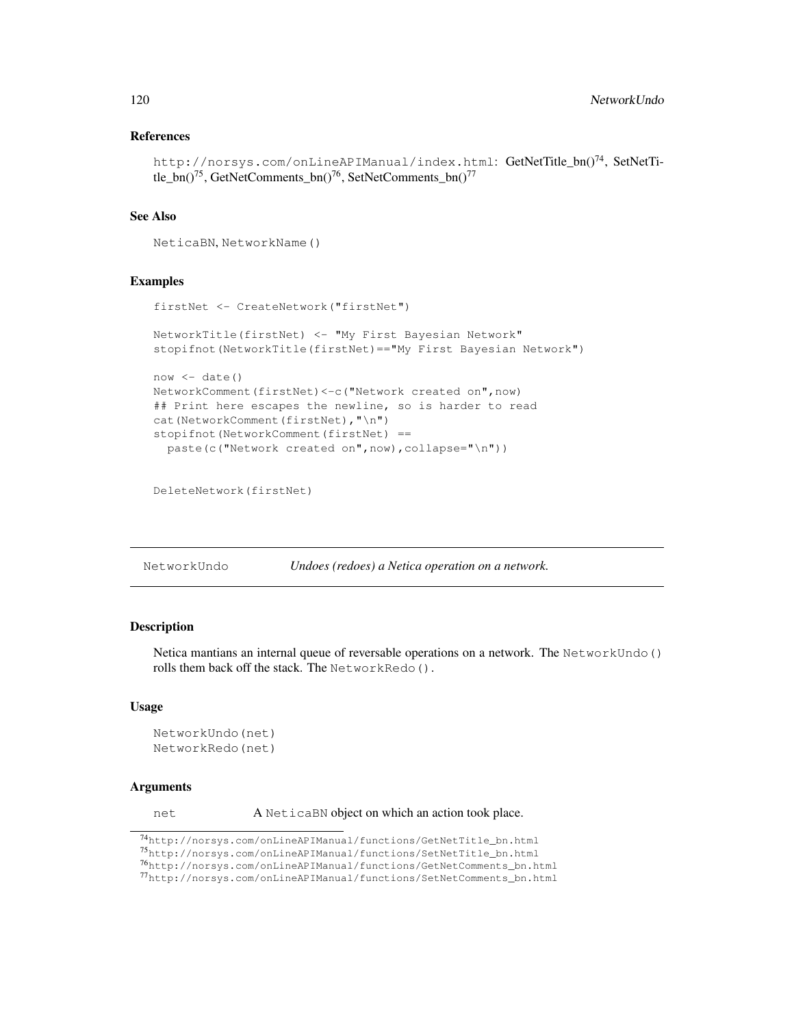## References

```
http://norsys.com/onLineAPIManual/index.html: GetNetTitle_bn()<sup>74</sup>, SetNetTi-
tle bn()<sup>75</sup>, GetNetComments bn()<sup>76</sup>, SetNetComments bn()<sup>77</sup>
```
# See Also

NeticaBN, NetworkName()

## Examples

```
firstNet <- CreateNetwork("firstNet")
NetworkTitle(firstNet) <- "My First Bayesian Network"
stopifnot(NetworkTitle(firstNet)=="My First Bayesian Network")
now < - date()NetworkComment(firstNet)<-c("Network created on",now)
## Print here escapes the newline, so is harder to read
cat(NetworkComment(firstNet), "\n")
stopifnot(NetworkComment(firstNet) ==
  paste(c("Network created on", now), collapse="\n"))
```
DeleteNetwork(firstNet)

| NetworkUndo |  | Undoes (redoes) a Netica operation on a network. |  |
|-------------|--|--------------------------------------------------|--|
|-------------|--|--------------------------------------------------|--|

# Description

Netica mantians an internal queue of reversable operations on a network. The NetworkUndo() rolls them back off the stack. The NetworkRedo().

#### Usage

```
NetworkUndo(net)
NetworkRedo(net)
```
#### Arguments

net A NeticaBN object on which an action took place.

<sup>74</sup>http://norsys.com/onLineAPIManual/functions/GetNetTitle\_bn.html

<sup>75</sup>http://norsys.com/onLineAPIManual/functions/SetNetTitle\_bn.html

 $76$ http://norsys.com/onLineAPIManual/functions/GetNetComments\_bn.html

<sup>77</sup>http://norsys.com/onLineAPIManual/functions/SetNetComments\_bn.html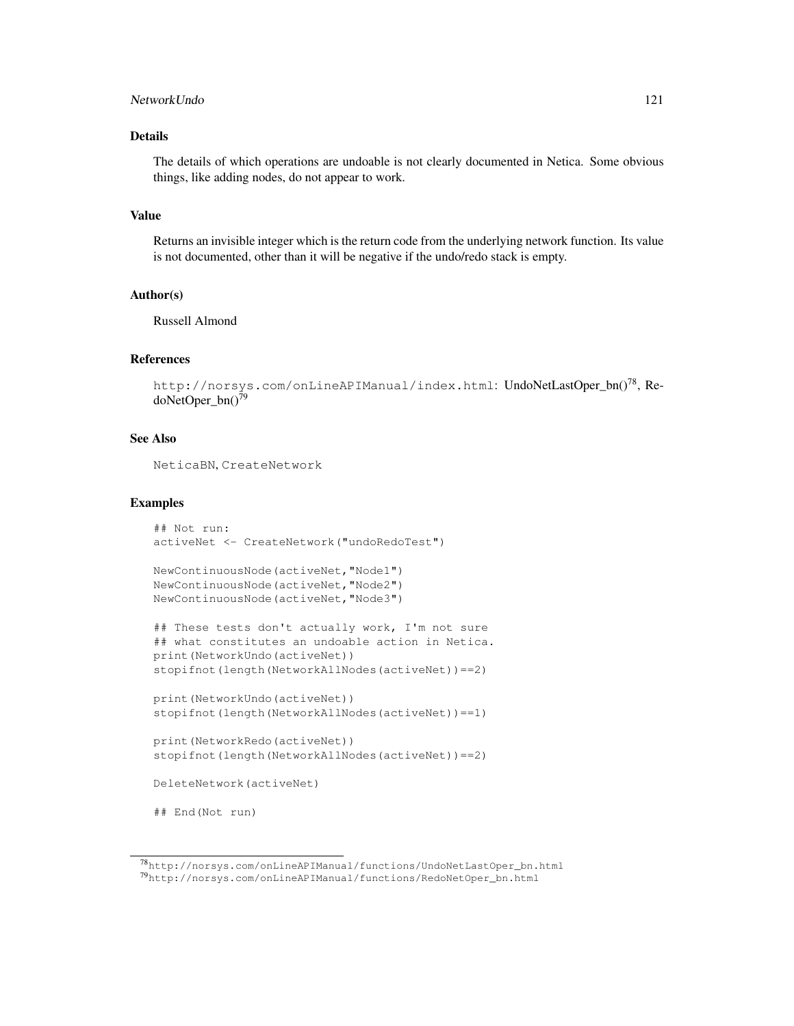## NetworkUndo 121

## Details

The details of which operations are undoable is not clearly documented in Netica. Some obvious things, like adding nodes, do not appear to work.

#### Value

Returns an invisible integer which is the return code from the underlying network function. Its value is not documented, other than it will be negative if the undo/redo stack is empty.

#### Author(s)

Russell Almond

#### References

```
http://norsys.com/onLineAPIManual/index.html: UndoNetLastOper_bn()<sup>78</sup>, Re-
doNetOper_bn()<sup>79</sup>
```
#### See Also

NeticaBN, CreateNetwork

#### Examples

```
## Not run:
activeNet <- CreateNetwork("undoRedoTest")
```

```
NewContinuousNode(activeNet,"Node1")
NewContinuousNode(activeNet,"Node2")
NewContinuousNode(activeNet,"Node3")
```

```
## These tests don't actually work, I'm not sure
## what constitutes an undoable action in Netica.
print(NetworkUndo(activeNet))
stopifnot(length(NetworkAllNodes(activeNet))==2)
```

```
print(NetworkUndo(activeNet))
stopifnot(length(NetworkAllNodes(activeNet))==1)
```

```
print(NetworkRedo(activeNet))
stopifnot(length(NetworkAllNodes(activeNet))==2)
```

```
DeleteNetwork(activeNet)
```
## End(Not run)

<sup>78</sup>http://norsys.com/onLineAPIManual/functions/UndoNetLastOper\_bn.html <sup>79</sup>http://norsys.com/onLineAPIManual/functions/RedoNetOper\_bn.html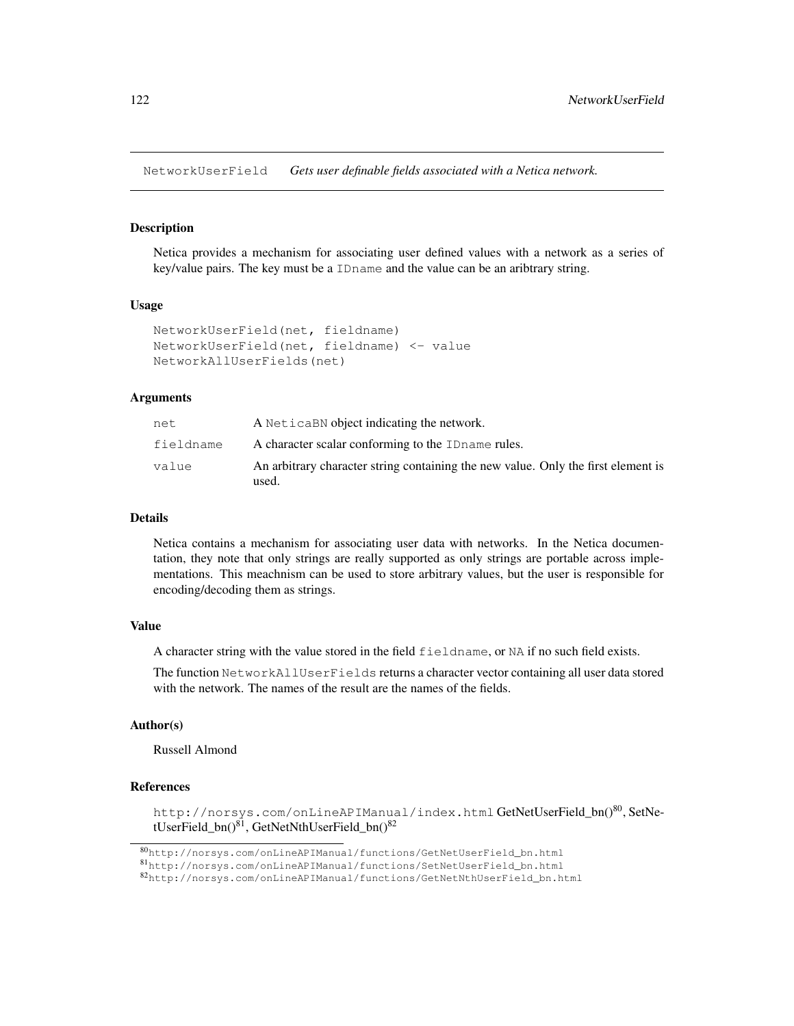NetworkUserField *Gets user definable fields associated with a Netica network.*

# **Description**

Netica provides a mechanism for associating user defined values with a network as a series of key/value pairs. The key must be a IDname and the value can be an aribtrary string.

#### Usage

```
NetworkUserField(net, fieldname)
NetworkUserField(net, fieldname) <- value
NetworkAllUserFields(net)
```
# Arguments

| net       | A Netica BN object indicating the network.                                                 |
|-----------|--------------------------------------------------------------------------------------------|
| fieldname | A character scalar conforming to the ID name rules.                                        |
| value     | An arbitrary character string containing the new value. Only the first element is<br>used. |

#### Details

Netica contains a mechanism for associating user data with networks. In the Netica documentation, they note that only strings are really supported as only strings are portable across implementations. This meachnism can be used to store arbitrary values, but the user is responsible for encoding/decoding them as strings.

## Value

A character string with the value stored in the field fieldname, or NA if no such field exists.

The function NetworkAllUserFields returns a character vector containing all user data stored with the network. The names of the result are the names of the fields.

# Author(s)

Russell Almond

#### References

http://norsys.com/onLineAPIManual/index.html GetNetUserField\_bn()<sup>80</sup>, SetNetUserField\_bn()<sup>81</sup>, GetNetNthUserField\_bn()<sup>82</sup>

<sup>80</sup>http://norsys.com/onLineAPIManual/functions/GetNetUserField\_bn.html

<sup>81</sup>http://norsys.com/onLineAPIManual/functions/SetNetUserField\_bn.html

<sup>82</sup>http://norsys.com/onLineAPIManual/functions/GetNetNthUserField\_bn.html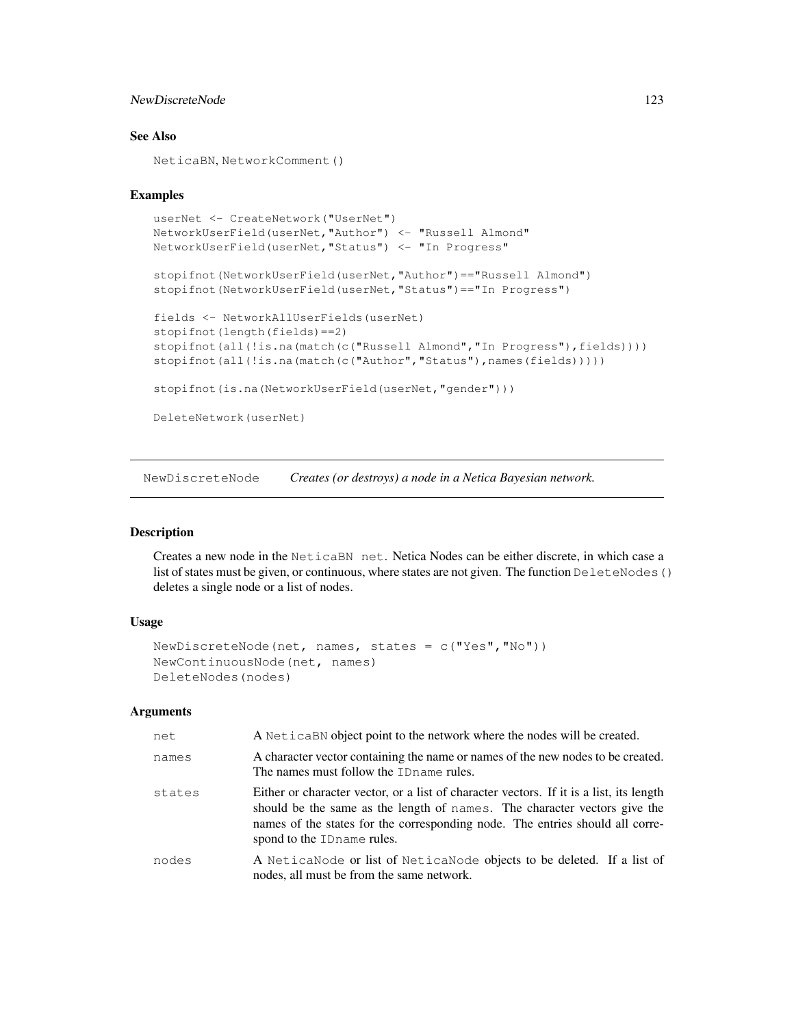# NewDiscreteNode 123

# See Also

NeticaBN, NetworkComment()

#### Examples

```
userNet <- CreateNetwork("UserNet")
NetworkUserField(userNet,"Author") <- "Russell Almond"
NetworkUserField(userNet,"Status") <- "In Progress"
stopifnot(NetworkUserField(userNet,"Author")=="Russell Almond")
stopifnot(NetworkUserField(userNet,"Status")=="In Progress")
fields <- NetworkAllUserFields(userNet)
stopifnot(length(fields)==2)
stopifnot(all(!is.na(match(c("Russell Almond","In Progress"),fields))))
stopifnot(all(!is.na(match(c("Author","Status"),names(fields)))))
stopifnot(is.na(NetworkUserField(userNet,"gender")))
DeleteNetwork(userNet)
```
NewDiscreteNode *Creates (or destroys) a node in a Netica Bayesian network.*

#### Description

Creates a new node in the NeticaBN net. Netica Nodes can be either discrete, in which case a list of states must be given, or continuous, where states are not given. The function DeleteNodes() deletes a single node or a list of nodes.

## Usage

```
NewDiscreteNode(net, names, states = c("Yes", "No"))
NewContinuousNode(net, names)
DeleteNodes(nodes)
```
## Arguments

| net    | A Netical Nobject point to the network where the nodes will be created.                                                                                                                                                                                                              |
|--------|--------------------------------------------------------------------------------------------------------------------------------------------------------------------------------------------------------------------------------------------------------------------------------------|
| names  | A character vector containing the name or names of the new nodes to be created.<br>The names must follow the ID name rules.                                                                                                                                                          |
| states | Either or character vector, or a list of character vectors. If it is a list, its length<br>should be the same as the length of names. The character vectors give the<br>names of the states for the corresponding node. The entries should all corre-<br>spond to the ID name rules. |
| nodes  | A NeticaNode or list of NeticaNode objects to be deleted. If a list of<br>nodes, all must be from the same network.                                                                                                                                                                  |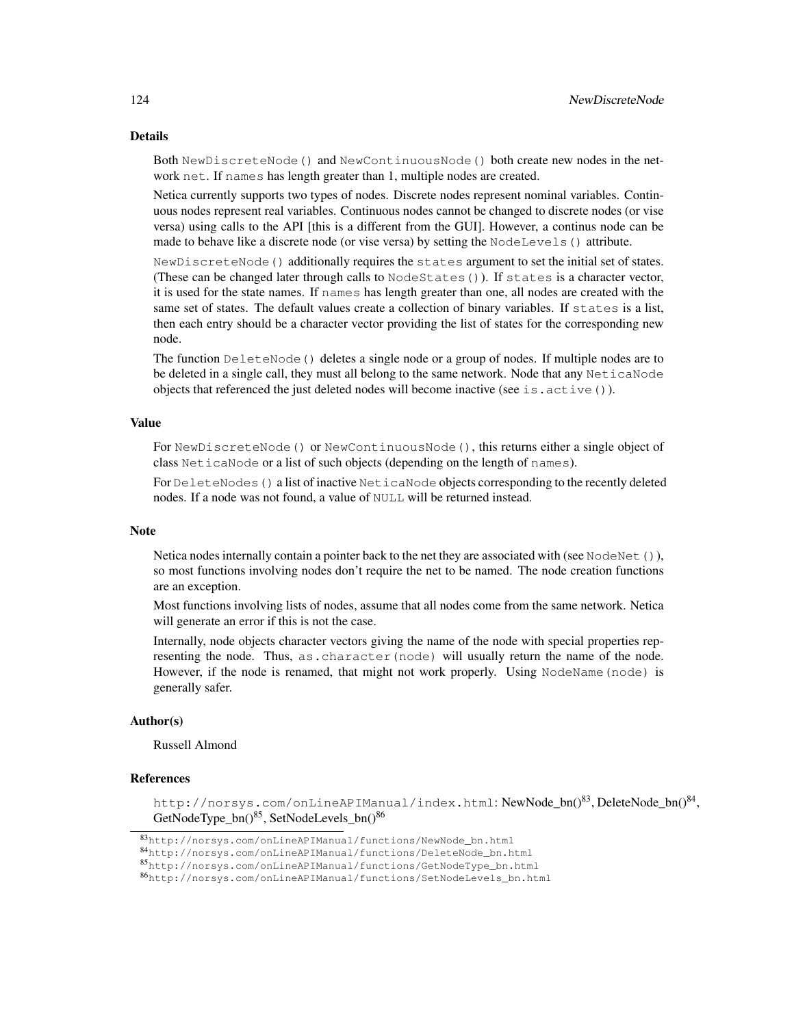# Details

Both NewDiscreteNode() and NewContinuousNode() both create new nodes in the network net. If names has length greater than 1, multiple nodes are created.

Netica currently supports two types of nodes. Discrete nodes represent nominal variables. Continuous nodes represent real variables. Continuous nodes cannot be changed to discrete nodes (or vise versa) using calls to the API [this is a different from the GUI]. However, a continus node can be made to behave like a discrete node (or vise versa) by setting the NodeLevels() attribute.

NewDiscreteNode() additionally requires the states argument to set the initial set of states. (These can be changed later through calls to NodeStates()). If states is a character vector, it is used for the state names. If names has length greater than one, all nodes are created with the same set of states. The default values create a collection of binary variables. If states is a list, then each entry should be a character vector providing the list of states for the corresponding new node.

The function DeleteNode() deletes a single node or a group of nodes. If multiple nodes are to be deleted in a single call, they must all belong to the same network. Node that any  $NeticaNode$ objects that referenced the just deleted nodes will become inactive (see is.  $active()$ ).

#### Value

For NewDiscreteNode() or NewContinuousNode(), this returns either a single object of class NeticaNode or a list of such objects (depending on the length of names).

For DeleteNodes () a list of inactive NeticaNode objects corresponding to the recently deleted nodes. If a node was not found, a value of NULL will be returned instead.

#### Note

Netica nodes internally contain a pointer back to the net they are associated with (see NodeNet()), so most functions involving nodes don't require the net to be named. The node creation functions are an exception.

Most functions involving lists of nodes, assume that all nodes come from the same network. Netica will generate an error if this is not the case.

Internally, node objects character vectors giving the name of the node with special properties representing the node. Thus, as.character(node) will usually return the name of the node. However, if the node is renamed, that might not work properly. Using NodeName (node) is generally safer.

# Author(s)

Russell Almond

#### References

http://norsys.com/onLineAPIManual/index.html:NewNode\_bn()<sup>83</sup>,DeleteNode\_bn()<sup>84</sup>, GetNodeType\_bn()<sup>85</sup>, SetNodeLevels\_bn()<sup>86</sup>

<sup>83</sup>http://norsys.com/onLineAPIManual/functions/NewNode\_bn.html

<sup>84</sup>http://norsys.com/onLineAPIManual/functions/DeleteNode\_bn.html

<sup>85</sup>http://norsys.com/onLineAPIManual/functions/GetNodeType\_bn.html

<sup>86</sup>http://norsys.com/onLineAPIManual/functions/SetNodeLevels\_bn.html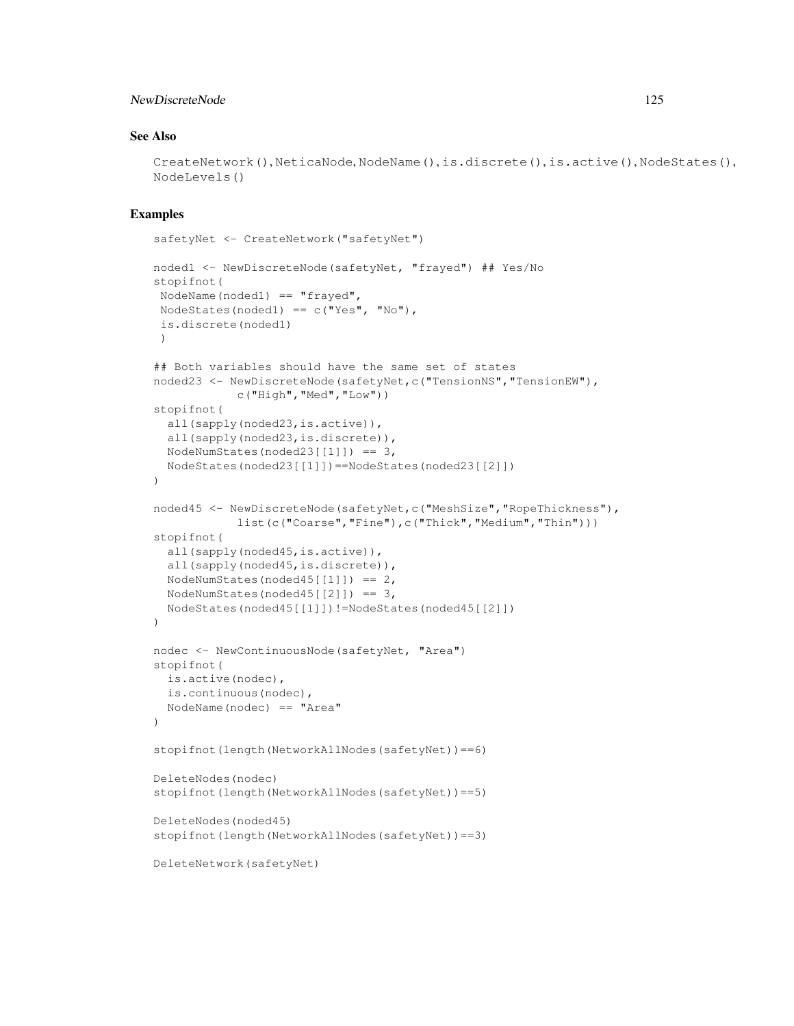# NewDiscreteNode 125

# See Also

```
CreateNetwork(), NeticaNode, NodeName(), is.discrete(), is.active(), NodeStates(),
NodeLevels()
```
# Examples

```
safetyNet <- CreateNetwork("safetyNet")
noded1 <- NewDiscreteNode(safetyNet, "frayed") ## Yes/No
stopifnot(
NodeName(noded1) == "frayed",NodeStates(noded1) == c("Yes", "No"),is.discrete(noded1)
)
## Both variables should have the same set of states
noded23 <- NewDiscreteNode(safetyNet,c("TensionNS","TensionEW"),
           c("High","Med","Low"))
stopifnot(
  all(sapply(noded23,is.active)),
  all(sapply(noded23,is.discrete)),
 NodeNumStates(noded23[1]]) == 3,
 NodeStates(noded23[[1]])==NodeStates(noded23[[2]])
\lambdanoded45 <- NewDiscreteNode(safetyNet,c("MeshSize","RopeThickness"),
            list(c("Coarse","Fine"),c("Thick","Medium","Thin")))
stopifnot(
  all(sapply(noded45,is.active)),
  all(sapply(noded45,is.discrete)),
 NodeNumStates(noded45[1]]) == 2,
 NodeNumStates(noded45[2]]) == 3,
 NodeStates(noded45[[1]])!=NodeStates(noded45[[2]])
)
nodec <- NewContinuousNode(safetyNet, "Area")
stopifnot(
 is.active(nodec),
 is.continuous(nodec),
 NodeName(nodec) == "Area"
)
stopifnot(length(NetworkAllNodes(safetyNet))==6)
DeleteNodes(nodec)
stopifnot(length(NetworkAllNodes(safetyNet))==5)
DeleteNodes(noded45)
stopifnot(length(NetworkAllNodes(safetyNet))==3)
DeleteNetwork(safetyNet)
```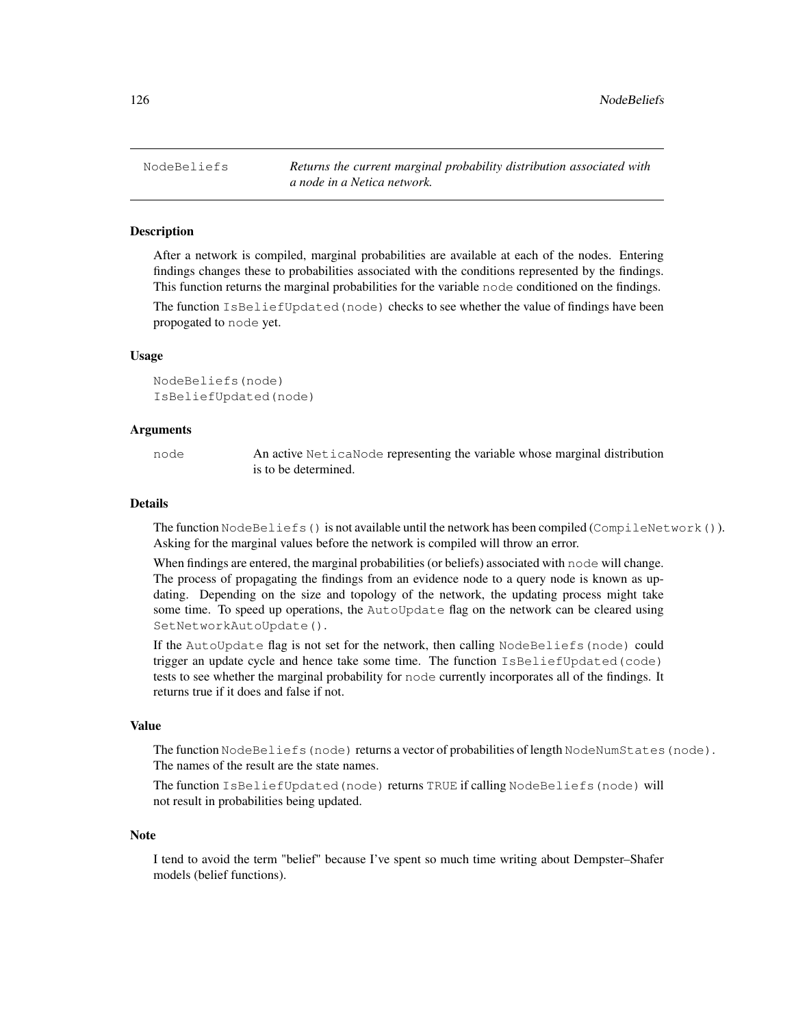NodeBeliefs *Returns the current marginal probability distribution associated with a node in a Netica network.*

## Description

After a network is compiled, marginal probabilities are available at each of the nodes. Entering findings changes these to probabilities associated with the conditions represented by the findings. This function returns the marginal probabilities for the variable node conditioned on the findings.

The function IsBeliefUpdated(node) checks to see whether the value of findings have been propogated to node yet.

#### Usage

NodeBeliefs(node) IsBeliefUpdated(node)

#### Arguments

node An active NeticaNode representing the variable whose marginal distribution is to be determined.

#### Details

The function NodeBeliefs() is not available until the network has been compiled (CompileNetwork()). Asking for the marginal values before the network is compiled will throw an error.

When findings are entered, the marginal probabilities (or beliefs) associated with node will change. The process of propagating the findings from an evidence node to a query node is known as updating. Depending on the size and topology of the network, the updating process might take some time. To speed up operations, the AutoUpdate flag on the network can be cleared using SetNetworkAutoUpdate().

If the AutoUpdate flag is not set for the network, then calling NodeBeliefs(node) could trigger an update cycle and hence take some time. The function IsBeliefUpdated(code) tests to see whether the marginal probability for node currently incorporates all of the findings. It returns true if it does and false if not.

## Value

The function NodeBeliefs (node) returns a vector of probabilities of length NodeNumStates (node). The names of the result are the state names.

The function IsBeliefUpdated(node) returns TRUE if calling NodeBeliefs(node) will not result in probabilities being updated.

#### **Note**

I tend to avoid the term "belief" because I've spent so much time writing about Dempster–Shafer models (belief functions).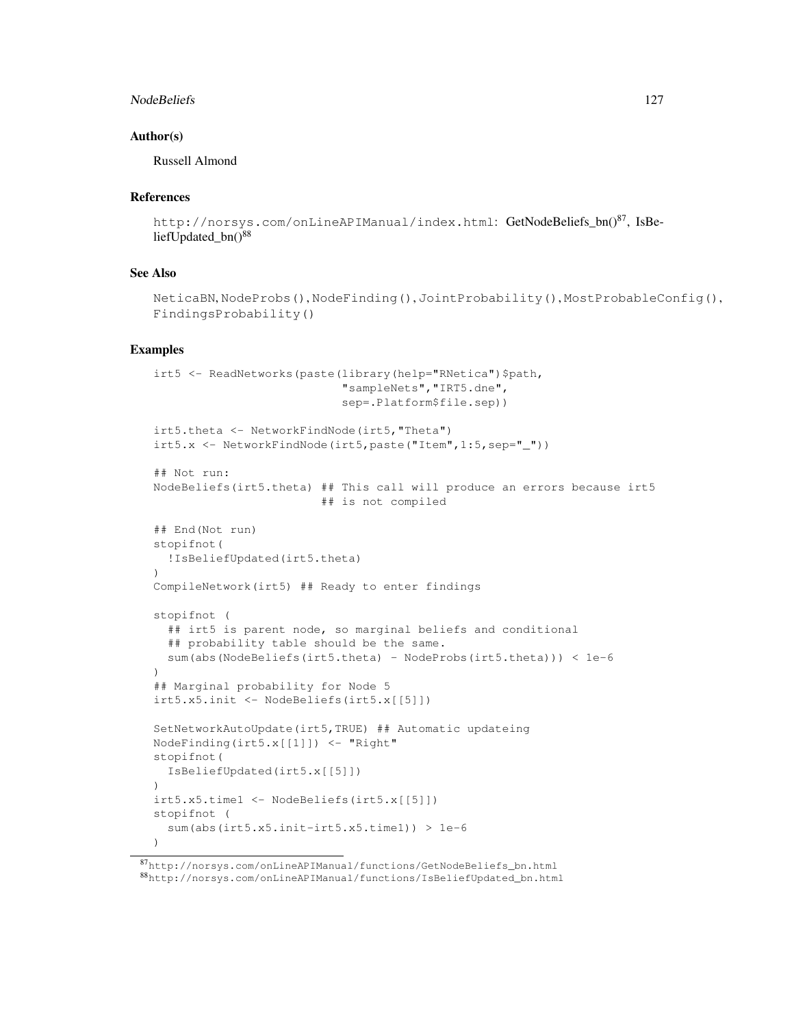#### NodeBeliefs 2012 27

## Author(s)

Russell Almond

## References

```
http://norsys.com/onLineAPIManual/index.html: GetNodeBeliefs_bn()<sup>87</sup>, IsBe-
liefUpdated bn()<sup>88</sup>
```
#### See Also

```
NeticaBN, NodeProbs(), NodeFinding(), JointProbability(), MostProbableConfig(),
FindingsProbability()
```
# Examples

```
irt5 <- ReadNetworks(paste(library(help="RNetica")$path,
                            "sampleNets","IRT5.dne",
                            sep=.Platform$file.sep))
irt5.theta <- NetworkFindNode(irt5,"Theta")
irt5.x \leftarrow NetworkFindNode(int5, paste("Item", 1:5,sep = " ''))## Not run:
NodeBeliefs(irt5.theta) ## This call will produce an errors because irt5
                         ## is not compiled
## End(Not run)
stopifnot(
  !IsBeliefUpdated(irt5.theta)
)
CompileNetwork(irt5) ## Ready to enter findings
stopifnot (
  ## irt5 is parent node, so marginal beliefs and conditional
  ## probability table should be the same.
  sum(abs(NodeBeliefs(irt5.theta) - NodeProbs(irt5.theta))) < 1e-6
\lambda## Marginal probability for Node 5
irt5.x5.init <- NodeBeliefs(irt5.x[[5]])
SetNetworkAutoUpdate(irt5,TRUE) ## Automatic updateing
NodeFinding(irt5.x[[1]]) <- "Right"
stopifnot(
  IsBeliefUpdated(irt5.x[[5]])
)
irt5.x5.time1 <- NodeBeliefs(irt5.x[[5]])
stopifnot (
  sum(abs(irt5.x5.init-irt5.x5.time1)) > 1e-6
)
```
<sup>87</sup>http://norsys.com/onLineAPIManual/functions/GetNodeBeliefs\_bn.html <sup>88</sup>http://norsys.com/onLineAPIManual/functions/IsBeliefUpdated\_bn.html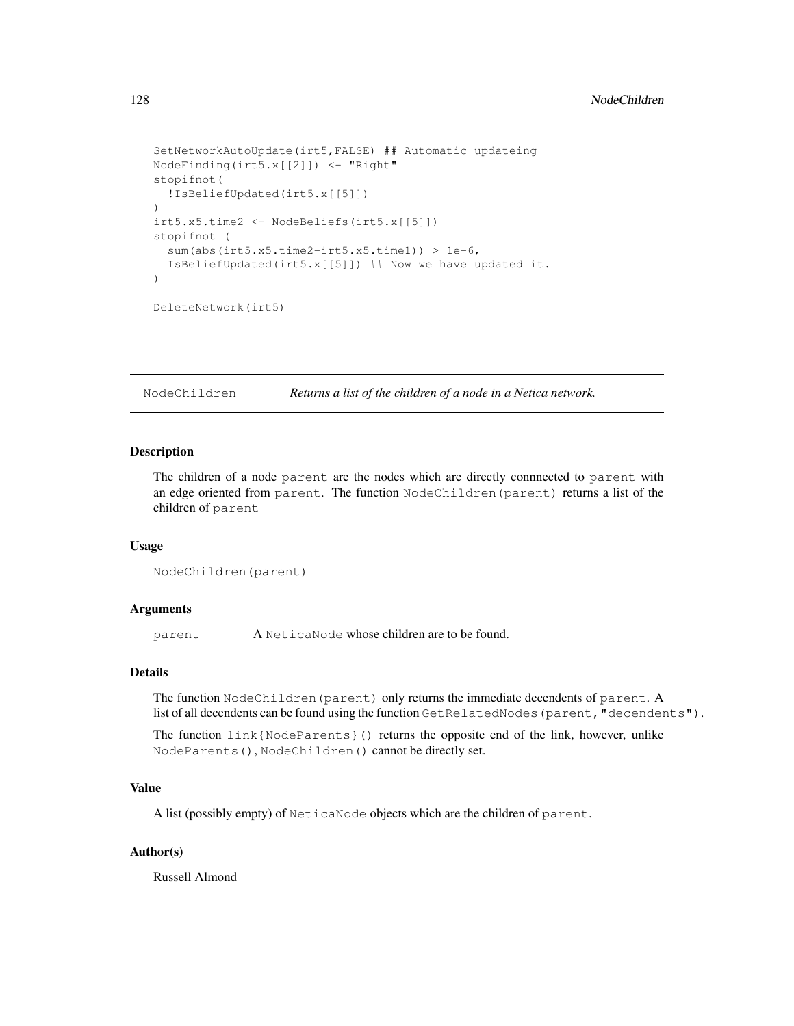```
SetNetworkAutoUpdate(irt5,FALSE) ## Automatic updateing
NodeFinding(irt5.x[[2]]) <- "Right"
stopifnot(
  !IsBeliefUpdated(irt5.x[[5]])
\lambdairt5.x5.time2 <- NodeBeliefs(irt5.x[[5]])
stopifnot (
  sum(abs(irt5.x5.time2-irt5.x5.time1)) > 1e-6,
  IsBeliefUpdated(irt5.x[[5]]) ## Now we have updated it.
)
DeleteNetwork(irt5)
```
NodeChildren *Returns a list of the children of a node in a Netica network.*

## Description

The children of a node parent are the nodes which are directly connnected to parent with an edge oriented from parent. The function NodeChildren(parent) returns a list of the children of parent

#### Usage

```
NodeChildren(parent)
```
#### Arguments

parent A NeticaNode whose children are to be found.

## Details

The function NodeChildren (parent) only returns the immediate decendents of parent. A list of all decendents can be found using the function GetRelatedNodes (parent, "decendents").

The function link{NodeParents}() returns the opposite end of the link, however, unlike NodeParents(), NodeChildren() cannot be directly set.

#### Value

A list (possibly empty) of NeticaNode objects which are the children of parent.

#### Author(s)

Russell Almond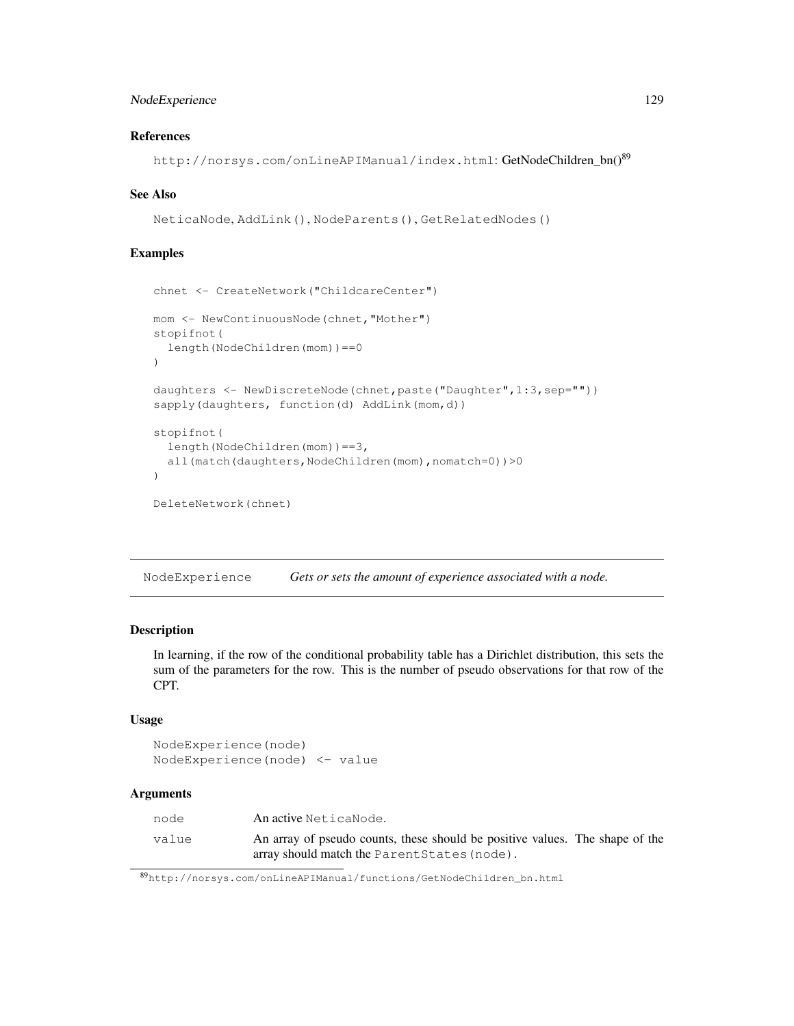# NodeExperience 129

# References

http://norsys.com/onLineAPIManual/index.html: GetNodeChildren\_bn()<sup>89</sup>

#### See Also

```
NeticaNode, AddLink(), NodeParents(), GetRelatedNodes()
```
# Examples

```
chnet <- CreateNetwork("ChildcareCenter")
mom <- NewContinuousNode(chnet,"Mother")
stopifnot(
  length(NodeChildren(mom))==0
\lambdadaughters <- NewDiscreteNode(chnet,paste("Daughter",1:3,sep=""))
sapply(daughters, function(d) AddLink(mom,d))
stopifnot(
  length(NodeChildren(mom))==3,
  all(match(daughters,NodeChildren(mom),nomatch=0))>0
\lambdaDeleteNetwork(chnet)
```
NodeExperience *Gets or sets the amount of experience associated with a node.*

### Description

In learning, if the row of the conditional probability table has a Dirichlet distribution, this sets the sum of the parameters for the row. This is the number of pseudo observations for that row of the CPT.

# Usage

```
NodeExperience(node)
NodeExperience(node) <- value
```
## Arguments

| node  | An active NeticaNode.                                                        |
|-------|------------------------------------------------------------------------------|
| value | An array of pseudo counts, these should be positive values. The shape of the |
|       | array should match the Parent States (node).                                 |

<sup>89</sup>http://norsys.com/onLineAPIManual/functions/GetNodeChildren\_bn.html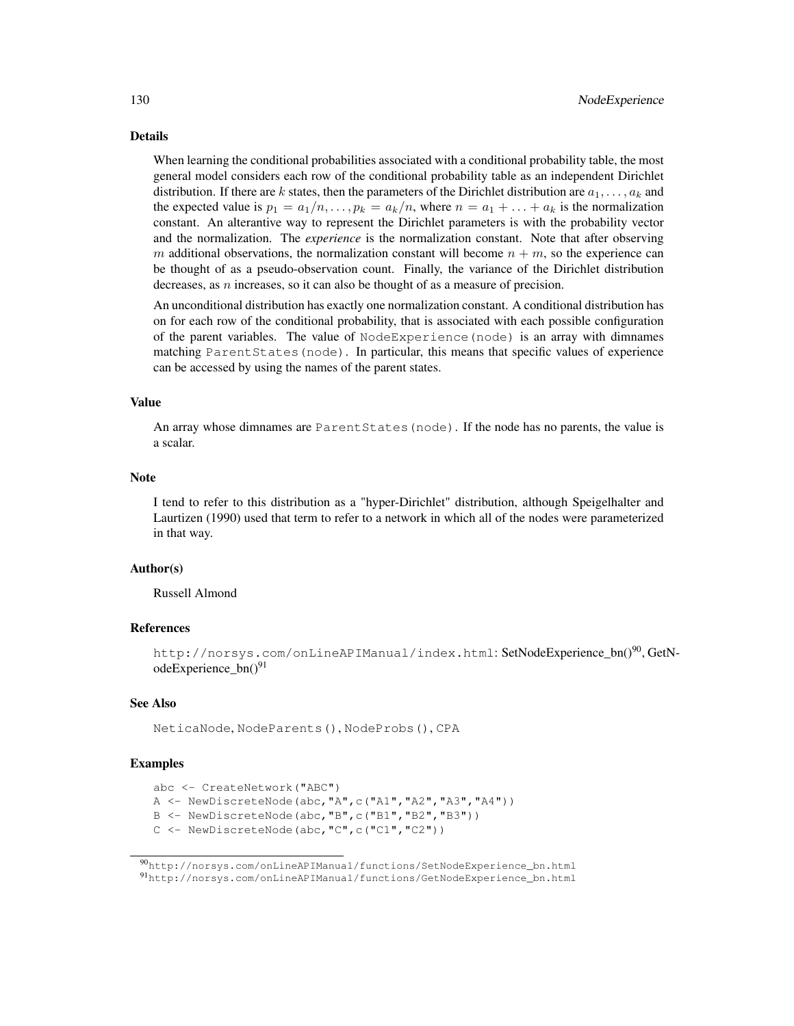#### Details

When learning the conditional probabilities associated with a conditional probability table, the most general model considers each row of the conditional probability table as an independent Dirichlet distribution. If there are k states, then the parameters of the Dirichlet distribution are  $a_1, \ldots, a_k$  and the expected value is  $p_1 = a_1/n, \ldots, p_k = a_k/n$ , where  $n = a_1 + \ldots + a_k$  is the normalization constant. An alterantive way to represent the Dirichlet parameters is with the probability vector and the normalization. The *experience* is the normalization constant. Note that after observing m additional observations, the normalization constant will become  $n + m$ , so the experience can be thought of as a pseudo-observation count. Finally, the variance of the Dirichlet distribution decreases, as  $n$  increases, so it can also be thought of as a measure of precision.

An unconditional distribution has exactly one normalization constant. A conditional distribution has on for each row of the conditional probability, that is associated with each possible configuration of the parent variables. The value of NodeExperience(node) is an array with dimnames matching ParentStates(node). In particular, this means that specific values of experience can be accessed by using the names of the parent states.

#### Value

An array whose dimnames are ParentStates(node). If the node has no parents, the value is a scalar.

#### Note

I tend to refer to this distribution as a "hyper-Dirichlet" distribution, although Speigelhalter and Laurtizen (1990) used that term to refer to a network in which all of the nodes were parameterized in that way.

## Author(s)

Russell Almond

## References

http://norsys.com/onLineAPIManual/index.html: SetNodeExperience bn()<sup>90</sup>, GetNodeExperience  $bn()^{91}$ 

## See Also

NeticaNode, NodeParents(), NodeProbs(), CPA

## Examples

```
abc <- CreateNetwork("ABC")
```
A <- NewDiscreteNode(abc,"A",c("A1","A2","A3","A4"))

```
B <- NewDiscreteNode(abc,"B",c("B1","B2","B3"))
```
C <- NewDiscreteNode(abc,"C",c("C1","C2"))

<sup>90</sup>http://norsys.com/onLineAPIManual/functions/SetNodeExperience\_bn.html <sup>91</sup>http://norsys.com/onLineAPIManual/functions/GetNodeExperience\_bn.html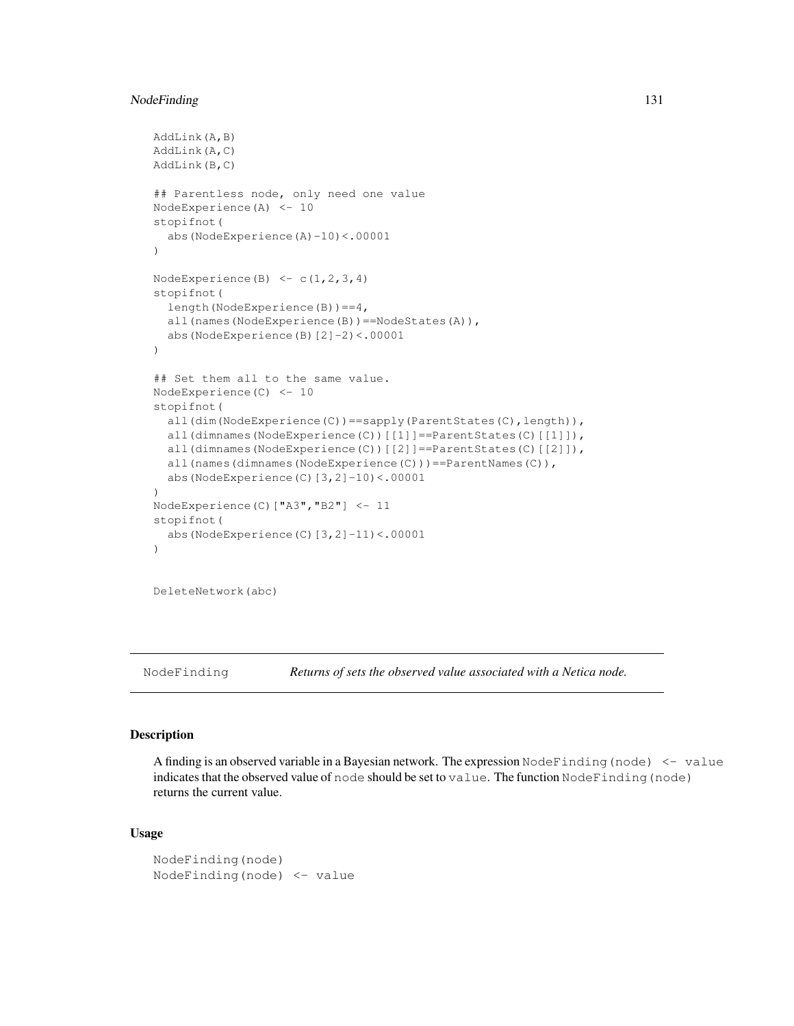# NodeFinding 131

```
AddLink(A,B)
AddLink(A,C)
AddLink(B,C)
## Parentless node, only need one value
NodeExperience(A) <- 10
stopifnot(
  abs(NodeExperience(A)-10)<.00001
)
NodeExperience(B) \leq c(1,2,3,4)
stopifnot(
  length(NodeExperience(B))==4,
  all(names(NodeExperience(B))==NodeStates(A)),
  abs(NodeExperience(B)[2]-2)<.00001
)
## Set them all to the same value.
NodeExperience(C) <- 10
stopifnot(
  all(dim(NodeExperience(C))==sapply(ParentStates(C),length)),
  all(dimnames(NodeExperience(C))[[1]]==ParentStates(C)[[1]]),
  all(dimnames(NodeExperience(C))[[2]]==ParentStates(C)[[2]]),
  all(names(dimnames(NodeExperience(C)))==ParentNames(C)),
  abs(NodeExperience(C)[3,2]-10)<.00001
)
NodeExperience(C)["A3","B2"] <- 11
stopifnot(
  abs(NodeExperience(C)[3,2]-11)<.00001
)
```
DeleteNetwork(abc)

NodeFinding *Returns of sets the observed value associated with a Netica node.*

#### **Description**

A finding is an observed variable in a Bayesian network. The expression  $\text{NodeFinding}(\text{node}) < -\text{value}$ indicates that the observed value of node should be set to value. The function NodeFinding(node) returns the current value.

# Usage

```
NodeFinding(node)
NodeFinding(node) <- value
```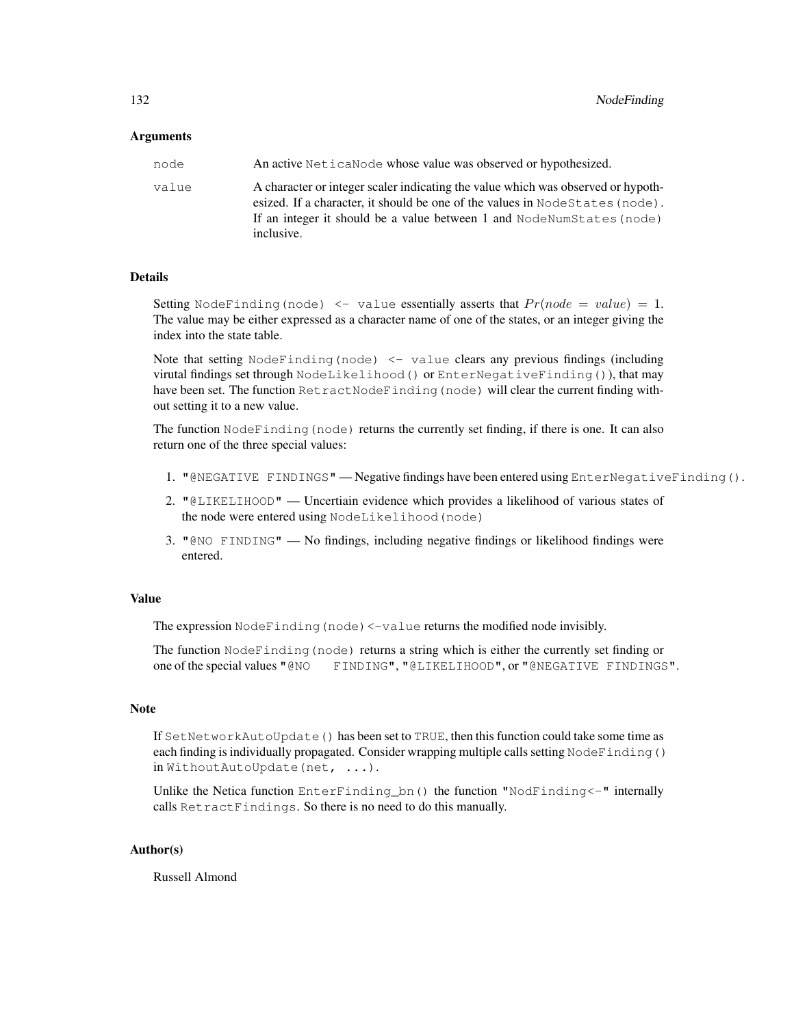#### Arguments

| node  | An active Netica Node whose value was observed or hypothesized.                                                                                                  |
|-------|------------------------------------------------------------------------------------------------------------------------------------------------------------------|
| value | A character or integer scaler indicating the value which was observed or hypoth-<br>esized. If a character, it should be one of the values in NodeStates (node). |
|       | If an integer it should be a value between 1 and NodeNumStates (node)<br>inclusive.                                                                              |

#### Details

Setting NodeFinding(node)  $\leq$  value essentially asserts that  $Pr(node = value) = 1$ . The value may be either expressed as a character name of one of the states, or an integer giving the index into the state table.

Note that setting  $NodeFinding(node) < -value$  clears any previous findings (including virutal findings set through NodeLikelihood() or EnterNegativeFinding()), that may have been set. The function RetractNodeFinding(node) will clear the current finding without setting it to a new value.

The function NodeFinding (node) returns the currently set finding, if there is one. It can also return one of the three special values:

- 1. "@NEGATIVE FINDINGS" Negative findings have been entered using EnterNegativeFinding().
- 2. "@LIKELIHOOD" Uncertiain evidence which provides a likelihood of various states of the node were entered using NodeLikelihood(node)
- 3. "@NO FINDING" No findings, including negative findings or likelihood findings were entered.

## Value

The expression NodeFinding (node) <-value returns the modified node invisibly.

The function NodeFinding(node) returns a string which is either the currently set finding or one of the special values "@NO FINDING", "@LIKELIHOOD", or "@NEGATIVE FINDINGS".

#### **Note**

If SetNetworkAutoUpdate() has been set to TRUE, then this function could take some time as each finding is individually propagated. Consider wrapping multiple calls setting NodeFinding() in WithoutAutoUpdate(net, ...).

Unlike the Netica function EnterFinding\_bn() the function "NodFinding<-" internally calls RetractFindings. So there is no need to do this manually.

## Author(s)

Russell Almond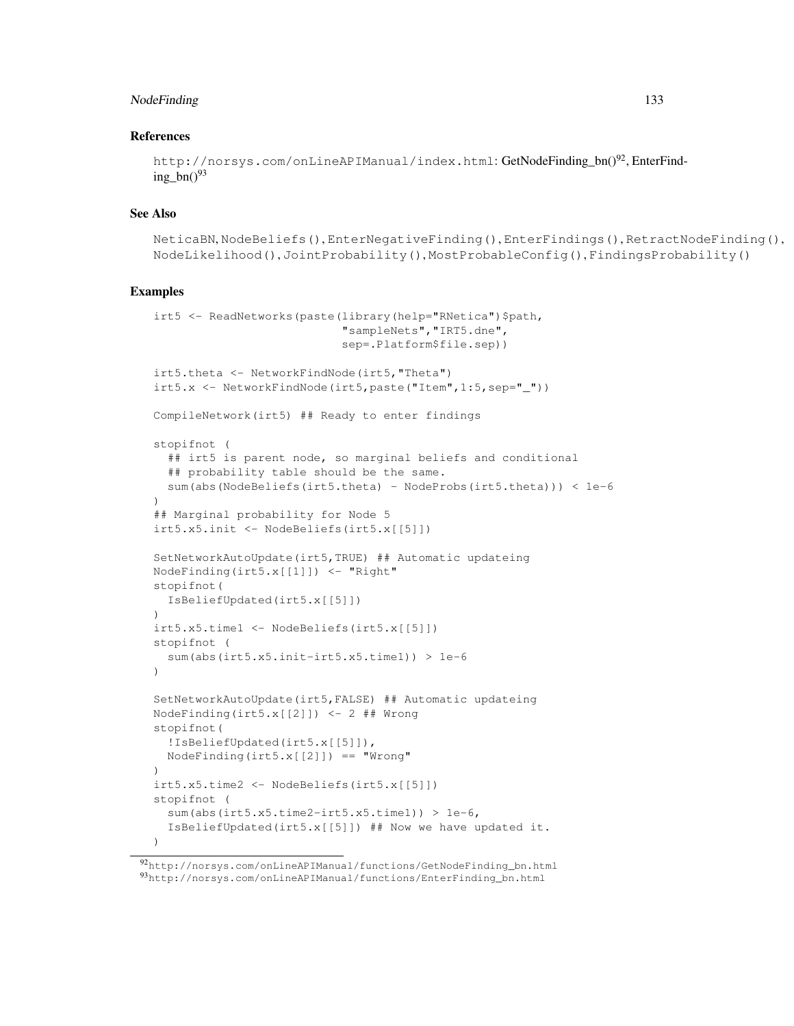# NodeFinding 133

#### References

```
http://norsys.com/onLineAPIManual/index.html: GetNodeFinding bn()<sup>92</sup>, EnterFind-
ing_bn()^{93}
```
# See Also

```
NeticaBN, NodeBeliefs(), EnterNegativeFinding(), EnterFindings(), RetractNodeFinding(),
NodeLikelihood(), JointProbability(), MostProbableConfig(), FindingsProbability()
```
## Examples

```
irt5 <- ReadNetworks(paste(library(help="RNetica")$path,
                           "sampleNets","IRT5.dne",
                           sep=.Platform$file.sep))
irt5.theta <- NetworkFindNode(irt5,"Theta")
irt5.x \leftarrow NetworkFindNode(int5, paste("Item", 1:5,sep='''")CompileNetwork(irt5) ## Ready to enter findings
stopifnot (
  ## irt5 is parent node, so marginal beliefs and conditional
  ## probability table should be the same.
  sum(abs(NodeBeliefs(irt5.theta) - NodeProbs(irt5.theta))) < 1e-6
)
## Marginal probability for Node 5
irt5.x5.init <- NodeBeliefs(irt5.x[[5]])
SetNetworkAutoUpdate(irt5,TRUE) ## Automatic updateing
NodeFinding(irt5.x[[1]]) <- "Right"
stopifnot(
  IsBeliefUpdated(irt5.x[[5]])
)
irt5.x5.time1 <- NodeBeliefs(irt5.x[[5]])
stopifnot (
  sum(abs(irt5.x5.init-irt5.x5.time1)) > 1e-6
)
SetNetworkAutoUpdate(irt5,FALSE) ## Automatic updateing
NodeFinding(irt5.x[[2]]) <- 2 ## Wrong
stopifnot(
  !IsBeliefUpdated(irt5.x[[5]]),
  NodeFinding(irt5.x[[2]]) == "Wrong"
)
irt5.x5.time2 <- NodeBeliefs(irt5.x[[5]])
stopifnot (
  sum(abs(irt5.x5.time2-irt5.x5.time1)) > 1e-6,
  IsBeliefUpdated(irt5.x[[5]]) ## Now we have updated it.
)
```
<sup>92</sup>http://norsys.com/onLineAPIManual/functions/GetNodeFinding\_bn.html <sup>93</sup>http://norsys.com/onLineAPIManual/functions/EnterFinding\_bn.html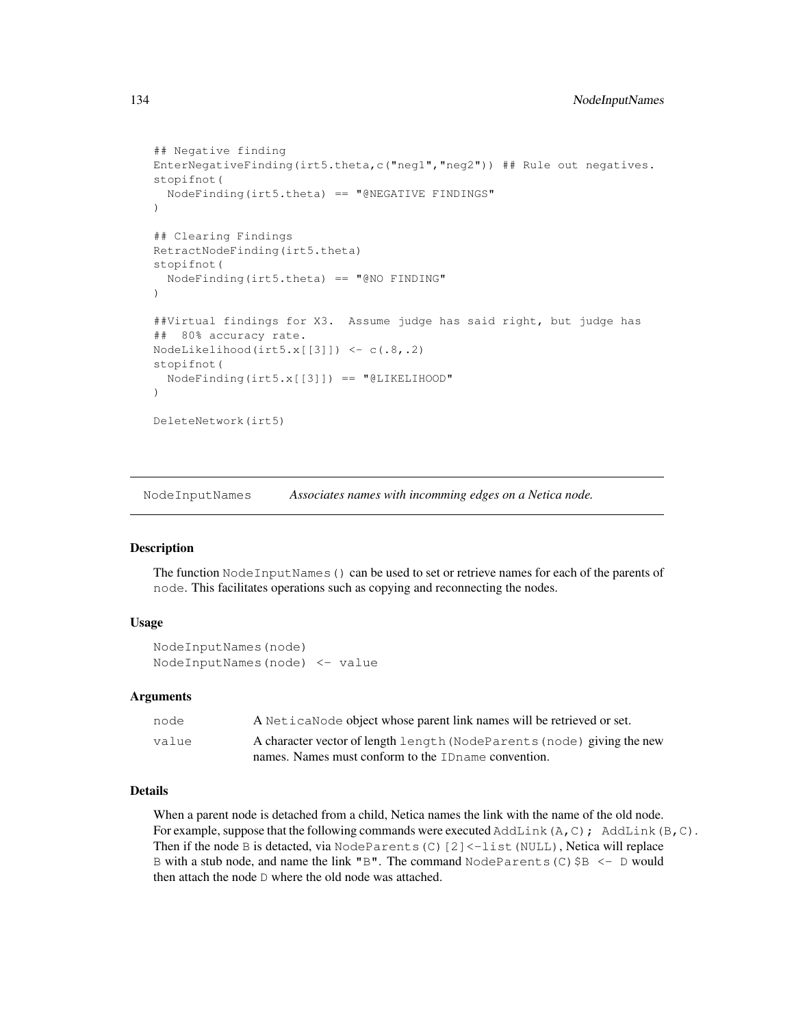```
## Negative finding
EnterNegativeFinding(irt5.theta,c("neg1","neg2")) ## Rule out negatives.
stopifnot(
  NodeFinding(irt5.theta) == "@NEGATIVE FINDINGS"
)
## Clearing Findings
RetractNodeFinding(irt5.theta)
stopifnot(
  NodeFinding(irt5.theta) == "@NO FINDING"
\lambda##Virtual findings for X3. Assume judge has said right, but judge has
## 80% accuracy rate.
NodeLikelihood(irt5.x[[3]]) <- c(.8,.2)
stopifnot(
  NodeFinding(irt5.x[[3]]) == "@LIKELIHOOD"
)
DeleteNetwork(irt5)
```
NodeInputNames *Associates names with incomming edges on a Netica node.*

# Description

The function NodeInputNames() can be used to set or retrieve names for each of the parents of node. This facilitates operations such as copying and reconnecting the nodes.

# Usage

```
NodeInputNames(node)
NodeInputNames(node) <- value
```
## Arguments

| node  | A Netica Node object whose parent link names will be retrieved or set. |
|-------|------------------------------------------------------------------------|
| value | A character vector of length length (NodeParents (node) giving the new |
|       | names. Names must conform to the ID name convention.                   |

# Details

When a parent node is detached from a child, Netica names the link with the name of the old node. For example, suppose that the following commands were executed AddLink(A,C); AddLink(B,C). Then if the node B is detacted, via NodeParents(C)[2] <-list(NULL), Netica will replace B with a stub node, and name the link "B". The command  $NodeParents(C)$ \$B  $\leftarrow$  D would then attach the node D where the old node was attached.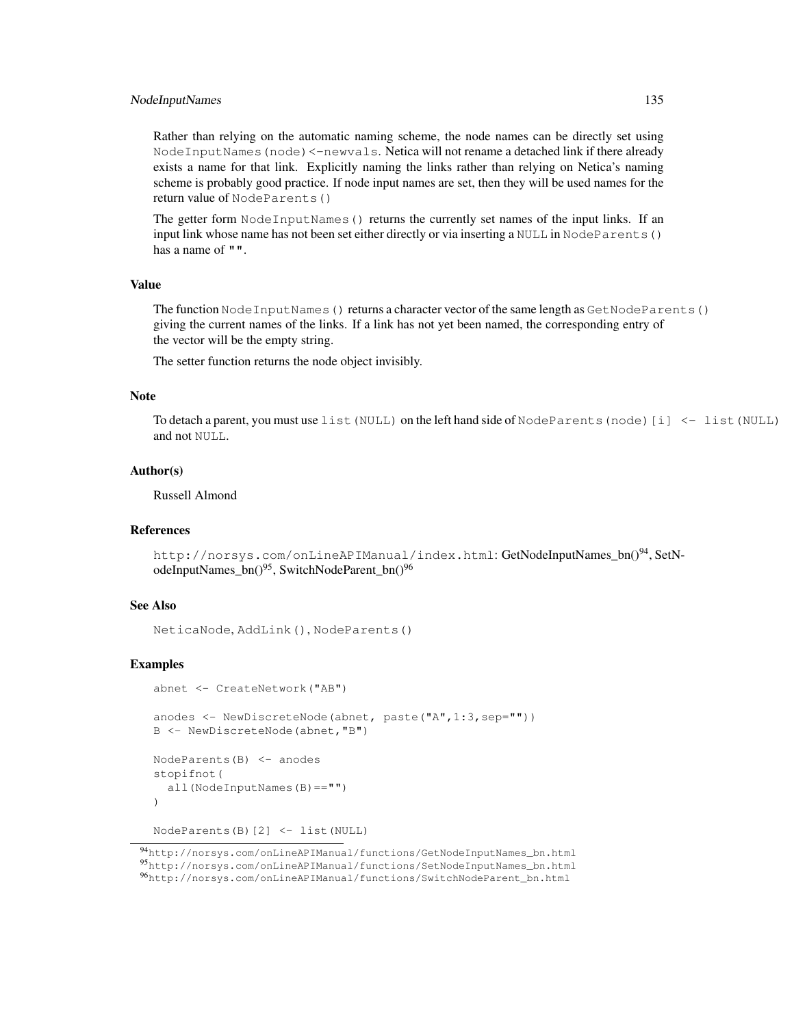## NodeInputNames 135

Rather than relying on the automatic naming scheme, the node names can be directly set using Node Input Names (node) <-newvals. Netica will not rename a detached link if there already exists a name for that link. Explicitly naming the links rather than relying on Netica's naming scheme is probably good practice. If node input names are set, then they will be used names for the return value of NodeParents()

The getter form NodeInputNames() returns the currently set names of the input links. If an input link whose name has not been set either directly or via inserting a NULL in NodeParents() has a name of "".

# Value

The function NodeInputNames() returns a character vector of the same length as GetNodeParents() giving the current names of the links. If a link has not yet been named, the corresponding entry of the vector will be the empty string.

The setter function returns the node object invisibly.

#### Note

To detach a parent, you must use list(NULL) on the left hand side of NodeParents(node)[i] <- list(NULL) and not NULL.

#### Author(s)

Russell Almond

#### References

http://norsys.com/onLineAPIManual/index.html: GetNodeInputNames\_bn()<sup>94</sup>, SetNodeInputNames\_bn()<sup>95</sup>, SwitchNodeParent\_bn()<sup>96</sup>

## See Also

NeticaNode, AddLink(), NodeParents()

# Examples

```
abnet <- CreateNetwork("AB")
anodes <- NewDiscreteNode(abnet, paste("A",1:3,sep=""))
B <- NewDiscreteNode(abnet,"B")
NodeParents(B) <- anodes
stopifnot(
  all(NodeInputNames(B)=="")
\lambdaNodeParents(B)[2] <- list(NULL)
```
<sup>94</sup>http://norsys.com/onLineAPIManual/functions/GetNodeInputNames\_bn.html <sup>95</sup>http://norsys.com/onLineAPIManual/functions/SetNodeInputNames\_bn.html <sup>96</sup>http://norsys.com/onLineAPIManual/functions/SwitchNodeParent\_bn.html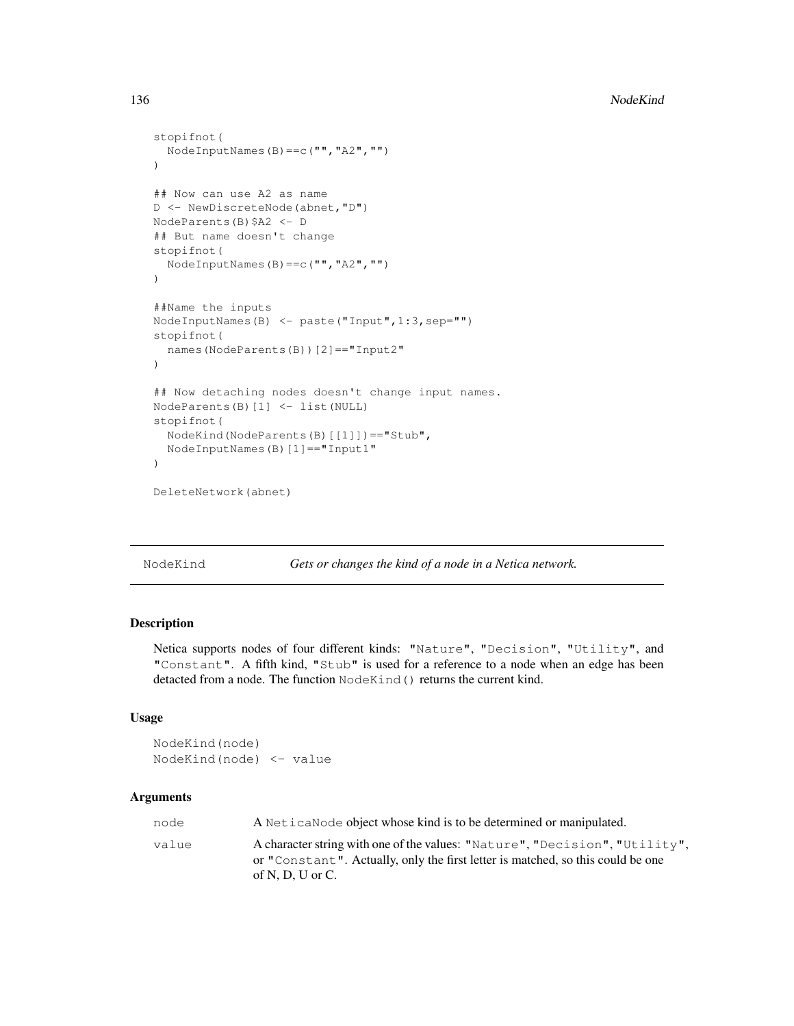```
stopifnot(
  NodeInputNames(B)==c("","A2","")
\lambda## Now can use A2 as name
D <- NewDiscreteNode(abnet,"D")
NodeParents(B)$A2 <- D
## But name doesn't change
stopifnot(
  NodeInputNames(B)==c("","A2","")
)
##Name the inputs
NodeInputNames(B) <- paste("Input",1:3,sep="")
stopifnot(
  names(NodeParents(B))[2]=="Input2"
)
## Now detaching nodes doesn't change input names.
NodeParents(B)[1] <- list(NULL)
stopifnot(
  NodeKind(NodeParents(B)[[1]])=="Stub",
  NodeInputNames(B)[1]=="Input1"
)
DeleteNetwork(abnet)
```
NodeKind *Gets or changes the kind of a node in a Netica network.*

# Description

Netica supports nodes of four different kinds: "Nature", "Decision", "Utility", and "Constant". A fifth kind, "Stub" is used for a reference to a node when an edge has been detacted from a node. The function NodeKind() returns the current kind.

#### Usage

```
NodeKind(node)
NodeKind(node) <- value
```
## Arguments

| node  | A Netica Node object whose kind is to be determined or manipulated.                                                                                                                |
|-------|------------------------------------------------------------------------------------------------------------------------------------------------------------------------------------|
| value | A character string with one of the values: "Nature", "Decision", "Utility",<br>or "Constant". Actually, only the first letter is matched, so this could be one<br>of N, D, U or C. |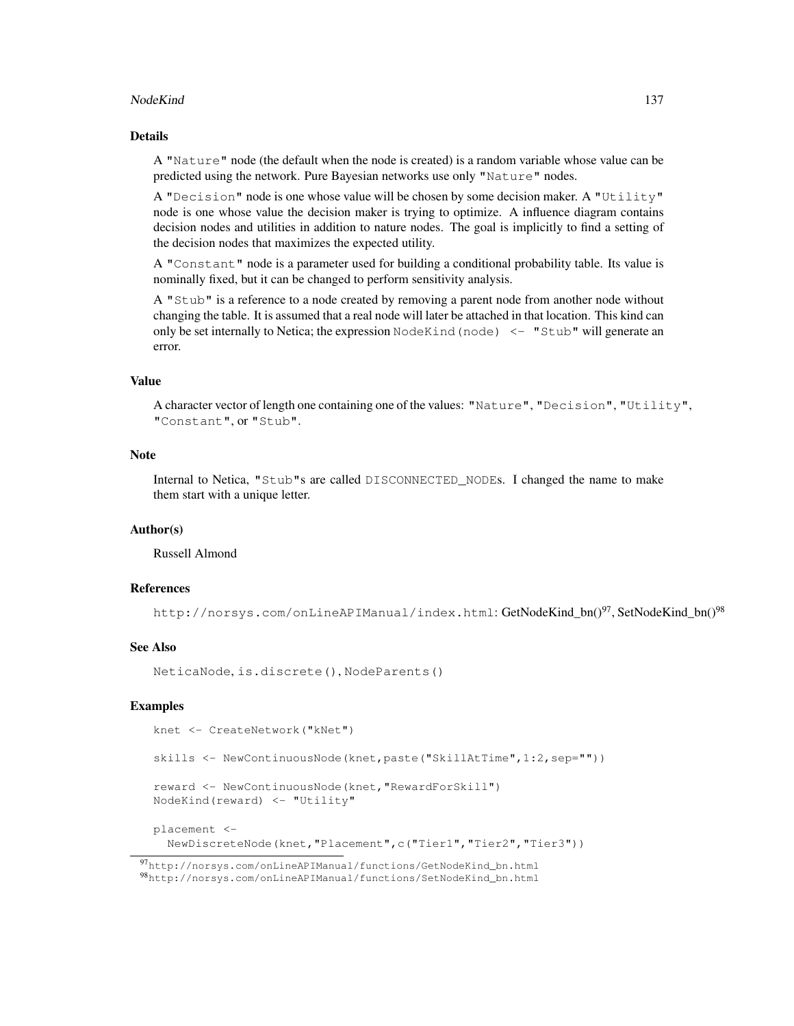#### NodeKind 137

## Details

A "Nature" node (the default when the node is created) is a random variable whose value can be predicted using the network. Pure Bayesian networks use only "Nature" nodes.

A "Decision" node is one whose value will be chosen by some decision maker. A "Utility" node is one whose value the decision maker is trying to optimize. A influence diagram contains decision nodes and utilities in addition to nature nodes. The goal is implicitly to find a setting of the decision nodes that maximizes the expected utility.

A "Constant" node is a parameter used for building a conditional probability table. Its value is nominally fixed, but it can be changed to perform sensitivity analysis.

A "Stub" is a reference to a node created by removing a parent node from another node without changing the table. It is assumed that a real node will later be attached in that location. This kind can only be set internally to Netica; the expression  $\text{NodeKind}(\text{node}) \leq -$  "Stub" will generate an error.

# Value

A character vector of length one containing one of the values: "Nature", "Decision", "Utility", "Constant", or "Stub".

## **Note**

Internal to Netica, "Stub"s are called DISCONNECTED\_NODEs. I changed the name to make them start with a unique letter.

#### Author(s)

Russell Almond

## References

http://norsys.com/onLineAPIManual/index.html: GetNodeKind\_bn()<sup>97</sup>, SetNodeKind\_bn()<sup>98</sup>

# See Also

NeticaNode, is.discrete(), NodeParents()

#### Examples

```
knet <- CreateNetwork("kNet")
skills <- NewContinuousNode(knet,paste("SkillAtTime",1:2,sep=""))
reward <- NewContinuousNode(knet,"RewardForSkill")
NodeKind(reward) <- "Utility"
placement <-
 NewDiscreteNode(knet,"Placement",c("Tier1","Tier2","Tier3"))
```
<sup>97</sup>http://norsys.com/onLineAPIManual/functions/GetNodeKind\_bn.html

<sup>98</sup>http://norsys.com/onLineAPIManual/functions/SetNodeKind\_bn.html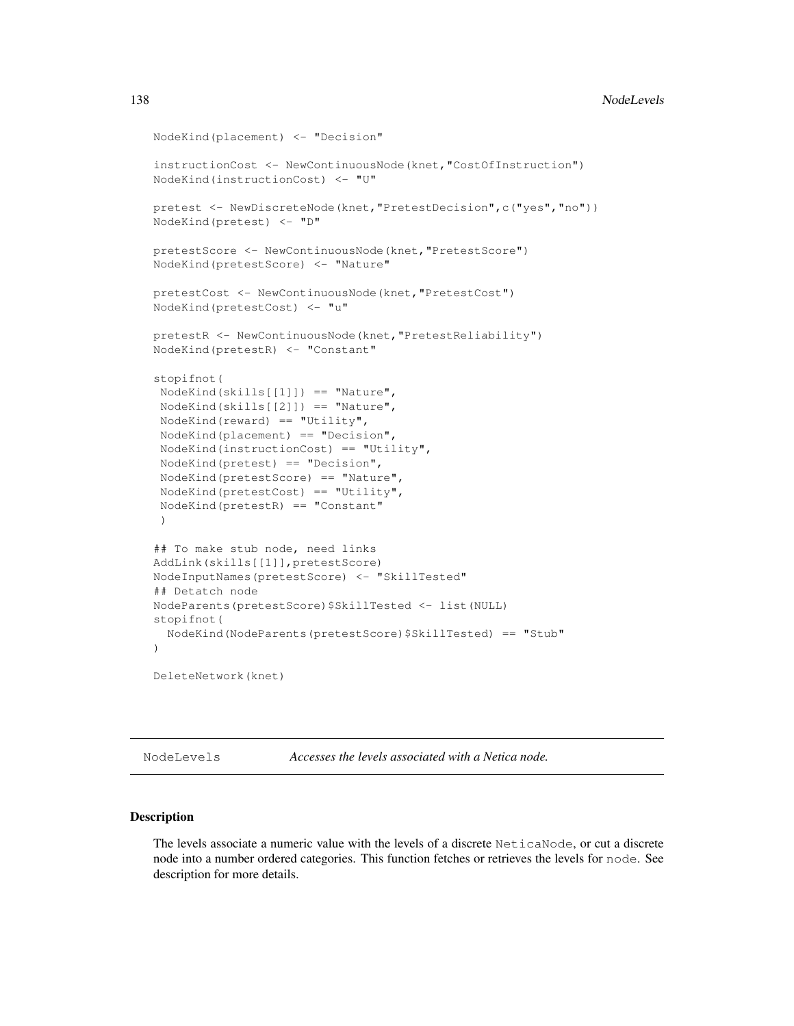#### 138 NodeLevels

```
NodeKind(placement) <- "Decision"
instructionCost <- NewContinuousNode(knet,"CostOfInstruction")
NodeKind(instructionCost) <- "U"
pretest <- NewDiscreteNode(knet,"PretestDecision",c("yes","no"))
NodeKind(pretest) <- "D"
pretestScore <- NewContinuousNode(knet,"PretestScore")
NodeKind(pretestScore) <- "Nature"
pretestCost <- NewContinuousNode(knet,"PretestCost")
NodeKind(pretestCost) <- "u"
pretestR <- NewContinuousNode(knet,"PretestReliability")
NodeKind(pretestR) <- "Constant"
stopifnot(
NodeKind(skills[[1]]) == "Nature",
NodeKind(skills[[2]]) == "Nature",
 NodeKind(reward) == "Utility",NodeKind(placement) == "Decision",
NodeKind(instructionCost) == "Utility",
 NodeKind(pretest) == "Decision",
NodeKind(pretestScore) == "Nature",
 NodeKind(pretestCost) == "Utility",
 NodeKind(pretestR) == "Constant"
 )
## To make stub node, need links
AddLink(skills[[1]],pretestScore)
NodeInputNames(pretestScore) <- "SkillTested"
## Detatch node
NodeParents(pretestScore)$SkillTested <- list(NULL)
stopifnot(
  NodeKind(NodeParents(pretestScore)$SkillTested) == "Stub"
\lambdaDeleteNetwork(knet)
```
NodeLevels *Accesses the levels associated with a Netica node.*

#### Description

The levels associate a numeric value with the levels of a discrete NeticaNode, or cut a discrete node into a number ordered categories. This function fetches or retrieves the levels for node. See description for more details.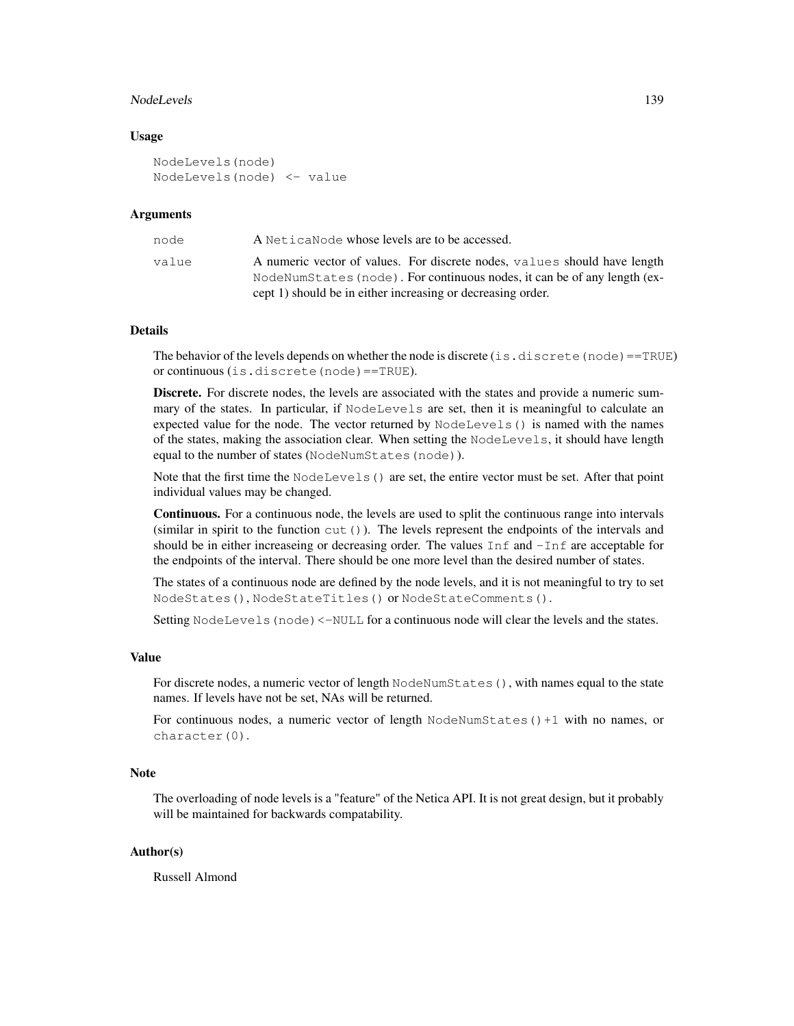#### NodeLevels 139

#### Usage

```
NodeLevels(node)
NodeLevels(node) <- value
```
## Arguments

| node  | A Netica Node whose levels are to be accessed.                            |
|-------|---------------------------------------------------------------------------|
| value | A numeric vector of values. For discrete nodes, values should have length |
|       | NodeNumStates (node). For continuous nodes, it can be of any length (ex-  |
|       | cept 1) should be in either increasing or decreasing order.               |

# Details

The behavior of the levels depends on whether the node is discrete (is.discrete (node)==TRUE) or continuous (is.discrete(node)==TRUE).

Discrete. For discrete nodes, the levels are associated with the states and provide a numeric summary of the states. In particular, if NodeLevels are set, then it is meaningful to calculate an expected value for the node. The vector returned by NodeLevels() is named with the names of the states, making the association clear. When setting the NodeLevels, it should have length equal to the number of states (NodeNumStates(node)).

Note that the first time the NodeLevels() are set, the entire vector must be set. After that point individual values may be changed.

Continuous. For a continuous node, the levels are used to split the continuous range into intervals (similar in spirit to the function  $cut()$ ). The levels represent the endpoints of the intervals and should be in either increaseing or decreasing order. The values Inf and  $\text{-Inf}$  are acceptable for the endpoints of the interval. There should be one more level than the desired number of states.

The states of a continuous node are defined by the node levels, and it is not meaningful to try to set NodeStates(), NodeStateTitles() or NodeStateComments().

Setting NodeLevels (node) <-NULL for a continuous node will clear the levels and the states.

## Value

For discrete nodes, a numeric vector of length NodeNumStates(), with names equal to the state names. If levels have not be set, NAs will be returned.

For continuous nodes, a numeric vector of length NodeNumStates()+1 with no names, or character(0).

## Note

The overloading of node levels is a "feature" of the Netica API. It is not great design, but it probably will be maintained for backwards compatability.

## Author(s)

Russell Almond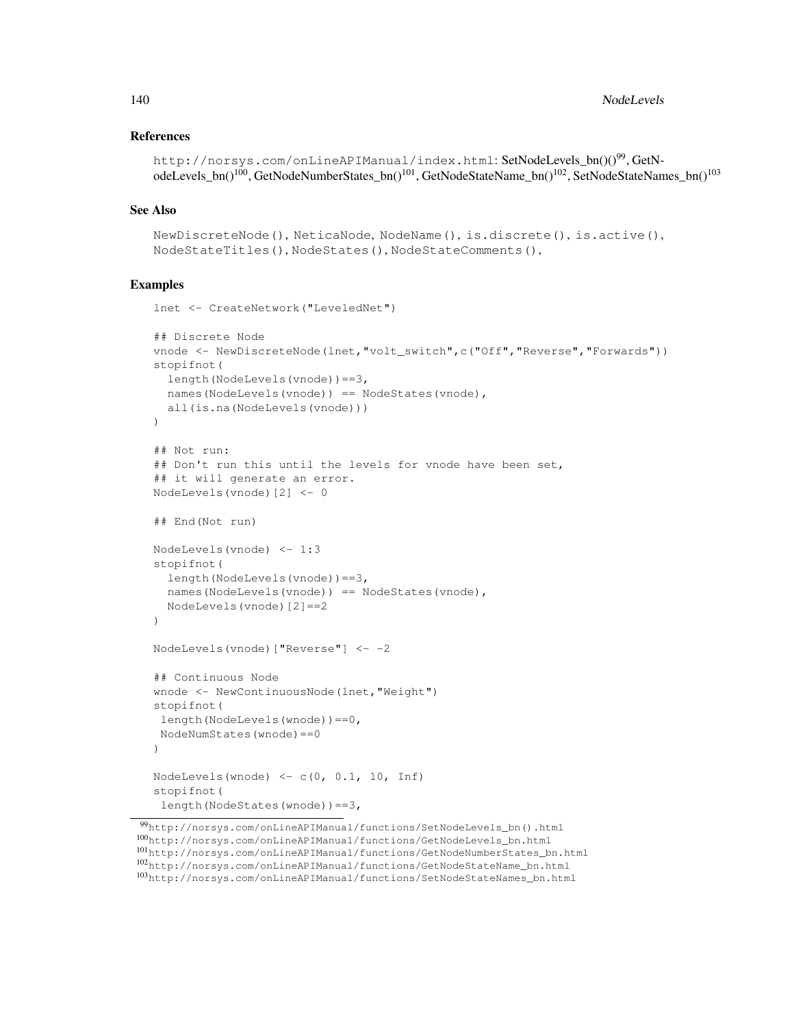## References

```
http://norsys.com/onLineAPIManual/index.html: SetNodeLevels bn()()<sup>99</sup>, GetN-
odeLevels_bn()<sup>100</sup>, GetNodeNumberStates_bn()<sup>101</sup>, GetNodeStateName_bn()<sup>102</sup>, SetNodeStateNames_bn()<sup>103</sup>
```
## See Also

```
NewDiscreteNode(), NeticaNode, NodeName(), is.discrete(), is.active(),
NodeStateTitles(), NodeStates(), NodeStateComments(),
```
# Examples

```
lnet <- CreateNetwork("LeveledNet")
## Discrete Node
vnode <- NewDiscreteNode(lnet,"volt_switch",c("Off","Reverse","Forwards"))
stopifnot(
  length(NodeLevels(vnode))==3,
  names(NodeLevels(vnode)) == NodeStates(vnode),
  all(is.na(NodeLevels(vnode)))
\lambda## Not run:
## Don't run this until the levels for vnode have been set,
## it will generate an error.
NodeLevels(vnode)[2] <- 0
## End(Not run)
NodeLevels(vnode) <- 1:3
stopifnot(
  length(NodeLevels(vnode))==3,
  names(NodeLevels(vnode)) == NodeStates(vnode),
  NodeLevels(vnode)[2]==2
\lambdaNodeLevels(vnode)["Reverse"] <- -2
## Continuous Node
wnode <- NewContinuousNode(lnet,"Weight")
stopifnot(
length(NodeLevels(wnode))==0,
NodeNumStates(wnode)==0
)
NodeLevels(wnode) \leftarrow c(0, 0.1, 10, Inf)
stopifnot(
length(NodeStates(wnode))==3,
```
<sup>99</sup>http://norsys.com/onLineAPIManual/functions/SetNodeLevels\_bn().html <sup>100</sup>http://norsys.com/onLineAPIManual/functions/GetNodeLevels\_bn.html <sup>101</sup>http://norsys.com/onLineAPIManual/functions/GetNodeNumberStates\_bn.html <sup>102</sup>http://norsys.com/onLineAPIManual/functions/GetNodeStateName\_bn.html <sup>103</sup>http://norsys.com/onLineAPIManual/functions/SetNodeStateNames\_bn.html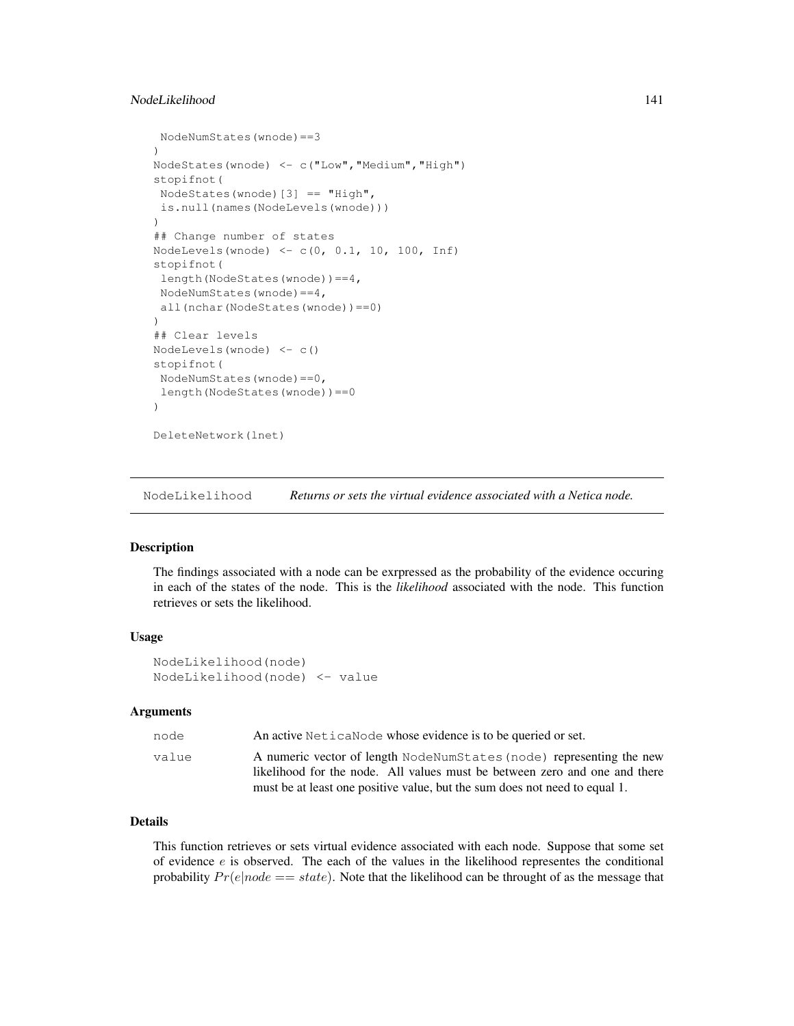# NodeLikelihood 141

```
NodeNumStates(wnode)==3
)
NodeStates(wnode) <- c("Low","Medium","High")
stopifnot(
NodeStates(wnode)[3] == "High",
is.null(names(NodeLevels(wnode)))
)
## Change number of states
NodeLevels(wnode) <- c(0, 0.1, 10, 100, Inf)
stopifnot(
length(NodeStates(wnode))==4,
NodeNumStates(wnode)==4,
 all(nchar(NodeStates(wnode))==0)
)
## Clear levels
NodeLevels(wnode) <- c()
stopifnot(
NodeNumStates(wnode)==0,
 length(NodeStates(wnode))==0
)
DeleteNetwork(lnet)
```
NodeLikelihood *Returns or sets the virtual evidence associated with a Netica node.*

# **Description**

The findings associated with a node can be exrpressed as the probability of the evidence occuring in each of the states of the node. This is the *likelihood* associated with the node. This function retrieves or sets the likelihood.

## Usage

```
NodeLikelihood(node)
NodeLikelihood(node) <- value
```
# Arguments

| node  | An active Netica Node whose evidence is to be queried or set.                                                                                                                                                                    |
|-------|----------------------------------------------------------------------------------------------------------------------------------------------------------------------------------------------------------------------------------|
| value | A numeric vector of length NodeNumStates (node) representing the new<br>likelihood for the node. All values must be between zero and one and there<br>must be at least one positive value, but the sum does not need to equal 1. |

# Details

This function retrieves or sets virtual evidence associated with each node. Suppose that some set of evidence  $e$  is observed. The each of the values in the likelihood representes the conditional probability  $Pr(e|node == state)$ . Note that the likelihood can be throught of as the message that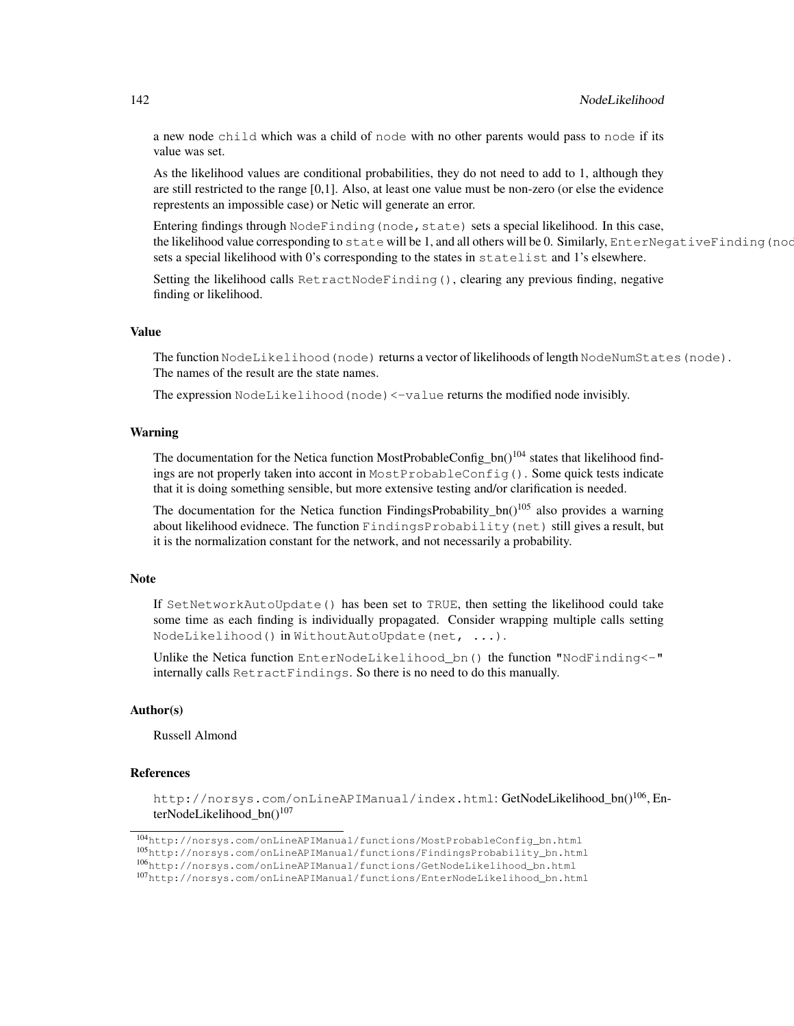a new node child which was a child of node with no other parents would pass to node if its value was set.

As the likelihood values are conditional probabilities, they do not need to add to 1, although they are still restricted to the range [0,1]. Also, at least one value must be non-zero (or else the evidence represtents an impossible case) or Netic will generate an error.

Entering findings through NodeFinding (node, state) sets a special likelihood. In this case, the likelihood value corresponding to state will be 1, and all others will be 0. Similarly, EnterNegativeFinding (nod sets a special likelihood with 0's corresponding to the states in statelist and 1's elsewhere.

Setting the likelihood calls RetractNodeFinding(), clearing any previous finding, negative finding or likelihood.

#### Value

The function NodeLikelihood(node) returns a vector of likelihoods of length NodeNumStates(node). The names of the result are the state names.

The expression NodeLikelihood(node)<-value returns the modified node invisibly.

#### Warning

The documentation for the Netica function MostProbableConfig  $bn()^{104}$  states that likelihood findings are not properly taken into accont in MostProbableConfig(). Some quick tests indicate that it is doing something sensible, but more extensive testing and/or clarification is needed.

The documentation for the Netica function FindingsProbability\_bn()<sup>105</sup> also provides a warning about likelihood evidnece. The function FindingsProbability(net) still gives a result, but it is the normalization constant for the network, and not necessarily a probability.

## Note

If SetNetworkAutoUpdate() has been set to TRUE, then setting the likelihood could take some time as each finding is individually propagated. Consider wrapping multiple calls setting NodeLikelihood() in WithoutAutoUpdate(net, ...).

Unlike the Netica function EnterNodeLikelihood\_bn() the function "NodFinding<-" internally calls RetractFindings. So there is no need to do this manually.

#### Author(s)

Russell Almond

#### References

http://norsys.com/onLineAPIManual/index.html: GetNodeLikelihood\_bn()<sup>106</sup>, EnterNodeLikelihood  $bn()^{107}$ 

<sup>104</sup>http://norsys.com/onLineAPIManual/functions/MostProbableConfig\_bn.html <sup>105</sup>http://norsys.com/onLineAPIManual/functions/FindingsProbability\_bn.html

<sup>106</sup>http://norsys.com/onLineAPIManual/functions/GetNodeLikelihood\_bn.html

<sup>107</sup>http://norsys.com/onLineAPIManual/functions/EnterNodeLikelihood\_bn.html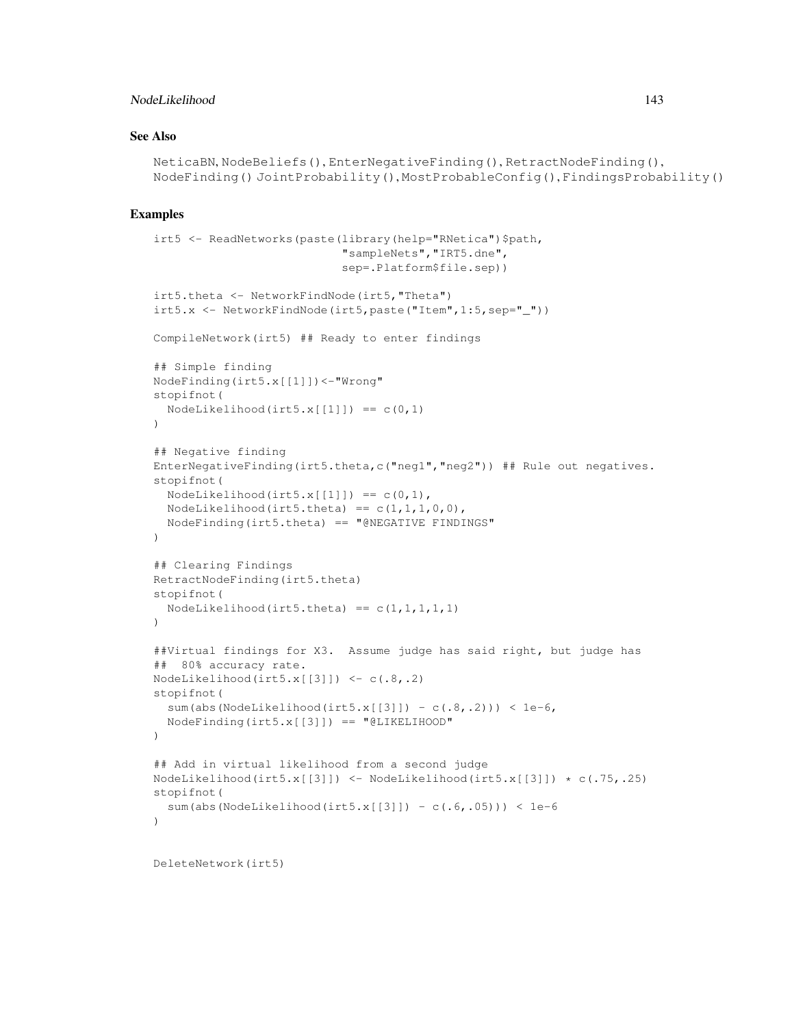# NodeLikelihood 143

# See Also

```
NeticaBN, NodeBeliefs(), EnterNegativeFinding(), RetractNodeFinding(),
NodeFinding() JointProbability(), MostProbableConfig(), FindingsProbability()
```
# Examples

```
irt5 <- ReadNetworks(paste(library(help="RNetica")$path,
                            "sampleNets","IRT5.dne",
                            sep=.Platform$file.sep))
irt5.theta <- NetworkFindNode(irt5,"Theta")
irt5.x <- NetworkFindNode(irt5,paste("Item",1:5,sep="_"))
CompileNetwork(irt5) ## Ready to enter findings
## Simple finding
NodeFinding(irt5.x[[1]])<-"Wrong"
stopifnot(
  NodeLikelihood(irt5.x[1]]) == c(0,1)
)
## Negative finding
EnterNegativeFinding(irt5.theta,c("neg1","neg2")) ## Rule out negatives.
stopifnot(
  NodeLikelihood(int5.x[[1]]) == c(0,1),NodeLikelihood(irt5.theta) == c(1,1,1,0,0),
  NodeFinding(irt5.theta) == "@NEGATIVE FINDINGS"
\lambda## Clearing Findings
RetractNodeFinding(irt5.theta)
stopifnot(
  NodeLikelihood(irt5.theta) == c(1,1,1,1,1))
##Virtual findings for X3. Assume judge has said right, but judge has
## 80% accuracy rate.
NodeLikelihood(irt5.x[[3]]) <- c(.8,.2)stopifnot(
  sum(abs(NodeLikelihood(irt5.x[[3]]) - c(.8,.2))) < 1e-6,
  NodeFinding(irt5.x[[3]]) == "@LIKELIHOOD"
)
## Add in virtual likelihood from a second judge
NodeLikelihood(irt5.x[[3]]) \leftarrow NodeLikelihood(irt5.x[[3]]) \star c(.75,.25)
stopifnot(
  sum(abs(NodeLikelihood(irt5.x[[3]]) - c(.6,.05))) < 1e-6
)
```
DeleteNetwork(irt5)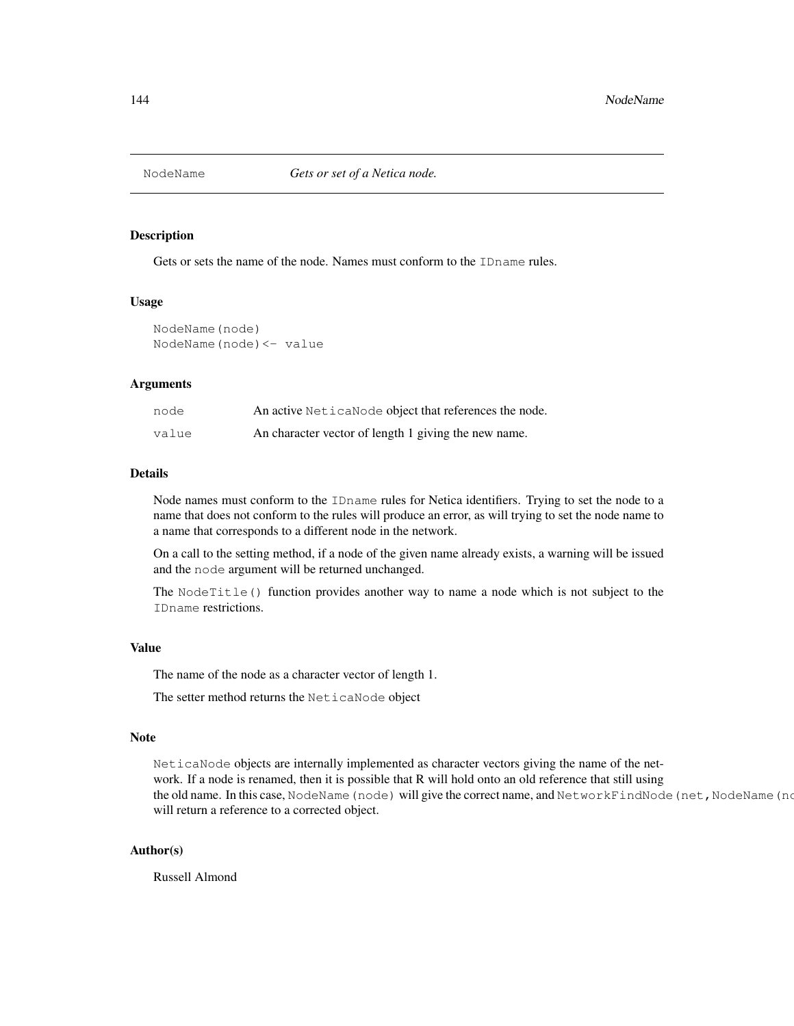#### Description

Gets or sets the name of the node. Names must conform to the IDname rules.

#### Usage

```
NodeName(node)
NodeName(node)<- value
```
## Arguments

| node  | An active NeticaNode object that references the node. |
|-------|-------------------------------------------------------|
| value | An character vector of length 1 giving the new name.  |

## Details

Node names must conform to the IDname rules for Netica identifiers. Trying to set the node to a name that does not conform to the rules will produce an error, as will trying to set the node name to a name that corresponds to a different node in the network.

On a call to the setting method, if a node of the given name already exists, a warning will be issued and the node argument will be returned unchanged.

The NodeTitle() function provides another way to name a node which is not subject to the IDname restrictions.

## Value

The name of the node as a character vector of length 1.

The setter method returns the NeticaNode object

#### Note

NeticaNode objects are internally implemented as character vectors giving the name of the network. If a node is renamed, then it is possible that R will hold onto an old reference that still using the old name. In this case, NodeName (node) will give the correct name, and NetworkFindNode (net, NodeName (no will return a reference to a corrected object.

#### Author(s)

Russell Almond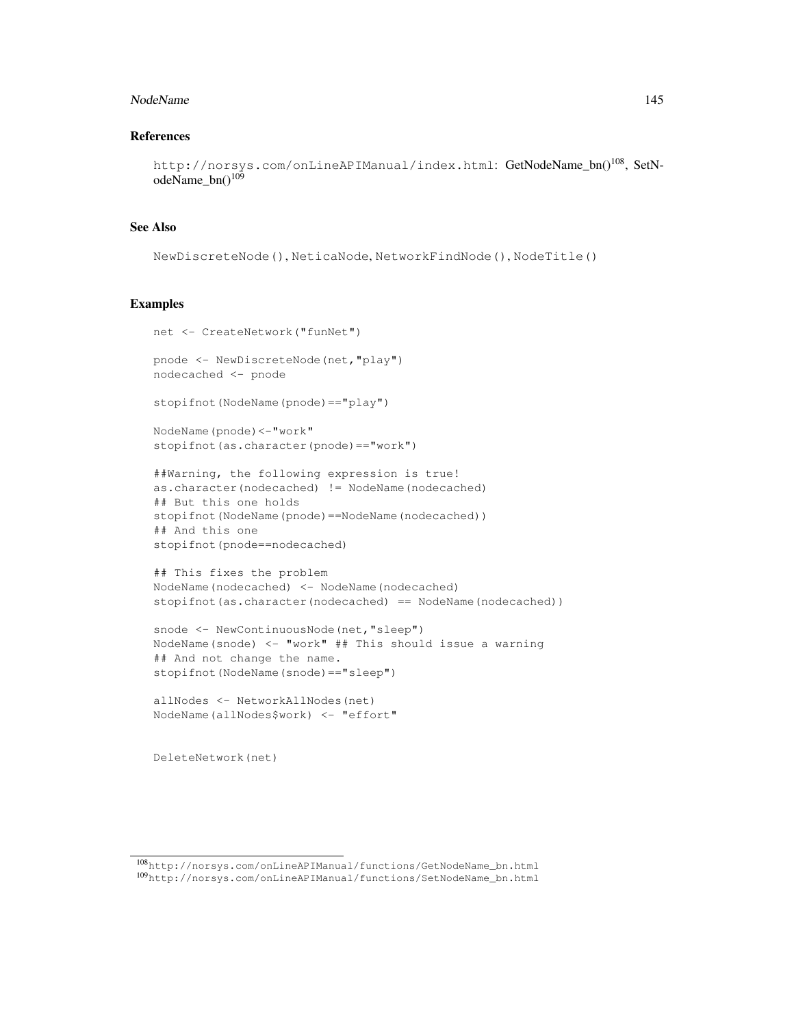#### NodeName 145

# References

```
http://norsys.com/onLineAPIManual/index.html: GetNodeName_bn()<sup>108</sup>, SetN-
odeName_bn()<sup>109</sup>
```
# See Also

```
NewDiscreteNode(), NeticaNode, NetworkFindNode(), NodeTitle()
```
## Examples

```
net <- CreateNetwork("funNet")
pnode <- NewDiscreteNode(net,"play")
nodecached <- pnode
stopifnot(NodeName(pnode)=="play")
NodeName(pnode)<-"work"
```
stopifnot(as.character(pnode)=="work")

```
##Warning, the following expression is true!
as.character(nodecached) != NodeName(nodecached)
## But this one holds
stopifnot(NodeName(pnode)==NodeName(nodecached))
## And this one
stopifnot(pnode==nodecached)
```

```
## This fixes the problem
NodeName(nodecached) <- NodeName(nodecached)
stopifnot(as.character(nodecached) == NodeName(nodecached))
```

```
snode <- NewContinuousNode(net, "sleep")
NodeName(snode) <- "work" ## This should issue a warning
## And not change the name.
stopifnot(NodeName(snode)=="sleep")
```

```
allNodes <- NetworkAllNodes(net)
NodeName(allNodes$work) <- "effort"
```
DeleteNetwork(net)

<sup>108</sup>http://norsys.com/onLineAPIManual/functions/GetNodeName\_bn.html <sup>109</sup>http://norsys.com/onLineAPIManual/functions/SetNodeName\_bn.html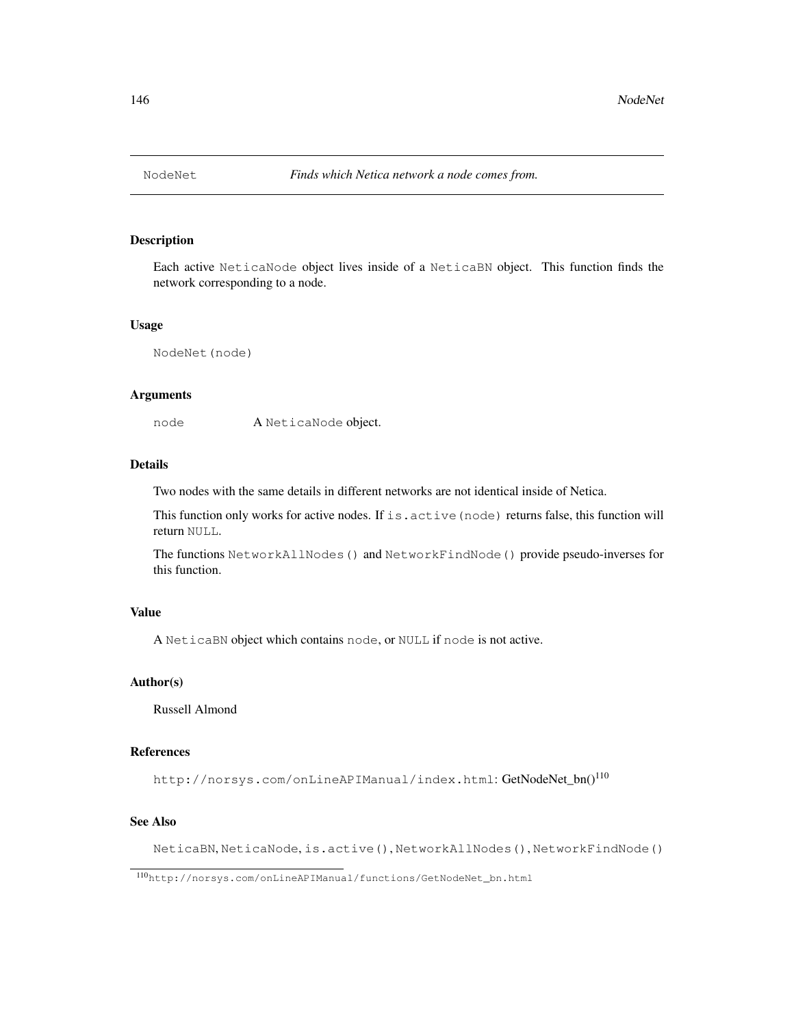## Description

Each active NeticaNode object lives inside of a NeticaBN object. This function finds the network corresponding to a node.

#### Usage

NodeNet(node)

## Arguments

node A NeticaNode object.

# Details

Two nodes with the same details in different networks are not identical inside of Netica.

This function only works for active nodes. If is. active (node) returns false, this function will return NULL.

The functions NetworkAllNodes() and NetworkFindNode() provide pseudo-inverses for this function.

# Value

A NeticaBN object which contains node, or NULL if node is not active.

# Author(s)

Russell Almond

## References

http://norsys.com/onLineAPIManual/index.html: GetNodeNet\_bn()<sup>110</sup>

# See Also

NeticaBN, NeticaNode, is.active(), NetworkAllNodes(), NetworkFindNode()

<sup>110</sup>http://norsys.com/onLineAPIManual/functions/GetNodeNet\_bn.html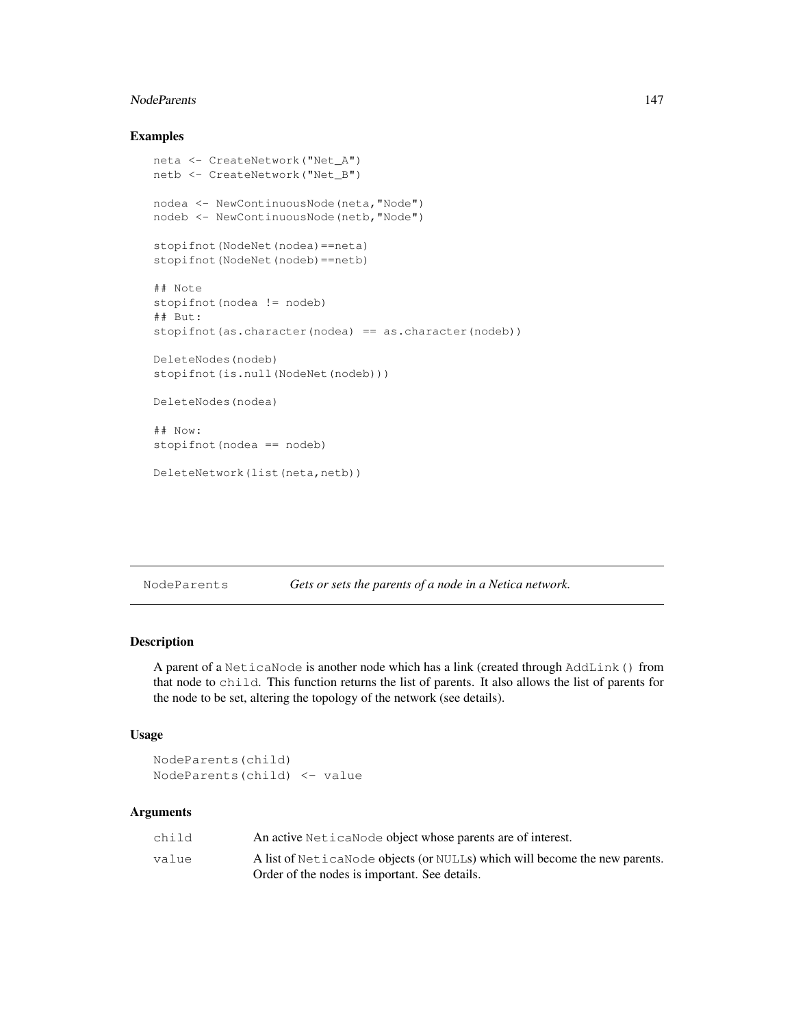#### NodeParents 147

# Examples

```
neta <- CreateNetwork("Net_A")
netb <- CreateNetwork("Net_B")
nodea <- NewContinuousNode(neta,"Node")
nodeb <- NewContinuousNode(netb,"Node")
stopifnot(NodeNet(nodea)==neta)
stopifnot(NodeNet(nodeb)==netb)
## Note
stopifnot(nodea != nodeb)
## But:
stopifnot(as.character(nodea) == as.character(nodeb))
DeleteNodes(nodeb)
stopifnot(is.null(NodeNet(nodeb)))
DeleteNodes(nodea)
## Now:
stopifnot(nodea == nodeb)
DeleteNetwork(list(neta,netb))
```
NodeParents *Gets or sets the parents of a node in a Netica network.*

# Description

A parent of a NeticaNode is another node which has a link (created through AddLink() from that node to child. This function returns the list of parents. It also allows the list of parents for the node to be set, altering the topology of the network (see details).

### Usage

```
NodeParents(child)
NodeParents(child) <- value
```
# Arguments

| child | An active NeticaNode object whose parents are of interest.                                                                  |
|-------|-----------------------------------------------------------------------------------------------------------------------------|
| value | A list of NeticaNode objects (or NULLs) which will become the new parents.<br>Order of the nodes is important. See details. |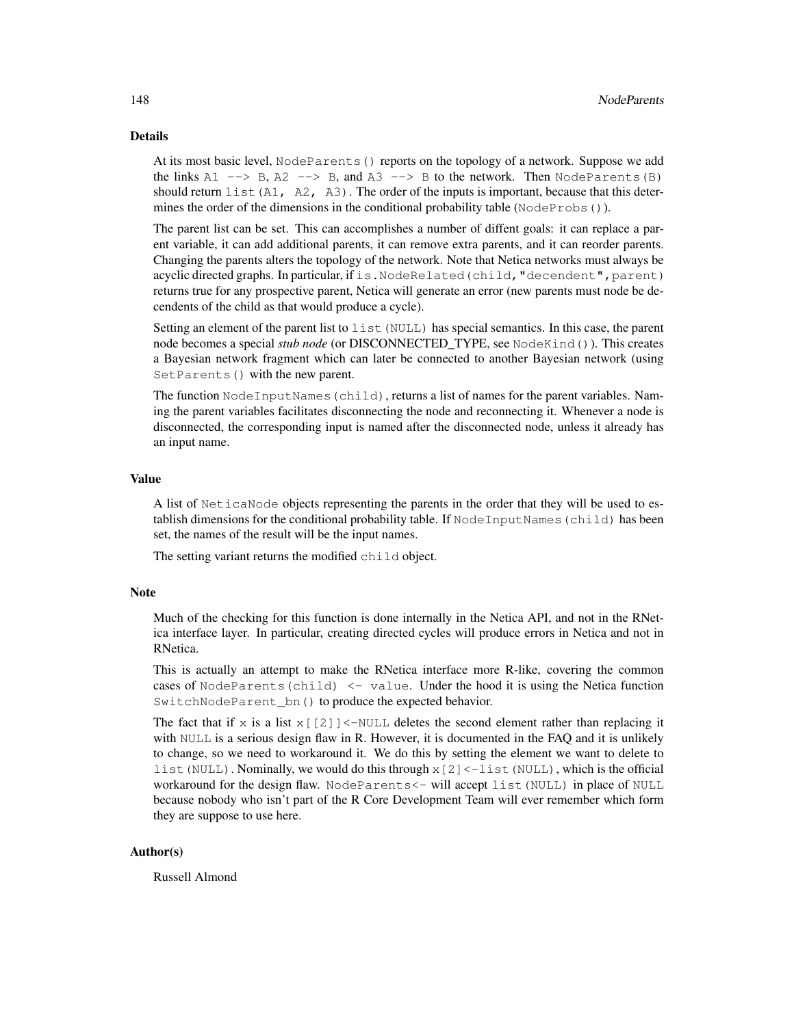# Details

At its most basic level, NodeParents() reports on the topology of a network. Suppose we add the links  $A1 \longrightarrow B$ ,  $A2 \longrightarrow B$ , and  $A3 \longrightarrow B$  to the network. Then NodeParents(B) should return list (A1, A2, A3). The order of the inputs is important, because that this determines the order of the dimensions in the conditional probability table ( $NodeProbs()$ ).

The parent list can be set. This can accomplishes a number of diffent goals: it can replace a parent variable, it can add additional parents, it can remove extra parents, and it can reorder parents. Changing the parents alters the topology of the network. Note that Netica networks must always be acyclic directed graphs. In particular, if is. NodeRelated(child, "decendent", parent) returns true for any prospective parent, Netica will generate an error (new parents must node be decendents of the child as that would produce a cycle).

Setting an element of the parent list to list (NULL) has special semantics. In this case, the parent node becomes a special *stub node* (or DISCONNECTED\_TYPE, see NodeKind()). This creates a Bayesian network fragment which can later be connected to another Bayesian network (using SetParents() with the new parent.

The function NodeInputNames(child), returns a list of names for the parent variables. Naming the parent variables facilitates disconnecting the node and reconnecting it. Whenever a node is disconnected, the corresponding input is named after the disconnected node, unless it already has an input name.

#### Value

A list of NeticaNode objects representing the parents in the order that they will be used to establish dimensions for the conditional probability table. If NodeInputNames (child) has been set, the names of the result will be the input names.

The setting variant returns the modified child object.

## **Note**

Much of the checking for this function is done internally in the Netica API, and not in the RNetica interface layer. In particular, creating directed cycles will produce errors in Netica and not in RNetica.

This is actually an attempt to make the RNetica interface more R-like, covering the common cases of NodeParents (child)  $\le$  value. Under the hood it is using the Netica function SwitchNodeParent bn() to produce the expected behavior.

The fact that if  $x$  is a list  $x$  [[2]] <-NULL deletes the second element rather than replacing it with NULL is a serious design flaw in R. However, it is documented in the FAQ and it is unlikely to change, so we need to workaround it. We do this by setting the element we want to delete to list (NULL). Nominally, we would do this through  $x$  [2] < -1 ist (NULL), which is the official workaround for the design flaw. NodeParents<- will accept list(NULL) in place of NULL because nobody who isn't part of the R Core Development Team will ever remember which form they are suppose to use here.

# Author(s)

Russell Almond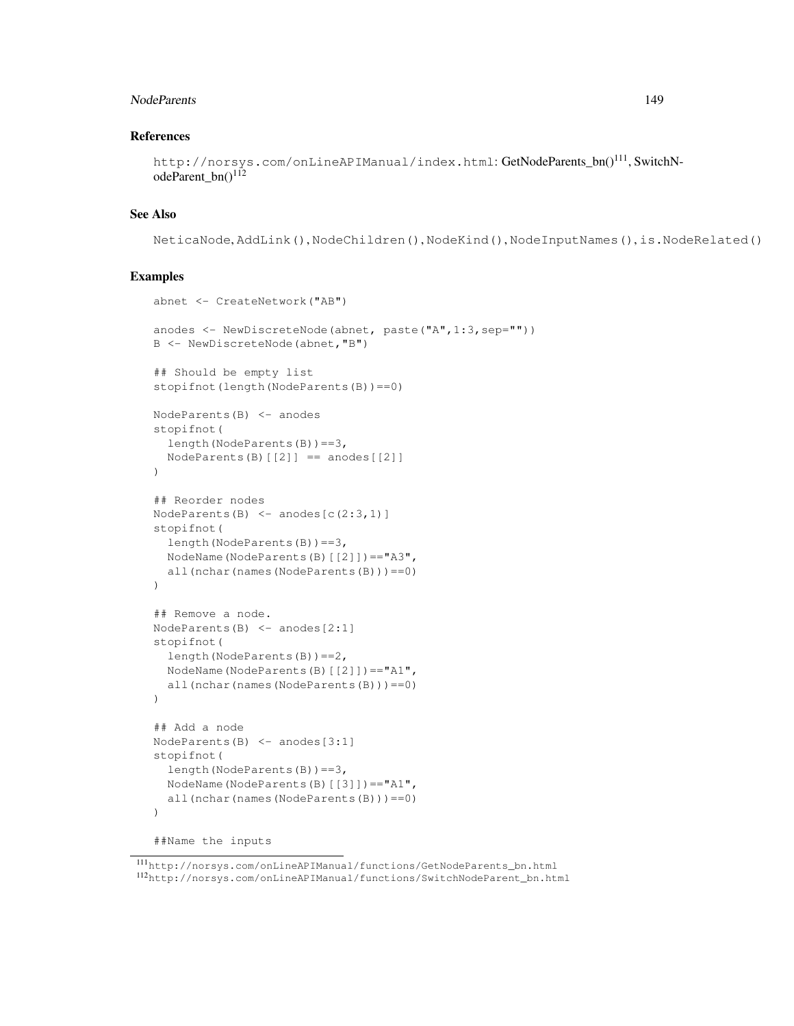#### NodeParents 2008 and 2009 and 2009 and 2009 and 2009 and 2009 and 2009 and 2009 and 2009 and 2009 and 2009 and 2009 and 2009 and 2009 and 2009 and 2009 and 2009 and 2009 and 2009 and 2009 and 2009 and 2009 and 2009 and 200

## References

```
http://norsys.com/onLineAPIManual/index.html: GetNodeParents_bn()<sup>111</sup>, SwitchN-
odeParent_bn()<sup>112</sup>
```
# See Also

```
NeticaNode, AddLink(), NodeChildren(), NodeKind(), NodeInputNames(), is.NodeRelated()
```

```
abnet <- CreateNetwork("AB")
anodes <- NewDiscreteNode(abnet, paste("A",1:3,sep=""))
B <- NewDiscreteNode(abnet,"B")
## Should be empty list
stopifnot(length(NodeParents(B)) == 0)
NodeParents(B) <- anodes
stopifnot(
  length(NodeParents(B))==3,
  NodeParents(B)[2]] == anodes[2]]
)
## Reorder nodes
NodeParents(B) \leftarrow anodes[c(2:3,1)]
stopifnot(
  length(NodeParents(B))==3,
  NodeName(NodeParents(B)[[2]])=="A3",
  all(nchar(names(NodeParents(B)))==0)
)
## Remove a node.
NodeParents(B) <- anodes[2:1]
stopifnot(
  length(NodeParents(B))==2,
  NodeName(NodeParents(B)[[2]])=="A1",
  all(nchar(names(NodeParents(B)))==0)
\lambda## Add a node
NodeParents(B) <- anodes[3:1]
stopifnot(
  length(NodeParents(B))==3,
  NodeName(NodeParents(B)[[3]])=="A1",
  all(nchar(names(NodeParents(B)))==0)
)
```

```
##Name the inputs
```
<sup>111</sup>http://norsys.com/onLineAPIManual/functions/GetNodeParents\_bn.html <sup>112</sup>http://norsys.com/onLineAPIManual/functions/SwitchNodeParent\_bn.html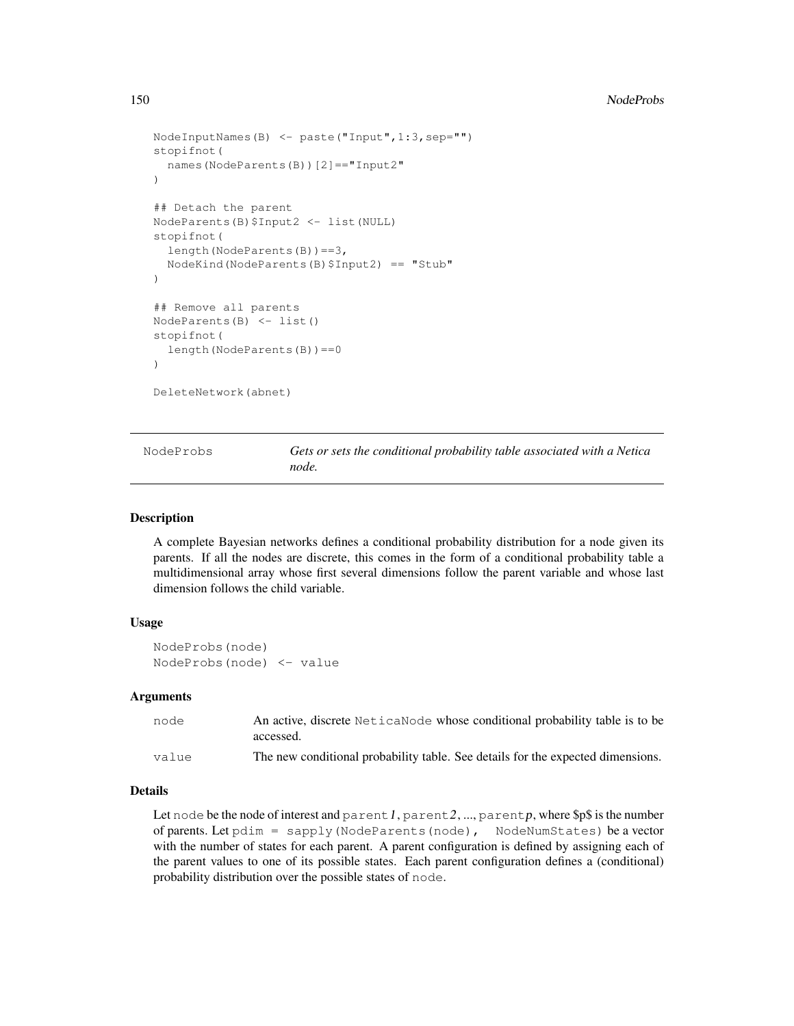```
NodeInputNames(B) <- paste("Input",1:3,sep="")
stopifnot(
  names(NodeParents(B))[2]=="Input2"
)
## Detach the parent
NodeParents(B)$Input2 <- list(NULL)
stopifnot(
  length(NodeParents(B))==3,
  NodeKind(NodeParents(B)$Input2) == "Stub"
)
## Remove all parents
NodeParents(B) <- list()
stopifnot(
  length(NodeParents(B))==0
)
DeleteNetwork(abnet)
```
NodeProbs *Gets or sets the conditional probability table associated with a Netica node.*

#### Description

A complete Bayesian networks defines a conditional probability distribution for a node given its parents. If all the nodes are discrete, this comes in the form of a conditional probability table a multidimensional array whose first several dimensions follow the parent variable and whose last dimension follows the child variable.

### Usage

NodeProbs(node) NodeProbs(node) <- value

## Arguments

| node  | An active, discrete Netical Node whose conditional probability table is to be<br>accessed. |
|-------|--------------------------------------------------------------------------------------------|
|       |                                                                                            |
| value | The new conditional probability table. See details for the expected dimensions.            |

# Details

Let node be the node of interest and parent 1, parent 2, ..., parent p, where  $\$\$$  is the number of parents. Let pdim = sapply(NodeParents(node), NodeNumStates) be a vector with the number of states for each parent. A parent configuration is defined by assigning each of the parent values to one of its possible states. Each parent configuration defines a (conditional) probability distribution over the possible states of node.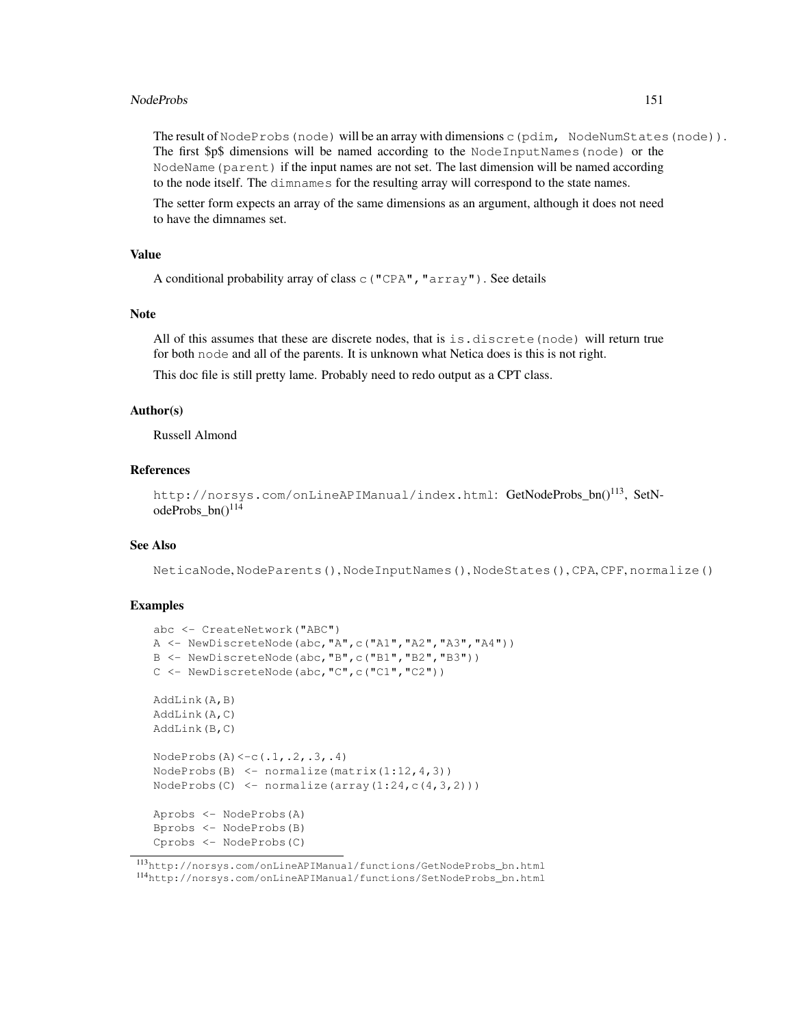## NodeProbs 151

The result of NodeProbs (node) will be an array with dimensions c(pdim, NodeNumStates(node)). The first \$p\$ dimensions will be named according to the NodeInputNames(node) or the NodeName(parent) if the input names are not set. The last dimension will be named according to the node itself. The dimnames for the resulting array will correspond to the state names.

The setter form expects an array of the same dimensions as an argument, although it does not need to have the dimnames set.

## Value

```
A conditional probability array of class c("CPA","array"). See details
```
#### Note

All of this assumes that these are discrete nodes, that is  $i$  is.discrete (node) will return true for both node and all of the parents. It is unknown what Netica does is this is not right.

This doc file is still pretty lame. Probably need to redo output as a CPT class.

## Author(s)

Russell Almond

# References

```
http://norsys.com/onLineAPIManual/index.html: GetNodeProbs_bn()<sup>113</sup>, SetN-
odeProbs_bn()<sup>114</sup>
```
# See Also

NeticaNode, NodeParents(), NodeInputNames(), NodeStates(), CPA, CPF, normalize()

```
abc <- CreateNetwork("ABC")
A <- NewDiscreteNode(abc,"A",c("A1","A2","A3","A4"))
B <- NewDiscreteNode(abc,"B",c("B1","B2","B3"))
C <- NewDiscreteNode(abc,"C",c("C1","C2"))
AddLink(A,B)
AddLink(A,C)
AddLink(B,C)
NodeProbs(A) < -c(.1,.2,.3,.4)NodeProbs(B) \leq normalize(matrix(1:12,4,3))
NodeProbs(C) \leftarrow normalize(array(1:24,c(4,3,2)))
Aprobs <- NodeProbs(A)
Bprobs <- NodeProbs(B)
Cprobs <- NodeProbs(C)
```
<sup>113</sup>http://norsys.com/onLineAPIManual/functions/GetNodeProbs\_bn.html <sup>114</sup>http://norsys.com/onLineAPIManual/functions/SetNodeProbs\_bn.html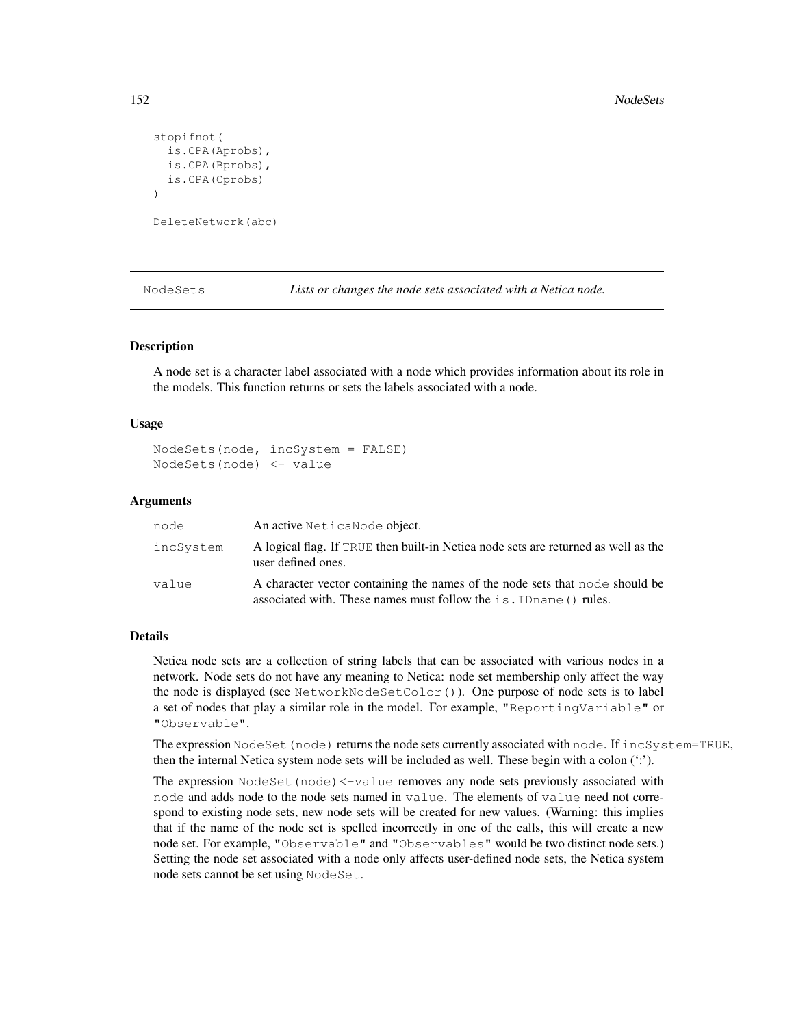```
stopifnot(
  is.CPA(Aprobs),
 is.CPA(Bprobs),
 is.CPA(Cprobs)
)
DeleteNetwork(abc)
```
NodeSets *Lists or changes the node sets associated with a Netica node.*

#### Description

A node set is a character label associated with a node which provides information about its role in the models. This function returns or sets the labels associated with a node.

## Usage

```
NodeSets(node, incSystem = FALSE)
NodeSets(node) <- value
```
#### Arguments

| node      | An active NeticaNode object.                                                                                                                       |
|-----------|----------------------------------------------------------------------------------------------------------------------------------------------------|
| incSvstem | A logical flag. If TRUE then built-in Netica node sets are returned as well as the<br>user defined ones.                                           |
| value     | A character vector containing the names of the node sets that node should be<br>associated with. These names must follow the is. ID name () rules. |

#### Details

Netica node sets are a collection of string labels that can be associated with various nodes in a network. Node sets do not have any meaning to Netica: node set membership only affect the way the node is displayed (see NetworkNodeSetColor()). One purpose of node sets is to label a set of nodes that play a similar role in the model. For example, "ReportingVariable" or "Observable".

The expression NodeSet (node) returns the node sets currently associated with node. If incSystem=TRUE, then the internal Netica system node sets will be included as well. These begin with a colon (':').

The expression NodeSet (node) <-value removes any node sets previously associated with node and adds node to the node sets named in value. The elements of value need not correspond to existing node sets, new node sets will be created for new values. (Warning: this implies that if the name of the node set is spelled incorrectly in one of the calls, this will create a new node set. For example, "Observable" and "Observables" would be two distinct node sets.) Setting the node set associated with a node only affects user-defined node sets, the Netica system node sets cannot be set using NodeSet.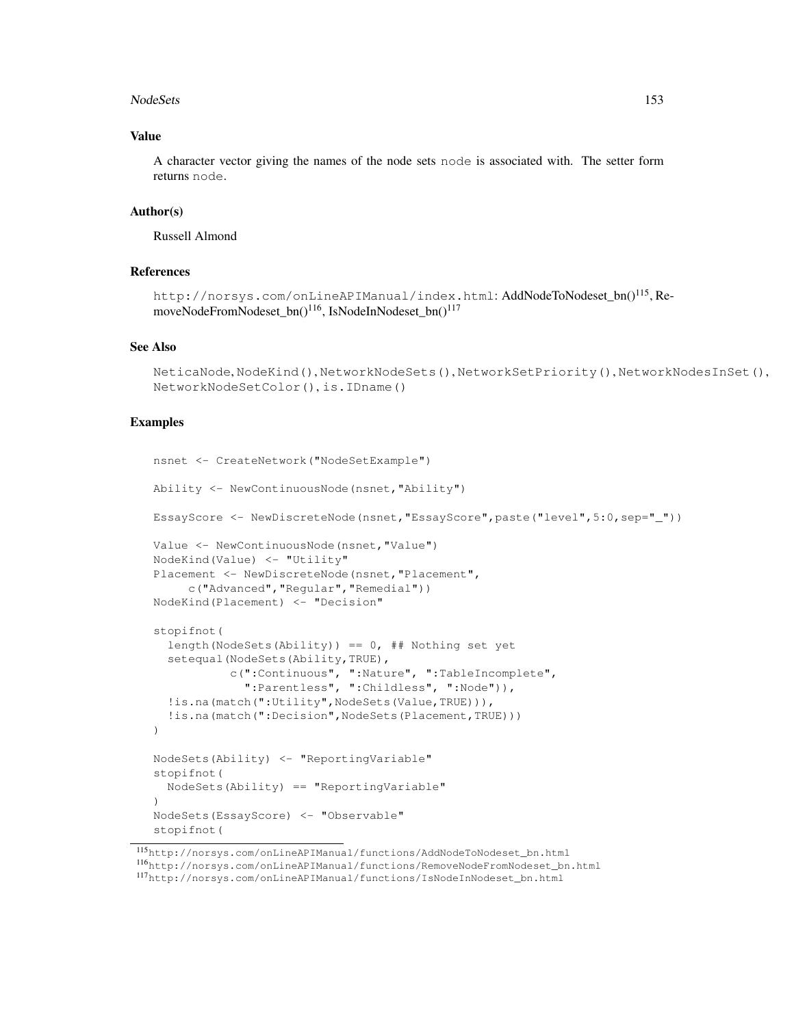#### NodeSets 153

# Value

A character vector giving the names of the node sets node is associated with. The setter form returns node.

## Author(s)

Russell Almond

# References

```
http://norsys.com/onLineAPIManual/index.html: AddNodeToNodeset_bn()<sup>115</sup>, Re-
moveNodeFromNodeset_bn()<sup>116</sup>, IsNodeInNodeset_bn()<sup>117</sup>
```
## See Also

```
NeticaNode, NodeKind(), NetworkNodeSets(), NetworkSetPriority(), NetworkNodesInSet(),
NetworkNodeSetColor(), is.IDname()
```

```
nsnet <- CreateNetwork("NodeSetExample")
Ability <- NewContinuousNode(nsnet,"Ability")
EssayScore <- NewDiscreteNode(nsnet,"EssayScore",paste("level",5:0,sep="_"))
Value <- NewContinuousNode(nsnet,"Value")
NodeKind(Value) <- "Utility"
Placement <- NewDiscreteNode(nsnet, "Placement",
     c("Advanced","Regular","Remedial"))
NodeKind(Placement) <- "Decision"
stopifnot(
  length(NodeSets(Ability)) == 0, # Nothing set yet
  setequal(NodeSets(Ability,TRUE),
           c(":Continuous", ":Nature", ":TableIncomplete",
             ":Parentless", ":Childless", ":Node")),
  !is.na(match(":Utility",NodeSets(Value,TRUE))),
  !is.na(match(":Decision",NodeSets(Placement,TRUE)))
)
NodeSets(Ability) <- "ReportingVariable"
stopifnot(
  NodeSets(Ability) == "ReportingVariable"
)
NodeSets(EssayScore) <- "Observable"
stopifnot(
```
<sup>115</sup>http://norsys.com/onLineAPIManual/functions/AddNodeToNodeset\_bn.html <sup>116</sup>http://norsys.com/onLineAPIManual/functions/RemoveNodeFromNodeset\_bn.html <sup>117</sup>http://norsys.com/onLineAPIManual/functions/IsNodeInNodeset\_bn.html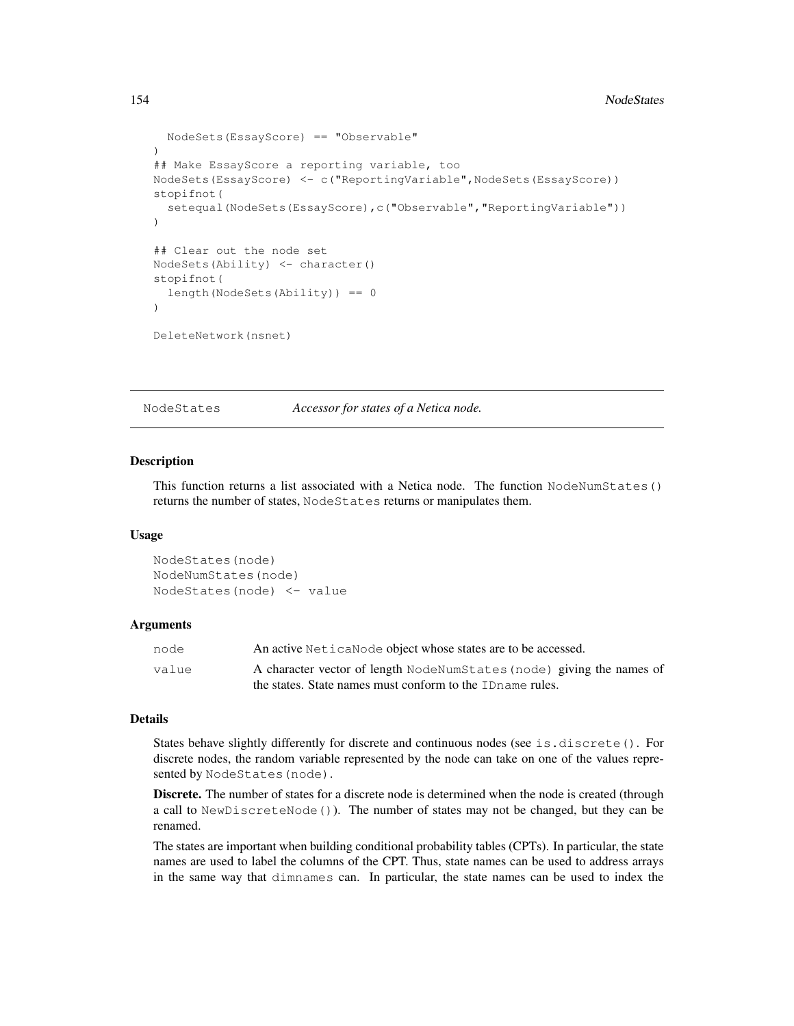```
NodeSets(EssayScore) == "Observable"
)
## Make EssayScore a reporting variable, too
NodeSets(EssayScore) <- c("ReportingVariable",NodeSets(EssayScore))
stopifnot(
  setequal(NodeSets(EssayScore),c("Observable", "ReportingVariable"))
)
## Clear out the node set
NodeSets(Ability) <- character()
stopifnot(
  length(NodeSets(Ability)) == 0
)
DeleteNetwork(nsnet)
```
NodeStates *Accessor for states of a Netica node.*

#### Description

This function returns a list associated with a Netica node. The function NodeNumStates() returns the number of states, NodeStates returns or manipulates them.

#### Usage

```
NodeStates(node)
NodeNumStates(node)
NodeStates(node) <- value
```
#### Arguments

| node  | An active NeticaNode object whose states are to be accessed.          |
|-------|-----------------------------------------------------------------------|
| value | A character vector of length NodeNumStates (node) giving the names of |
|       | the states. State names must conform to the ID name rules.            |

## Details

States behave slightly differently for discrete and continuous nodes (see is.discrete(). For discrete nodes, the random variable represented by the node can take on one of the values represented by NodeStates (node).

Discrete. The number of states for a discrete node is determined when the node is created (through a call to NewDiscreteNode()). The number of states may not be changed, but they can be renamed.

The states are important when building conditional probability tables (CPTs). In particular, the state names are used to label the columns of the CPT. Thus, state names can be used to address arrays in the same way that dimnames can. In particular, the state names can be used to index the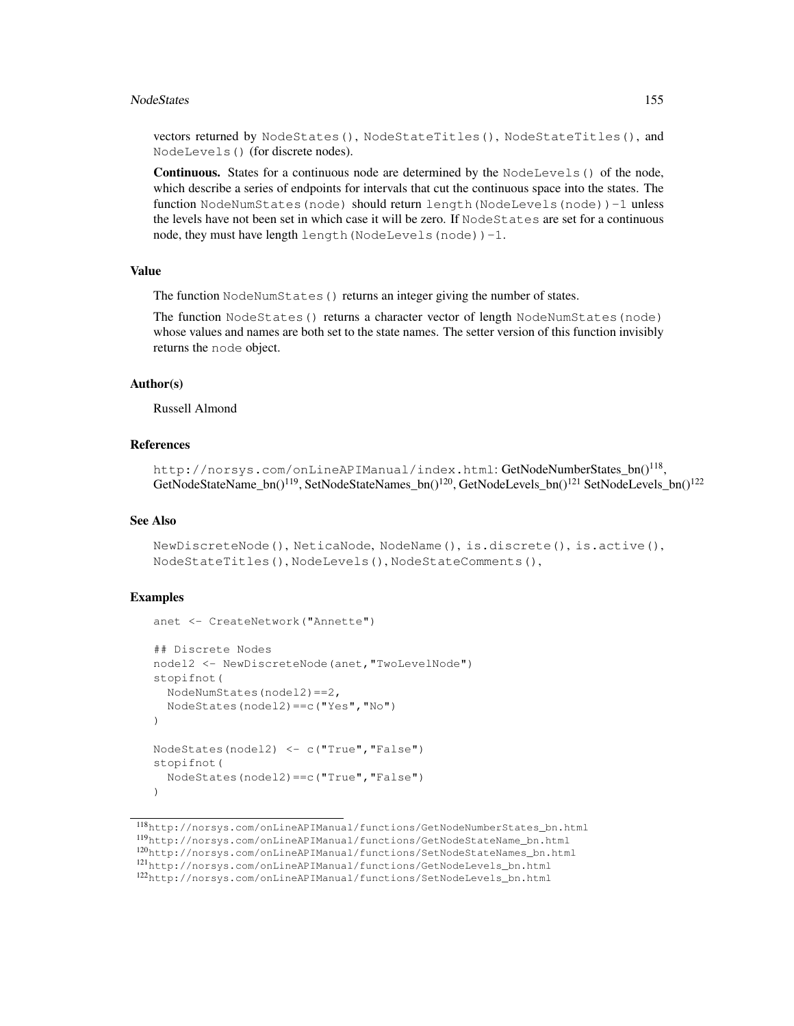#### NodeStates 155

vectors returned by NodeStates(), NodeStateTitles(), NodeStateTitles(), and NodeLevels() (for discrete nodes).

Continuous. States for a continuous node are determined by the NodeLevels() of the node, which describe a series of endpoints for intervals that cut the continuous space into the states. The function NodeNumStates(node) should return length(NodeLevels(node))-1 unless the levels have not been set in which case it will be zero. If NodeStates are set for a continuous node, they must have length length(NodeLevels(node))-1.

# Value

The function NodeNumStates () returns an integer giving the number of states.

The function NodeStates () returns a character vector of length NodeNumStates (node) whose values and names are both set to the state names. The setter version of this function invisibly returns the node object.

# Author(s)

Russell Almond

#### References

<code>http://norsys.com/onLineAPIManual/index.html:GetNodeNumberStates\_bn() $^{118},$ </code> GetNodeStateName\_bn()<sup>119</sup>, SetNodeStateNames\_bn()<sup>120</sup>, GetNodeLevels\_bn()<sup>121</sup> SetNodeLevels\_bn()<sup>122</sup>

# See Also

```
NewDiscreteNode(), NeticaNode, NodeName(), is.discrete(), is.active(),
NodeStateTitles(), NodeLevels(), NodeStateComments(),
```

```
anet <- CreateNetwork("Annette")
## Discrete Nodes
nodel2 <- NewDiscreteNode(anet,"TwoLevelNode")
stopifnot(
  NodeNumStates(nodel2)==2,
  NodeStates(nodel2)==c("Yes","No")
)
NodeStates(nodel2) <- c("True","False")
stopifnot(
  NodeStates(nodel2)==c("True","False")
)
```
<sup>118</sup>http://norsys.com/onLineAPIManual/functions/GetNodeNumberStates\_bn.html <sup>119</sup>http://norsys.com/onLineAPIManual/functions/GetNodeStateName\_bn.html <sup>120</sup>http://norsys.com/onLineAPIManual/functions/SetNodeStateNames\_bn.html <sup>121</sup>http://norsys.com/onLineAPIManual/functions/GetNodeLevels\_bn.html <sup>122</sup>http://norsys.com/onLineAPIManual/functions/SetNodeLevels\_bn.html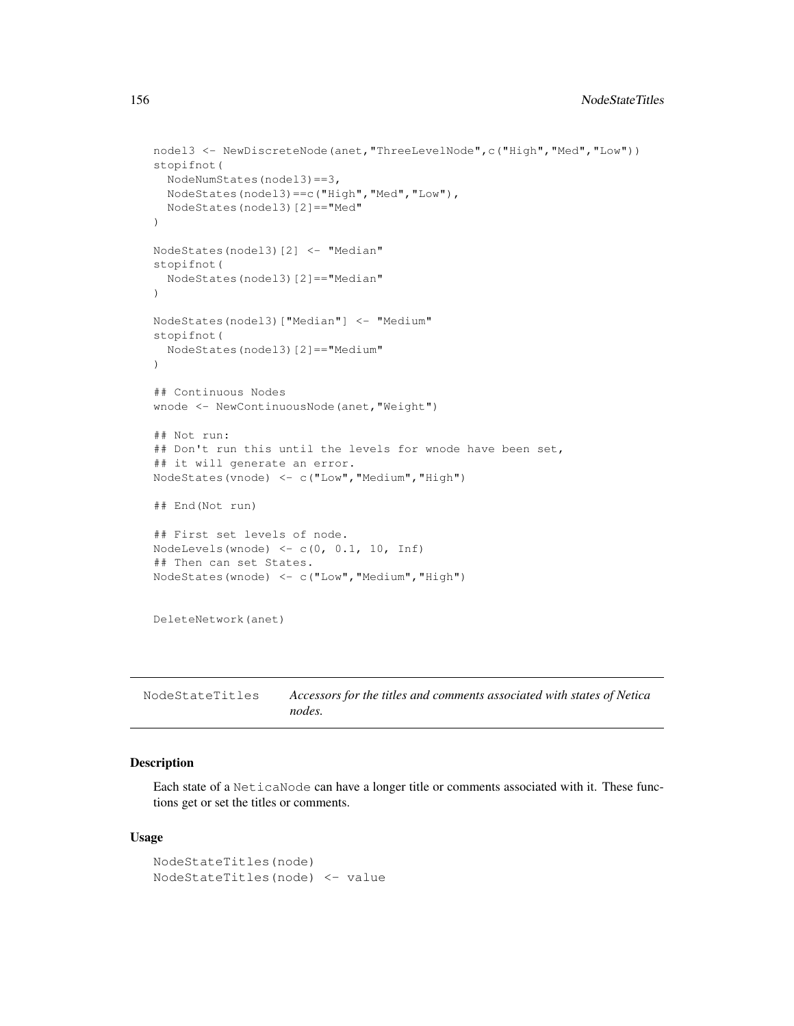```
nodel3 <- NewDiscreteNode(anet,"ThreeLevelNode",c("High","Med","Low"))
stopifnot(
 NodeNumStates(nodel3)==3,
 NodeStates(nodel3)==c("High","Med","Low"),
 NodeStates(nodel3)[2]=="Med"
)
NodeStates(nodel3)[2] <- "Median"
stopifnot(
  NodeStates(nodel3)[2]=="Median"
)
NodeStates(nodel3)["Median"] <- "Medium"
stopifnot(
  NodeStates(nodel3)[2]=="Medium"
)
## Continuous Nodes
wnode <- NewContinuousNode(anet,"Weight")
## Not run:
## Don't run this until the levels for wnode have been set,
## it will generate an error.
NodeStates(vnode) <- c("Low","Medium","High")
## End(Not run)
## First set levels of node.
NodeLevels(wnode) <- c(0, 0.1, 10, Inf)
## Then can set States.
NodeStates(wnode) <- c("Low","Medium","High")
DeleteNetwork(anet)
```
NodeStateTitles *Accessors for the titles and comments associated with states of Netica nodes.*

## Description

Each state of a NeticaNode can have a longer title or comments associated with it. These functions get or set the titles or comments.

#### Usage

```
NodeStateTitles(node)
NodeStateTitles(node) <- value
```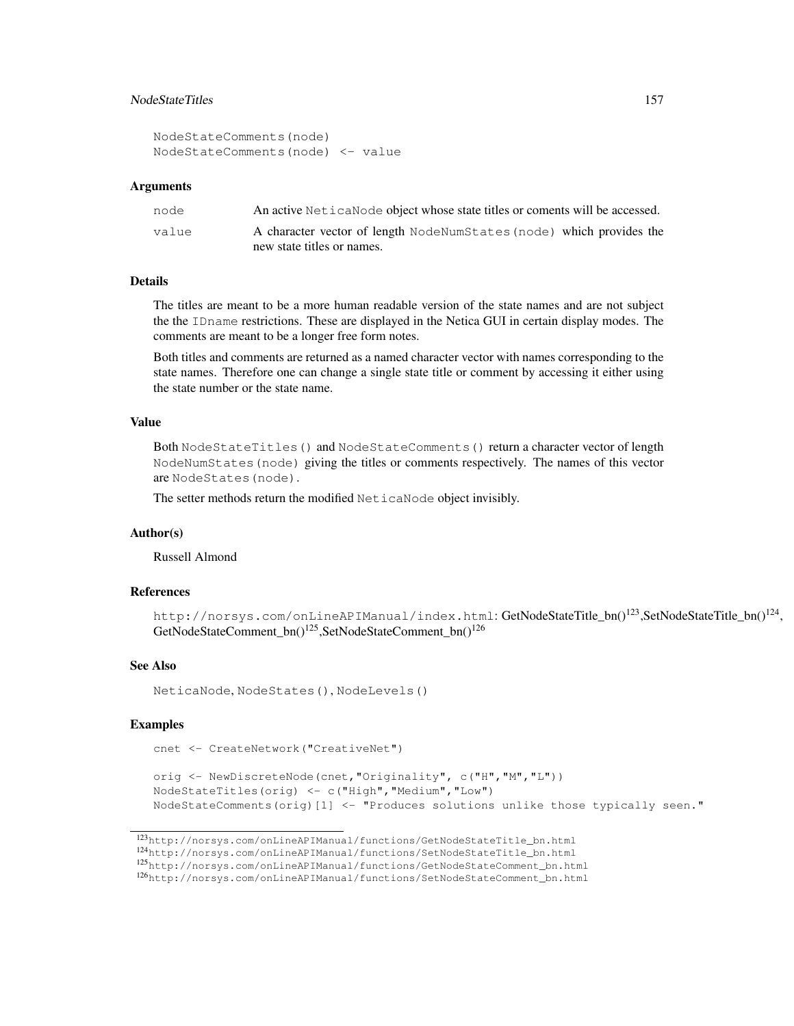# NodeStateTitles 157

```
NodeStateComments(node)
NodeStateComments(node) <- value
```
#### Arguments

| node  | An active Netical Node object whose state titles or coments will be accessed. |
|-------|-------------------------------------------------------------------------------|
| value | A character vector of length NodeNumStates (node) which provides the          |
|       | new state titles or names.                                                    |

# Details

The titles are meant to be a more human readable version of the state names and are not subject the the IDname restrictions. These are displayed in the Netica GUI in certain display modes. The comments are meant to be a longer free form notes.

Both titles and comments are returned as a named character vector with names corresponding to the state names. Therefore one can change a single state title or comment by accessing it either using the state number or the state name.

# Value

Both NodeStateTitles() and NodeStateComments() return a character vector of length NodeNumStates(node) giving the titles or comments respectively. The names of this vector are NodeStates(node).

The setter methods return the modified NeticaNode object invisibly.

## Author(s)

Russell Almond

## References

http://norsys.com/onLineAPIManual/index.html:GetNodeStateTitle\_bn()<sup>123</sup>,SetNodeStateTitle\_bn()<sup>124</sup>, GetNodeStateComment\_bn()<sup>125</sup>,SetNodeStateComment\_bn()<sup>126</sup>

#### See Also

NeticaNode, NodeStates(), NodeLevels()

```
cnet <- CreateNetwork("CreativeNet")
```

```
orig <- NewDiscreteNode(cnet,"Originality", c("H","M","L"))
NodeStateTitles(orig) <- c("High","Medium","Low")
NodeStateComments(orig)[1] <- "Produces solutions unlike those typically seen."
```
<sup>123</sup>http://norsys.com/onLineAPIManual/functions/GetNodeStateTitle\_bn.html

<sup>124</sup>http://norsys.com/onLineAPIManual/functions/SetNodeStateTitle\_bn.html

<sup>125</sup>http://norsys.com/onLineAPIManual/functions/GetNodeStateComment\_bn.html

<sup>126</sup>http://norsys.com/onLineAPIManual/functions/SetNodeStateComment\_bn.html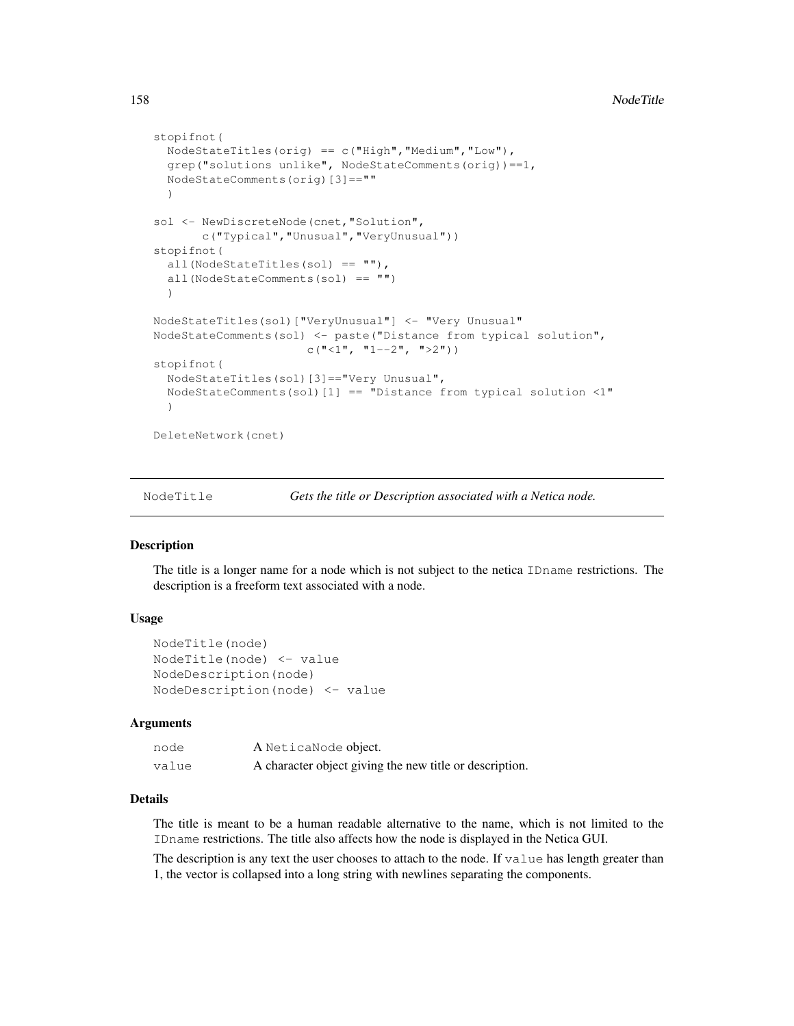```
stopifnot(
  NodeStateTitles(orig) == c("High","Medium","Low"),
  grep("solutions unlike", NodeStateComments(orig))==1,
  NodeStateComments(orig)[3]==""
  )
sol <- NewDiscreteNode(cnet,"Solution",
       c("Typical","Unusual","VeryUnusual"))
stopifnot(
  all(NodeStateTitles(sol) == ""),
  all(NodeStateComments(sol) == "")
  )
NodeStateTitles(sol)["VeryUnusual"] <- "Very Unusual"
NodeStateComments(sol) <- paste("Distance from typical solution",
                      c("<1", "1--2", ">2"))
stopifnot(
 NodeStateTitles(sol)[3]=="Very Unusual",
  NodeStateComments(sol)[1] == "Distance from typical solution <1"
  )
DeleteNetwork(cnet)
```
NodeTitle *Gets the title or Description associated with a Netica node.*

#### Description

The title is a longer name for a node which is not subject to the netica IDname restrictions. The description is a freeform text associated with a node.

## Usage

```
NodeTitle(node)
NodeTitle(node) <- value
NodeDescription(node)
NodeDescription(node) <- value
```
#### Arguments

| node  | A NeticaNode object.                                    |
|-------|---------------------------------------------------------|
| value | A character object giving the new title or description. |

# Details

The title is meant to be a human readable alternative to the name, which is not limited to the IDname restrictions. The title also affects how the node is displayed in the Netica GUI.

The description is any text the user chooses to attach to the node. If value has length greater than 1, the vector is collapsed into a long string with newlines separating the components.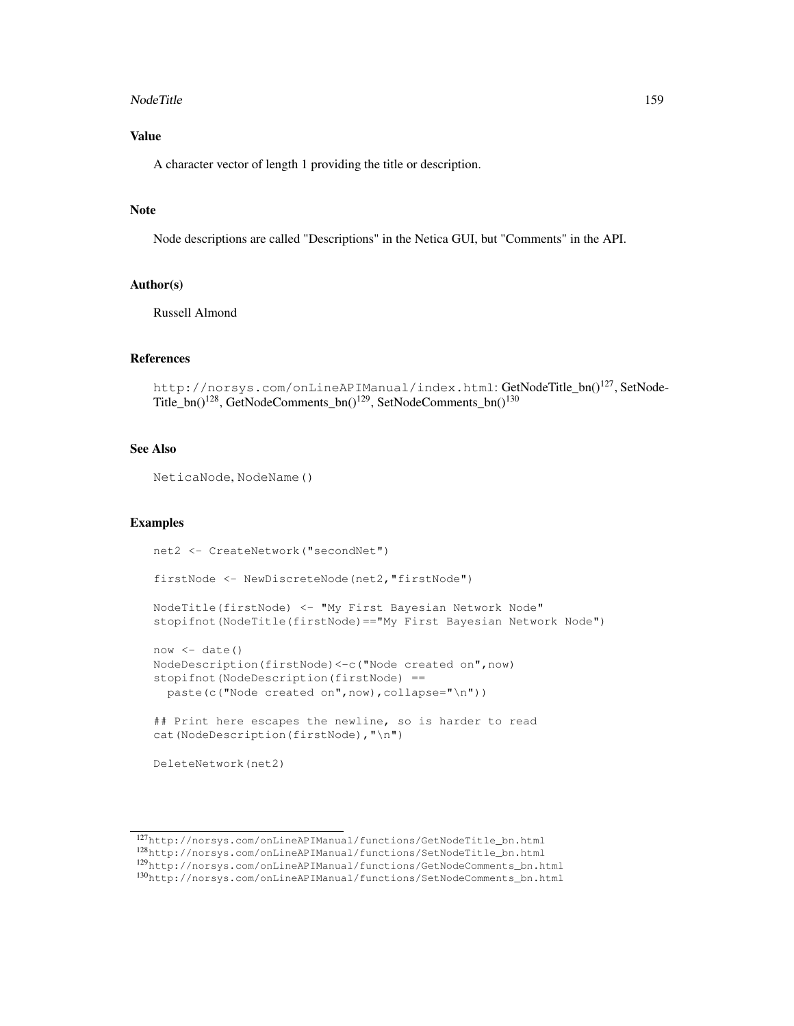#### NodeTitle 159

# Value

A character vector of length 1 providing the title or description.

#### Note

Node descriptions are called "Descriptions" in the Netica GUI, but "Comments" in the API.

# Author(s)

Russell Almond

## References

```
http://norsys.com/onLineAPIManual/index.html: GetNodeTitle_bn()<sup>127</sup>, SetNode-
Title_bn()128, GetNodeComments_bn()129, SetNodeComments_bn()130
```
# See Also

NeticaNode, NodeName()

```
net2 <- CreateNetwork("secondNet")
firstNode <- NewDiscreteNode(net2,"firstNode")
NodeTitle(firstNode) <- "My First Bayesian Network Node"
stopifnot(NodeTitle(firstNode)=="My First Bayesian Network Node")
now < - date()NodeDescription(firstNode)<-c("Node created on",now)
stopifnot(NodeDescription(firstNode) ==
  paste(c("Node created on",now),collapse="\n"))
## Print here escapes the newline, so is harder to read
cat(NodeDescription(firstNode),"\n")
DeleteNetwork(net2)
```
<sup>127</sup>http://norsys.com/onLineAPIManual/functions/GetNodeTitle\_bn.html <sup>128</sup>http://norsys.com/onLineAPIManual/functions/SetNodeTitle\_bn.html <sup>129</sup>http://norsys.com/onLineAPIManual/functions/GetNodeComments\_bn.html

<sup>130</sup>http://norsys.com/onLineAPIManual/functions/SetNodeComments\_bn.html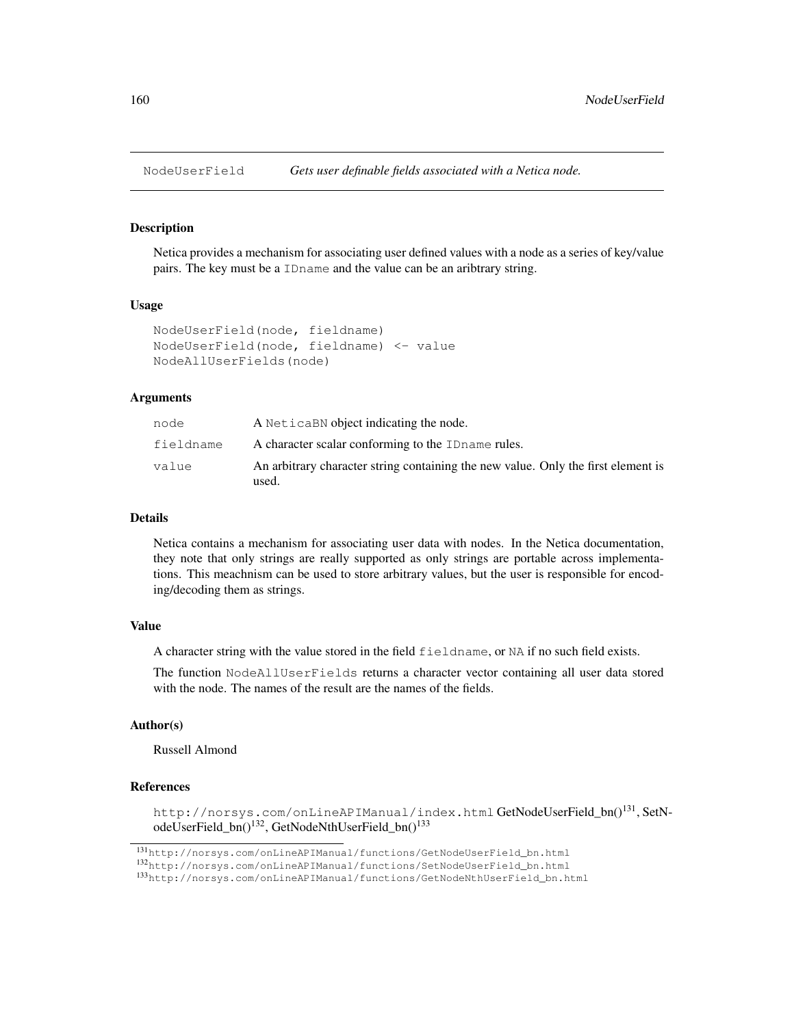# **Description**

Netica provides a mechanism for associating user defined values with a node as a series of key/value pairs. The key must be a IDname and the value can be an aribtrary string.

## Usage

```
NodeUserField(node, fieldname)
NodeUserField(node, fieldname) <- value
NodeAllUserFields(node)
```
# Arguments

| node      | A Netica BN object indicating the node.                                                    |
|-----------|--------------------------------------------------------------------------------------------|
| fieldname | A character scalar conforming to the ID name rules.                                        |
| value     | An arbitrary character string containing the new value. Only the first element is<br>used. |

#### Details

Netica contains a mechanism for associating user data with nodes. In the Netica documentation, they note that only strings are really supported as only strings are portable across implementations. This meachnism can be used to store arbitrary values, but the user is responsible for encoding/decoding them as strings.

# Value

A character string with the value stored in the field fieldname, or NA if no such field exists.

The function NodeAllUserFields returns a character vector containing all user data stored with the node. The names of the result are the names of the fields.

# Author(s)

Russell Almond

#### References

http://norsys.com/onLineAPIManual/index.html GetNodeUserField\_bn()<sup>131</sup>, SetNodeUserField\_bn()<sup>132</sup>, GetNodeNthUserField\_bn()<sup>133</sup>

<sup>131</sup>http://norsys.com/onLineAPIManual/functions/GetNodeUserField\_bn.html

<sup>132</sup>http://norsys.com/onLineAPIManual/functions/SetNodeUserField\_bn.html

<sup>133</sup>http://norsys.com/onLineAPIManual/functions/GetNodeNthUserField\_bn.html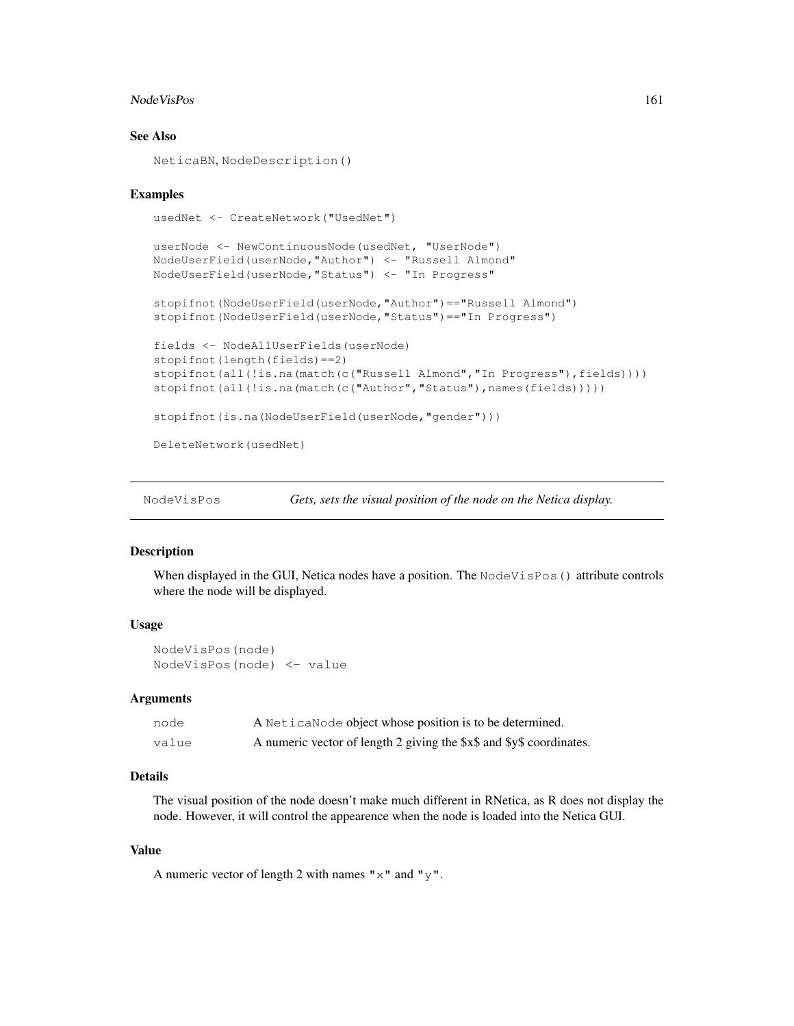#### Node VisPos 2016 161 and 2016 161 and 2016 161 and 2016 161 and 2016 161 and 2016 161 and 2016 161 and 2016 161 and 2016 161 and 2017 161 and 2017 161 and 2017 161 and 2017 161 and 2017 161 and 2017 161 and 2017 161 and 20

## See Also

NeticaBN, NodeDescription()

# Examples

```
usedNet <- CreateNetwork("UsedNet")
```

```
userNode <- NewContinuousNode(usedNet, "UserNode")
NodeUserField(userNode,"Author") <- "Russell Almond"
NodeUserField(userNode,"Status") <- "In Progress"
stopifnot(NodeUserField(userNode,"Author")=="Russell Almond")
stopifnot(NodeUserField(userNode,"Status")=="In Progress")
fields <- NodeAllUserFields(userNode)
stopifnot(length(fields)==2)
```

```
stopifnot(all(!is.na(match(c("Russell Almond","In Progress"),fields))))
stopifnot(all(!is.na(match(c("Author","Status"),names(fields)))))
```

```
stopifnot(is.na(NodeUserField(userNode,"gender")))
```
DeleteNetwork(usedNet)

NodeVisPos *Gets, sets the visual position of the node on the Netica display.*

#### Description

When displayed in the GUI, Netica nodes have a position. The NodeVisPos() attribute controls where the node will be displayed.

## Usage

```
NodeVisPos(node)
NodeVisPos(node) <- value
```
# Arguments

| node  | A Netica Node object whose position is to be determined.             |
|-------|----------------------------------------------------------------------|
| value | A numeric vector of length 2 giving the \$x\$ and \$y\$ coordinates. |

# Details

The visual position of the node doesn't make much different in RNetica, as R does not display the node. However, it will control the appearence when the node is loaded into the Netica GUI.

# Value

A numeric vector of length 2 with names " $x$ " and " $y$ ".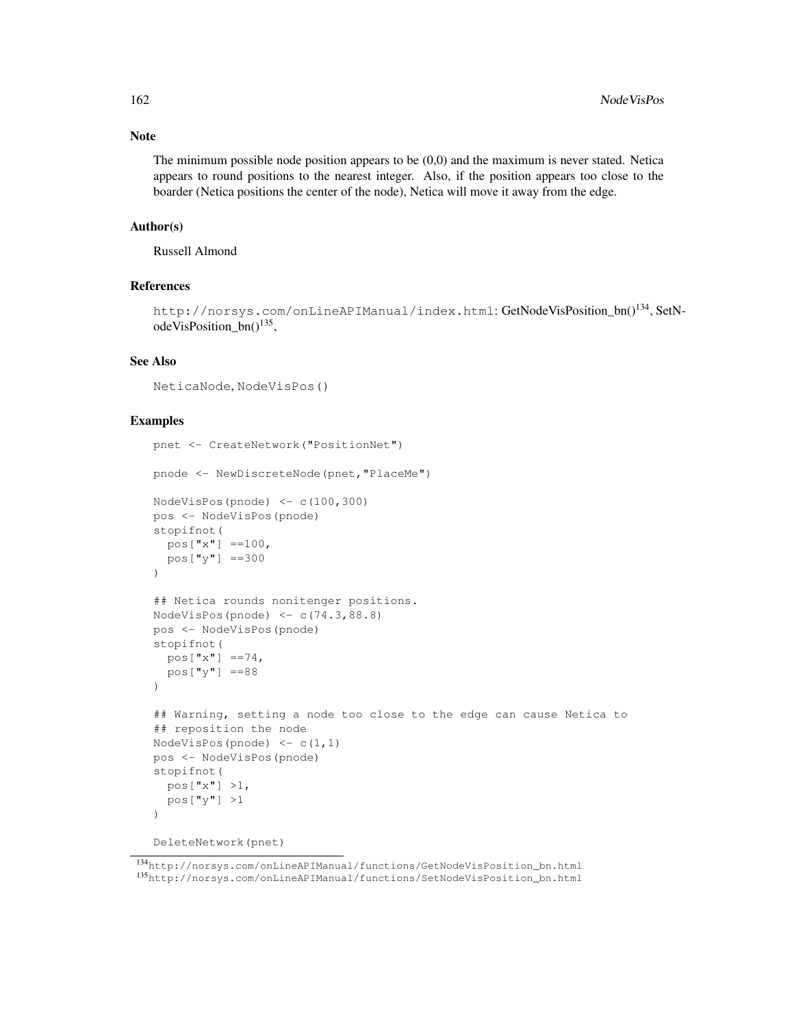## Note

The minimum possible node position appears to be (0,0) and the maximum is never stated. Netica appears to round positions to the nearest integer. Also, if the position appears too close to the boarder (Netica positions the center of the node), Netica will move it away from the edge.

# Author(s)

Russell Almond

# References

http://norsys.com/onLineAPIManual/index.html: GetNodeVisPosition\_bn()134, SetNodeVisPosition\_bn()<sup>135</sup>,

## See Also

NeticaNode, NodeVisPos()

# Examples

```
pnet <- CreateNetwork("PositionNet")
pnode <- NewDiscreteNode(pnet,"PlaceMe")
NodeVisPos(pnode) <- c(100,300)
pos <- NodeVisPos(pnode)
stopifnot(
  pos['x"] == 100,pos["y"] ==300
)
## Netica rounds nonitenger positions.
NodeVisPos(pnode) \leq c(74.3,88.8)pos <- NodeVisPos(pnode)
stopifnot(
  pos["x"] ==74,
  pos["y"] ==88
)
## Warning, setting a node too close to the edge can cause Netica to
## reposition the node
NodeVisPos(pnode) \leq c(1,1)pos <- NodeVisPos(pnode)
stopifnot(
  pos["x"] >1,
  pos["y"] >1
)
```
DeleteNetwork(pnet)

<sup>134</sup>http://norsys.com/onLineAPIManual/functions/GetNodeVisPosition\_bn.html <sup>135</sup>http://norsys.com/onLineAPIManual/functions/SetNodeVisPosition\_bn.html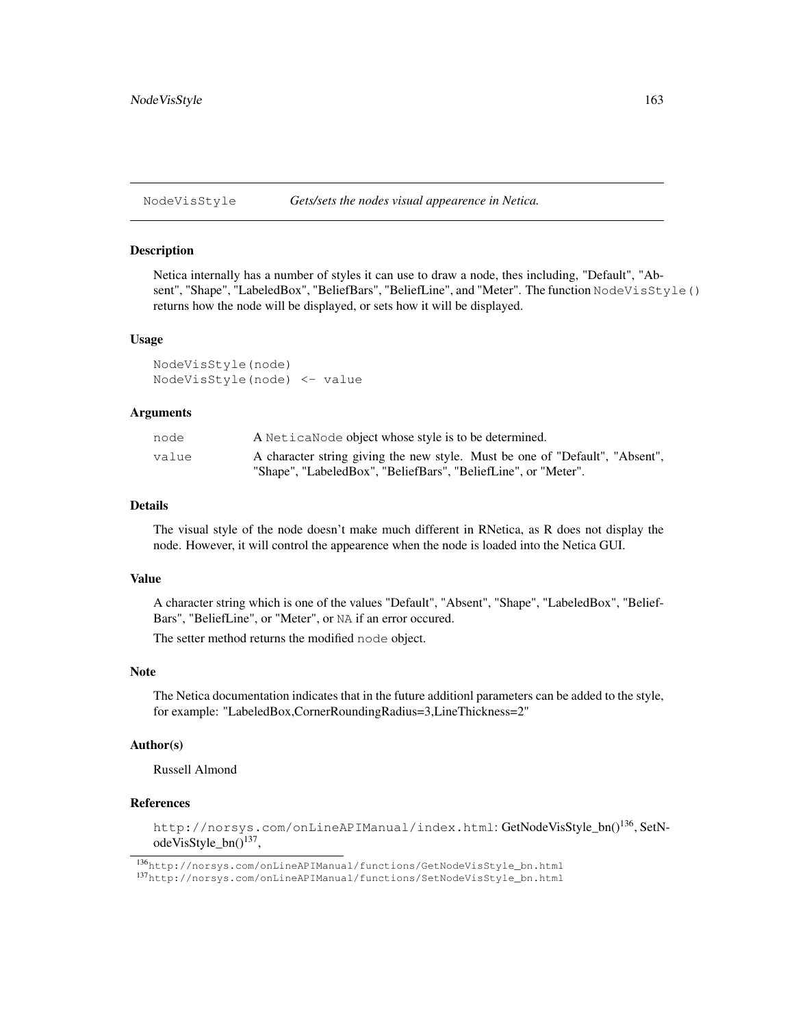NodeVisStyle *Gets/sets the nodes visual appearence in Netica.*

#### Description

Netica internally has a number of styles it can use to draw a node, thes including, "Default", "Absent", "Shape", "LabeledBox", "BeliefBars", "BeliefLine", and "Meter". The function NodeVisStyle() returns how the node will be displayed, or sets how it will be displayed.

#### Usage

NodeVisStyle(node) NodeVisStyle(node) <- value

## Arguments

| node  | A Netica Node object whose style is to be determined.                        |
|-------|------------------------------------------------------------------------------|
| value | A character string giving the new style. Must be one of "Default", "Absent", |
|       | "Shape", "LabeledBox", "BeliefBars", "BeliefLine", or "Meter".               |

# Details

The visual style of the node doesn't make much different in RNetica, as R does not display the node. However, it will control the appearence when the node is loaded into the Netica GUI.

# Value

A character string which is one of the values "Default", "Absent", "Shape", "LabeledBox", "Belief-Bars", "BeliefLine", or "Meter", or NA if an error occured.

The setter method returns the modified node object.

## Note

The Netica documentation indicates that in the future additionl parameters can be added to the style, for example: "LabeledBox,CornerRoundingRadius=3,LineThickness=2"

#### Author(s)

Russell Almond

## References

http://norsys.com/onLineAPIManual/index.html: GetNodeVisStyle\_bn()<sup>136</sup>, SetNodeVisStyle\_bn()<sup>137</sup>,

<sup>136</sup>http://norsys.com/onLineAPIManual/functions/GetNodeVisStyle\_bn.html

<sup>137</sup>http://norsys.com/onLineAPIManual/functions/SetNodeVisStyle\_bn.html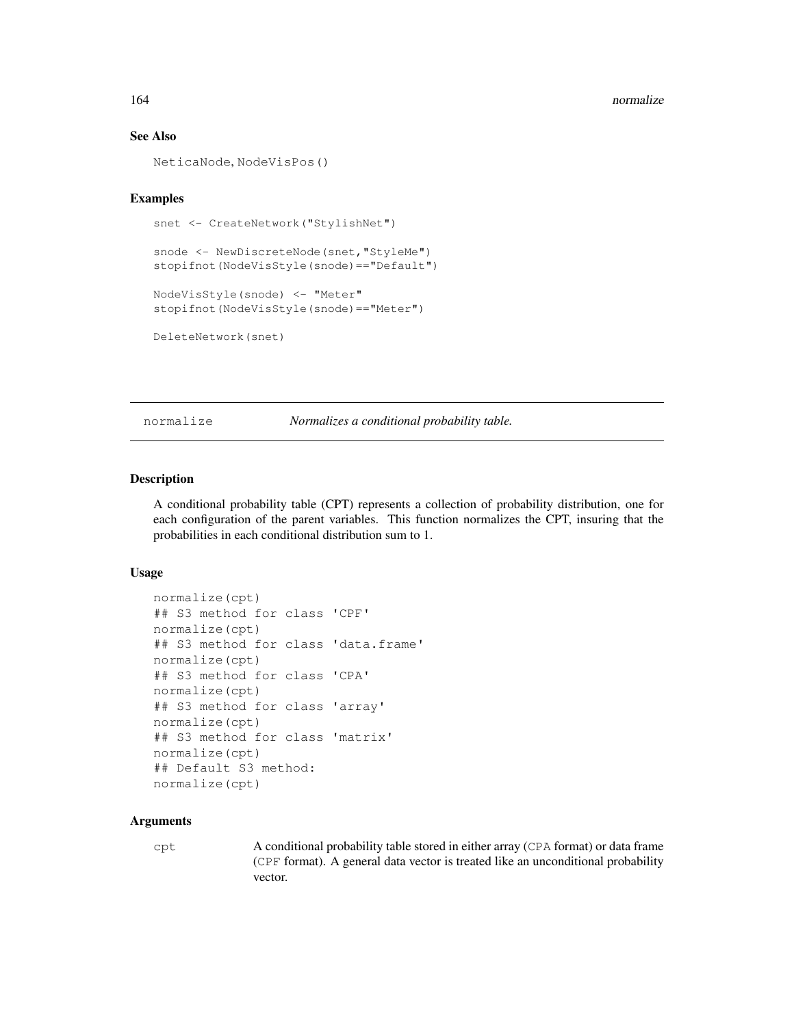#### See Also

NeticaNode, NodeVisPos()

# Examples

```
snet <- CreateNetwork("StylishNet")
```

```
snode <- NewDiscreteNode(snet, "StyleMe")
stopifnot(NodeVisStyle(snode)=="Default")
```

```
NodeVisStyle(snode) <- "Meter"
stopifnot(NodeVisStyle(snode)=="Meter")
```

```
DeleteNetwork(snet)
```
normalize *Normalizes a conditional probability table.*

## Description

A conditional probability table (CPT) represents a collection of probability distribution, one for each configuration of the parent variables. This function normalizes the CPT, insuring that the probabilities in each conditional distribution sum to 1.

#### Usage

```
normalize(cpt)
## S3 method for class 'CPF'
normalize(cpt)
## S3 method for class 'data.frame'
normalize(cpt)
## S3 method for class 'CPA'
normalize(cpt)
## S3 method for class 'array'
normalize(cpt)
## S3 method for class 'matrix'
normalize(cpt)
## Default S3 method:
normalize(cpt)
```
## Arguments

cpt A conditional probability table stored in either array (CPA format) or data frame (CPF format). A general data vector is treated like an unconditional probability vector.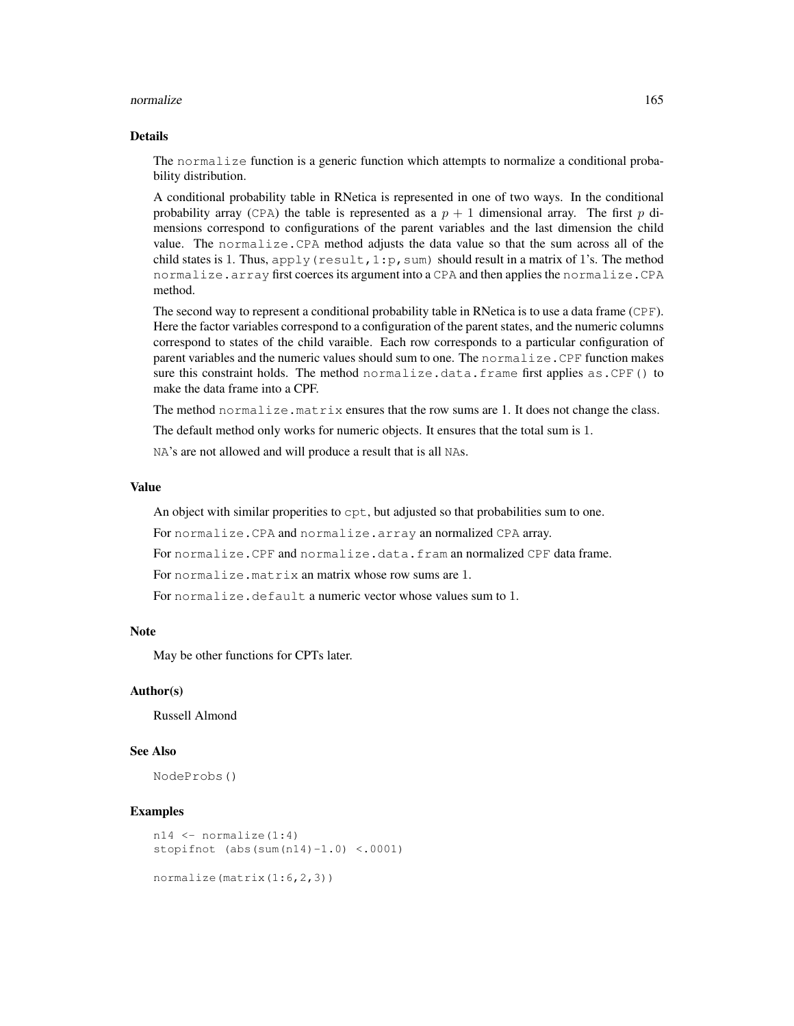#### normalize the control of the control of the control of the control of the control of the control of the control of the control of the control of the control of the control of the control of the control of the control of th

## Details

The normalize function is a generic function which attempts to normalize a conditional probability distribution.

A conditional probability table in RNetica is represented in one of two ways. In the conditional probability array (CPA) the table is represented as a  $p + 1$  dimensional array. The first p dimensions correspond to configurations of the parent variables and the last dimension the child value. The normalize.CPA method adjusts the data value so that the sum across all of the child states is 1. Thus, apply (result, 1: p, sum) should result in a matrix of 1's. The method normalize.array first coerces its argument into a CPA and then applies the normalize.CPA method.

The second way to represent a conditional probability table in RNetica is to use a data frame (CPF). Here the factor variables correspond to a configuration of the parent states, and the numeric columns correspond to states of the child varaible. Each row corresponds to a particular configuration of parent variables and the numeric values should sum to one. The normalize.CPF function makes sure this constraint holds. The method normalize.data.frame first applies as.CPF() to make the data frame into a CPF.

The method normalize.matrix ensures that the row sums are 1. It does not change the class.

The default method only works for numeric objects. It ensures that the total sum is 1.

NA's are not allowed and will produce a result that is all NAs.

#### Value

An object with similar properities to cpt, but adjusted so that probabilities sum to one.

For normalize.CPA and normalize.array an normalized CPA array.

For normalize.CPF and normalize.data.fram an normalized CPF data frame.

For normalize.matrix an matrix whose row sums are 1.

For normalize.default a numeric vector whose values sum to 1.

#### Note

May be other functions for CPTs later.

## Author(s)

Russell Almond

## See Also

NodeProbs()

```
n14 \leftarrow normalize(1:4)
stopifnot (abs(sum(n14)-1.0) <.0001)
```

```
normalize(matrix(1:6,2,3))
```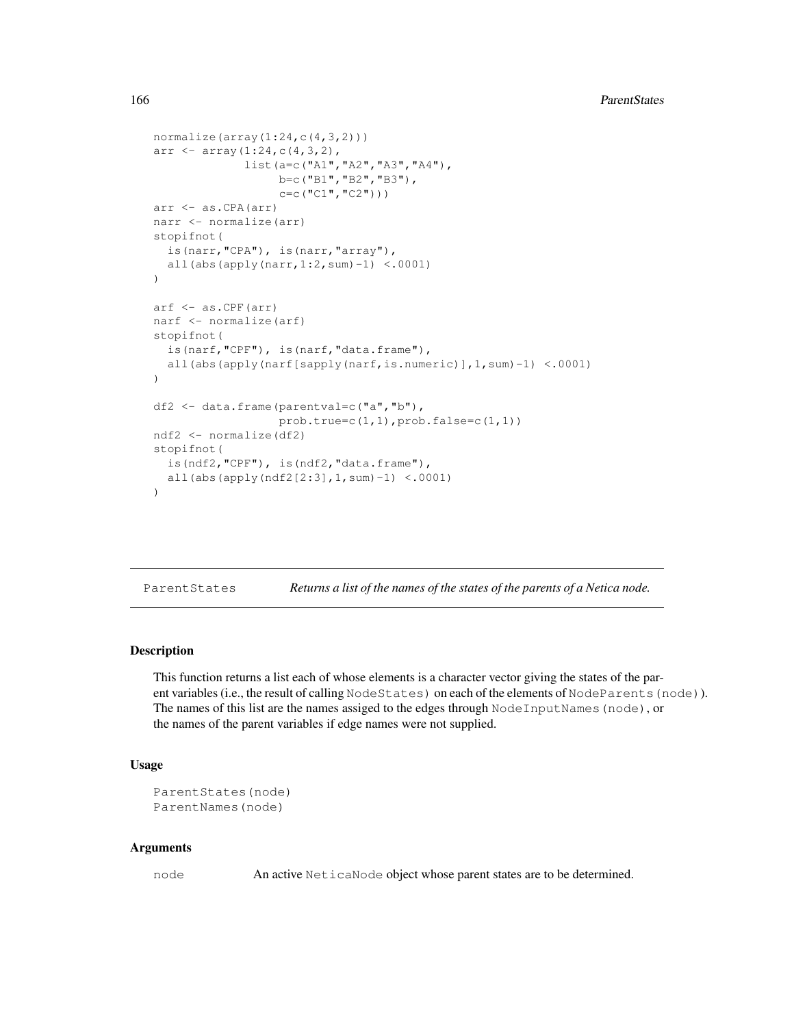```
normalize(array(1:24,c(4,3,2)))arr \leftarrow array(1:24, c(4, 3, 2),
             list(a=c("A1","A2","A3","A4"),
                  b=c ("B1", "B2", "B3"),
                  c=c(TC1", TC2")))
arr <- as.CPA(arr)
narr <- normalize(arr)
stopifnot(
  is(narr,"CPA"), is(narr,"array"),
  all(abs(apply(narr,1:2,sum)-1) <.0001)
)
arf <- as.CPF(arr)
narf <- normalize(arf)
stopifnot(
  is(narf,"CPF"), is(narf,"data.frame"),
  all(abs(apply(narf[sapply(narf,is.numeric)],1,sum)-1) <.0001)
)
df2 <- data.frame(parentval=c("a","b"),
                  prob.true=c(1,1),prob.false=c(1,1))
ndf2 <- normalize(df2)
stopifnot(
  is(ndf2,"CPF"), is(ndf2,"data.frame"),
  all(abs(apply(ndf2[2:3],1,sum)-1) <.0001)
)
```
ParentStates *Returns a list of the names of the states of the parents of a Netica node.*

# Description

This function returns a list each of whose elements is a character vector giving the states of the parent variables (i.e., the result of calling NodeStates) on each of the elements of NodeParents (node)). The names of this list are the names assiged to the edges through NodeInputNames (node), or the names of the parent variables if edge names were not supplied.

## Usage

```
ParentStates(node)
ParentNames(node)
```
## Arguments

node An active NeticaNode object whose parent states are to be determined.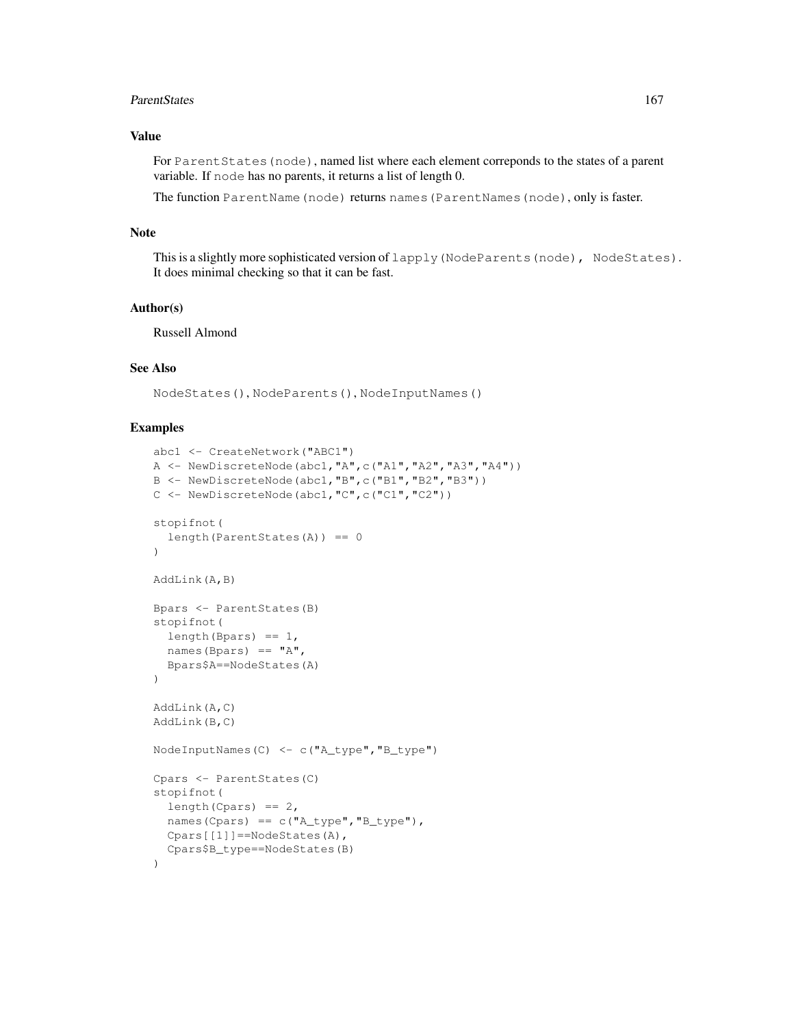#### ParentStates 167

# Value

For Parent States (node), named list where each element correponds to the states of a parent variable. If node has no parents, it returns a list of length 0.

The function ParentName(node) returns names(ParentNames(node), only is faster.

## Note

This is a slightly more sophisticated version of lapply (NodeParents(node), NodeStates). It does minimal checking so that it can be fast.

## Author(s)

Russell Almond

# See Also

NodeStates(), NodeParents(), NodeInputNames()

```
abc1 <- CreateNetwork("ABC1")
A <- NewDiscreteNode(abc1,"A",c("A1","A2","A3","A4"))
B <- NewDiscreteNode(abc1,"B",c("B1","B2","B3"))
C <- NewDiscreteNode(abc1,"C",c("C1","C2"))
stopifnot(
  length(ParentStates(A)) == 0
)
AddLink(A,B)
Bpars <- ParentStates(B)
stopifnot(
  length(Bpars) == 1,
 names(Bpars) == "A",Bpars$A==NodeStates(A)
)
AddLink(A,C)
AddLink(B,C)
NodeInputNames(C) <- c("A_type","B_type")
Cpars <- ParentStates(C)
stopifnot(
 length(Cpars) == 2,
  names(Cpars) == c("A_type","B_type"),
 Cpars[[1]]==NodeStates(A),
  Cpars$B_type==NodeStates(B)
)
```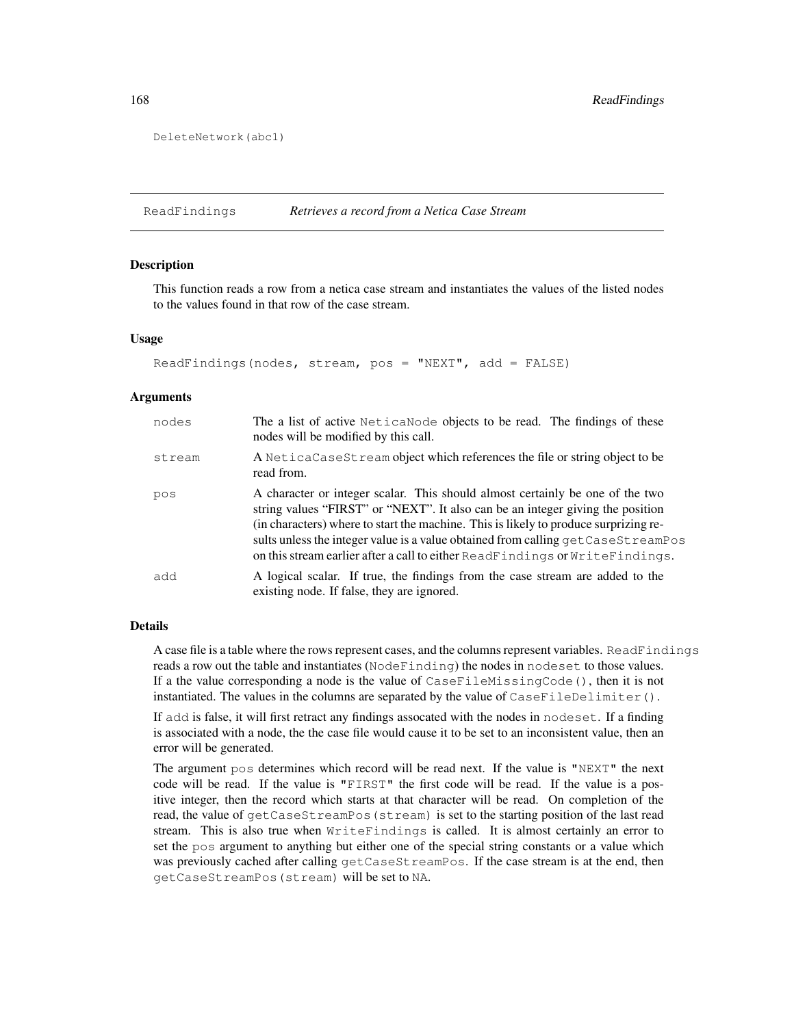```
DeleteNetwork(abc1)
```
ReadFindings *Retrieves a record from a Netica Case Stream*

#### Description

This function reads a row from a netica case stream and instantiates the values of the listed nodes to the values found in that row of the case stream.

#### Usage

```
ReadFindings(nodes, stream, pos = "NEXT", add = FALSE)
```
## Arguments

| nodes  | The a list of active NeticaNode objects to be read. The findings of these<br>nodes will be modified by this call.                                                                                                                                                                                                                                                                                                             |
|--------|-------------------------------------------------------------------------------------------------------------------------------------------------------------------------------------------------------------------------------------------------------------------------------------------------------------------------------------------------------------------------------------------------------------------------------|
| stream | A NeticaCaseStream object which references the file or string object to be<br>read from.                                                                                                                                                                                                                                                                                                                                      |
| pos    | A character or integer scalar. This should almost certainly be one of the two<br>string values "FIRST" or "NEXT". It also can be an integer giving the position<br>(in characters) where to start the machine. This is likely to produce surprizing re-<br>sults unless the integer value is a value obtained from calling get CaseSt reamPos<br>on this stream earlier after a call to either ReadFindings or WriteFindings. |
| add    | A logical scalar. If true, the findings from the case stream are added to the<br>existing node. If false, they are ignored.                                                                                                                                                                                                                                                                                                   |

# Details

A case file is a table where the rows represent cases, and the columns represent variables. ReadFindings reads a row out the table and instantiates (NodeFinding) the nodes in nodeset to those values. If a the value corresponding a node is the value of CaseFileMissingCode(), then it is not instantiated. The values in the columns are separated by the value of  $\text{CaseFileDelimiter}()$ .

If add is false, it will first retract any findings assocated with the nodes in nodeset. If a finding is associated with a node, the the case file would cause it to be set to an inconsistent value, then an error will be generated.

The argument pos determines which record will be read next. If the value is "NEXT" the next code will be read. If the value is "FIRST" the first code will be read. If the value is a positive integer, then the record which starts at that character will be read. On completion of the read, the value of getCaseStreamPos(stream) is set to the starting position of the last read stream. This is also true when WriteFindings is called. It is almost certainly an error to set the pos argument to anything but either one of the special string constants or a value which was previously cached after calling getCaseStreamPos. If the case stream is at the end, then getCaseStreamPos(stream) will be set to NA.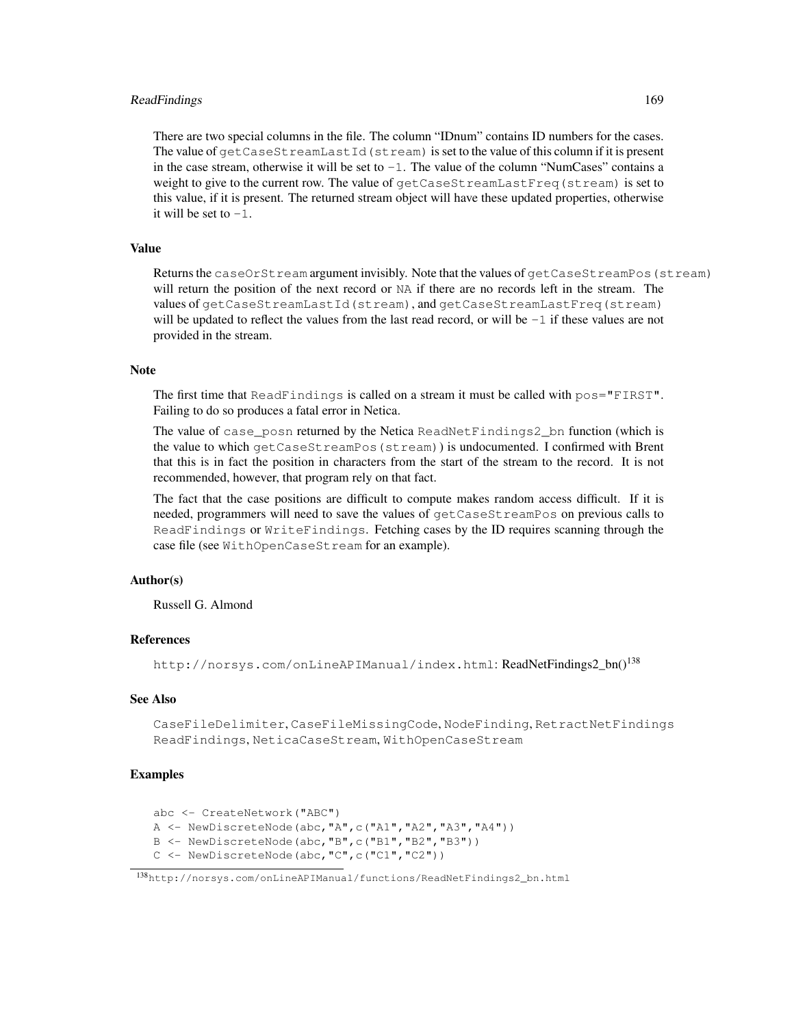# ReadFindings 169

There are two special columns in the file. The column "IDnum" contains ID numbers for the cases. The value of getCaseStreamLastId(stream) is set to the value of this column if it is present in the case stream, otherwise it will be set to  $-1$ . The value of the column "NumCases" contains a weight to give to the current row. The value of getCaseStreamLastFreq(stream) is set to this value, if it is present. The returned stream object will have these updated properties, otherwise it will be set to  $-1$ .

# Value

Returns the caseOrStream argument invisibly. Note that the values of getCaseStreamPos(stream) will return the position of the next record or NA if there are no records left in the stream. The values of getCaseStreamLastId(stream), and getCaseStreamLastFreq(stream) will be updated to reflect the values from the last read record, or will be  $-1$  if these values are not provided in the stream.

# **Note**

The first time that ReadFindings is called on a stream it must be called with pos="FIRST". Failing to do so produces a fatal error in Netica.

The value of case\_posn returned by the Netica ReadNetFindings2\_bn function (which is the value to which getCaseStreamPos(stream)) is undocumented. I confirmed with Brent that this is in fact the position in characters from the start of the stream to the record. It is not recommended, however, that program rely on that fact.

The fact that the case positions are difficult to compute makes random access difficult. If it is needed, programmers will need to save the values of getCaseStreamPos on previous calls to ReadFindings or WriteFindings. Fetching cases by the ID requires scanning through the case file (see WithOpenCaseStream for an example).

#### Author(s)

Russell G. Almond

# References

http://norsys.com/onLineAPIManual/index.html: ReadNetFindings2\_bn()<sup>138</sup>

# See Also

CaseFileDelimiter, CaseFileMissingCode, NodeFinding, RetractNetFindings ReadFindings, NeticaCaseStream, WithOpenCaseStream

```
abc <- CreateNetwork("ABC")
A <- NewDiscreteNode(abc,"A",c("A1","A2","A3","A4"))
B <- NewDiscreteNode(abc,"B",c("B1","B2","B3"))
C <- NewDiscreteNode(abc,"C",c("C1","C2"))
```
<sup>138</sup>http://norsys.com/onLineAPIManual/functions/ReadNetFindings2\_bn.html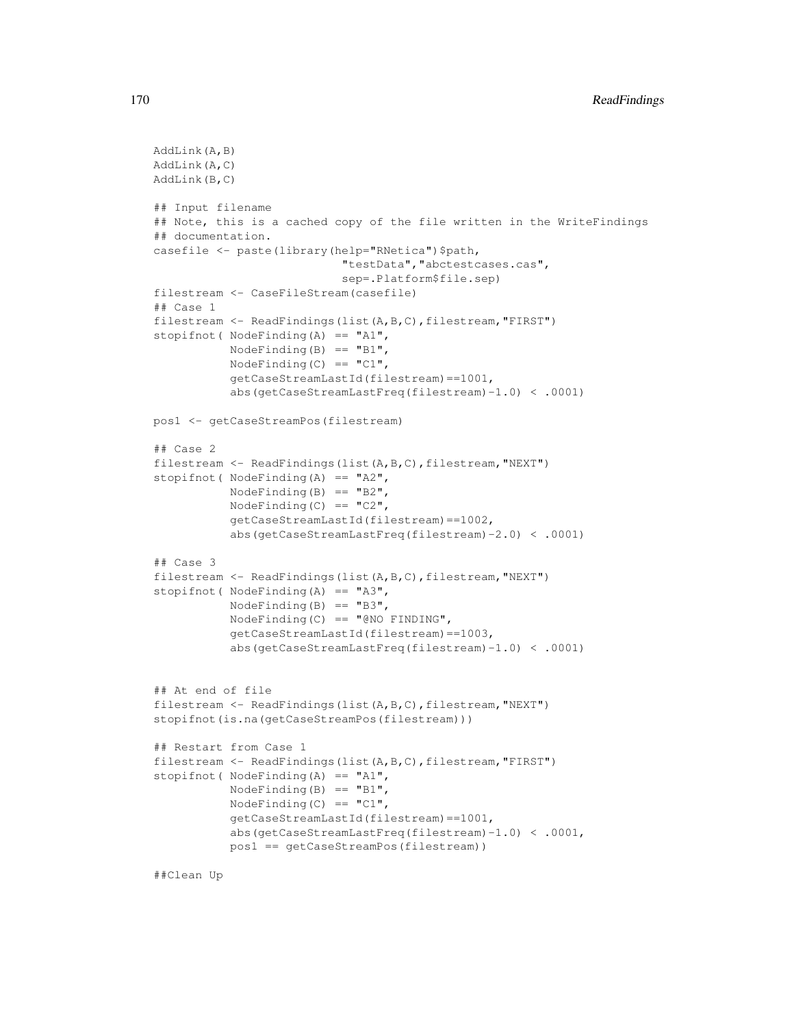```
AddLink(A,B)
AddLink(A,C)
AddLink(B,C)
## Input filename
## Note, this is a cached copy of the file written in the WriteFindings
## documentation.
casefile <- paste(library(help="RNetica")$path,
                            "testData","abctestcases.cas",
                            sep=.Platform$file.sep)
filestream <- CaseFileStream(casefile)
## Case 1
filestream <- ReadFindings(list(A,B,C),filestream, "FIRST")
stopifnot( NodeFinding(A) == "A1",NodeFinding(B) == "B1",
           NodeFinding(C) == "C1",getCaseStreamLastId(filestream)==1001,
           abs(getCaseStreamLastFreq(filestream)-1.0) < .0001)
pos1 <- getCaseStreamPos(filestream)
## Case 2
filestream <- ReadFindings(list(A,B,C),filestream,"NEXT")
stopifnot( NodeFinding(A) == "A2",
           NodeFinding(B) == "B2",
           NodeFinding(C) == "C2",
           getCaseStreamLastId(filestream)==1002,
           abs(getCaseStreamLastFreq(filestream)-2.0) < .0001)
## Case 3
filestream <- ReadFindings(list(A,B,C),filestream, "NEXT")
stopifnot ( NodeFinding(A) == "A3",NodeFinding(B) == "B3",
           NodeFinding(C) == "@NO FINDING",
           getCaseStreamLastId(filestream)==1003,
           abs(getCaseStreamLastFreq(filestream)-1.0) < .0001)
## At end of file
filestream <- ReadFindings(list(A, B, C), filestream, "NEXT")
stopifnot(is.na(getCaseStreamPos(filestream)))
## Restart from Case 1
filestream <- ReadFindings(list(A,B,C),filestream,"FIRST")
stopifnot ( NodeFinding(A) == "A1",NodeFinding(B) == "BI",NodeFinding(C) == "C1",
           getCaseStreamLastId(filestream)==1001,
           abs(getCaseStreamLastFreq(filestream)-1.0) < .0001,
           pos1 == getCaseStreamPos(filestream))
```
##Clean Up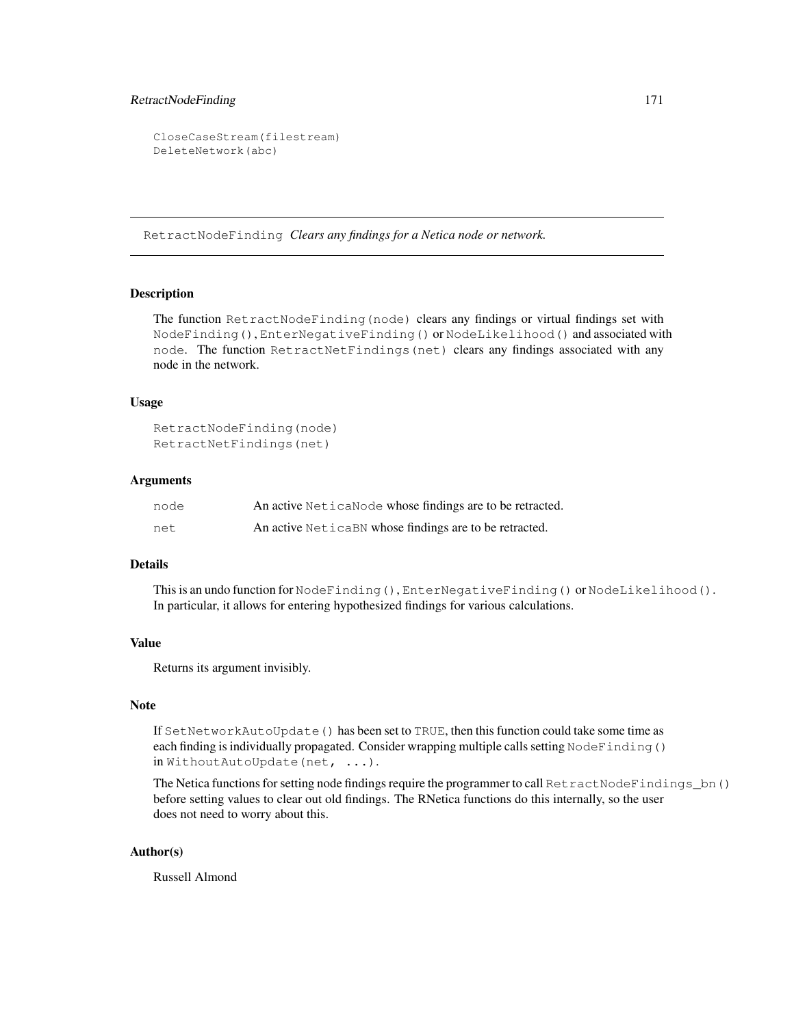# RetractNodeFinding 171

```
CloseCaseStream(filestream)
DeleteNetwork(abc)
```
RetractNodeFinding *Clears any findings for a Netica node or network.*

# **Description**

The function RetractNodeFinding(node) clears any findings or virtual findings set with NodeFinding(), EnterNegativeFinding() or NodeLikelihood() and associated with node. The function RetractNetFindings(net) clears any findings associated with any node in the network.

## Usage

```
RetractNodeFinding(node)
RetractNetFindings(net)
```
## Arguments

| node | An active Netica Node whose findings are to be retracted. |
|------|-----------------------------------------------------------|
| net  | An active NeticaBN whose findings are to be retracted.    |

# Details

This is an undo function for NodeFinding(), EnterNegativeFinding() or NodeLikelihood(). In particular, it allows for entering hypothesized findings for various calculations.

# Value

Returns its argument invisibly.

# Note

If SetNetworkAutoUpdate() has been set to TRUE, then this function could take some time as each finding is individually propagated. Consider wrapping multiple calls setting NodeFinding() in WithoutAutoUpdate(net, ...).

The Netica functions for setting node findings require the programmer to call RetractNodeFindings\_bn() before setting values to clear out old findings. The RNetica functions do this internally, so the user does not need to worry about this.

# Author(s)

Russell Almond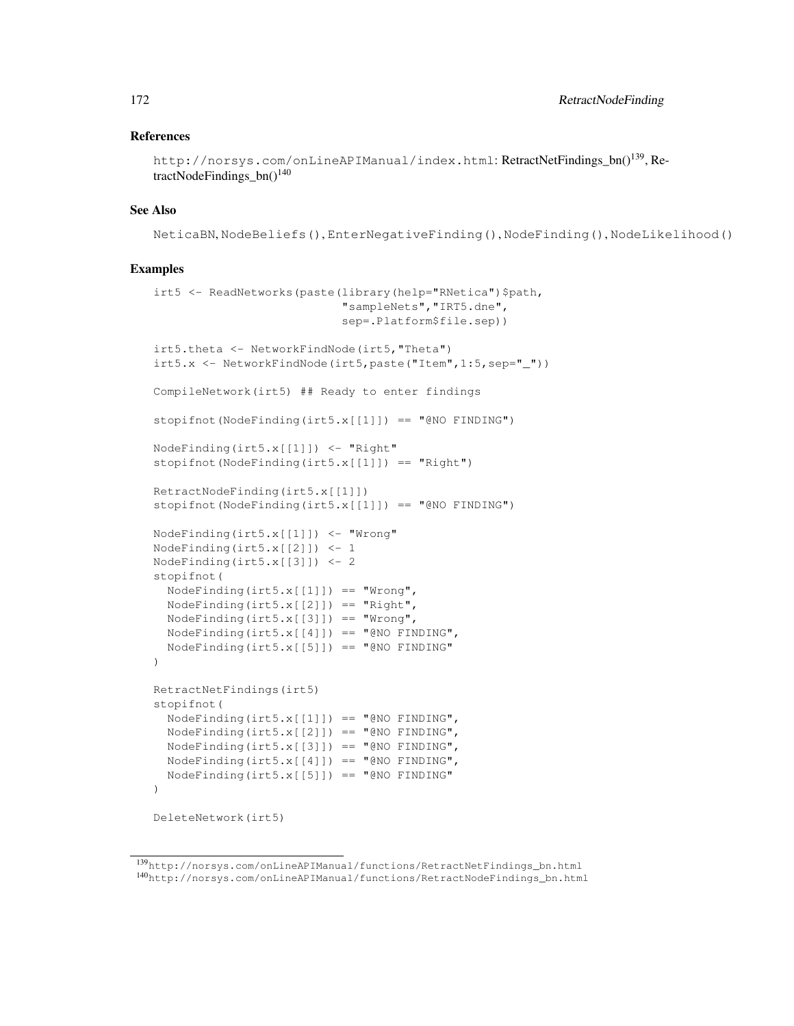## References

```
http://norsys.com/onLineAPIManual/index.html: RetractNetFindings bn()<sup>139</sup>, Re-
tractNodeFindings bn()^{140}
```
## See Also

NeticaBN, NodeBeliefs(), EnterNegativeFinding(), NodeFinding(), NodeLikelihood()

```
irt5 <- ReadNetworks(paste(library(help="RNetica")$path,
                           "sampleNets","IRT5.dne",
                           sep=.Platform$file.sep))
irt5.theta <- NetworkFindNode(irt5,"Theta")
irt5.x <- NetworkFindNode(irt5,paste("Item",1:5,sep="_"))
CompileNetwork(irt5) ## Ready to enter findings
stopifnot(NodeFinding(irt5.x[[1]]) == "@NO FINDING")
NodeFinding(irt5.x[[1]]) <- "Right"
stopifnot(NodeFinding(irt5.x[[1]]) == "Right")
RetractNodeFinding(irt5.x[[1]])
stopifnot(NodeFinding(irt5.x[[1]]) == "@NO FINDING")
NodeFinding(irt5.x[[1]]) <- "Wrong"
NodeFinding(irt5.x[[2]]) <- 1
NodeFinding(irt5.x[[3]]) <- 2
stopifnot(
  NodeFinding(irt5.x[[1]]) == "Wrong",
  NodeFinding(irt5.x[[2]]) == "Right",
  NodeFinding(irt5.x[[3]]) == "Wrong",
 NodeFinding(irt5.x[[4]]) == "@NO FINDING",
  NodeFinding(irt5.x[[5]]) == "@NO FINDING"
\lambdaRetractNetFindings(irt5)
stopifnot(
  NodeFinding(int5.x[[1]]) == "QNO FINDING",NodeFinding(int5.x[[2]]) == "QNO FINDING",NodeFinding(int5.x[[3]]) == "QNO FINDING",NodeFinding(irt5.x[[4]]) == "@NO FINDING",
  NodeFinding(int5.x[[5]]) == "QNO FINDING")
DeleteNetwork(irt5)
```
<sup>139</sup>http://norsys.com/onLineAPIManual/functions/RetractNetFindings\_bn.html <sup>140</sup>http://norsys.com/onLineAPIManual/functions/RetractNodeFindings\_bn.html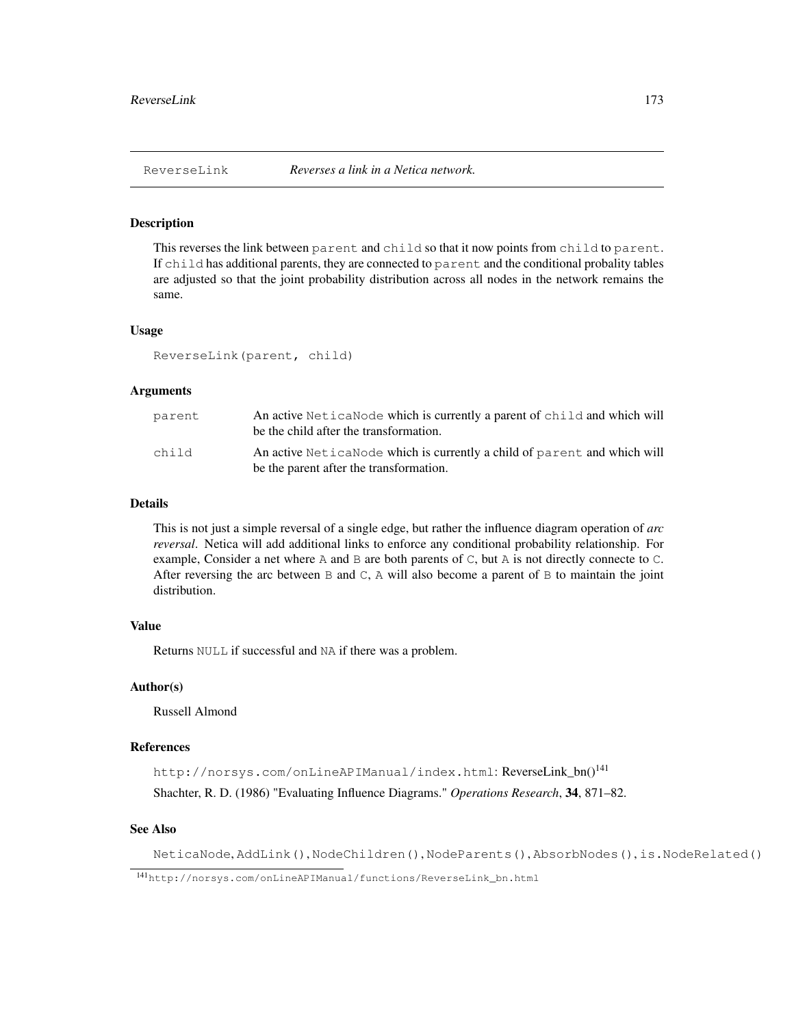# Description

This reverses the link between parent and child so that it now points from child to parent. If child has additional parents, they are connected to parent and the conditional probality tables are adjusted so that the joint probability distribution across all nodes in the network remains the same.

#### Usage

ReverseLink(parent, child)

# Arguments

| parent | An active Netica Node which is currently a parent of child and which will<br>be the child after the transformation. |
|--------|---------------------------------------------------------------------------------------------------------------------|
| child  | An active NeticaNode which is currently a child of parent and which will<br>be the parent after the transformation. |

## Details

This is not just a simple reversal of a single edge, but rather the influence diagram operation of *arc reversal*. Netica will add additional links to enforce any conditional probability relationship. For example, Consider a net where A and B are both parents of  $C$ , but A is not directly connecte to  $C$ . After reversing the arc between  $\text{B}$  and  $\text{C}$ , A will also become a parent of  $\text{B}$  to maintain the joint distribution.

# Value

Returns NULL if successful and NA if there was a problem.

#### Author(s)

Russell Almond

# References

http://norsys.com/onLineAPIManual/index.html: ReverseLink\_bn()<sup>141</sup> Shachter, R. D. (1986) "Evaluating Influence Diagrams." *Operations Research*, 34, 871–82.

# See Also

NeticaNode, AddLink(), NodeChildren(), NodeParents(), AbsorbNodes(), is.NodeRelated()

<sup>141</sup>http://norsys.com/onLineAPIManual/functions/ReverseLink\_bn.html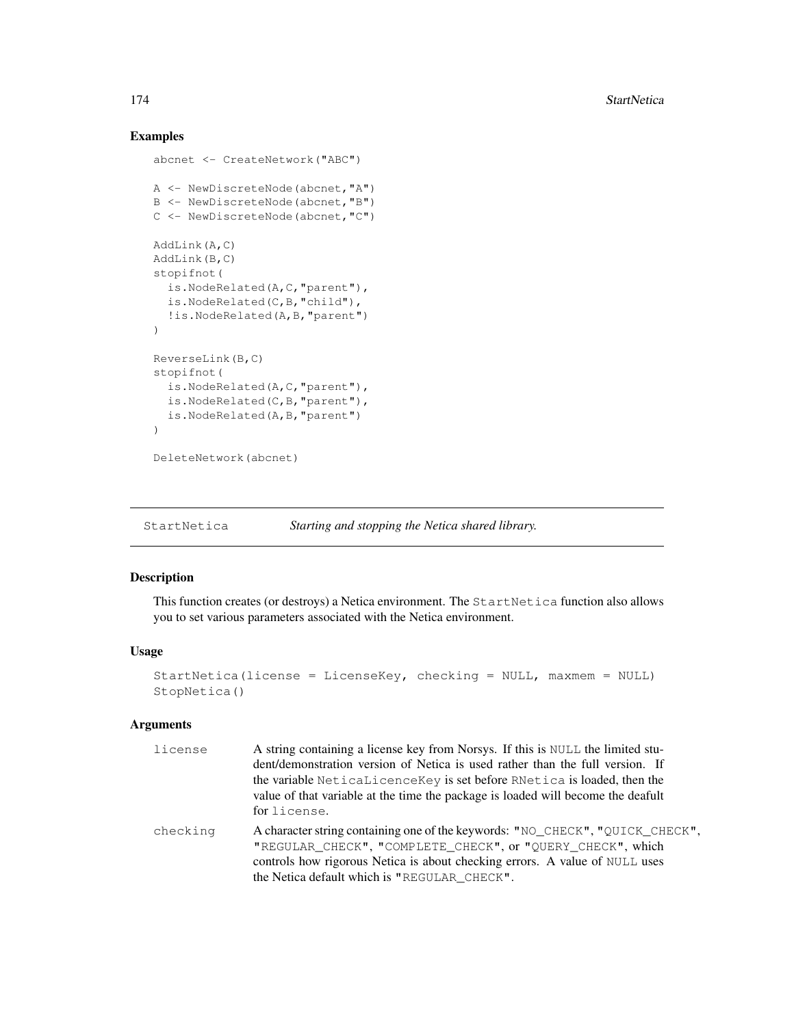# Examples

```
abcnet <- CreateNetwork("ABC")
A <- NewDiscreteNode(abcnet,"A")
B <- NewDiscreteNode(abcnet,"B")
C <- NewDiscreteNode(abcnet,"C")
AddLink(A,C)
AddLink(B,C)
stopifnot(
  is.NodeRelated(A,C,"parent"),
 is.NodeRelated(C,B,"child"),
  !is.NodeRelated(A,B,"parent")
)
ReverseLink(B,C)
stopifnot(
  is.NodeRelated(A,C,"parent"),
  is.NodeRelated(C,B,"parent"),
  is.NodeRelated(A,B,"parent")
)
DeleteNetwork(abcnet)
```
StartNetica *Starting and stopping the Netica shared library.*

# Description

This function creates (or destroys) a Netica environment. The StartNetica function also allows you to set various parameters associated with the Netica environment.

#### Usage

```
StartNetica(license = LicenseKey, checking = NULL, maxmem = NULL)
StopNetica()
```
# Arguments

| license  | A string containing a license key from Norsys. If this is NULL the limited stu-<br>dent/demonstration version of Netica is used rather than the full version. If<br>the variable Neticalicence Key is set before RNetica is loaded, then the<br>value of that variable at the time the package is loaded will become the deafult<br>for license. |
|----------|--------------------------------------------------------------------------------------------------------------------------------------------------------------------------------------------------------------------------------------------------------------------------------------------------------------------------------------------------|
| checking | A character string containing one of the keywords: "NO_CHECK", "QUICK_CHECK",<br>"REGULAR_CHECK", "COMPLETE_CHECK", or "QUERY_CHECK", which<br>controls how rigorous Netica is about checking errors. A value of NULL uses<br>the Netica default which is "REGULAR CHECK".                                                                       |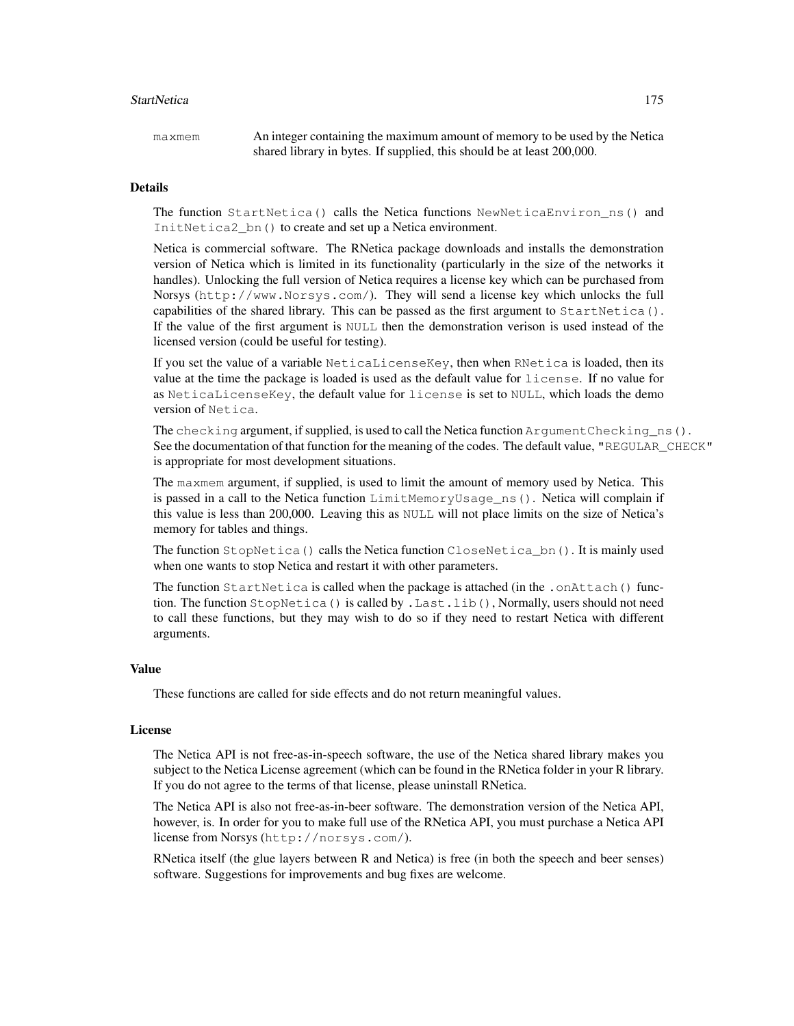#### StartNetica 2002 and 2003 and 2003 and 2003 and 2003 and 2003 and 2003 and 2003 and 2003 and 2003 and 2003 and 2003 and 2003 and 2003 and 2003 and 2003 and 2003 and 2003 and 2003 and 2003 and 2003 and 2003 and 2003 and 200

maxmem An integer containing the maximum amount of memory to be used by the Netica shared library in bytes. If supplied, this should be at least 200,000.

#### Details

The function StartNetica() calls the Netica functions NewNeticaEnviron\_ns() and InitNetica2\_bn() to create and set up a Netica environment.

Netica is commercial software. The RNetica package downloads and installs the demonstration version of Netica which is limited in its functionality (particularly in the size of the networks it handles). Unlocking the full version of Netica requires a license key which can be purchased from Norsys (http://www.Norsys.com/). They will send a license key which unlocks the full capabilities of the shared library. This can be passed as the first argument to  $StartNetica()$ . If the value of the first argument is NULL then the demonstration verison is used instead of the licensed version (could be useful for testing).

If you set the value of a variable NeticaLicenseKey, then when RNetica is loaded, then its value at the time the package is loaded is used as the default value for license. If no value for as NeticaLicenseKey, the default value for license is set to NULL, which loads the demo version of Netica.

The checking argument, if supplied, is used to call the Netica function  $ArgumentCheckingns()$ . See the documentation of that function for the meaning of the codes. The default value, "REGULAR\_CHECK" is appropriate for most development situations.

The maxmem argument, if supplied, is used to limit the amount of memory used by Netica. This is passed in a call to the Netica function LimitMemoryUsage\_ns(). Netica will complain if this value is less than 200,000. Leaving this as NULL will not place limits on the size of Netica's memory for tables and things.

The function StopNetica() calls the Netica function CloseNetica bn(). It is mainly used when one wants to stop Netica and restart it with other parameters.

The function StartNetica is called when the package is attached (in the .onAttach() function. The function StopNetica() is called by .Last.lib(), Normally, users should not need to call these functions, but they may wish to do so if they need to restart Netica with different arguments.

# Value

These functions are called for side effects and do not return meaningful values.

#### License

The Netica API is not free-as-in-speech software, the use of the Netica shared library makes you subject to the Netica License agreement (which can be found in the RNetica folder in your R library. If you do not agree to the terms of that license, please uninstall RNetica.

The Netica API is also not free-as-in-beer software. The demonstration version of the Netica API, however, is. In order for you to make full use of the RNetica API, you must purchase a Netica API license from Norsys (http://norsys.com/).

RNetica itself (the glue layers between R and Netica) is free (in both the speech and beer senses) software. Suggestions for improvements and bug fixes are welcome.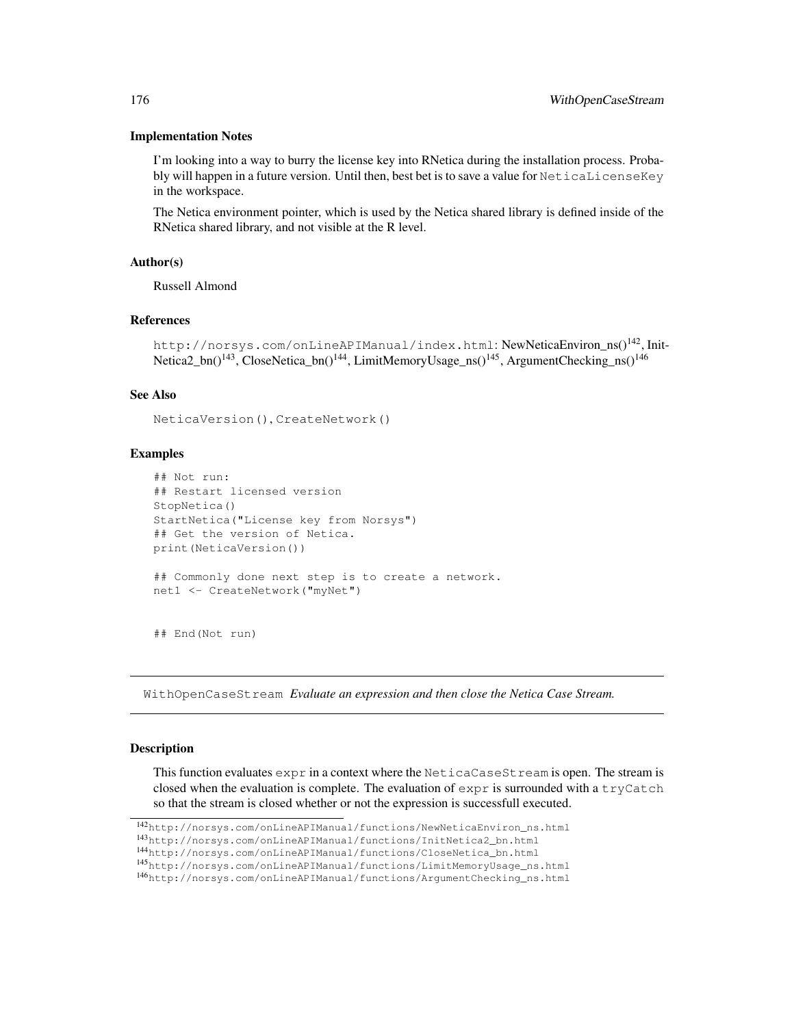#### Implementation Notes

I'm looking into a way to burry the license key into RNetica during the installation process. Probably will happen in a future version. Until then, best bet is to save a value for NeticaLicenseKey in the workspace.

The Netica environment pointer, which is used by the Netica shared library is defined inside of the RNetica shared library, and not visible at the R level.

## Author(s)

Russell Almond

#### References

```
http://norsys.com/onLineAPIManual/index.html: NewNeticaEnviron ns()<sup>142</sup>, Init-
Netica2_bn()<sup>143</sup>, CloseNetica_bn()<sup>144</sup>, LimitMemoryUsage_ns()<sup>145</sup>, ArgumentChecking_ns()<sup>146</sup>
```
# See Also

```
NeticaVersion(), CreateNetwork()
```
# Examples

```
## Not run:
## Restart licensed version
StopNetica()
StartNetica("License key from Norsys")
## Get the version of Netica.
print(NeticaVersion())
## Commonly done next step is to create a network.
net1 <- CreateNetwork("myNet")
```
## End(Not run)

WithOpenCaseStream *Evaluate an expression and then close the Netica Case Stream.*

# Description

This function evaluates  $\exp r$  in a context where the NeticaCaseSt ream is open. The stream is closed when the evaluation is complete. The evaluation of  $\exp r$  is surrounded with a tryCatch so that the stream is closed whether or not the expression is successfull executed.

<sup>142</sup>http://norsys.com/onLineAPIManual/functions/NewNeticaEnviron\_ns.html

<sup>143</sup>http://norsys.com/onLineAPIManual/functions/InitNetica2\_bn.html

<sup>144</sup>http://norsys.com/onLineAPIManual/functions/CloseNetica\_bn.html

<sup>145</sup>http://norsys.com/onLineAPIManual/functions/LimitMemoryUsage\_ns.html

<sup>146</sup>http://norsys.com/onLineAPIManual/functions/ArgumentChecking\_ns.html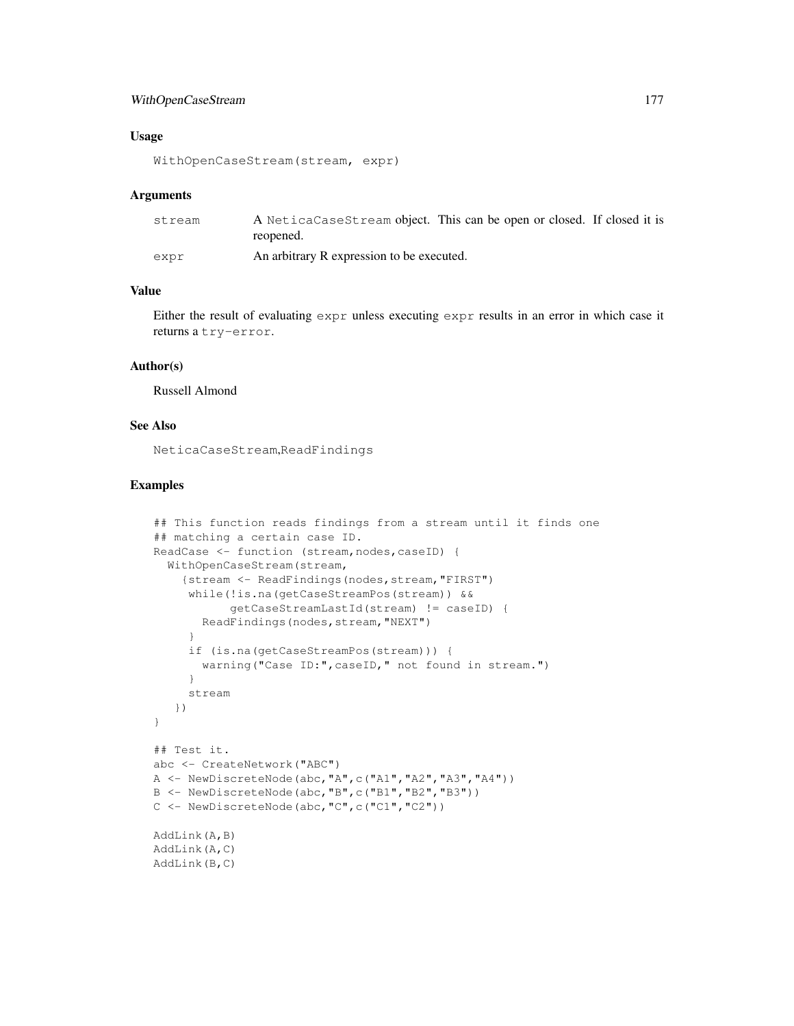# WithOpenCaseStream 177

## Usage

```
WithOpenCaseStream(stream, expr)
```
#### Arguments

| stream | A NeticaCaseStream object. This can be open or closed. If closed it is<br>reopened. |
|--------|-------------------------------------------------------------------------------------|
| expr   | An arbitrary R expression to be executed.                                           |

# Value

Either the result of evaluating expr unless executing expr results in an error in which case it returns a try-error.

#### Author(s)

Russell Almond

# See Also

NeticaCaseStream,ReadFindings

```
## This function reads findings from a stream until it finds one
## matching a certain case ID.
ReadCase <- function (stream, nodes, caseID) {
  WithOpenCaseStream(stream,
    {stream <- ReadFindings(nodes,stream,"FIRST")
     while(!is.na(getCaseStreamPos(stream)) &&
           getCaseStreamLastId(stream) != caseID) {
       ReadFindings(nodes,stream,"NEXT")
     }
     if (is.na(getCaseStreamPos(stream))) {
      warning("Case ID:",caseID," not found in stream.")
     }
     stream
   })
}
## Test it.
abc <- CreateNetwork("ABC")
A \leq NewDiscreteNode(abc, "A",c("A1", "A2", "A3", "A4"))
B <- NewDiscreteNode(abc,"B",c("B1","B2","B3"))
C <- NewDiscreteNode(abc,"C",c("C1","C2"))
AddLink(A,B)
AddLink(A,C)
AddLink(B,C)
```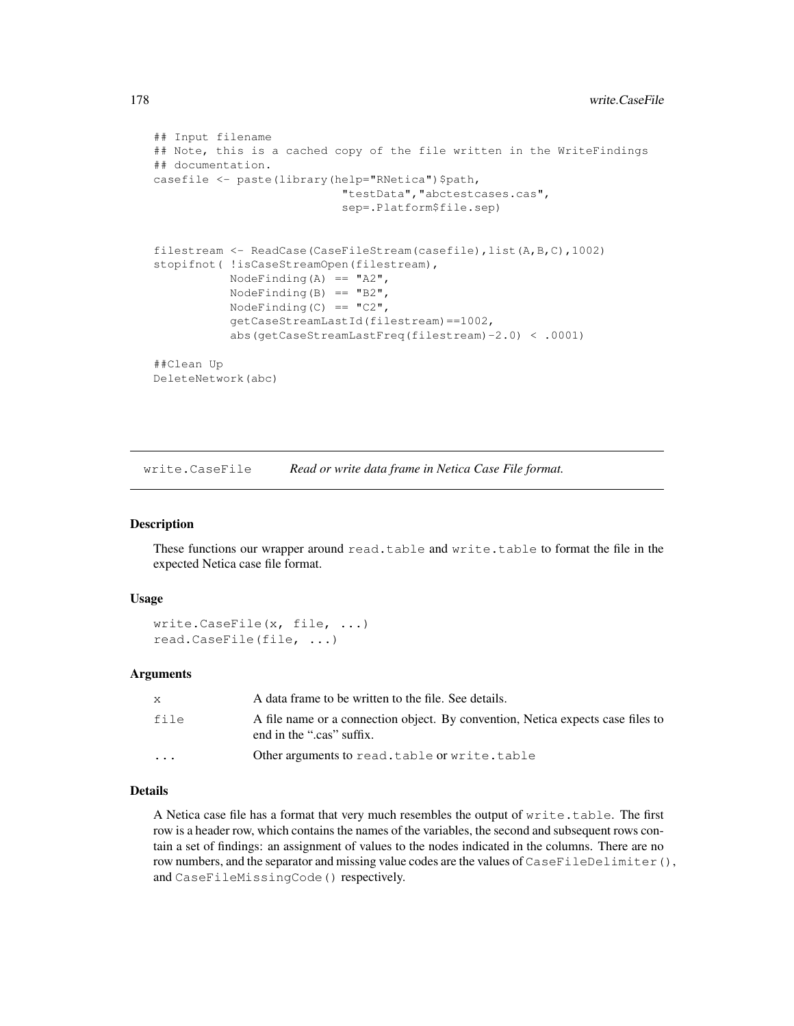```
## Input filename
## Note, this is a cached copy of the file written in the WriteFindings
## documentation.
casefile <- paste(library(help="RNetica")$path,
                           "testData","abctestcases.cas",
                           sep=.Platform$file.sep)
filestream <- ReadCase(CaseFileStream(casefile),list(A,B,C),1002)
stopifnot ( !isCaseStreamOpen(filestream),
           NodeFinding(A) == "A2",
           NodeFinding(B) == "B2",
           NodeFinding(C) == "C2",
           getCaseStreamLastId(filestream)==1002,
           abs(getCaseStreamLastFreq(filestream)-2.0) < .0001)
##Clean Up
DeleteNetwork(abc)
```
write.CaseFile *Read or write data frame in Netica Case File format.*

## Description

These functions our wrapper around read.table and write.table to format the file in the expected Netica case file format.

## Usage

```
write.CaseFile(x, file, ...)
read.CaseFile(file, ...)
```
# Arguments

|           | A data frame to be written to the file. See details.                                                         |
|-----------|--------------------------------------------------------------------------------------------------------------|
| file      | A file name or a connection object. By convention, Netica expects case files to<br>end in the ".cas" suffix. |
| $\ddotsc$ | Other arguments to read.table or write.table                                                                 |

# Details

A Netica case file has a format that very much resembles the output of write.table. The first row is a header row, which contains the names of the variables, the second and subsequent rows contain a set of findings: an assignment of values to the nodes indicated in the columns. There are no row numbers, and the separator and missing value codes are the values of CaseFileDelimiter(), and CaseFileMissingCode() respectively.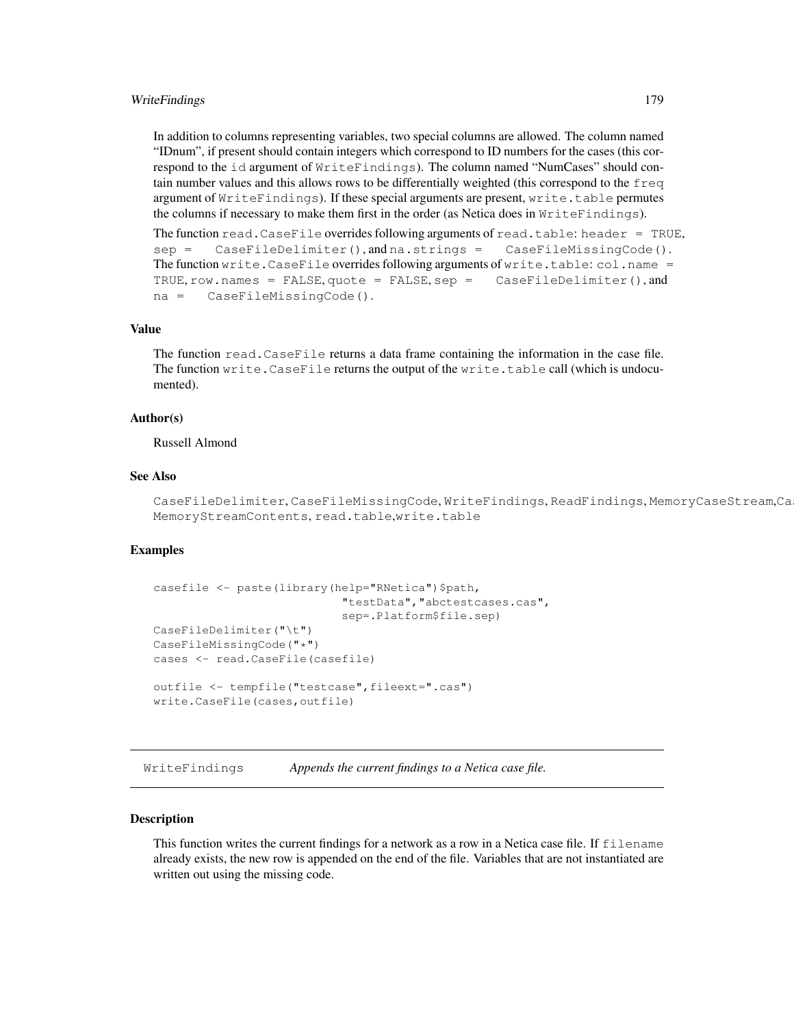# WriteFindings 179

In addition to columns representing variables, two special columns are allowed. The column named "IDnum", if present should contain integers which correspond to ID numbers for the cases (this correspond to the id argument of WriteFindings). The column named "NumCases" should contain number values and this allows rows to be differentially weighted (this correspond to the freq argument of WriteFindings). If these special arguments are present, write.table permutes the columns if necessary to make them first in the order (as Netica does in WriteFindings).

```
The function read.CaseFile overrides following arguments of read.table: header = TRUE,
sep = CaseFileDelimiter(), and na.strings = CaseFileMissingCode().
The function write. CaseFile overrides following arguments of write.table: col.name =TRUE, row.names = FALSE, quote = FALSE, sep = CaseFileDelimiter(), and
na = CaseFileMissingCode().
```
# Value

The function read.CaseFile returns a data frame containing the information in the case file. The function write.CaseFile returns the output of the write.table call (which is undocumented).

## Author(s)

Russell Almond

# See Also

CaseFileDelimiter, CaseFileMissingCode, WriteFindings, ReadFindings, MemoryCaseStream,Ca MemoryStreamContents, read.table,write.table

## Examples

```
casefile <- paste(library(help="RNetica")$path,
                            "testData","abctestcases.cas",
                            sep=.Platform$file.sep)
CaseFileDelimiter("\t")
CaseFileMissingCode("*")
cases <- read.CaseFile(casefile)
outfile <- tempfile("testcase", fileext=".cas")
write.CaseFile(cases,outfile)
```
WriteFindings *Appends the current findings to a Netica case file.*

## Description

This function writes the current findings for a network as a row in a Netica case file. If filename already exists, the new row is appended on the end of the file. Variables that are not instantiated are written out using the missing code.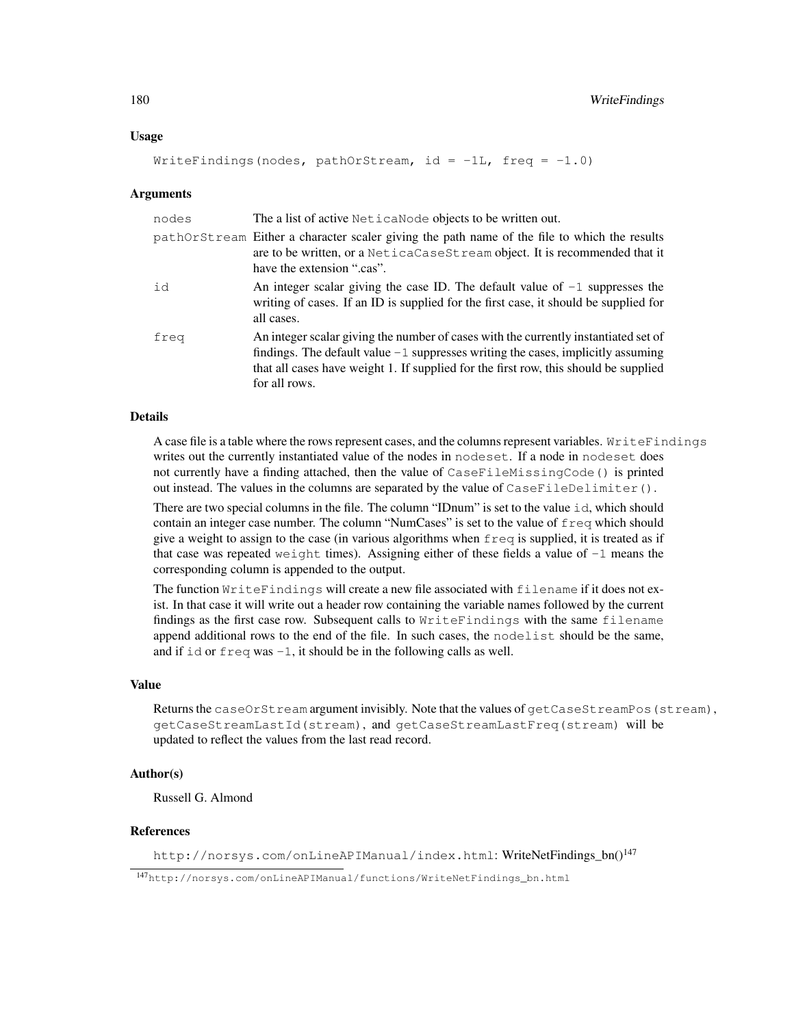## Usage

```
WriteFindings(nodes, pathOrStream, id = -1L, freq = -1.0)
```
### Arguments

| nodes | The a list of active NeticaNode objects to be written out.                                                                                                                                                                                                                         |
|-------|------------------------------------------------------------------------------------------------------------------------------------------------------------------------------------------------------------------------------------------------------------------------------------|
|       | pathOrStream Either a character scaler giving the path name of the file to which the results<br>are to be written, or a NeticaCaseSt ream object. It is recommended that it<br>have the extension ".cas".                                                                          |
| id    | An integer scalar giving the case ID. The default value of $-1$ suppresses the<br>writing of cases. If an ID is supplied for the first case, it should be supplied for<br>all cases.                                                                                               |
| freq  | An integer scalar giving the number of cases with the currently instantiated set of<br>findings. The default value $-1$ suppresses writing the cases, implicitly assuming<br>that all cases have weight 1. If supplied for the first row, this should be supplied<br>for all rows. |

#### Details

A case file is a table where the rows represent cases, and the columns represent variables. WriteFindings writes out the currently instantiated value of the nodes in nodeset. If a node in nodeset does not currently have a finding attached, then the value of CaseFileMissingCode() is printed out instead. The values in the columns are separated by the value of CaseFileDelimiter().

There are two special columns in the file. The column "IDnum" is set to the value id, which should contain an integer case number. The column "NumCases" is set to the value of  $f \text{req}$  which should give a weight to assign to the case (in various algorithms when  $f \text{reg}$  is supplied, it is treated as if that case was repeated we ight times). Assigning either of these fields a value of  $-1$  means the corresponding column is appended to the output.

The function WriteFindings will create a new file associated with filename if it does not exist. In that case it will write out a header row containing the variable names followed by the current findings as the first case row. Subsequent calls to WriteFindings with the same filename append additional rows to the end of the file. In such cases, the nodelist should be the same, and if  $id$  or  $freq$  was  $-1$ , it should be in the following calls as well.

# Value

Returns the caseOrStream argument invisibly. Note that the values of getCaseStreamPos (stream), getCaseStreamLastId(stream), and getCaseStreamLastFreq(stream) will be updated to reflect the values from the last read record.

# Author(s)

Russell G. Almond

### References

http://norsys.com/onLineAPIManual/index.html: WriteNetFindings\_bn()<sup>147</sup>

<sup>147</sup>http://norsys.com/onLineAPIManual/functions/WriteNetFindings\_bn.html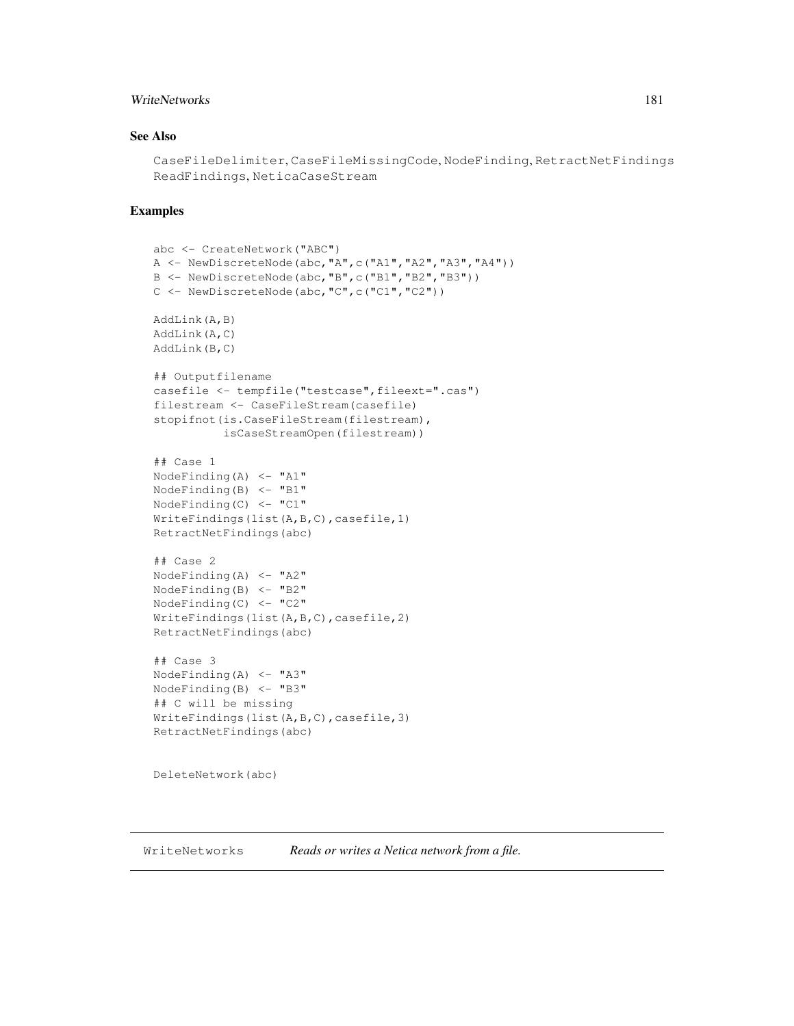# WriteNetworks 181

# See Also

```
CaseFileDelimiter, CaseFileMissingCode, NodeFinding, RetractNetFindings
ReadFindings, NeticaCaseStream
```
### Examples

```
abc <- CreateNetwork("ABC")
A \leftarrow \text{NewDiscreteNode}(\text{abc}, \text{"A", c("A1", "A2", "A3", "A4"))})B <- NewDiscreteNode(abc,"B",c("B1","B2","B3"))
C <- NewDiscreteNode(abc,"C",c("C1","C2"))
AddLink(A,B)
AddLink(A,C)
AddLink(B,C)
## Outputfilename
casefile <- tempfile("testcase",fileext=".cas")
filestream <- CaseFileStream(casefile)
stopifnot(is.CaseFileStream(filestream),
          isCaseStreamOpen(filestream))
## Case 1
NodeFinding(A) \leftarrow "A1"
NodeFinding(B) <- "B1"
NodeFinding(C) <- "C1"
WriteFindings(list(A,B,C),casefile,1)
RetractNetFindings(abc)
## Case 2
NodeFinding(A) <- "A2"
NodeFinding(B) <- "B2"
NodeFinding(C) <- "C2"
WriteFindings(list(A,B,C),casefile,2)
RetractNetFindings(abc)
## Case 3
NodeFinding(A) <- "A3"
NodeFinding(B) <- "B3"
## C will be missing
WriteFindings(list(A,B,C),casefile,3)
RetractNetFindings(abc)
DeleteNetwork(abc)
```
WriteNetworks *Reads or writes a Netica network from a file.*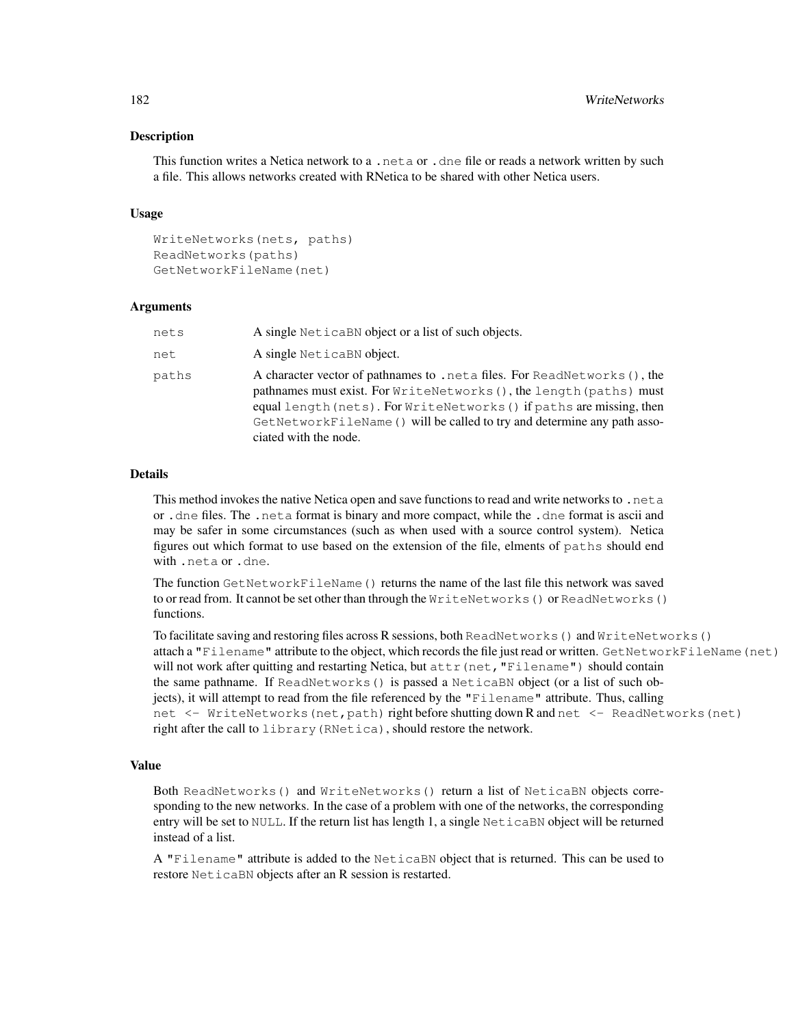## Description

This function writes a Netica network to a .neta or .dne file or reads a network written by such a file. This allows networks created with RNetica to be shared with other Netica users.

## Usage

```
WriteNetworks(nets, paths)
ReadNetworks(paths)
GetNetworkFileName(net)
```
### Arguments

| nets  | A single Netical N object or a list of such objects.                                                                                                                                                                                                                                                                           |
|-------|--------------------------------------------------------------------------------------------------------------------------------------------------------------------------------------------------------------------------------------------------------------------------------------------------------------------------------|
| net   | A single NeticaBN object.                                                                                                                                                                                                                                                                                                      |
| paths | A character vector of pathnames to . net a files. For ReadNetworks (), the<br>pathnames must exist. For WriteNetworks (), the length (paths) must<br>equal length (nets). For WriteNetworks () if paths are missing, then<br>GetNetworkFileName () will be called to try and determine any path asso-<br>ciated with the node. |

### Details

This method invokes the native Netica open and save functions to read and write networks to .neta or .dne files. The .neta format is binary and more compact, while the .dne format is ascii and may be safer in some circumstances (such as when used with a source control system). Netica figures out which format to use based on the extension of the file, elments of paths should end with .neta or .dne.

The function GetNetworkFileName() returns the name of the last file this network was saved to or read from. It cannot be set other than through the WriteNetworks() or ReadNetworks() functions.

To facilitate saving and restoring files across R sessions, both ReadNetworks() and WriteNetworks() attach a "Filename" attribute to the object, which records the file just read or written. GetNetworkFileName(net) will not work after quitting and restarting Netica, but  $\text{attr}(\text{net}, \text{"Filename"})$  should contain the same pathname. If ReadNetworks() is passed a NeticaBN object (or a list of such objects), it will attempt to read from the file referenced by the "Filename" attribute. Thus, calling net <- WriteNetworks (net, path) right before shutting down R and net <- ReadNetworks (net) right after the call to library(RNetica), should restore the network.

### Value

Both ReadNetworks() and WriteNetworks() return a list of NeticaBN objects corresponding to the new networks. In the case of a problem with one of the networks, the corresponding entry will be set to NULL. If the return list has length 1, a single NeticaBN object will be returned instead of a list.

A "Filename" attribute is added to the NeticaBN object that is returned. This can be used to restore NeticaBN objects after an R session is restarted.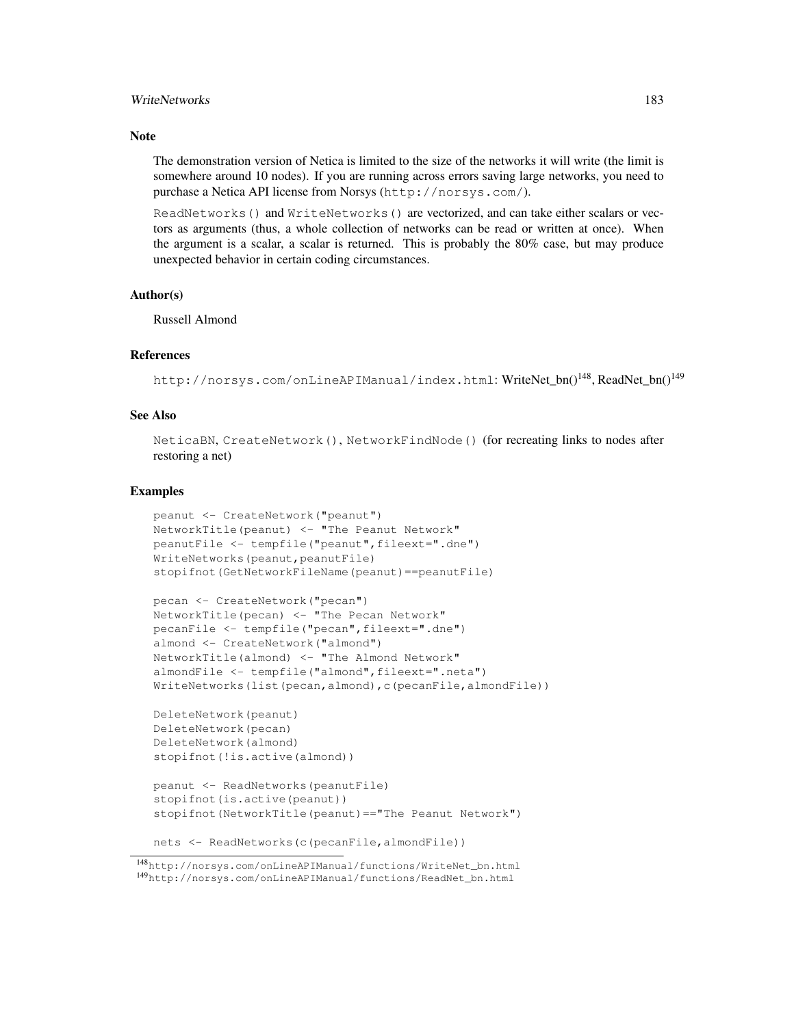## WriteNetworks 183

## **Note**

The demonstration version of Netica is limited to the size of the networks it will write (the limit is somewhere around 10 nodes). If you are running across errors saving large networks, you need to purchase a Netica API license from Norsys (http://norsys.com/).

ReadNetworks() and WriteNetworks() are vectorized, and can take either scalars or vectors as arguments (thus, a whole collection of networks can be read or written at once). When the argument is a scalar, a scalar is returned. This is probably the 80% case, but may produce unexpected behavior in certain coding circumstances.

### Author(s)

Russell Almond

### References

http://norsys.com/onLineAPIManual/index.html: WriteNet bn()<sup>148</sup>, ReadNet bn()<sup>149</sup>

# See Also

NeticaBN, CreateNetwork(), NetworkFindNode() (for recreating links to nodes after restoring a net)

### Examples

```
peanut <- CreateNetwork("peanut")
NetworkTitle(peanut) <- "The Peanut Network"
peanutFile <- tempfile("peanut",fileext=".dne")
WriteNetworks(peanut, peanutFile)
stopifnot(GetNetworkFileName(peanut)==peanutFile)
```

```
pecan <- CreateNetwork("pecan")
NetworkTitle(pecan) <- "The Pecan Network"
pecanFile <- tempfile("pecan",fileext=".dne")
almond <- CreateNetwork("almond")
NetworkTitle(almond) <- "The Almond Network"
almondFile <- tempfile("almond",fileext=".neta")
WriteNetworks(list(pecan,almond),c(pecanFile,almondFile))
```

```
DeleteNetwork(peanut)
DeleteNetwork(pecan)
DeleteNetwork(almond)
stopifnot(!is.active(almond))
```

```
peanut <- ReadNetworks(peanutFile)
stopifnot(is.active(peanut))
stopifnot(NetworkTitle(peanut)=="The Peanut Network")
```

```
nets <- ReadNetworks(c(pecanFile,almondFile))
```
<sup>148</sup>http://norsys.com/onLineAPIManual/functions/WriteNet\_bn.html <sup>149</sup>http://norsys.com/onLineAPIManual/functions/ReadNet\_bn.html